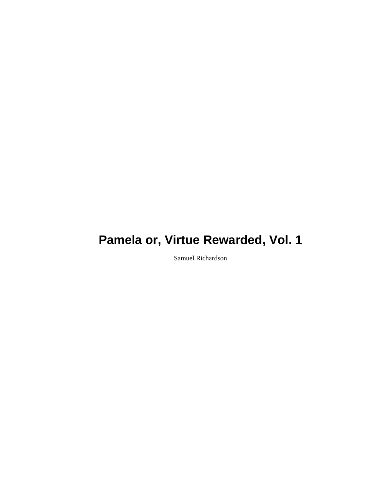Samuel Richardson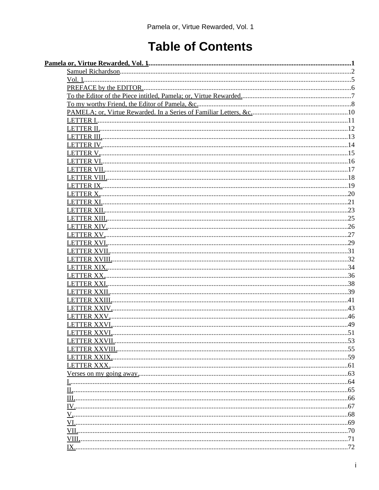# **Table of Contents**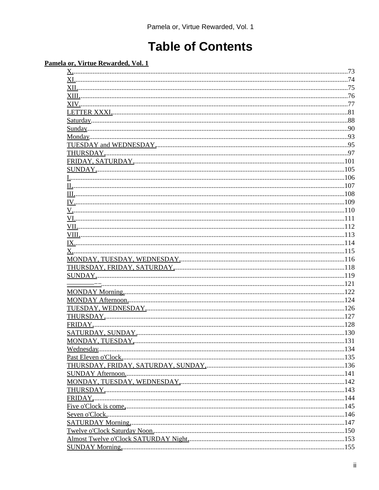## **Table of Contents**

#### Pamela or, Virtue Rewarded, Vol. 1

| THURSDAY |  |
|----------|--|
|          |  |
|          |  |
|          |  |
|          |  |
|          |  |
|          |  |
|          |  |
|          |  |
|          |  |
|          |  |
|          |  |
|          |  |
|          |  |
|          |  |
|          |  |
|          |  |
|          |  |
|          |  |
|          |  |
|          |  |
|          |  |
| FRIDAY   |  |
|          |  |
|          |  |
|          |  |
|          |  |
|          |  |
|          |  |
|          |  |
|          |  |
| FRIDAY.  |  |
|          |  |
|          |  |
|          |  |
|          |  |
|          |  |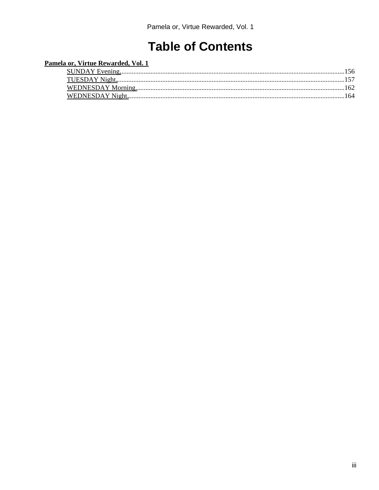## **Table of Contents**

#### Pamela or, Virtue Rewarded, Vol. 1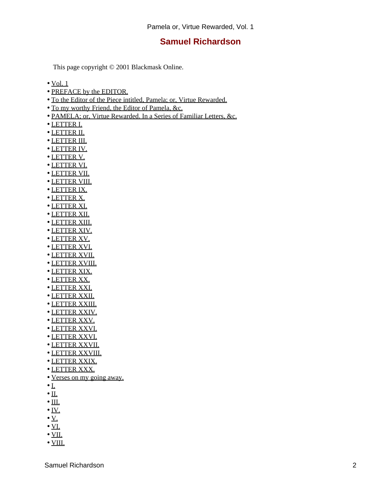#### **Samuel Richardson**

<span id="page-6-0"></span>This page copyright © 2001 Blackmask Online.

- $\bullet$  [Vol. 1](#page-9-0)
- [PREFACE by the EDITOR.](#page-10-0)
- [To the Editor of the Piece intitled, Pamela; or, Virtue Rewarded.](#page-11-0)
- [To my worthy Friend, the Editor of Pamela, &c.](#page-12-0)
- [PAMELA; or, Virtue Rewarded. In a Series of Familiar Letters, &c.](#page-14-0)
- [LETTER I.](#page-15-0)
- [LETTER II.](#page-16-0)
- [LETTER III.](#page-17-0)
- [LETTER IV.](#page-18-0)
- [LETTER V.](#page-19-0)
- [LETTER VI.](#page-20-0)
- [LETTER VII.](#page-21-0)
- [LETTER VIII.](#page-22-0)
- [LETTER IX.](#page-23-0)
- [LETTER X.](#page-24-0)
- [LETTER XI.](#page-25-0)
- [LETTER XII.](#page-27-0)
- [LETTER XIII.](#page-29-0)
- [LETTER XIV.](#page-30-0)
- [LETTER XV.](#page-31-0)
- [LETTER XVI.](#page-33-0)
- [LETTER XVII.](#page-35-0)
- [LETTER XVIII.](#page-36-0)
- [LETTER XIX.](#page-38-0)
- [LETTER XX.](#page-40-0)
- [LETTER XXI.](#page-42-0)
- [LETTER XXII.](#page-43-0)
- [LETTER XXIII.](#page-45-0)
- [LETTER XXIV.](#page-47-0)
- [LETTER XXV.](#page-50-0)
- [LETTER XXVI.](#page-53-0)
- [LETTER XXVI.](#page-55-0)
- [LETTER XXVII.](#page-57-0)
- [LETTER XXVIII.](#page-59-0)
- [LETTER XXIX.](#page-63-0)
- [LETTER XXX.](#page-65-0)
- [Verses on my going away.](#page-67-0)
- $\bullet$   $\underline{\mathbf{L}}$ .
- $\bullet$  [II.](#page-69-0)
- $\bullet$  [III.](#page-70-0)
- $\bullet$  [IV.](#page-71-0)
- $\bullet$  <u>V</u>.
- $\bullet$  [VI.](#page-73-0)
- $\bullet$  [VII.](#page-74-0)
- $\bullet$  [VIII.](#page-75-0)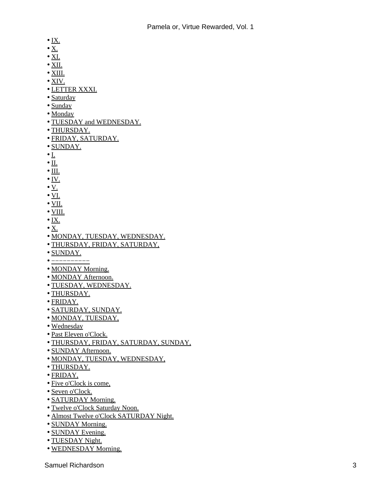- $\bullet$  [IX.](#page-76-0)
- $\bullet$  [X.](#page-77-0)
- $\bullet$  [XI.](#page-78-0)
- $\bullet$  [XII.](#page-79-0)
- [XIII.](#page-80-0)
- [XIV.](#page-81-0)
- [LETTER XXXI.](#page-85-0)
- [Saturday](#page-92-0)
- [Sunday](#page-94-0)
- [Monday](#page-97-0)
- [TUESDAY and WEDNESDAY.](#page-99-0)
- [THURSDAY.](#page-101-0)
- [FRIDAY, SATURDAY.](#page-105-0)
- [SUNDAY.](#page-109-0)
- $\bullet$  [I.](#page-110-0)
- $\bullet$  [II.](#page-111-0)
- $\bullet$  [III.](#page-112-0)
- $\bullet$  [IV.](#page-113-0)
- $\bullet$  <u>[V.](#page-114-0)</u>
- [VI.](#page-115-0)
- $\bullet$  [VII.](#page-116-0)
- [VIII.](#page-117-0)
- $\bullet$  [IX.](#page-118-0)
- $\bullet X.$  $\bullet X.$
- [MONDAY, TUESDAY, WEDNESDAY.](#page-120-0)
- [THURSDAY, FRIDAY, SATURDAY,](#page-122-0)
- [SUNDAY.](#page-123-0)
- [−−−−−−−−−−](#page-125-0)
- [MONDAY Morning.](#page-126-0)
- [MONDAY Afternoon.](#page-128-0)
- [TUESDAY, WEDNESDAY.](#page-130-0)
- [THURSDAY.](#page-131-0)
- [FRIDAY.](#page-132-0)
- [SATURDAY, SUNDAY.](#page-134-0)
- [MONDAY, TUESDAY,](#page-135-0)
- [Wednesday](#page-138-0)
- [Past Eleven o'Clock.](#page-139-0)
- [THURSDAY, FRIDAY, SATURDAY, SUNDAY,](#page-140-0)
- [SUNDAY Afternoon.](#page-145-0)
- [MONDAY, TUESDAY, WEDNESDAY,](#page-146-0)
- [THURSDAY.](#page-147-0)
- [FRIDAY,](#page-148-0)
- [Five o'Clock is come,](#page-149-0)
- [Seven o'Clock.](#page-150-0)
- [SATURDAY Morning.](#page-151-0)
- [Twelve o'Clock Saturday Noon.](#page-154-0)
- [Almost Twelve o'Clock SATURDAY Night.](#page-157-0)
- [SUNDAY Morning.](#page-159-0)
- [SUNDAY Evening.](#page-160-0)
- [TUESDAY Night.](#page-161-0)
- [WEDNESDAY Morning.](#page-166-0)

Samuel Richardson 3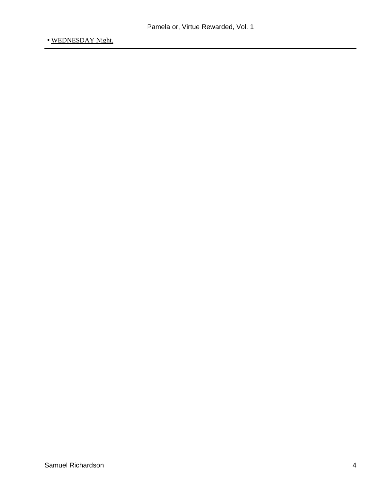• [WEDNESDAY Night.](#page-168-0)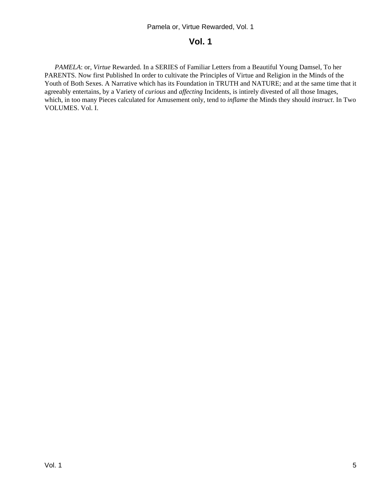#### **Vol. 1**

<span id="page-9-0"></span> *PAMELA*: or, *Virtue* Rewarded. In a SERIES of Familiar Letters from a Beautiful Young Damsel, To her PARENTS. Now first Published In order to cultivate the Principles of Virtue and Religion in the Minds of the Youth of Both Sexes. A Narrative which has its Foundation in TRUTH and NATURE; and at the same time that it agreeably entertains, by a Variety of *curious* and *affecting* Incidents, is intirely divested of all those Images, which, in too many Pieces calculated for Amusement only, tend to *inflame* the Minds they should *instruct*. In Two VOLUMES. Vol. I.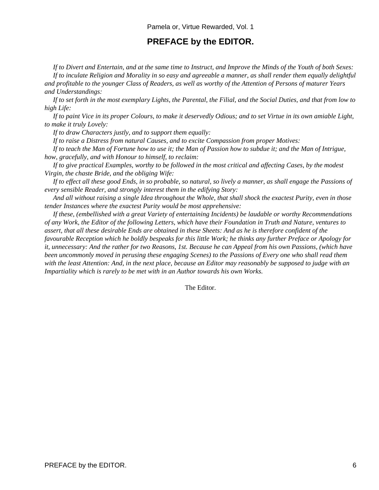#### **PREFACE by the EDITOR.**

<span id="page-10-0"></span> *If to Divert and Entertain, and at the same time to Instruct, and Improve the Minds of the Youth of both Sexes: If to inculate Religion and Morality in so easy and agreeable a manner, as shall render them equally delightful and profitable to the younger Class of Readers, as well as worthy of the Attention of Persons of maturer Years and Understandings:*

 *If to set forth in the most exemplary Lights, the Parental, the Filial, and the Social Duties, and that from low to high Life:*

 *If to paint Vice in its proper Colours, to make it deservedly Odious; and to set Virtue in its own amiable Light, to make it truly Lovely:*

 *If to draw Characters justly, and to support them equally:*

 *If to raise a Distress from natural Causes, and to excite Compassion from proper Motives:*

 *If to teach the Man of Fortune how to use it; the Man of Passion how to subdue it; and the Man of Intrigue, how, gracefully, and with Honour to himself, to reclaim:*

 *If to give practical Examples, worthy to be followed in the most critical and affecting Cases, by the modest Virgin, the chaste Bride, and the obliging Wife:*

 *If to effect all these good Ends, in so probable, so natural, so lively a manner, as shall engage the Passions of every sensible Reader, and strongly interest them in the edifying Story:*

 *And all without raising a single Idea throughout the Whole, that shall shock the exactest Purity, even in those tender Instances where the exactest Purity would be most apprehensive:*

 *If these, (embellished with a great Variety of entertaining Incidents) be laudable or worthy Recommendations of any Work, the Editor of the following Letters, which have their Foundation in Truth and Nature, ventures to assert, that all these desirable Ends are obtained in these Sheets: And as he is therefore confident of the favourable Reception which he boldly bespeaks for this little Work; he thinks any further Preface or Apology for it, unnecessary: And the rather for two Reasons, 1st. Because he can Appeal from his own Passions, (which have been uncommonly moved in perusing these engaging Scenes) to the Passions of Every one who shall read them with the least Attention: And, in the next place, because an Editor may reasonably be supposed to judge with an Impartiality which is rarely to be met with in an Author towards his own Works.*

The Editor.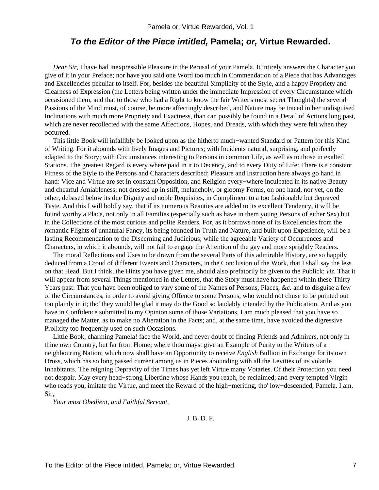#### **To the Editor of the Piece intitled, Pamela; or, Virtue Rewarded.**

<span id="page-11-0"></span>*Dear Sir,* I have had inexpressible Pleasure in the Perusal of your Pamela. It intirely answers the Character you give of it in your Preface; nor have you said one Word too much in Commendation of a Piece that has Advantages and Excellencies peculiar to itself. For, besides the beautiful Simplicity of the Style, and a happy Propriety and Clearness of Expression (the Letters being written under the immediate Impression of every Circumstance which occasioned them, and that to those who had a Right to know the fair Writer's most secret Thoughts) the several Passions of the Mind must, of course, be more affectingly described, and Nature may be traced in her undisguised Inclinations with much more Propriety and Exactness, than can possibly be found in a Detail of Actions long past, which are never recollected with the same Affections, Hopes, and Dreads, with which they were felt when they occurred.

 This little Book will infallibly be looked upon as the hitherto much−wanted Standard or Pattern for this Kind of Writing. For it abounds with lively Images and Pictures; with Incidents natural, surprising, and perfectly adapted to the Story; with Circumstances interesting to Persons in common Life, as well as to those in exalted Stations. The greatest Regard is every where paid in it to Decency, and to every Duty of Life: There is a constant Fitness of the Style to the Persons and Characters described; Pleasure and Instruction here always go hand in hand: Vice and Virtue are set in constant Opposition, and Religion every−where inculcated in its native Beauty and chearful Amiableness; not dressed up in stiff, melancholy, or gloomy Forms, on one hand, nor yet, on the other, debased below its due Dignity and noble Requisites, in Compliment to a too fashionable but depraved Taste. And this I will boldly say, that if its numerous Beauties are added to its excellent Tendency, it will be found worthy a Place, not only in all Families (especially such as have in them young Persons of either Sex) but in the Collections of the most curious and polite Readers. For, as it borrows none of its Excellencies from the romantic Flights of unnatural Fancy, its being founded in Truth and Nature, and built upon Experience, will be a lasting Recommendation to the Discerning and Judicious; while the agreeable Variety of Occurrences and Characters, in which it abounds, will not fail to engage the Attention of the gay and more sprightly Readers.

 The moral Reflections and Uses to be drawn from the several Parts of this admirable History, are so happily deduced from a Croud of different Events and Characters, in the Conclusion of the Work, that I shall say the less on that Head. But I think, the Hints you have given me, should also prefatorily be given to the Publick; *viz.* That it will appear from several Things mentioned in the Letters, that the Story must have happened within these Thirty Years past: That you have been obliged to vary some of the Names of Persons, Places, *&c.* and to disguise a few of the Circumstances, in order to avoid giving Offence to some Persons, who would not chuse to be pointed out too plainly in it; tho' they would be glad it may do the Good so laudably intended by the Publication. And as you have in Confidence submitted to my Opinion some of those Variations, I am much pleased that you have so managed the Matter, as to make no Alteration in the Facts; and, at the same time, have avoided the digressive Prolixity too frequently used on such Occasions.

 Little Book, charming Pamela! face the World, and never doubt of finding Friends and Admirers, not only in thine own Country, but far from Home; where thou mayst give an Example of Purity to the Writers of a neighbouring Nation; which now shall have an Opportunity to receive *English* Bullion in Exchange for its own Dross, which has so long passed current among us in Pieces abounding with all the Levities of its volatile Inhabitants. The reigning Depravity of the Times has yet left Virtue many Votaries. Of their Protection you need not despair. May every head−strong Libertine whose Hands you reach, be reclaimed; and every tempted Virgin who reads you, imitate the Virtue, and meet the Reward of the high−meriting, tho' low−descended, Pamela. I am, Sir,

*Your most Obedient, and Faithful Servant,*

J. B. D. F.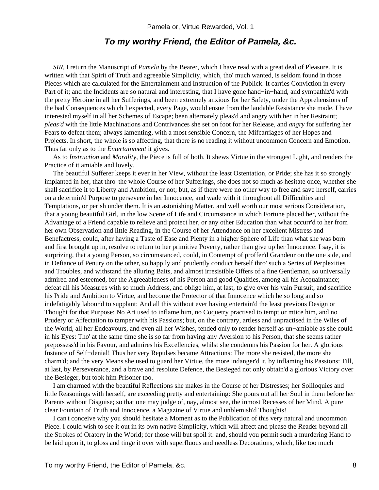#### **To my worthy Friend, the Editor of Pamela, &c.**

<span id="page-12-0"></span>*SIR,* I return the Manuscript of *Pamela* by the Bearer, which I have read with a great deal of Pleasure. It is written with that Spirit of Truth and agreeable Simplicity, which, tho' much wanted, is seldom found in those Pieces which are calculated for the Entertainment and Instruction of the Publick. It carries Conviction in every Part of it; and the Incidents are so natural and interesting, that I have gone hand−in−hand, and sympathiz'd with the pretty Heroine in all her Sufferings, and been extremely anxious for her Safety, under the Apprehensions of the bad Consequences which I expected, every Page, would ensue from the laudable Resistance she made. I have interested myself in all her Schemes of Escape; been alternately pleas'd and angry with her in her Restraint; *pleas'd* with the little Machinations and Contrivances she set on foot for her Release, and *angry* for suffering her Fears to defeat them; always lamenting, with a most sensible Concern, the Mifcarriages of her Hopes and Projects. In short, the whole is so affecting, that there is no reading it without uncommon Concern and Emotion. Thus far only as to the *Entertainment* it gives.

 As to *Instruction* and *Morality,* the Piece is full of both. It shews Virtue in the strongest Light, and renders the Practice of it amiable and lovely.

 The beautiful Sufferer keeps it ever in her View, without the least Ostentation, or Pride; she has it so strongly implanted in her, that thro' the whole Course of her Sufferings, she does not so much as hesitate once, whether she shall sacrifice it to Liberty and Ambition, or not; but, as if there were no other way to free and save herself, carries on a determin'd Purpose to persevere in her Innocence, and wade with it throughout all Difficulties and Temptations, or perish under them. It is an astonishing Matter, and well worth our most serious Consideration, that a young beautiful Girl, in the low Scene of Life and Circumstance in which Fortune placed her, without the Advantage of a Friend capable to relieve and protect her, or any other Education than what occurr'd to her from her own Observation and little Reading, in the Course of her Attendance on her excellent Mistress and Benefactress, could, after having a Taste of Ease and Plenty in a higher Sphere of Life than what she was born and first brought up in, resolve to return to her primitive Poverty, rather than give up her Innocence. I say, it is surprizing, that a young Person, so circumstanced, could, in Contempt of proffer'd Grandeur on the one side, and in Defiance of Penury on the other, so happily and prudently conduct herself thro' such a Series of Perplexities and Troubles, and withstand the alluring Baits, and almost irresistible Offers of a fine Gentleman, so universally admired and esteemed, for the Agreeableness of his Person and good Qualities, among all his Acquaintance; defeat all his Measures with so much Address, and oblige him, at last, to give over his vain Pursuit, and sacrifice his Pride and Ambition to Virtue, and become the Protector of that Innocence which he so long and so indefatigably labour'd to supplant: And all this without ever having entertain'd the least previous Design or Thought for that Purpose: No Art used to inflame him, no Coquetry practised to tempt or mtice him, and no Prudery or Affectation to tamper with his Passions; but, on the contrary, artless and unpractised in the Wiles of the World, all her Endeavours, and even all her Wishes, tended only to render herself as un−amiable as she could in his Eyes: Tho' at the same time she is so far from having any Aversion to his Person, that she seems rather prepossess'd in his Favour, and admires his Excellencies, whilst she condemns his Passion for her. A glorious Instance of Self−denial! Thus her very Repulses became Attractions: The more she resisted, the more she charm'd; and the very Means she used to guard her Virtue, the more indanger'd it, by inflaming his Passions: Till, at last, by Perseverance, and a brave and resolute Defence, the Besieged not only obtain'd a glorious Victory over the Besieger, but took him Prisoner too.

 I am charmed with the beautiful Reflections she makes in the Course of her Distresses; her Soliloquies and little Reasonings with herself, are exceeding pretty and entertaining: She pours out all her Soul in them before her Parents without Disguise; so that one may judge of, nay, almost see, the inmost Recesses of her Mind. A pure clear Fountain of Truth and Innocence, a Magazine of Virtue and unblemish'd Thoughts!

 I can't conceive why you should hesitate a Moment as to the Publication of this very natural and uncommon Piece. I could wish to see it out in its own native Simplicity, which will affect and please the Reader beyond all the Strokes of Oratory in the World; for those will but spoil it: and, should you permit such a murdering Hand to be laid upon it, to gloss and tinge it over with superfluous and needless Decorations, which, like too much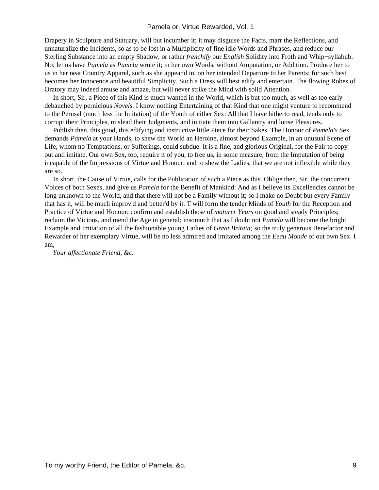Drapery in Sculpture and Statuary, will but incumber it; it may disguise the Facts, marr the Reflections, and unnaturalize the Incidents, so as to be lost in a Multiplicity of fine idle Words and Phrases, and reduce our Sterling Substance into an empty Shadow, or rather *frenchify* our *English* Solidity into Froth and Whip−syllabub. No; let us have *Pamela* as *Pamela* wrote it; in her own Words, without Amputation, or Addition. Produce her to us in her neat Country Apparel, such as she appear'd in, on her intended Departure to her Parents; for such best becomes her Innocence and beautiful Simplicity. Such a Dress will best edify and entertain. The flowing Robes of Oratory may indeed amuse and amaze, but will never strike the Mind with solid Attention.

 In short, Sir, a Piece of this Kind is much wanted in the World, which is but too much, as well as too early debauched by pernicious *Novels.* I know nothing Entertaining of that Kind that one might venture to recommend to the Perusal (much less the Imitation) of the Youth of either Sex: All that I have hitherto read, tends only to corrupt their Principles, mislead their Judgments, and initiate them into Gallantry and loose Pleasures.

 Publish then, this good, this edifying and instructive little Piece for their Sakes. The Honour of *Pamela's* Sex demands *Pamela* at your Hands, to shew the World an Heroine, almost beyond Example, in an unusual Scene of Life, whom no Temptations, or Sufferings, could subdue. It is a fine, and glorious Original, for the Fair to copy out and imitate. Our own Sex, too, require it of you, to free us, in some measure, from the Imputation of being incapable of the Impressions of Virtue and Honour; and to shew the Ladies, that we are not inflexible while they are so.

 In short, the Cause of Virtue, calls for the Publication of such a Piece as this. Oblige then, Sir, the concurrent Voices of both Sexes, and give us *Pamela* for the Benefit of Mankind: And as I believe its Excellencies cannot be long unknown to the World, and that there will not be a Family without it; so I make no Doubt but every Family that has it, will be much improv'd and better'd by it. T will form the tender Minds of *Youth* for the Reception and Practice of Virtue and Honour; confirm and establish those of *maturer Years* on good and steady Principles; reclaim the Vicious, and mend the Age in general; insomuch that as I doubt not *Pamela* will become the bright Example and Imitation of all the fashionable young Ladies of *Great Britain;* so the truly generous Benefactor and Rewarder of her exemplary Virtue, will be no less admired and imitated among the *Eeau Monde* of out own Sex. I am,

*Your affectionate Friend, &c.*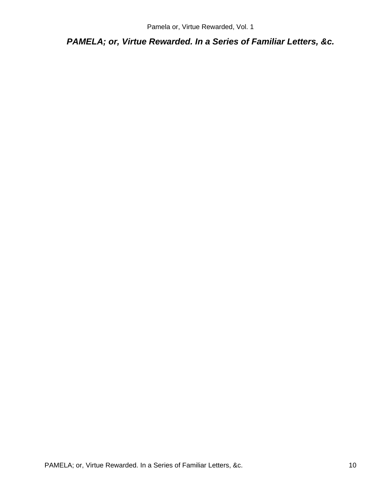<span id="page-14-0"></span>**PAMELA; or, Virtue Rewarded. In a Series of Familiar Letters, &c.**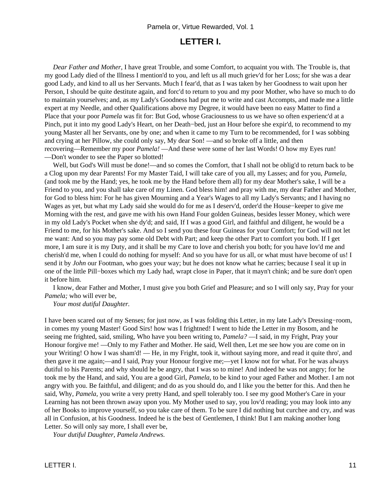#### **LETTER I.**

<span id="page-15-0"></span>*Dear Father and Mother,* I have great Trouble, and some Comfort, to acquaint you with. The Trouble is, that my good Lady died of the Illness I mention'd to you, and left us all much griev'd for her Loss; for she was a dear good Lady, and kind to all us her Servants. Much I fear'd, that as I was taken by her Goodness to wait upon her Person, I should be quite destitute again, and forc'd to return to you and my poor Mother, who have so much to do to maintain yourselves; and, as my Lady's Goodness had put me to write and cast Accompts, and made me a little expert at my Needle, and other Qualifications above my Degree, it would have been no easy Matter to find a Place that your poor *Pamela* was fit for: But God, whose Graciousness to us we have so often experienc'd at a Pinch, put it into my good Lady's Heart, on her Death−bed, just an Hour before she expir'd, to recommend to my young Master all her Servants, one by one; and when it came to my Turn to be recommended, for I was sobbing and crying at her Pillow, she could only say, My dear Son! —and so broke off a little, and then recovering—Remember my poor *Pamela!* —And these were some of her last Words! O how my Eyes run! —Don't wonder to see the Paper so blotted!

Well, but God's Will must be done!—and so comes the Comfort, that I shall not be oblig'd to return back to be a Clog upon my dear Parents! For my Master Taid, I will take care of you all, my Lasses; and for you, *Pamela,* (and took me by the Hand; yes, he took me by the Hand before them all) for my dear Mother's sake, I will be a Friend to you, and you shall take care of my Linen. God bless him! and pray with me, my dear Father and Mother, for God to bless him: For he has given Mourning and a Year's Wages to all my Lady's Servants; and I having no Wages as yet, but what my Lady said she would do for me as I deserv'd, order'd the House−keeper to give me Morning with the rest, and gave me with his own Hand Four golden Guineas, besides lesser Money, which were in my old Lady's Pocket when she dy'd; and said, If I was a good Girl, and faithful and diligent, he would be a Friend to me, for his Mother's sake. And so I send you these four Guineas for your Comfort; for God will not let me want: And so you may pay some old Debt with Part; and keep the other Part to comfort you both. If I get more, I am sure it is my Duty, and it shall be my Care to love and cherish you both; for you have lov'd me and cherish'd me, when I could do nothing for myself: And so you have for us all, or what must have become of us! I send it by *John* our Footman, who goes your way; but he does not know what he carries; because I seal it up in one of the little Pill−boxes which my Lady had, wrapt close in Paper, that it mayn't chink; and be sure don't open it before him.

 I know, dear Father and Mother, I must give you both Grief and Pleasure; and so I will only say, Pray for your *Pamela;* who will ever be,

*Your most dutiful Daughter.*

I have been scared out of my Senses; for just now, as I was folding this Letter, in my late Lady's Dressing−room, in comes my young Master! Good Sirs! how was I frightned! I went to hide the Letter in my Bosom, and he seeing me frighted, said, smiling, Who have you been writing to, *Pamela?* —I said, in my Fright, Pray your Honour forgive me! —Only to my Father and Mother. He said, Well then, Let me see how you are come on in your Writing! O how I was sham'd! — He, in my Fright, took it, without saying more, and read it quite thro', and then gave it me again;—and I said, Pray your Honour forgive me;—yet I know not for what. For he was always dutiful to his Parents; and why should he be angry, that I was so to mine! And indeed he was not angry; for he took me by the Hand, and said, You are a good Girl, *Pamela,* to be kind to your aged Father and Mother. I am not angry with you. Be faithful, and diligent; and do as you should do, and I like you the better for this. And then he said, Why, *Pamela,* you write a very pretty Hand, and spell tolerably too. I see my good Mother's Care in your Learning has not been thrown away upon you. My Mother used to say, you lov'd reading; you may look into any of her Books to improve yourself, so you take care of them. To be sure I did nothing but curchee and cry, and was all in Confusion, at his Goodness. Indeed he is the best of Gentlemen, I think! But I am making another long Letter. So will only say more, I shall ever be,

*Your dutiful Daughter, Pamela Andrews.*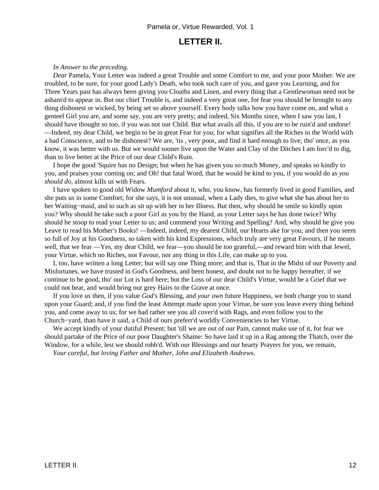#### **LETTER II.**

*In Answer to the preceding.*

<span id="page-16-0"></span>*Dear* Pamela, Your Letter was indeed a great Trouble and some Comfort to me, and your poor Mother. We are troubled, to be sure, for your good Lady's Death, who took such care of you, and gave you Learning, and for Three Years past has always been giving you Cloaths and Linen, and every thing that a Gentlewoman need not be asham'd to appear in. But our chief Trouble is, and indeed a very great one, for fear you should be brought to any thing dishonest or wicked, by being set so above yourself. Every body talks how you have come on, and what a genteel Girl you are, and some say, you are very pretty; and indeed, Six Months since, when I saw you last, I should have thought so too, if you was not our Child. But what avails all this, if you are to be ruin'd and undone! —Indeed, my dear Child, we begin to be in great Fear for you; for what signifies all the Riches in the World with a bad Conscience, and to be dishonest? We are, 'tis , very poor, and find it hard enough to live; tho' once, as you know, it was better with us. But we would sooner live upon the Water and Clay of the Ditches I am forc'd to dig, than to live better at the Price of our dear Child's Ruin.

 I hope the good 'Squire has no Design; but when he has given you so much Money, and speaks so kindly to you, and praises your coming on; and Oh! that fatal Word, that he would be kind to you, if you would do as *you should do,* almost kills us with Fears.

 I have spoken to good old Widow *Mumford* about it, who, you know, has formerly lived in good Families, and she puts us in some Comfort; for she says, it is not unusual, when a Lady dies, to give what she has about her to her Waiting−maid, and to such as sit up with her in her Illness. But then, why should he smile so kindly upon you? Why should he take such a poor Girl as you by the Hand, as your Letter says he has done twice? Why should he stoop to read your Letter to us; and commend your Writing and Spelling? And, why should he give you Leave to read his Mother's Books! —Indeed, indeed, my dearest Child, our Hearts ake for you; and then you seem so full of Joy at his Goodness, so taken with his kind Expressions, which truly are very great Favours, if he means well, that we fear —Yes, my dear Child, we fear—you should be *too* grateful,—and reward him with that Jewel, your Virtue, which no Riches, nor Favour, nor any thing in this Life, can make up to you.

 I, too, have written a long Letter; but will say one Thing more; and that is, That in the Midst of our Poverty and Misfortunes, we have trusted in God's Goodness, and been honest, and doubt not to be happy hereafter, if we continue to be good, tho' our Lot is hard here; but the Loss of our dear Child's Virtue, would be a Grief that we could not bear, and would bring our grey Hairs to the Grave at once.

 If you love *us* then, if you value *God's* Blessing, and *your own* future Happiness, we both charge you to stand upon your Guard; and, if you find the least Attempt made upon your Virtue, be sure you leave every thing behind you, and come away to us; for we had rather see you all cover'd with Rags, and even follow you to the Church−yard, than have it said, a Child of ours preferr'd worldly Conveniencies to her Virtue.

 We accept kindly of your dutiful Present; but 'till we are out of our Pain, cannot make use of it, for fear we should partake of the Price of our poor Daughter's Shame: So have laid it up in a Rag among the Thatch, over the Window, for a while, lest we should robb'd. With our Blessings and our hearty Prayers for you, we remain,

*Your careful, but loving Father and Mother, John and Elizabeth Andrews.*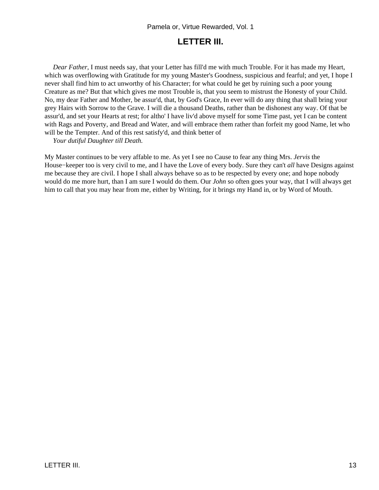### **LETTER III.**

<span id="page-17-0"></span>*Dear Father,* I must needs say, that your Letter has fill'd me with much Trouble. For it has made my Heart, which was overflowing with Gratitude for my young Master's Goodness, suspicious and fearful; and yet, I hope I never shall find him to act unworthy of his Character; for what could he get by ruining such a poor young Creature as me? But that which gives me most Trouble is, that you seem to mistrust the Honesty of your Child. No, my dear Father and Mother, be assur'd, that, by God's Grace, In ever will do any thing that shall bring your grey Hairs with Sorrow to the Grave. I will die a thousand Deaths, rather than be dishonest any way. Of that be assur'd, and set your Hearts at rest; for altho' I have liv'd above myself for some Time past, yet I can be content with Rags and Poverty, and Bread and Water, and will embrace them rather than forfeit my good Name, let who will be the Tempter. And of this rest satisfy'd, and think better of

*Your dutiful Daughter till Death.*

My Master continues to be very affable to me. As yet I see no Cause to fear any thing Mrs. *Jervis* the House−keeper too is very civil to me, and I have the Love of every body. Sure they can't *all* have Designs against me because they are civil. I hope I shall always behave so as to be respected by every one; and hope nobody would do me more hurt, than I am sure I would do them. Our *John* so often goes your way, that I will always get him to call that you may hear from me, either by Writing, for it brings my Hand in, or by Word of Mouth.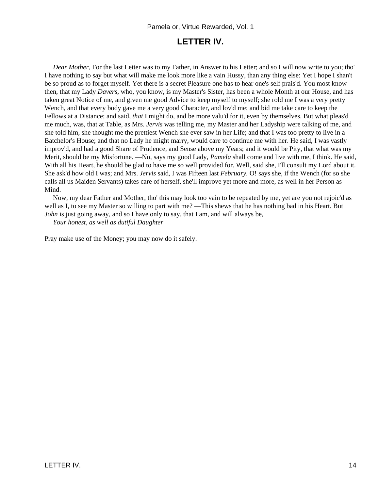## **LETTER IV.**

<span id="page-18-0"></span>*Dear Mother,* For the last Letter was to my Father, in Answer to his Letter; and so I will now write to you; tho' I have nothing to say but what will make me look more like a vain Hussy, than any thing else: Yet I hope I shan't be so proud as to forget myself. Yet there is a secret Pleasure one has to hear one's self prais'd. You most know then, that my Lady *Davers,* who, you know, is my Master's Sister, has been a whole Month at our House, and has taken great Notice of me, and given me good Advice to keep myself to myself; she rold me I was a very pretty Wench, and that every body gave me a very good Character, and lov'd me; and bid me take care to keep the Fellows at a Distance; and said, *that* I might do, and be more valu'd for it, even by themselves. But what pleas'd me much, was, that at Table, as Mrs. *Jervis* was telling me, my Master and her Ladyship were talking of me, and she told him, she thought me the prettiest Wench she ever saw in her Life; and that I was too pretty to live in a Batchelor's House; and that no Lady he might marry, would care to continue me with her. He said, I was vastly improv'd, and had a good Share of Prudence, and Sense above my Years; and it would be Pity, that what was my Merit, should be my Misfortune. —No, says my good Lady, *Pamela* shall come and live with me, I think. He said, With all his Heart, he should be glad to have me so well provided for. Well, said she, I'll consult my Lord about it. She ask'd how old I was; and Mrs. *Jervis* said, I was Fifteen last *February.* O! says she, if the Wench (for so she calls all us Maiden Servants) takes care of herself, she'll improve yet more and more, as well in her Person as Mind.

 Now, my dear Father and Mother, tho' this may look too vain to be repeated by me, yet are you not rejoic'd as well as I, to see my Master so willing to part with me? —This shews that he has nothing bad in his Heart. But *John* is just going away, and so I have only to say, that I am, and will always be,

*Your honest, as well as dutiful Daughter*

Pray make use of the Money; you may now do it safely.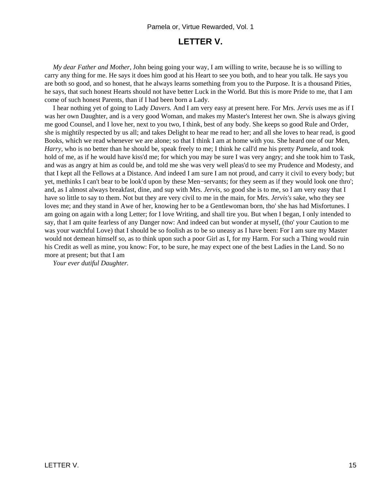#### **LETTER V.**

<span id="page-19-0"></span>*My dear Father and Mother,* John being going your way, I am willing to write, because he is so willing to carry any thing for me. He says it does him good at his Heart to see you both, and to hear you talk. He says you are both so good, and so honest, that he always learns something from you to the Purpose. It is a thousand Pities, he says, that such honest Hearts should not have better Luck in the World. But this is more Pride to me, that I am come of such honest Parents, than if I had been born a Lady.

 I hear nothing yet of going to Lady *Davers.* And I am very easy at present here. For Mrs. *Jervis* uses me as if I was her own Daughter, and is a very good Woman, and makes my Master's Interest her own. She is always giving me good Counsel, and I love her, next to you two, I think, best of any body. She keeps so good Rule and Order, she is mightily respected by us all; and takes Delight to hear me read to her; and all she loves to hear read, is good Books, which we read whenever we are alone; so that I think I am at home with you. She heard one of our Men, *Harry,* who is no better than he should be, speak freely to me; I think he call'd me his pretty *Pamela,* and took hold of me, as if he would have kiss'd me; for which you may be sure I was very angry; and she took him to Task, and was as angry at him as could be, and told me she was very well pleas'd to see my Prudence and Modesty, and that I kept all the Fellows at a Distance. And indeed I am sure I am not proud, and carry it civil to every body; but yet, methinks I can't bear to be look'd upon by these Men−servants; for they seem as if they would look one thro'; and, as I almost always breakfast, dine, and sup with Mrs. *Jervis,* so good she is to me, so I am very easy that I have so little to say to them. Not but they are very civil to me in the main, for Mrs. *Jervis's* sake, who they see loves me; and they stand in Awe of her, knowing her to be a Gentlewoman born, tho' she has had Misfortunes. I am going on again with a long Letter; for I love Writing, and shall tire you. But when I began, I only intended to say, that I am quite fearless of any Danger now: And indeed can but wonder at myself, (tho' your Caution to me was your watchful Love) that I should be so foolish as to be so uneasy as I have been: For I am sure my Master would not demean himself so, as to think upon such a poor Girl as I, for my Harm. For such a Thing would ruin his Credit as well as mine, you know: For, to be sure, he may expect one of the best Ladies in the Land. So no more at present; but that I am

*Your ever dutiful Daughter.*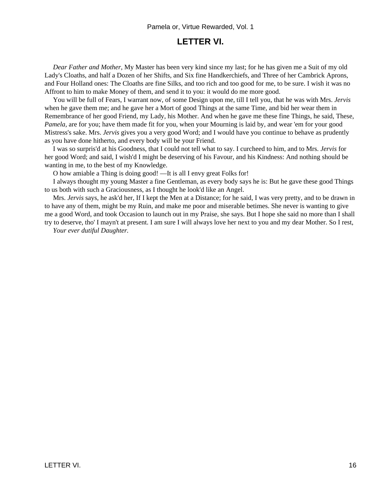#### **LETTER VI.**

<span id="page-20-0"></span>*Dear Father and Mother,* My Master has been very kind since my last; for he has given me a Suit of my old Lady's Cloaths, and half a Dozen of her Shifts, and Six fine Handkerchiefs, and Three of her Cambrick Aprons, and Four Holland ones: The Cloaths are fine Silks, and too rich and too good for me, to be sure. I wish it was no Affront to him to make Money of them, and send it to you: it would do me more good.

 You will be full of Fears, I warrant now, of some Design upon me, till I tell you, that he was with Mrs. *Jervis* when he gave them me; and he gave her a Mort of good Things at the same Time, and bid her wear them in Remembrance of her good Friend, my Lady, his Mother. And when he gave me these fine Things, he said, These, *Pamela,* are for you; have them made fit for you, when your Mourning is laid by, and wear 'em for your good Mistress's sake. Mrs. *Jervis* gives you a very good Word; and I would have you continue to behave as prudently as you have done hitherto, and every body will be your Friend.

 I was so surpris'd at his Goodness, that I could not tell what to say. I curcheed to him, and to Mrs. *Jervis* for her good Word; and said, I wish'd I might be deserving of his Favour, and his Kindness: And nothing should be wanting in me, to the best of my Knowledge.

O how amiable a Thing is doing good! —It is all I envy great Folks for!

 I always thought my young Master a fine Gentleman, as every body says he is: But he gave these good Things to us both with such a Graciousness, as I thought he look'd like an Angel.

 Mrs. *Jervis* says, he ask'd her, If I kept the Men at a Distance; for he said, I was very pretty, and to be drawn in to have any of them, might be my Ruin, and make me poor and miserable betimes. She never is wanting to give me a good Word, and took Occasion to launch out in my Praise, she says. But I hope she said no more than I shall try to deserve, tho' I mayn't at present. I am sure I will always love her next to you and my dear Mother. So I rest,

*Your ever dutiful Daughter.*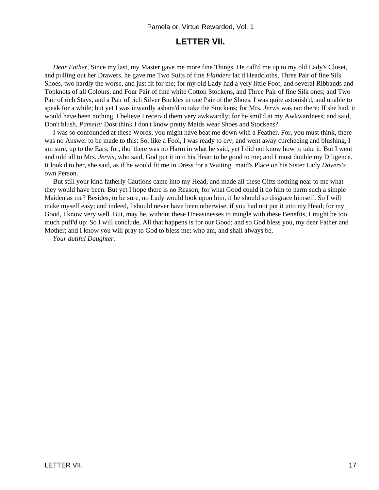#### **LETTER VII.**

<span id="page-21-0"></span>*Dear Father,* Since my last, my Master gave me more fine Things. He call'd me up to my old Lady's Closet, and pulling out her Drawers, he gave me Two Suits of fine *Flanders* lac'd Headcloths, Three Pair of fine Silk Shoes, two hardly the worse, and just fit for me; for my old Lady had a very little Foot; and several Ribbands and Topknots of all Colours, and Four Pair of fine white Cotton Stockens, and Three Pair of fine Silk ones; and Two Pair of rich Stays, and a Pair of rich Silver Buckles in one Pair of the Shoes. I was quite astonish'd, and unable to speak for a while; but yet I was inwardly asham'd to take the Stockens; for Mrs. *Jervis* was not there: If she had, it would have been nothing. I believe I receiv'd them very awkwardly; for he smil'd at my Awkwardness; and said, Don't blush, *Pamela:* Dost think I don't know pretty Maids wear Shoes and Stockens?

 I was so confounded at these Words, you might have beat me down with a Feather. For, you must think, there was no Answer to be made to this: So, like a Fool, I was ready to cry; and went away curcheeing and blushing, I am sure, up to the Ears; for, tho' there was no Harm in what he said, yet I did not know how to take it. But I went and told all to Mrs. *Jervis,* who said, God put it into his Heart to be good to me; and I must double my Diligence. It look'd to her, she said, as if he would fit me in Dress for a Waiting−maid's Place on his Sister Lady *Davers's* own Person.

 But still your kind fatherly Cautions came into my Head, and made all these Gifts nothing near to me what they would have been. But yet I hope there is no Reason; for what Good could it do him to harm such a simple Maiden as me? Besides, to be sure, no Lady would look upon him, if he should so disgrace himself. So I will make myself easy; and indeed, I should never have been otherwise, if you had not put it into my Head; for my Good, I know very well. But, may be, without these Uneasinesses to mingle with these Benefits, I might be too much puff'd up: So I will conclude, All that happens is for our Good; and so God bless you, my dear Father and Mother; and I know you will pray to God to bless me; who am, and shall always be,

*Your dutiful Daughter.*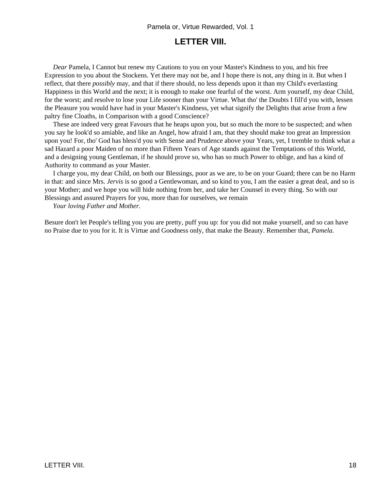#### **LETTER VIII.**

<span id="page-22-0"></span>*Dear* Pamela, I Cannot but renew my Cautions to you on your Master's Kindness to you, and his free Expression to you about the Stockens. Yet there may not be, and I hope there is not, any thing in it. But when I reflect, that there *possibly* may, and that if there should, no less depends upon it than my Child's everlasting Happiness in this World and the next; it is enough to make one fearful of the worst. Arm yourself, my dear Child, for the worst; and resolve to lose your Life sooner than your Virtue. What tho' the Doubts I fill'd you with, lessen the Pleasure you would have had in your Master's Kindness, yet what signify the Delights that arise from a few paltry fine Cloaths, in Comparison with a good Conscience?

 These are indeed very great Favours that he heaps upon you, but so much the more to be suspected; and when you say he look'd so amiable, and like an Angel, how afraid I am, that they should make too great an Impression upon you! For, tho' God has bless'd you with Sense and Prudence above your Years, yet, I tremble to think what a sad Hazard a poor Maiden of no more than Fifteen Years of Age stands against the Temptations of this World, and a designing young Gentleman, if he should prove so, who has so much Power to oblige, and has a kind of Authority to command as your Master.

 I charge you, my dear Child, on both our Blessings, poor as we are, to be on your Guard; there can be no Harm in that: and since Mrs. *Jervis* is so good a Gentlewoman, and so kind to you, I am the easier a great deal, and so is your Mother; and we hope you will hide nothing from her, and take her Counsel in every thing. So with our Blessings and assured Prayers for you, more than for ourselves, we remain

*Your loving Father and Mother.*

Besure don't let People's telling you you are pretty, puff you up: for you did not make yourself, and so can have no Praise due to you for it. It is Virtue and Goodness only, that make the Beauty. Remember that, *Pamela.*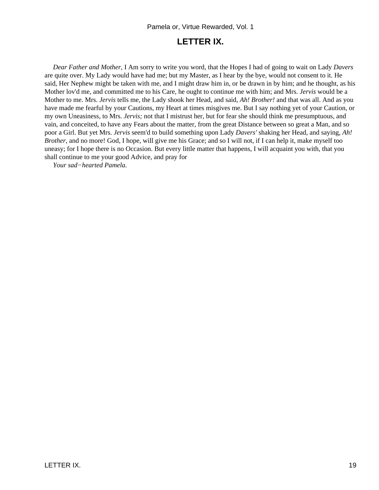### **LETTER IX.**

<span id="page-23-0"></span>*Dear Father and Mother,* I Am sorry to write you word, that the Hopes I had of going to wait on Lady *Davers* are quite over. My Lady would have had me; but my Master, as I hear by the bye, would not consent to it. He said, Her Nephew might be taken with me, and I might draw him in, or be drawn in by him; and he thought, as his Mother lov'd me, and committed me to his Care, he ought to continue me with him; and Mrs. *Jervis* would be a Mother to me. Mrs. *Jervis* tells me, the Lady shook her Head, and said, *Ah! Brother!* and that was all. And as you have made me fearful by your Cautions, my Heart at times misgives me. But I say nothing yet of your Caution, or my own Uneasiness, to Mrs. *Jervis;* not that I mistrust her, but for fear she should think me presumptuous, and vain, and conceited, to have any Fears about the matter, from the great Distance between so great a Man, and so poor a Girl. But yet Mrs. *Jervis* seem'd to build something upon Lady *Davers'* shaking her Head, and saying, *Ah! Brother,* and no more! God, I hope, will give me his Grace; and so I will not, if I can help it, make myself too uneasy; for I hope there is no Occasion. But every little matter that happens, I will acquaint you with, that you shall continue to me your good Advice, and pray for

*Your sad−hearted Pamela.*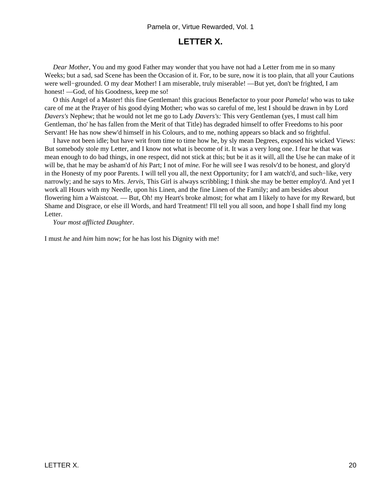#### **LETTER X.**

<span id="page-24-0"></span>*Dear Mother,* You and my good Father may wonder that you have not had a Letter from me in so many Weeks; but a sad, sad Scene has been the Occasion of it. For, to be sure, now it is too plain, that all your Cautions were well−grounded. O my dear Mother! I am miserable, truly miserable! —But yet, don't be frighted, I am honest! —God, of his Goodness, keep me so!

 O this Angel of a Master! this fine Gentleman! this gracious Benefactor to your poor *Pamela!* who was to take care of me at the Prayer of his good dying Mother; who was so careful of me, lest I should be drawn in by Lord *Davers's* Nephew; that he would not let me go to Lady *Davers's:* This very Gentleman (yes, I must call him Gentleman, tho' he has fallen from the Merit of that Title) has degraded himself to offer Freedoms to his poor Servant! He has now shew'd himself in his Colours, and to me, nothing appears so black and so frightful.

 I have not been idle; but have writ from time to time how he, by sly mean Degrees, exposed his wicked Views: But somebody stole my Letter, and I know not what is become of it. It was a very long one. I fear he that was mean enough to do bad things, in one respect, did not stick at this; but be it as it will, all the Use he can make of it will be, that he may be asham'd of *his* Part; I not of *mine.* For he will see I was resolv'd to be honest, and glory'd in the Honesty of my poor Parents. I will tell you all, the next Opportunity; for I am watch'd, and such−like, very narrowly; and he says to Mrs. *Jervis,* This Girl is always scribbling; I think she may be better employ'd. And yet I work all Hours with my Needle, upon his Linen, and the fine Linen of the Family; and am besides about flowering him a Waistcoat. — But, Oh! my Heart's broke almost; for what am I likely to have for my Reward, but Shame and Disgrace, or else ill Words, and hard Treatment! I'll tell you all soon, and hope I shall find my long Letter.

*Your most afflicted Daughter.*

I must *he* and *him* him now; for he has lost his Dignity with me!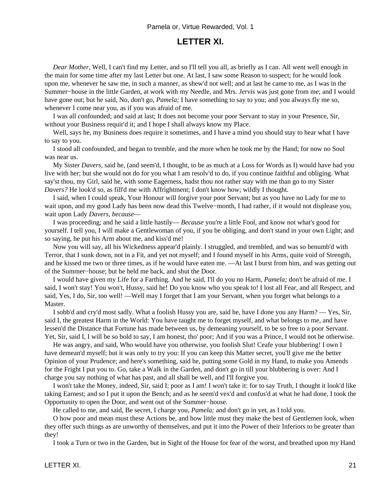#### **LETTER XI.**

<span id="page-25-0"></span>*Dear Mother,* Well, I can't find my Letter, and so I'll tell you all, as briefly as I can. All went well enough in the main for some time after my last Letter but one. At last, I saw some Reason to suspect; for he would look upon me, whenever he saw me, in such a manner, as shew'd not well; and at last he came to me, as I was in the Summer−house in the little Garden, at work with my Needle, and Mrs. *Jervis* was just gone from me; and I would have gone out; but he said, No, don't go, *Pamela;* I have something to say to you; and you always fly me so, whenever I come near you, as if you was afraid of me.

 I was all confounded; and said at last; It does not become your poor Servant to stay in your Presence, Sir, without your Business requir'd it; and I hope I shall always know my Place.

 Well, says he, my Business does require it sometimes, and I have a mind you should stay to hear what I have to say to you.

 I stood all confounded, and began to tremble, and the more when he took me by the Hand; for now no Soul was near us.

 My Sister *Davers,* said he, (and seem'd, I thought, to be as much at a Loss for Words as I) would have had you live with her; but she would not do for you what I am resolv'd to do, if you continue faithful and obliging. What say'st thou, my Girl, said he, with some Eagerness, hadst thou not rather stay with me than go to my Sister *Davers?* He look'd so, as fill'd me with Affrightment; I don't know how; wildly I thought.

 I said, when I could speak, Your Honour will forgive your poor Servant; but as you have no Lady for me to wait upon, and my good Lady has been now dead this Twelve−month, I had rather, if it would not displease you, wait upon Lady *Davers, because*—

 I was proceeding; and he said a little hastily— *Because* you're a little Fool, and know not what's good for yourself. I tell you, I will make a Gentlewoman of you, if you be obliging, and don't stand in your own Light; and so saying, he put his Arm about me, and kiss'd me!

 Now you will say, all his Wickedness appear'd plainly. I struggled, and trembled, and was so benumb'd with Terror, that I sunk down, not in a Fit, and yet not myself; and I found myself in his Arms, quite void of Strength, and he kissed me two or three times, as if he would have eaten me. —At last I burst from him, and was getting out of the Summer−house; but he held me back, and shut the Door.

 I would have given my Life for a Farthing. And he said, I'll do you no Harm, *Pamela;* don't be afraid of me. I said, I won't stay! You won't, Hussy, said he! Do you know who you speak to! I lost all Fear, and all Respect, and said, Yes, I do, Sir, too well! —Well may I forget that I am your Servant, when you forget what belongs to a Master.

 I sobb'd and cry'd most sadly. What a foolish Hussy you are, said he, have I done you any Harm? — Yes, Sir, said I, the greatest Harm in the World: You have taught me to forget myself, and what belongs to me, and have lessen'd the Distance that Fortune has made between us, by demeaning yourself, to be so free to a poor Servant. Yet, Sir, said I, I will be so bold to say, I am honest, tho' poor; And if you was a Prince, I would not be otherwise.

 He was angry, and said, Who would have you otherwise, you foolish Slut! Ceafe your blubbering! I own I have demean'd myself; but it was only to try you: If you can keep this Matter secret, you'll give me the better Opinion of your Prudence; and here's something, said he, putting some Gold in my Hand, to make you Amends for the Fright I put you to. Go, take a Walk in the Garden, and don't go in till your blubbering is over: And I charge you say nothing of what has past, and all shall be well, and I'll forgive you.

 I won't take the Money, indeed, Sir, said I; poor as I am! I won't take it: for to say Truth, I thought it look'd like taking Earnest; and so I put it upon the Bench; and as he seem'd vex'd and confus'd at what he had done, I took the Opportunity to open the Door, and went out of the Summer−house.

He called to me, and said, Be secret, I charge you, *Pamela;* and don't go in yet, as I told you.

 O how poor and mean must these Actions be, and how little must they make the best of Gentlemen look, when they offer such things as are unworthy of themselves, and put it into the Power of their Inferiors to be greater than they!

I took a Turn or two in the Garden, but in Sight of the House for fear of the worst, and breathed upon my Hand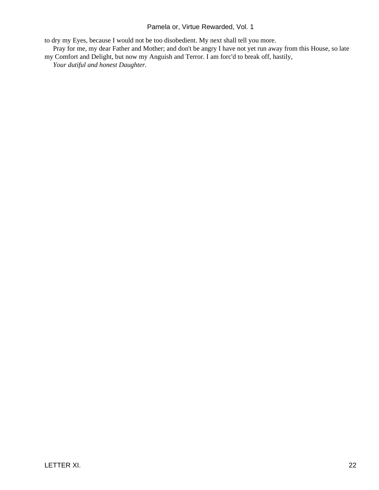to dry my Eyes, because I would not be too disobedient. My next shall tell you more.

 Pray for me, my dear Father and Mother; and don't be angry I have not yet run away from this House, so late my Comfort and Delight, but now my Anguish and Terror. I am forc'd to break off, hastily,

*Your dutiful and honest Daughter.*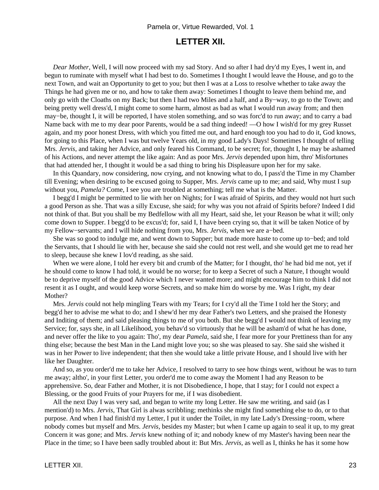#### **LETTER XII.**

<span id="page-27-0"></span>*Dear Mother,* Well, I will now proceed with my sad Story. And so after I had dry'd my Eyes, I went in, and begun to ruminate with myself what I had best to do. Sometimes I thought I would leave the House, and go to the next Town, and wait an Opportunity to get to you; but then I was at a Loss to resolve whether to take away the Things he had given me or no, and how to take them away: Sometimes I thought to leave them behind me, and only go with the Cloaths on my Back; but then I had two Miles and a half, and a By−way, to go to the Town; and being pretty well dress'd, I might come to some harm, almost as bad as what I would run away from; and then may−be, thought I, it will be reported, I have stolen something, and so was forc'd to run away; and to carry a bad Name back with me to my dear poor Parents, would be a sad thing indeed! —O how I wish'd for my grey Russet again, and my poor honest Dress, with which you fitted me out, and hard enough too you had to do it, God knows, for going to this Place, when I was but twelve Years old, in my good Lady's Days! Sometimes I thought of telling Mrs. *Jervis,* and taking her Advice, and only feared his Command, to be secret; for, thought I, he may be ashamed of his Actions, and never attempt the like again: And as poor Mrs. *Jervis* depended upon him, thro' Misfortunes that had attended her, I thought it would be a sad thing to bring his Displeasure upon her for my sake.

 In this Quandary, now considering, now crying, and not knowing what to do, I pass'd the Time in my Chamber till Evening; when desiring to be excused going to Supper, Mrs. *Jervis* came up to me; and said, Why must I sup without you, *Pamela?* Come, I see you are troubled at something; tell me what is the Matter.

 I begg'd I might be permitted to lie with her on Nights; for I was afraid of Spirits, and they would not hurt such a good Person as she. That was a silly Excuse, she said; for why was you not afraid of Spirits before? Indeed I did not think of that. But you shall be my Bedfellow with all my Heart, said she, let your Reason be what it will; only come down to Supper. I begg'd to be excus'd; for, said I, I have been crying so, that it will be taken Notice of by my Fellow−servants; and I will hide nothing from you, Mrs. *Jervis,* when we are a−bed.

 She was so good to indulge me, and went down to Supper; but made more haste to come up to−bed; and told the Servants, that I should lie with her, because she said she could not rest well, and she would get me to read her to sleep, because she knew I lov'd reading, as she said.

 When we were alone, I told her every bit and crumb of the Matter; for I thought, tho' he had bid me not, yet if he should come to know I had told, it would be no worse; for to keep a Secret of such a Nature, I thought would be to deprive myself of the good Advice which I never wanted more; and might encourage him to think I did not resent it as I ought, and would keep worse Secrets, and so make him do worse by me. Was I right, my dear Mother?

 Mrs. *Jervis* could not help mingling Tears with my Tears; for I cry'd all the Time I told her the Story; and begg'd her to advise me what to do; and I shew'd her my dear Father's two Letters, and she praised the Honesty and Inditing of them; and said pleasing things to me of you both. But she begg'd I would not think of leaving my Service; for, says she, in all Likelihood, you behav'd so virtuously that he will be asham'd of what he has done, and never offer the like to you again: Tho', my dear *Pamela,* said she, I fear more for your Prettiness than for any thing else; because the best Man in the Land might love you; so she was pleased to say. She said she wished it was in her Power to live independent; that then she would take a little private House, and I should live with her like her Daughter.

 And so, as you order'd me to take her Advice, I resolved to tarry to see how things went, without he was to turn me away; altho', in your first Letter, you order'd me to come away the Moment I had any Reason to be apprehensive. So, dear Father and Mother, it is not Disobedience, I hope, that I stay; for I could not expect a Blessing, or the good Fruits of your Prayers for me, if I was disobedient.

 All the next Day I was very sad, and began to write my long Letter. He saw me writing, and said (as I mention'd) to Mrs. *Jervis,* That Girl is alwas scribbling; methinks she might find something else to do, or to that purpose. And when I had finish'd my Letter, I put it under the Toilet, in my late Lady's Dressing−room, where nobody comes but myself and Mrs. *Jervis,* besides my Master; but when I came up again to seal it up, to my great Concern it was gone; and Mrs. *Jervis* knew nothing of it; and nobody knew of my Master's having been near the Place in the time; so I have been sadly troubled about it: But Mrs. *Jervis,* as well as I, thinks he has it some how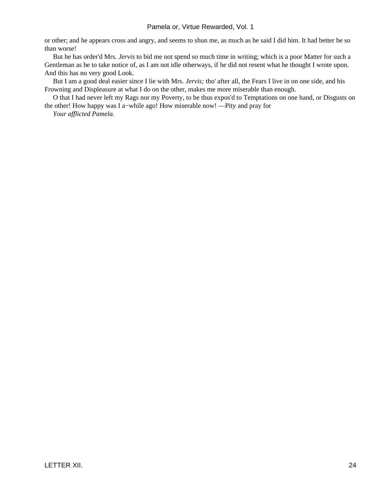or other; and he appears cross and angry, and seems to shun me, as much as he said I did him. It had better be so than worse!

 But he has order'd Mrs. *Jervis* to bid me not spend so much time in writing; which is a poor Matter for such a Gentleman as he to take notice of, as I am not idle otherways, if he did not resent what he thought I wrote upon. And this has no very good Look.

 But I am a good deal easier since I lie with Mrs. *Jervis;* tho' after all, the Fears I live in on one side, and his Frowning and Displeasure at what I do on the other, makes me more miserable than enough.

 O that I had never left my Rags nor my Poverty, to be thus expos'd to Temptations on one hand, or Disgusts on the other! How happy was I a−while ago! How miserable now! —Pity and pray for

*Your afflicted Pamela.*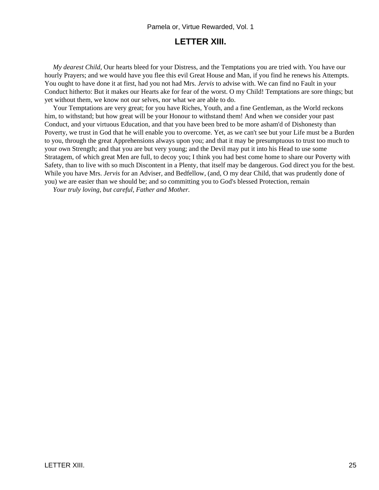#### **LETTER XIII.**

<span id="page-29-0"></span>*My dearest Child,* Our hearts bleed for your Distress, and the Temptations you are tried with. You have our hourly Prayers; and we would have you flee this evil Great House and Man, if you find he renews his Attempts. You ought to have done it at first, had you not had Mrs. *Jervis* to advise with. We can find no Fault in your Conduct hitherto: But it makes our Hearts ake for fear of the worst. O my Child! Temptations are sore things; but yet without them, we know not our selves, nor what we are able to do.

 Your Temptations are very great; for you have Riches, Youth, and a fine Gentleman, as the World reckons him, to withstand; but how great will be your Honour to withstand them! And when we consider your past Conduct, and your virtuous Education, and that you have been bred to be more asham'd of Dishonesty than Poverty, we trust in God that he will enable you to overcome. Yet, as we can't see but your Life must be a Burden to you, through the great Apprehensions always upon you; and that it may be presumptuous to trust too much to your own Strength; and that you are but very young; and the Devil may put it into his Head to use some Stratagem, of which great Men are full, to decoy you; I think you had best come home to share our Poverty with Safety, than to live with so much Discontent in a Plenty, that itself may be dangerous. God direct you for the best. While you have Mrs. *Jervis* for an Adviser, and Bedfellow, (and, O my dear Child, that was prudently done of you) we are easier than we should be; and so committing you to God's blessed Protection, remain

*Your truly loving, but careful, Father and Mother.*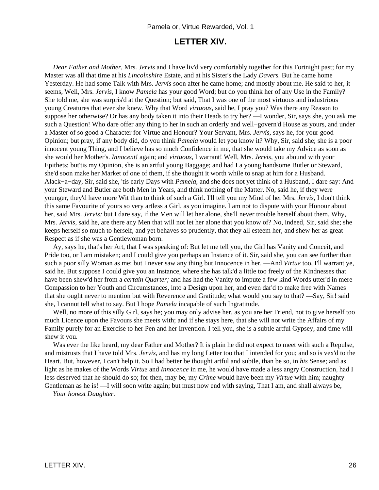#### **LETTER XIV.**

<span id="page-30-0"></span>*Dear Father and Mother,* Mrs. *Jervis* and I have liv'd very comfortably together for this Fortnight past; for my Master was all that time at his *Lincolnshire* Estate, and at his Sister's the Lady *Davers.* But he came home Yesterday. He had some Talk with Mrs. *Jervis* soon after he came home; and mostly about me. He said to her, it seems, Well, Mrs. *Jervis,* I know *Pamela* has your good Word; but do you think her of any Use in the Family? She told me, she was surpris'd at the Question; but said, That I was one of the most virtuous and industrious young Creatures that ever she knew. Why that Word *virtuous,* said he, I pray you? Was there any Reason to suppose her otherwise? Or has any body taken it into their Heads to try her? —I wonder, Sir, says she, you ask me such a Question! Who dare offer any thing to her in such an orderly and well−govern'd House as yours, and under a Master of so good a Character for Virtue and Honour? Your Servant, Mrs. *Jervis,* says he, for your good Opinion; but pray, if any body did, do you think *Pamela* would let you know it? Why, Sir, said she; she is a poor innocent young Thing, and I believe has so much Confidence in me, that she would take my Advice as soon as she would her Mother's. *Innocent!* again; and *virtuous,* I warrant! Well, Mrs. *Jervis,* you abound with your Epithets; but'tis my Opinion, she is an artful young Baggage; and had I a young handsome Butler or Steward, she'd soon make her Market of one of them, if she thought it worth while to snap at him for a Husband. Alack−a−day, Sir, said she, 'tis early Days with *Pamela,* and she does not yet think of a Husband, I dare say: And your Steward and Butler are both Men in Years, and think nothing of the Matter. No, said he, if they were younger, they'd have more Wit than to think of such a Girl. I'll tell you my Mind of her Mrs. *Jervis,* I don't think this same Favourite of yours so very artless a Girl, as you imagine. I am not to dispute with your Honour about her, said Mrs. *Jervis;* but I dare say, if the Men will let her alone, she'll never trouble herself about them. Why, Mrs. *Jervis,* said he, are there any Men that will not let her alone that you know of? No, indeed, Sir, said she; she keeps herself so much to herself, and yet behaves so prudently, that they all esteem her, and shew her as great Respect as if she was a Gentlewoman born.

 Ay, says he, that's her Art, that I was speaking of: But let me tell you, the Girl has Vanity and Conceit, and Pride too, or I am mistaken; and I could give you perhaps an Instance of it. Sir, said she, you can see further than such a poor silly Woman as me; but I never saw any thing but Innocence in her. —And *Virtue* too, I'll warrant ye, said he. But suppose I could give you an Instance, where she has talk'd a little too freely of the Kindnesses that have been shew'd her from a *certain Quarter;* and has had the Vanity to impute a few kind Words utter'd in mere Compassion to her Youth and Circumstances, into a Design upon her, and even dar'd to make free with Names that she ought never to mention but with Reverence and Gratitude; what would you say to that? —Say, Sir! said she, I cannot tell what to say. But I hope *Pamela* incapable of such Ingratitude.

Well, no more of this silly Girl, says he; you may only advise her, as you are her Friend, not to give herself too much Licence upon the Favours she meets with; and if she stays here, that she will not write the Affairs of my Family purely for an Exercise to her Pen and her Invention. I tell you, she is a subtle artful Gypsey, and time will shew it you.

 Was ever the like heard, my dear Father and Mother? It is plain he did not expect to meet with such a Repulse, and mistrusts that I have told Mrs. *Jervis,* and has my long Letter too that I intended for you; and so is vex'd to the Heart. But, however, I can't help it. So I had better be thought artful and subtle, than be so, in *his* Sense; and as light as he makes of the Words *Virtue* and *Innocence* in me, he would have made a less angry Construction, had I less deserved that he should do so; for then, may be, my *Crime* would have been my *Virtue* with him; naughty Gentleman as he is! —I will soon write again; but must now end with saying, That I am, and shall always be,

*Your honest Daughter.*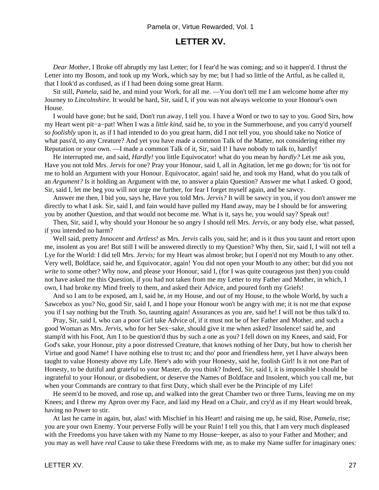#### **LETTER XV.**

<span id="page-31-0"></span>*Dear Mother,* I Broke off abruptly my last Letter; for I fear'd he was coming; and so it happen'd. I thrust the Letter into my Bosom, and took up my Work, which say by me; but I had so little of the Artful, as he called it, that I look'd as confused, as if I had been doing some great Harm.

 Sit still, *Pamela,* said he, and mind your Work, for all me. —You don't tell me I am welcome home after my Journey to *Lincolnshire.* It would be hard, Sir, said I, if you was not always welcome to your Honour's own House.

 I would have gone; but he said, Don't run away, I tell you. I have a Word or two to say to you. Good Sirs, how my Heart went pit−a−pat! When I was a *little kind,* said he, to you in the Summerhouse, and you carry'd yourself so *foolishly* upon it, as if I had intended to do you great harm, did I not tell you, you should take no Notice of what pass'd, to any Creature? And yet you have made a common Talk of the Matter, not considering either my Reputation or your own. —I made a common Talk of it, Sir, said I! I have nobody to talk to, hardly!

 He interrupted me, and said, *Hardly!* you little Equivocator! what do you mean by *hardly?* Let me ask you, Have you not told Mrs. *Jervis* for one? Pray your Honour, said I, all in Agitation, let me go down; for 'tis not for me to hold an Argument with your Honour. Equivocator, again! said he, and took my Hand, what do you talk of an *Argument?* Is it holding an Argument with me, to answer a plain Question? Answer me what I asked. O good, Sir, said I, let me beg you will not urge me further, for fear I forget myself again, and be sawcy.

 Answer me then, I bid you, says he, Have you told Mrs. *Jervis?* It will be sawcy in you, if you don't answer me directly to what I ask. Sir, said I, and fain would have pulled my Hand away, may be I should be for answering you by another Question, and that would not become me. What is it, says he, you would say? Speak out!

 Then, Sir, said I, why should your Honour be so angry I should tell Mrs. *Jervis,* or any body else, what passed, if you intended no harm?

 Well said, pretty *Innocent* and *Artless!* as Mrs. *Jervis* calls you, said he; and is it thus you taunt and retort upon me, insolent as you are! But still I will be answered directly to my Question? Why then, Sir, said I, I will not tell a Lye for the World: I did tell Mrs. *Jervis;* for my Heart was almost broke; but I open'd not my Mouth to any other. Very well, Boldface, said he, and Equivocator, again! You did not open your Mouth to any other; but did you not *write* to some other? Why now, and please your Honour, said I, (for I was quite courageous just then) you could not have asked me this Question, if you had not taken from me my Letter to my Father and Mother, in which, I own, I had broke my Mind freely to them, and asked their Advice, and poured forth my Griefs!

 And so I am to be exposed, am I, said he, *in* my House, and *out* of my House, to the whole World, by such a Sawcebox as you? No, good Sir, said I, and I hope your Honour won't be angry with me; it is not me that expose you if I say nothing but the Truth. So, taunting again! Assurances as you are, said he! I will not be thus talk'd to.

 Pray, Sir, said I, who can a poor Girl take Advice of, if it must not be of her Father and Mother, and such a good Woman as Mrs. *Jervis,* who for her Sex−sake, should give it me when asked? Insolence! said he, and stamp'd with his Foot, Am I to be question'd thus by such a one as you? I fell down on my Knees, and said, For God's sake, your Honour, pity a poor distressed Creature, that knows nothing of her Duty, but how to cherish her Virtue and good Name! I have nothing else to trust to; and tho' poor and friendless here, yet I have always been taught to value Honesty above my Life. Here's ado with your Honesty, said he, foolish Girl! Is it not one Part of Honesty, to be dutiful and grateful to your Master, do you think? Indeed, Sir, said I, it is impossible I should be ingrateful to your Honour, or disobedient, or deserve the Names of Boldface and Insolent, which you call me, but when your Commands are contrary to that first Duty, which shall ever be the Principle of my Life!

 He seem'd to be moved, and rose up, and walked into the great Chamber two or three Turns, leaving me on my Knees; and I threw my Apron over my Face, and laid my Head on a Chair, and cry'd as if my Heart would break, having no Power to stir.

 At last he came in again, but, alas! with Mischief in his Heart! and raising me up, he said, Rise, *Pamela,* rise; you are your own Enemy. Your perverse Folly will be your Ruin! I tell you this, that I am very much displeased with the Freedoms you have taken with my Name to my House−keeper, as also to your Father and Mother; and you may as well have *real* Cause to take these Freedoms with me, as to make my Name suffer for imaginary ones: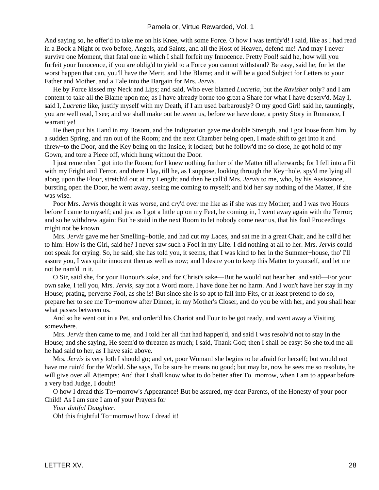And saying so, he offer'd to take me on his Knee, with some Force. O how I was terrify'd! I said, like as I had read in a Book a Night or two before, Angels, and Saints, and all the Host of Heaven, defend me! And may I never survive one Moment, that fatal one in which I shall forfeit my Innocence. Pretty Fool! said he, how will you forfeit your Innocence, if you are oblig'd to yield to a Force you cannot withstand? Be easy, said he; for let the worst happen that can, you'll have the Merit, and I the Blame; and it will be a good Subject for Letters to your Father and Mother, and a Tale into the Bargain for Mrs. *Jervis.*

 He by Force kissed my Neck and Lips; and said, Who ever blamed *Lucretia,* but the *Ravisber* only? and I am content to take all the Blame upon me; as I have already borne too great a Share for what I have deserv'd. May I, said I, *Lucretia* like, justify myself with my Death, if I am used barbarously? O my good Girl! said he, tauntingly, you are well read, I see; and we shall make out between us, before we have done, a pretty Story in Romance, I warrant ye!

 He then put his Hand in my Bosom, and the Indignation gave me double Strength, and I got loose from him, by a sudden Spring, and ran out of the Room; and the next Chamber being open, I made shift to get into it and threw−to the Door, and the Key being on the Inside, it locked; but he follow'd me so close, he got hold of my Gown, and tore a Piece off, which hung without the Door.

 I just remember I got into the Room; for I knew nothing further of the Matter till afterwards; for I fell into a Fit with my Fright and Terror, and there I lay, till he, as I suppose, looking through the Key−hole, spy'd me lying all along upon the Floor, stretch'd out at my Length; and then he call'd Mrs. *Jervis* to me, who, by his Assistance, bursting open the Door, he went away, seeing me coming to myself; and bid her say nothing of the Matter, if she was wise.

 Poor Mrs. *Jervis* thought it was worse, and cry'd over me like as if she was my Mother; and I was two Hours before I came to myself; and just as I got a little up on my Feet, he coming in, I went away again with the Terror; and so he withdrew again: But he staid in the next Room to let nobody come near us, that his foul Proceedings might not be known.

 Mrs. *Jervis* gave me her Smelling−bottle, and had cut my Laces, and sat me in a great Chair, and he call'd her to him: How is the Girl, said he? I never saw such a Fool in my Life. I did nothing at all to her. Mrs. *Jervis* could not speak for crying. So, he said, she has told you, it seems, that I was kind to her in the Summer−house, tho' I'll assure you, I was quite innocent then as well as now; and I desire you to keep this Matter to yourself, and let me not be nam'd in it.

 O Sir, said she, for your Honour's sake, and for Christ's sake—But he would not hear her, and said—For your own sake, I tell you, Mrs. *Jervis,* say not a Word more. I have done her no harm. And I won't have her stay in my House; prating, perverse Fool, as she is! But since she is so apt to fall into Fits, or at least pretend to do so, prepare her to see me To−morrow after Dinner, in my Mother's Closer, and do you be with her, and you shall hear what passes between us.

 And so he went out in a Pet, and order'd his Chariot and Four to be got ready, and went away a Visiting somewhere.

 Mrs. *Jervis* then came to me, and I told her all that had happen'd, and said I was resolv'd not to stay in the House; and she saying, He seem'd to threaten as much; I said, Thank God; then I shall be easy: So she told me all he had said to her, as I have said above.

 Mrs. *Jervis* is very loth I should go; and yet, poor Woman! she begins to be afraid for herself; but would not have me ruin'd for the World. She says, To be sure he means no good; but may be, now he sees me so resolute, he will give over all Attempts: And that I shall know what to do better after To−morrow, when I am to appear before a very bad Judge, I doubt!

 O how I dread this To−morrow's Appearance! But be assured, my dear Parents, of the Honesty of your poor Child! As I am sure I am of your Prayers for

*Your dutiful Daughter.*

Oh! this frightful To−morrow! how I dread it!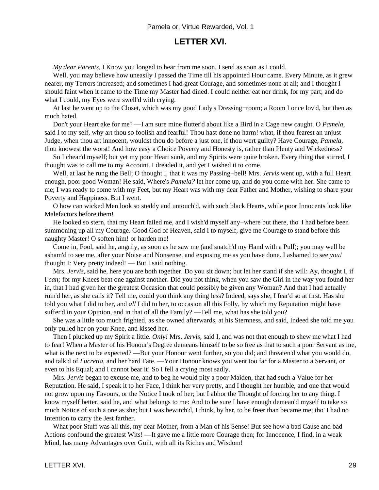#### **LETTER XVI.**

*My dear Parents,* I Know you longed to hear from me soon. I send as soon as I could.

<span id="page-33-0"></span>Well, you may believe how uneasily I passed the Time till his appointed Hour came. Every Minute, as it grew nearer, my Terrors increased; and sometimes I had great Courage, and sometimes none at all; and I thought I should faint when it came to the Time my Master had dined. I could neither eat nor drink, for my part; and do what I could, my Eyes were swell'd with crying.

 At last he went up to the Closet, which was my good Lady's Dressing−room; a Room I once lov'd, but then as much hated.

 Don't your Heart ake for me? —I am sure mine flutter'd about like a Bird in a Cage new caught. O *Pamela,* said I to my self, why art thou so foolish and fearful! Thou hast done no harm! what, if thou fearest an unjust Judge, when thou art innocent, wouldst thou do before a just one, if thou wert guilty? Have Courage, *Pamela,* thou knowest the worst! And how easy a Choice Poverty and Honesty is, rather than Plenty and Wickedness?

 So I chear'd myself; but yet my poor Heart sunk, and my Spirits were quite broken. Every thing that stirred, I thought was to call me to my Account. I dreaded it, and yet I wished it to come.

 Well, at last he rung the Bell; O thought I, that it was my Passing−bell! Mrs. *Jervis* went up, with a full Heart enough, poor good Woman! He said, Where's *Pamela?* let her come up, and do you come with her. She came to me; I was ready to come with my Feet, but my Heart was with my dear Father and Mother, wishing to share your Poverty and Happiness. But I went.

 O how can wicked Men look so steddy and untouch'd, with such black Hearts, while poor Innocents look like Malefactors before them!

 He looked so stern, that my Heart failed me, and I wish'd myself any−where but there, tho' I had before been summoning up all my Courage. Good God of Heaven, said I to myself, give me Courage to stand before this naughty Master! O soften him! or harden me!

 Come in, Fool, said he, angrily, as soon as he saw me (and snatch'd my Hand with a Pull); you may well be asham'd to see me, after your Noise and Nonsense, and exposing me as you have done. I ashamed to see *you!* thought I: Very pretty indeed! — But I said nothing.

 Mrs. *Jervis,* said he, here you are both together. Do you sit down; but let her stand if she will: Ay, thought I, if I *can;* for my Knees beat one against another. Did you not think, when you saw the Girl in the way you found her in, that I had given her the greatest Occasion that could possibly be given any Woman? And that I had actually ruin'd her, as she calls it? Tell me, could you think any thing less? Indeed, says she, I fear'd so at first. Has she told you what I did to her, and *all* I did to her, to occasion all this Folly, by which my Reputation might have suffer'd in your Opinion, and in that of all the Family? —Tell me, what has she told you?

 She was a little too much frighted, as she owned afterwards, at his Sternness, and said, Indeed she told me you only pulled her on your Knee, and kissed her.

 Then I plucked up my Spirit a little. *Only!* Mrs. *Jervis,* said I, and was not that enough to shew me what I had to fear! When a Master of his Honour's Degree demeans himself to be so free as that to such a poor Servant as me, what is the next to be expected? —But your Honour went further, so you did; and threaten'd what you would do, and talk'd of *Lucretia,* and her hard Fate. —Your Honour knows you went too far for a Master to a Servant, or even to his Equal; and I cannot bear it! So I fell a crying most sadly.

 Mrs. *Jervis* began to excuse me, and to beg he would pity a poor Maiden, that had such a Value for her Reputation. He said, I speak it to her Face, I think her very pretty, and I thought her humble, and one that would not grow upon my Favours, or the Notice I took of her; but I abhor the Thought of forcing her to any thing. I know myself better, said he, and what belongs to me: And to be sure I have enough demean'd myself to take so much Notice of such a one as she; but I was bewitch'd, I think, by her, to be freer than became me; tho' I had no Intention to carry the Jest farther.

 What poor Stuff was all this, my dear Mother, from a Man of his Sense! But see how a bad Cause and bad Actions confound the greatest Wits! —It gave me a little more Courage then; for Innocence, I find, in a weak Mind, has many Advantages over Guilt, with all its Riches and Wisdom!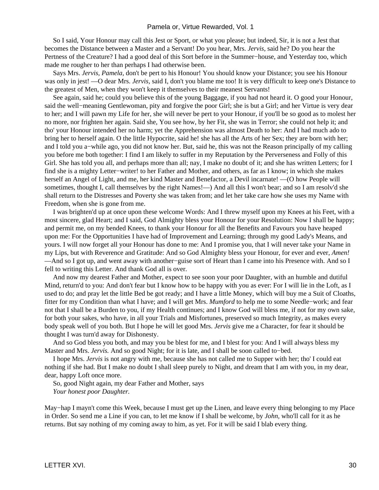So I said, Your Honour may call this Jest or Sport, or what you please; but indeed, Sir, it is not a Jest that becomes the Distance between a Master and a Servant! Do you hear, Mrs. *Jervis,* said he? Do you hear the Pertness of the Creature? I had a good deal of this Sort before in the Summer−house, and Yesterday too, which made me rougher to her than perhaps I had otherwise been.

 Says Mrs. *Jervis, Pamela,* don't be pert to his Honour! You should know your Distance; you see his Honour was only in jest! —O dear Mrs. *Jervis,* said I, don't you blame me too! It is very difficult to keep one's Distance to the greatest of Men, when they won't keep it themselves to their meanest Servants!

 See again, said he; could you believe this of the young Baggage, if you had not heard it. O good your Honour, said the well−meaning Gentlewoman, pity and forgive the poor Girl; she is but a Girl; and her Virtue is very dear to her; and I will pawn my Life for her, she will never be pert to your Honour, if you'll be so good as to molest her no more, nor frighten her again. Said she, You see how, by her Fit, she was in Terror; she could not help it; and tho' your Honour intended her no harm; yet the Apprehension was almost Death to her: And I had much ado to bring her to herself again. O the little Hypocrite, said he! she has all the Arts of her Sex; they are born with her; and I told you a−while ago, you did not know her. But, said he, this was not the Reason principally of my calling you before me both together: I find I am likely to suffer in my Reputation by the Perverseness and Folly of this Girl. She has told you all, and perhaps more than all; nay, I make no doubt of it; and she has written Letters; for I find she is a mighty Letter−writer! to her Father and Mother, and others, as far as I know; in which she makes herself an Angel of Light, and me, her kind Master and Benefactor, a Devil incarnate! —(O how People will sometimes, thought I, call themselves by the right Names!—) And all this I won't bear; and so I am resolv'd she shall return to the Distresses and Poverty she was taken from; and let her take care how she uses my Name with Freedom, when she is gone from me.

 I was brighten'd up at once upon these welcome Words: And I threw myself upon my Knees at his Feet, with a most sincere, glad Heart; and I said, God Almighty bless your Honour for your Resolution: Now I shall be happy; and permit me, on my bended Knees, to thank your Honour for all the Benefits and Favours you have heaped upon me: For the Opportunities I have had of Improvement and Learning; through my good Lady's Means, and yours. I will now forget all your Honour has done to me: And I promise you, that I will never take your Name in my Lips, but with Reverence and Gratitude: And so God Almighty bless your Honour, for ever and ever, *Amen!* —And so I got up, and went away with another−guise sort of Heart than I came into his Presence with. And so I fell to writing this Letter. And thank God all is over.

 And now my dearest Father and Mother, expect to see soon your poor Daughter, with an humble and dutiful Mind, return'd to you: And don't fear but I know how to be happy with you as ever: For I will lie in the Loft, as I used to do; and pray let the little Bed be got ready; and I have a little Money, which will buy me a Suit of Cloaths, fitter for my Condition than what I have; and I will get Mrs. *Mumford* to help me to some Needle−work; and fear not that I shall be a Burden to you, if my Health continues; and I know God will bless me, if not for my own sake, for both your sakes, who have, in all your Trials and Misfortunes, preserved so much Integrity, as makes every body speak well of you both. But I hope he will let good Mrs. *Jervis* give me a Character, for fear it should be thought I was turn'd away for Dishonesty.

 And so God bless you both, and may you be blest for me, and I blest for you: And I will always bless my Master and Mrs. *Jervis.* And so good Night; for it is late, and I shall be soon called to−bed.

 I hope Mrs. *Jervis* is not angry with me, because she has not called me to Supper with her; tho' I could eat nothing if she had. But I make no doubt I shall sleep purely to Night, and dream that I am with you, in my dear, dear, happy Loft once more.

 So, good Night again, my dear Father and Mother, says *Your honest poor Daughter.*

May−hap I mayn't come this Week, because I must get up the Linen, and leave every thing belonging to my Place in Order. So send me a Line if you can, to let me know if I shall be welcome, by *John,* who'll call for it as he returns. But say nothing of my coming away to him, as yet. For it will be said I blab every thing.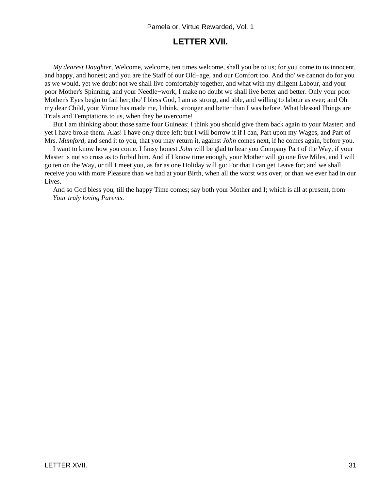#### **LETTER XVII.**

<span id="page-35-0"></span>*My dearest Daughter,* Welcome, welcome, ten times welcome, shall you be to us; for you come to us innocent, and happy, and honest; and you are the Staff of our Old−age, and our Comfort too. And tho' we cannot do for you as we would, yet we doubt not we shall live comfortably together, and what with my diligent Labour, and your poor Mother's Spinning, and your Needle−work, I make no doubt we shall live better and better. Only your poor Mother's Eyes begin to fail her; tho' I bless God, I am as strong, and able, and willing to labour as ever; and Oh my dear Child, your Virtue has made me, I think, stronger and better than I was before. What blessed Things are Trials and Temptations to us, when they be overcome!

 But I am thinking about those same four Guineas: I think you should give them back again to your Master; and yet I have broke them. Alas! I have only three left; but I will borrow it if I can, Part upon my Wages, and Part of Mrs. *Mumford,* and send it to you, that you may return it, against *John* comes next, if he comes again, before you.

 I want to know how you come. I fansy honest *John* will be glad to bear you Company Part of the Way, if your Master is not so cross as to forbid him. And if I know time enough, your Mother will go one five Miles, and I will go ten on the Way, or till I meet you, as far as one Holiday will go: For that I can get Leave for; and we shall receive you with more Pleasure than we had at your Birth, when all the worst was over; or than we ever had in our Lives.

 And so God bless you, till the happy Time comes; say both your Mother and I; which is all at present, from *Your truly loving Parents.*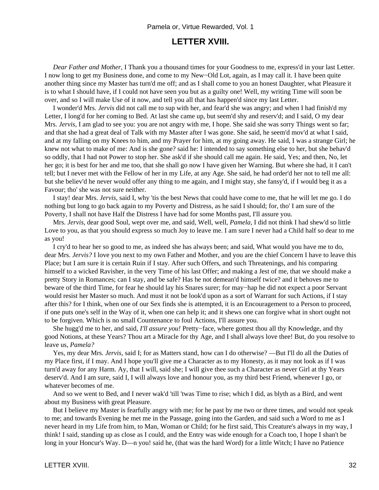## **LETTER XVIII.**

*Dear Father and Mother,* I Thank you a thousand times for your Goodness to me, express'd in your last Letter. I now long to get my Business done, and come to my New−Old Lot, again, as I may call it. I have been quite another thing since my Master has turn'd me off; and as I shall come to you an honest Daughter, what Pleasure it is to what I should have, if I could not have seen you but as a guilty one! Well, my writing Time will soon be over, and so I will make Use of it now, and tell you all that has happen'd since my last Letter.

 I wonder'd Mrs. *Jervis* did not call me to sup with her, and fear'd she was angry; and when I had finish'd my Letter, I long'd for her coming to Bed. At last she came up, but seem'd shy and reserv'd; and I said, O my dear Mrs. *Jervis,* I am glad to see you: you are not angry with me, I hope. She said she was sorry Things went so far; and that she had a great deal of Talk with my Master after I was gone. She said, he seem'd mov'd at what I said, and at my falling on my Knees to him, and my Prayer for him, at my going away. He said, I was a strange Girl; he knew not what to make of me: And is she gone? said he: I intended to say something else to her, but she behav'd so oddly, that I had not Power to stop her. She ask'd if she should call me again. He said, Yes; and then, No, let her go; it is best for her and me too, that she shall go now I have given her Warning. But where she had, it I can't tell; but I never met with the Fellow of her in my Life, at any Age. She said, he had order'd her not to tell me all: but she believ'd he never would offer any thing to me again, and I might stay, she fansy'd, if I would beg it as a Favour; tho' she was not sure neither.

 I stay! dear Mrs. *Jervis,* said I, why 'tis the best News that could have come to me, that he will let me go. I do nothing but long to go back again to my Poverty and Distress, as he said I should; for, tho' I am sure of the Poverty, I shall not have Half the Distress I have had for some Months past, I'll assure you.

 Mrs. *Jervis,* dear good Soul, wept over me, and said, Well, well, *Pamela,* I did not think I had shew'd so little Love to you, as that you should express so much Joy to leave me. I am sure I never had a Child half so dear to me as you!

 I cry'd to hear her so good to me, as indeed she has always been; and said, What would you have me to do, dear Mrs. *Jervis?* I love you next to my own Father and Mother, and you are the chief Concern I have to leave this Place; but I am sure it is certain Ruin if I stay. After such Offers, and such Threatenings, and his comparing himself to a wicked Ravisher, in the very Time of his last Offer; and making a Jest of me, that we should make a pretty Story in Romances; can I stay, and be safe? Has he not demean'd himself twice? and it behoves me to beware of the third Time, for fear he should lay his Snares surer; for may−hap he did not expect a poor Servant would resist her Master so much. And must it not be look'd upon as a sort of Warrant for such Actions, if I stay after this? for I think, when one of our Sex finds she is attempted, it is an Encouragement to a Person to proceed, if one puts one's self in the Way of it, when one can help it; and it shews one can forgive what in short ought not to be forgiven. Which is no small Countenance to foul Actions, I'll assure you.

 She hugg'd me to her, and said, *I'll assure you!* Pretty−face, where gottest thou all thy Knowledge, and thy good Notions, at these Years? Thou art a Miracle for thy Age, and I shall always love thee! But, do you resolve to leave us, *Pamela?*

 Yes, my dear Mrs. *Jervis,* said I; for as Matters stand, how can I do otherwise? —But I'll do all the Duties of my Place first, if I may. And I hope you'll give me a Character as to my Honesty, as it may not look as if I was turn'd away for any Harm. Ay, that I will, said she; I will give thee such a Character as never Girl at thy Years deserv'd. And I am sure, said I, I will always love and honour you, as my third best Friend, whenever I go, or whatever becomes of me.

 And so we went to Bed, and I never wak'd 'till 'twas Time to rise; which I did, as blyth as a Bird, and went about my Business with great Pleasure.

 But I believe my Master is fearfully angry with me; for he past by me two or three times, and would not speak to me; and towards Evening he met me in the Passage, going into the Garden, and said such a Word to me as I never heard in my Life from him, to Man, Woman or Child; for he first said, This Creature's always in my way, I think! I said, standing up as close as I could, and the Entry was wide enough for a Coach too, I hope I shan't be long in your Honcur's Way. D—n you! said he, (that was the hard Word) for a little Witch; I have no Patience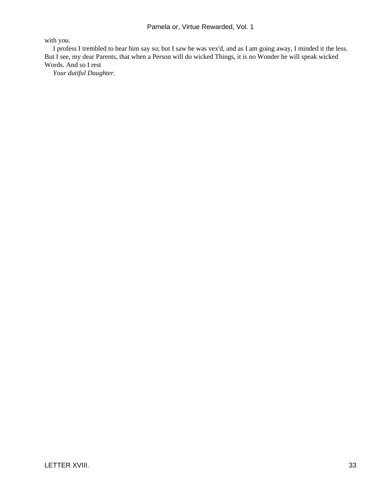with you.

 I profess I trembled to hear him say so; but I saw he was vex'd, and as I am going away, I minded it the less. But I see, my dear Parents, that when a Person will do wicked Things, it is no Wonder he will speak wicked Words. And so I rest

*Your dutiful Daughter.*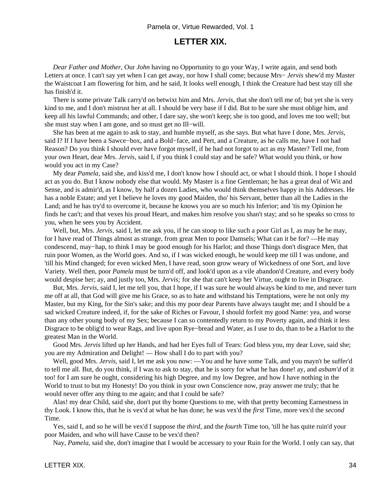# **LETTER XIX.**

*Dear Father and Mother,* Our *John* having no Opportunity to go your Way, I write again, and send both Letters at once. I can't say yet when I can get away, nor how I shall come; because Mrs− *Jervis* shew'd my Master the Waistcoat I am flowering for him, and he said, It looks well enough, I think the Creature had best stay till she has finish'd it.

 There is some private Talk carry'd on betwixt him and Mrs. *Jervis,* that she don't tell me of; but yet she is very kind to me, and I don't mistrust her at all. I should be very base if I did. But to be sure she must oblige him, and keep all his lawful Commands; and other, I dare say, she won't keep; she is too good, and loves me too well; but she must stay when I am gone, and so must get no Ill−will.

 She has been at me again to ask to stay, and humble myself, as she says. But what have I done, Mrs. *Jervis,* said I? If I have been a Sawce−box, and a Bold−face, and Pert, and a Creature, as he calls me, have I not had Reason? Do you think I should ever have forgot myself, if he had not forgot to act as my Master? Tell me, from your own Heart, dear Mrs. *Jervis,* said I, if you think I could stay and be safe? What would you think, or how would you act in my Case?

 My dear *Pamela,* said she, and kiss'd me, I don't know how I should act, or what I should think. I hope I should act as you do. But I know nobody else that would. My Master is a fine Gentleman; he has a great deal of Wit and Sense, and is admir'd, as I know, by half a dozen Ladies, who would think themselves happy in his Addresses. He has a noble Estate; and yet I believe he loves my good Maiden, tho' his Servant, better than all the Ladies in the Land; and he has try'd to overcome it, because he knows you are so much his Inferior; and 'tis my Opinion he finds he can't; and that vexes his proud Heart, and makes him resolve you shan't stay; and so he speaks so cross to you, when he sees you by Accident.

 Well, but, Mrs. *Jervis,* said I, let me ask you, if he can stoop to like such a poor Girl as I, as may be he may, for I have read of Things almost as strange, from great Men to poor Damsels; What can it be for? —He may condescend, may−hap, to think I may be good enough for his Harlot; and those Things don't disgrace Men, that ruin poor Women, as the World goes. And so, if I was wicked enough, he would keep me till I was undone, and 'till his Mind changed; for even wicked Men, I have read, soon grow weary of Wickedness of one Sort, and love Variety. Well then, poor *Pamela* must be turn'd off, and look'd upon as a vile abandon'd Creature, and every body would despise her; ay, and justly too, Mrs. *Jervis;* for she that can't keep her Virtue, ought to live in Disgrace.

 But, Mrs. *Jervis,* said I, let me tell you, that I hope, if I was sure he would always be kind to me, and never turn me off at all, that God will give me his Grace, so as to hate and withstand his Temptations, were he not only my Master, but my King, for the Sin's sake; and this my poor dear Parents have always taught me; and I should be a sad wicked Creature indeed, if, for the sake of Riches or Favour, I should forfeit my good Name: yea, and worse than any other young body of my Sex; because I can so contentedly return to my Poverty again, and think it less Disgrace to be oblig'd to wear Rags, and live upon Rye−bread and Water, as I use to do, than to be a Harlot to the greatest Man in the World.

 Good Mrs. *Jervis* lifted up her Hands, and had her Eyes full of Tears: God bless you, my dear Love, said she; you are my Admiration and Delight! — How shall I do to part with you?

 Well, good Mrs. *Jervis,* said I, let me ask you now: —You and he have some Talk, and you mayn't be suffer'd to tell me all. But, do you think, if I was to ask to stay, that he is sorry for what he has done! ay, and *asbam'd* of it too! for I am sure he ought, considering his high Degree, and my low Degree, and how I have nothing in the World to trust to but my Honesty! Do you think in your own Conscience now, pray answer me truly; that he would never offer any thing to me again; and that I could be safe?

 Alas! my dear Child, said she, don't put thy home Questions to me, with that pretty becoming Earnestness in thy Look. I know this, that he is vex'd at what he has done; he was vex'd the *first* Time, more vex'd the *second* Time.

 Yes, said I, and so he will be vex'd I suppose the *third,* and the *fourth* Time too, 'till he has quite ruin'd your poor Maiden, and who will have Cause to be vex'd then?

Nay, *Pamela,* said she, don't imagine that I would be accessary to your Ruin for the World. I only can say, that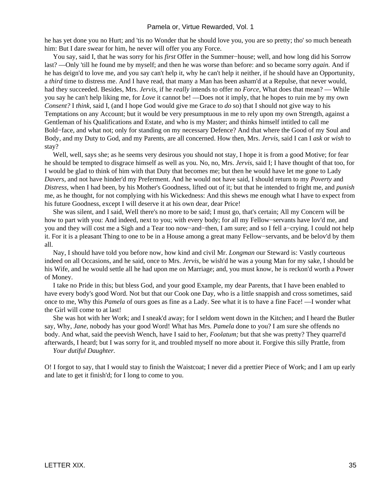he has yet done you no Hurt; and 'tis no Wonder that he should love you, you are so pretty; tho' so much beneath him: But I dare swear for him, he never will offer you any Force.

 You say, said I, that he was sorry for his *first* Offer in the Summer−house; well, and how long did his Sorrow last? —Only 'till he found me by myself; and then he was worse than before: and so became sorry *again.* And if he has deign'd to love me, and you say can't help it, why he can't help it neither, if he should have an Opportunity, a *third* time to distress me. And I have read, that many a Man has been asham'd at a Repulse, that never would, had they succeeded. Besides, Mrs. *Jervis,* if he *really* intends to offer no *Force,* What does that mean? — While you say he can't help liking me, for *Love* it cannot be! —Does not it imply, that he hopes to ruin me by my own *Consent?* I *think,* said I, (and I hope God would give me Grace to *do* so) that I should not give way to his Temptations on any Account; but it would be very presumptuous in me to rely upon my own Strength, against a Gentleman of his Qualifications and Estate, and who is my Master; and thinks himself intitled to call me Bold−face, and what not; only for standing on my necessary Defence? And that where the Good of my Soul and Body, and my Duty to God, and my Parents, are all concerned. How then, Mrs. *Jervis,* said I can I *ask* or *wish* to stay?

Well, well, says she; as he seems very desirous you should not stay, I hope it is from a good Motive; for fear he should be tempted to disgrace himself as well as you. No, no, Mrs. *Jervis,* said I; I have thought of that too, for I would be glad to think of him with that Duty that becomes me; but then he would have let me gone to Lady *Davers,* and not have hinder'd my Preferment. And he would not have said, I should return to my *Poverty* and *Distress,* when I had been, by his Mother's Goodness, lifted out of it; but that he intended to fright me, and *punish* me, as he thought, for not complying with his Wickedness: And this shews me enough what I have to expect from his future Goodness, except I will deserve it at his own dear, dear Price!

 She was silent, and I said, Well there's no more to be said; I must go, that's certain; All my Concern will be how to part with you: And indeed, next to you; with every body; for all my Fellow−servants have lov'd me, and you and they will cost me a Sigh and a Tear too now−and−then, I am sure; and so I fell a−crying. I could not help it. For it is a pleasant Thing to one to be in a House among a great many Fellow−servants, and be belov'd by them all.

 Nay, I should have told you before now, how kind and civil Mr. *Longman* our Steward is: Vastly courteous indeed on all Occasions, and he said, once to Mrs. *Jervis,* be wish'd he was a young Man for my sake, I should be his Wife, and he would settle all he had upon me on Marriage; and, you must know, he is reckon'd worth a Power of Money.

 I take no Pride in this; but bless God, and your good Example, my dear Parents, that I have been enabled to have every body's good Word. Not but that our Cook one Day, who is a little snappish and cross sometimes, said once to me, Why this *Pamela* of ours goes as fine as a Lady. See what it is to have a fine Face! —I wonder what the Girl will come to at last!

 She was hot with her Work; and I sneak'd away; for I seldom went down in the Kitchen; and I heard the Butler say, Why, *Jane,* nobody has your good Word! What has Mrs. *Pamela* done to you? I am sure she offends no body. And what, said the peevish Wench, have I said to her, *Foolatum;* but that she was pretty? They quarrel'd afterwards, I heard; but I was sorry for it, and troubled myself no more about it. Forgive this silly Prattle, from

*Your dutiful Daughter.*

O! I forgot to say, that I would stay to finish the Waistcoat; I never did a prettier Piece of Work; and I am up early and late to get it finish'd; for I long to come to you.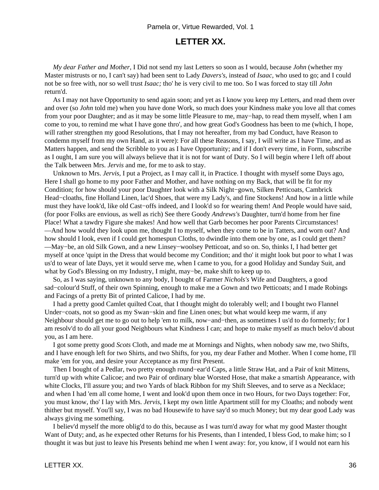# **LETTER XX.**

*My dear Father and Mother,* I Did not send my last Letters so soon as I would, because *John* (whether my Master mistrusts or no, I can't say) had been sent to Lady *Davers's,* instead of *Isaac,* who used to go; and I could not be so free with, nor so well trust *Isaac;* tho' he is very civil to me too. So I was forced to stay till *John* return'd.

 As I may not have Opportunity to send again soon; and yet as I know you keep my Letters, and read them over and over (so *John* told me) when you have done Work, so much does your Kindness make you love all that comes from your poor Daughter; and as it may be some little Pleasure to me, may−hap, to read them myself, when I am come to you, to remind me what I have gone thro', and how great God's Goodness has been to me (which, I hope, will rather strengthen my good Resolutions, that I may not hereafter, from my bad Conduct, have Reason to condemn myself from my own Hand, as it were): For all these Reasons, I say, I will write as I have Time, and as Matters happen, and send the Scribble to you as I have Opportunity; and if I don't every time, in Form, subscribe as I ought, I am sure you will always believe that it is not for want of Duty. So I will begin where I left off about the Talk between Mrs. *Jervis* and me, for me to ask to stay.

 Unknown to Mrs. *Jervis,* I put a Project, as I may call it, in Practice. I thought with myself some Days ago, Here I shall go home to my poor Father and Mother, and have nothing on my Back, that will be fit for my Condition; for how should your poor Daughter look with a Silk Night−gown, Silken Petticoats, Cambrick Head−cloaths, fine Holland Linen, lac'd Shoes, that were my Lady's, and fine Stockens! And how in a little while must they have look'd, like old Cast−offs indeed, and I look'd so for wearing them! And People would have said, (for poor Folks are envious, as well as rich) See there Goody *Andrews's* Daughter, turn'd home from her fine Place! What a tawdry Figure she makes! And how well that Garb becomes her poor Parents Circumstances! —And how would they look upon me, thought I to myself, when they come to be in Tatters, and worn out? And how should I look, even if I could get homespun Cloths, to dwindle into them one by one, as I could get them? —May−be, an old Silk Gown, and a new Linsey−woolsey Petticoat, and so on. So, thinks I, I had better get myself at once 'quipt in the Dress that would become my Condition; and tho' it might look but poor to what I was us'd to wear of late Days, yet it would serve me, when I came to you, for a good Holiday and Sunday Suit, and what by God's Blessing on my Industry, I might, may−be, make shift to keep up to.

 So, as I was saying, unknown to any body, I bought of Farmer *Nichols's* Wife and Daughters, a good sad−colour'd Stuff, of their own Spinning, enough to make me a Gown and two Petticoats; and I made Robings and Facings of a pretty Bit of printed Calicoe, I had by me.

 I had a pretty good Camlet quilted Coat, that I thought might do tolerably well; and I bought two Flannel Under−coats, not so good as my Swan−skin and fine Linen ones; but what would keep me warm, if any Neighbour should get me to go out to help 'em to milk, now−and−then, as sometimes I us'd to do formerly; for I am resolv'd to do all your good Neighbours what Kindness I can; and hope to make myself as much belov'd about you, as I am here.

 I got some pretty good *Scots* Cloth, and made me at Mornings and Nights, when nobody saw me, two Shifts, and I have enough left for two Shirts, and two Shifts, for you, my dear Father and Mother. When I come home, I'll make 'em for you, and desire your Acceptance as my first Present.

 Then I bought of a Pedlar, two pretty enough round−ear'd Caps, a little Straw Hat, and a Pair of knit Mittens, turn'd up with white Calicoe; and two Pair of ordinary blue Worsted Hose, that make a smartish Appearance, with white Clocks, I'll assure you; and two Yards of black Ribbon for my Shift Sleeves, and to serve as a Necklace; and when I had 'em all come home, I went and look'd upon them once in two Hours, for two Days together: For, you must know, tho' I lay with Mrs. *Jervis,* I kept my own little Apartment still for my Cloaths; and nobody went thither but myself. You'll say, I was no bad Housewife to have say'd so much Money; but my dear good Lady was always giving me something.

 I believ'd myself the more oblig'd to do this, because as I was turn'd away for what my good Master thought Want of Duty; and, as he expected other Returns for his Presents, than I intended, I bless God, to make him; so I thought it was but just to leave his Presents behind me when I went away: for, you know, if I would not earn his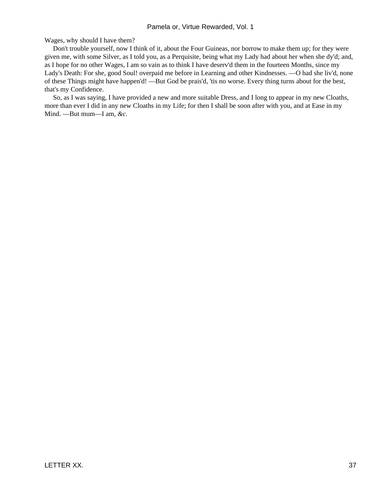Wages, why should I have them?

 Don't trouble yourself, now I think of it, about the Four Guineas, nor borrow to make them up; for they were given me, with some Silver, as I told you, as a Perquisite, being what my Lady had about her when she dy'd; and, as I hope for no other Wages, I am so vain as to think I have deserv'd them in the fourteen Months, since my Lady's Death: For she, good Soul! overpaid me before in Learning and other Kindnesses. —O had she liv'd, none of these Things might have happen'd! —But God be prais'd, 'tis no worse. Every thing turns about for the best, that's my Confidence.

 So, as I was saying, I have provided a new and more suitable Dress, and I long to appear in my new Cloaths, more than ever I did in any new Cloaths in my Life; for then I shall be soon after with you, and at Ease in my Mind. —But mum—I am, *&c.*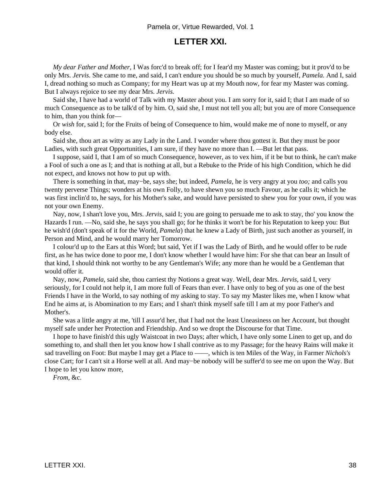# **LETTER XXI.**

*My dear Father and Mother,* I Was forc'd to break off; for I fear'd my Master was coming; but it prov'd to be only Mrs. *Jervis.* She came to me, and said, I can't endure you should be so much by yourself, *Pamela.* And I, said I, dread nothing so much as Company; for my Heart was up at my Mouth now, for fear my Master was coming. But I always rejoice to see my dear Mrs. *Jervis.*

 Said she, I have had a world of Talk with my Master about you. I am sorry for it, said I; that I am made of so much Consequence as to be talk'd of by him. O, said she, I must not tell you all; but you are of more Consequence to him, than you think for—

 Or *wish* for, said I; for the Fruits of being of Consequence to him, would make me of none to myself, or any body else.

 Said she, thou art as witty as any Lady in the Land. I wonder where thou gottest it. But they must be poor Ladies, with such great Opportunities, I am sure, if they have no more than I. —But let that pass.

 I suppose, said I, that I am of so much Consequence, however, as to vex him, if it be but to think, he can't make a Fool of such a one as I; and that is nothing at all, but a Rebuke to the Pride of his high Condition, which he did not expect, and knows not how to put up with.

 There is something in that, may−be, says she; but indeed, *Pamela,* he is very angry at you *too;* and calls you twenty perverse Things; wonders at his own Folly, to have shewn you so much Favour, as he calls it; which he was first inclin'd to, he says, for his Mother's sake, and would have persisted to shew you for your own, if you was not your own Enemy.

 Nay, now, I shan't love you, Mrs. *Jervis,* said I; you are going to persuade me to ask to stay, tho' you know the Hazards I run. —No, said she, he says you shall go; for he thinks it won't be for his Reputation to keep you: But he wish'd (don't speak of it for the World, *Pamela*) that he knew a Lady of Birth, just such another as yourself, in Person and Mind, and he would marry her Tomorrow.

 I colour'd up to the Ears at this Word; but said, Yet if I was the Lady of Birth, and he would offer to be rude first, as he has twice done to poor me, I don't know whether I would have him: For she that can bear an Insult of that kind, I should think not worthy to be any Gentleman's Wife; any more than he would be a Gentleman that would offer it.

 Nay, now, *Pamela,* said she, thou carriest thy Notions a great way. Well, dear Mrs. *Jervis,* said I, very seriously, for I could not help it, I am more full of Fears than ever. I have only to beg of you as one of the best Friends I have in the World, to say nothing of my asking to stay. To say my Master likes me, when I know what End he aims at, is Abomination to my Ears; and I shan't think myself safe till I am at my poor Father's and Mother's.

 She was a little angry at me, 'till I assur'd her, that I had not the least Uneasiness on her Account, but thought myself safe under her Protection and Friendship. And so we dropt the Discourse for that Time.

 I hope to have finish'd this ugly Waistcoat in two Days; after which, I have only some Linen to get up, and do something to, and shall then let you know how I shall contrive as to my Passage; for the heavy Rains will make it sad travelling on Foot: But maybe I may get a Place to ——, which is ten Miles of the Way, in Farmer *Nichols's* close Cart; for I can't sit a Horse well at all. And may−be nobody will be suffer'd to see me on upon the Way. But I hope to let you know more,

*From,* &c.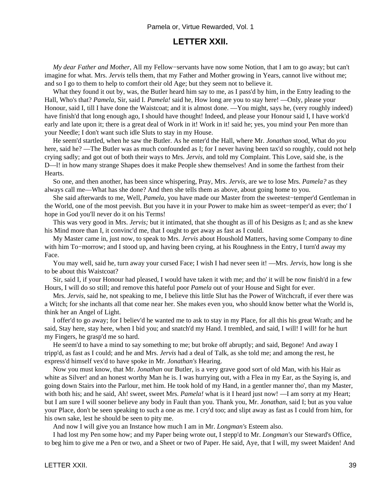# **LETTER XXII.**

*My dear Father and Mother,* All my Fellow–servants have now some Notion, that I am to go away; but can't imagine for what. Mrs. *Jervis* tells them, that my Father and Mother growing in Years, cannot live without me; and so I go to them to help to comfort their old Age; but they seem not to believe it.

 What they found it out by, was, the Butler heard him say to me, as I pass'd by him, in the Entry leading to the Hall, Who's that? *Pamela,* Sir, said I. *Pamela!* said he, How long are you to stay here! —Only, please your Honour, said I, till I have done the Waistcoat; and it is almost done. —You might, says he, (very roughly indeed) have finish'd that long enough ago, I should have thought! Indeed, and please your Honour said I, I have work'd early and late upon it; there is a great deal of Work in it! Work in it! said he; yes, you mind your Pen more than your Needle; I don't want such idle Sluts to stay in my House.

 He seem'd startled, when he saw the Butler. As he enter'd the Hall, where Mr. *Jonathan* stood, What do *you* here, said he? —The Butler was as much confounded as I; for I never having been tax'd so roughly, could not help crying sadly; and got out of both their ways to Mrs. *Jervis,* and told my Complaint. This Love, said she, is the D—l! in how many strange Shapes does it make People shew themselves! And in some the farthest from their Hearts.

 So one, and then another, has been since whispering, Pray, Mrs. *Jervis,* are we to lose Mrs. *Pamela?* as they always call me—What has she done? And then she tells them as above, about going home to you.

 She said afterwards to me, Well, *Pamela,* you have made our Master from the sweetest−temper'd Gentleman in the World, one of the most peevish. But you have it in your Power to make him as sweet−temper'd as ever; tho' I hope in God you'll never do it on his Terms!

 This was very good in Mrs. *Jervis;* but it intimated, that she thought as ill of his Designs as I; and as she knew his Mind more than I, it convinc'd me, that I ought to get away as fast as I could.

 My Master came in, just now, to speak to Mrs. *Jervis* about Houshold Matters, having some Company to dine with him To−morrow; and I stood up, and having been crying, at his Roughness in the Entry, I turn'd away my Face.

You may well, said he, turn away your cursed Face; I wish I had never seen it! —Mrs. *Jervis*, how long is she to be about this Waistcoat?

 Sir, said I, if your Honour had pleased, I would have taken it with me; and tho' it will be now finish'd in a few Hours, I will do so still; and remove this hateful poor *Pamela* out of your House and Sight for ever.

 Mrs. *Jervis,* said he, not speaking to me, I believe this little Slut has the Power of Witchcraft, if ever there was a Witch; for she inchants all that come near her. She makes even you, who should know better what the World is, think her an Angel of Light.

 I offer'd to go away; for I believ'd he wanted me to ask to stay in my Place, for all this his great Wrath; and he said, Stay here, stay here, when I bid you; and snatch'd my Hand. I trembled, and said, I will! I will! for he hurt my Fingers, he grasp'd me so hard.

 He seem'd to have a mind to say something to me; but broke off abruptly; and said, Begone! And away I tripp'd, as fast as I could; and he and Mrs. *Jervis* had a deal of Talk, as she told me; and among the rest, he express'd himself vex'd to have spoke in Mr. *Jonathan's* Hearing.

 Now you must know, that Mr. *Jonathan* our Butler, is a very grave good sort of old Man, with his Hair as white as Silver! and an honest worthy Man he is. I was hurrying out, with a Flea in my Ear, as the Saying is, and going down Stairs into the Parlour, met him. He took hold of my Hand, in a gentler manner tho', than my Master, with both his; and he said, Ah! sweet, sweet Mrs. *Pamela!* what is it I heard just now! —I am sorry at my Heart; but I am sure I will sooner believe any body in Fault than you. Thank you, Mr. *Jonathan,* said I; but as you value your Place, don't be seen speaking to such a one as me. I cry'd too; and slipt away as fast as I could from him, for his own sake, lest he should be seen to pity me.

And now I will give you an Instance how much I am in Mr. *Longman's* Esteem also.

 I had lost my Pen some how; and my Paper being wrote out, I stepp'd to Mr. *Longman's* our Steward's Office, to beg him to give me a Pen or two, and a Sheet or two of Paper. He said, Aye, that I will, my sweet Maiden! And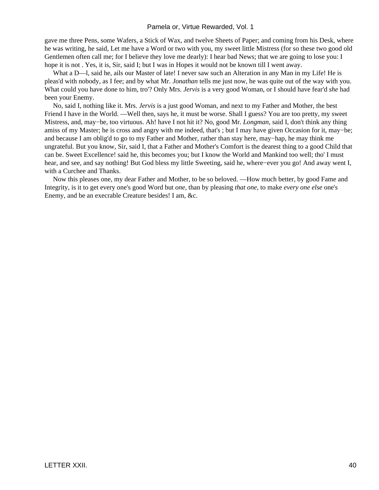gave me three Pens, some Wafers, a Stick of Wax, and twelve Sheets of Paper; and coming from his Desk, where he was writing, he said, Let me have a Word or two with you, my sweet little Mistress (for so these two good old Gentlemen often call me; for I believe they love me dearly): I hear bad News; that we are going to lose you: I hope it is not . Yes, it is, Sir, said I; but I was in Hopes it would not be known till I went away.

What a D—l, said he, ails our Master of late! I never saw such an Alteration in any Man in my Life! He is pleas'd with nobody, as I fee; and by what Mr. *Jonathan* tells me just now, he was quite out of the way with you. What could you have done to him, tro'? Only Mrs. *Jervis* is a very good Woman, or I should have fear'd *she* had been your Enemy.

 No, said I, nothing like it. Mrs. *Jervis* is a just good Woman, and next to my Father and Mother, the best Friend I have in the World. —Well then, says he, it must be worse. Shall I guess? You are too pretty, my sweet Mistress, and, may−be, too virtuous. Ah! have I not hit it? No, good Mr. *Longman,* said I, don't think any thing amiss of my Master; he is cross and angry with me indeed, that's ; but I may have given Occasion for it, may−be; and because I am oblig'd to go to my Father and Mother, rather than stay here, may−hap, he may think me ungrateful. But you know, Sir, said I, that a Father and Mother's Comfort is the dearest thing to a good Child that can be. Sweet Excellence! said he, this becomes you; but I know the World and Mankind too well; tho' I must hear, and see, and say nothing! But God bless my little Sweeting, said he, where−ever you go! And away went I, with a Curchee and Thanks.

 Now this pleases one, my dear Father and Mother, to be so beloved. —How much better, by good Fame and Integrity, is it to get every one's good Word but *one,* than by pleasing *that one,* to make *every one else* one's Enemy, and be an execrable Creature besides! I am, &c.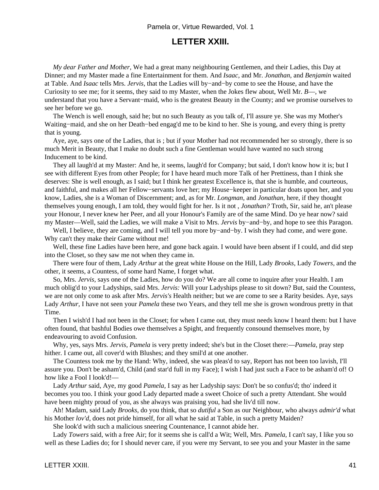# **LETTER XXIII.**

*My dear Father and Mother,* We had a great many neighbouring Gentlemen, and their Ladies, this Day at Dinner; and my Master made a fine Entertainment for them. And *Isaac,* and Mr. *Jonathan,* and *Benjamin* waited at Table. And *Isaac* tells Mrs. *Jervis,* that the Ladies will by−and−by come to see the House, and have the Curiosity to see me; for it seems, they said to my Master, when the Jokes flew about, Well Mr. *B*—, we understand that you have a Servant−maid, who is the greatest Beauty in the County; and we promise ourselves to see her before we go.

 The Wench is well enough, said he; but no such Beauty as you talk of, I'll assure ye. She was my Mother's Waiting−maid, and she on her Death−bed engag'd me to be kind to her. She is young, and every thing is pretty that is young.

 Aye, aye, says one of the Ladies, that is ; but if your Mother had not recommended her so strongly, there is so much Merit in Beauty, that I make no doubt such a fine Gentleman would have wanted no such strong Inducement to be kind.

 They all laugh'd at my Master: And he, it seems, laugh'd for Company; but said, I don't know how it is; but I see with different Eyes from other People; for I have heard much more Talk of her Prettiness, than I think she deserves: She is well enough, as I said; but I think her greatest Excellence is, that she is humble, and courteous, and faithful, and makes all her Fellow−servants love her; my House−keeper in particular doats upon her, and you know, Ladies, she is a Woman of Discernment; and, as for Mr. *Longman,* and *Jonathan,* here, if they thought themselves young enough, I am told, they would fight for her. Is it not , *Jonathan?* Troth, Sir, said he, an't please your Honour, I never knew her Peer, and all your Honour's Family are of the same Mind. Do ye hear now? said my Master—Well, said the Ladies, we will make a Visit to Mrs. *Jervis* by−and−by, and hope to see this Paragon.

Well, I believe, they are coming, and I will tell you more by–and–by. I wish they had come, and were gone. Why can't they make their Game without me!

 Well, these fine Ladies have been here, and gone back again. I would have been absent if I could, and did step into the Closet, so they saw me not when they came in.

 There were four of them, Lady *Arthur* at the great white House on the Hill, Lady *Brooks,* Lady *Towers,* and the other, it seems, a Countess, of some hard Name, I forget what.

 So, Mrs. *Jervis,* says one of the Ladies, how do you do? We are all come to inquire after your Health. I am much oblig'd to your Ladyships, said Mrs. *Jervis:* Will your Ladyships please to sit down? But, said the Countess, we are not only come to ask after Mrs. *Jervis's* Health neither; but we are come to see a Rarity besides. Aye, says Lady *Arthur,* I have not seen your *Pamela* these two Years, and they tell me she is grown wondrous pretty in that Time.

 Then I wish'd I had not been in the Closet; for when I came out, they must needs know I heard them: but I have often found, that bashful Bodies owe themselves a Spight, and frequently consound themselves more, by endeavouring to avoid Confusion.

 Why, yes, says Mrs. *Jervis, Pamela* is very pretty indeed; she's but in the Closet there:—*Pamela,* pray step hither. I came out, all cover'd with Blushes; and they smil'd at one another.

 The Countess took me by the Hand: Why, indeed, she was pleas'd to say, Report has not been too lavish, I'll assure you. Don't be asham'd, Child (and star'd full in my Face); I wish I had just such a Face to be asham'd of! O how like a Fool I look'd!—

 Lady *Arthur* said, Aye, my good *Pamela,* I say as her Ladyship says: Don't be so confus'd; tho' indeed it becomes you too. I think your good Lady departed made a sweet Choice of such a pretty Attendant. She would have been mighty proud of you, as she always was praising you, had she liv'd till now.

 Ah! Madam, said Lady *Brooks,* do you think, that so *dutiful* a Son as our Neighbour, who always *admir'd* what his Mother *lov'd,* does not pride himself, for all what he said at Table, in such a pretty Maiden?

She look'd with such a malicious sneering Countenance, I cannot abide her.

 Lady *Towers* said, with a free Air; for it seems she is call'd a Wit; Well, Mrs. *Pamela,* I can't say, I like you so well as these Ladies do; for I should never care, if you were my Servant, to see you and your Master in the same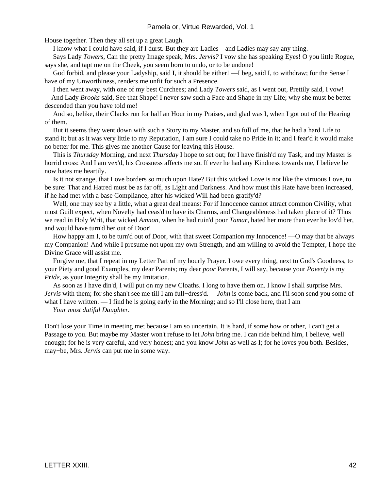House together. Then they all set up a great Laugh.

I know what I could have said, if I durst. But they are Ladies—and Ladies may say any thing.

 Says Lady *Towers,* Can the pretty Image speak, Mrs. *Jervis?* I vow she has speaking Eyes! O you little Rogue, says she, and tapt me on the Cheek, you seem born to undo, or to be undone!

God forbid, and please your Ladyship, said I, it should be either! —I beg, said I, to withdraw; for the Sense I have of my Unworthiness, renders me unfit for such a Presence.

 I then went away, with one of my best Curchees; and Lady *Towers* said, as I went out, Prettily said, I vow! —And Lady *Brooks* said, See that Shape! I never saw such a Face and Shape in my Life; why she must be better descended than you have told me!

 And so, belike, their Clacks run for half an Hour in my Praises, and glad was I, when I got out of the Hearing of them.

 But it seems they went down with such a Story to my Master, and so full of me, that he had a hard Life to stand it; but as it was very little to my Reputation, I am sure I could take no Pride in it; and I fear'd it would make no better for me. This gives me another Cause for leaving this House.

 This is *Thursday* Morning, and next *Thursday* I hope to set out; for I have finish'd my Task, and my Master is horrid cross: And I am vex'd, his Crossness affects me so. If ever he had any Kindness towards me, I believe he now hates me heartily.

 Is it not strange, that Love borders so much upon Hate? But this wicked Love is not like the virtuous Love, to be sure: That and Hatred must be as far off, as Light and Darkness. And how must this Hate have been increased, if he had met with a base Compliance, after his wicked Will had been gratify'd?

Well, one may see by a little, what a great deal means: For if Innocence cannot attract common Civility, what must Guilt expect, when Novelty had ceas'd to have its Charms, and Changeableness had taken place of it? Thus we read in Holy Writ, that wicked *Amnon,* when he had ruin'd poor *Tamar,* hated her more than ever he lov'd her, and would have turn'd her out of Door!

 How happy am I, to be turn'd out of Door, with that sweet Companion my Innocence! —O may that be always my Companion! And while I presume not upon my own Strength, and am willing to avoid the Tempter, I hope the Divine Grace will assist me.

 Forgive me, that I repeat in my Letter Part of my hourly Prayer. I owe every thing, next to God's Goodness, to your Piety and good Examples, my dear Parents; my dear *poor* Parents, I will say, because your *Poverty* is my *Pride,* as your Integrity shall be my Imitation.

 As soon as I have din'd, I will put on my new Cloaths. I long to have them on. I know I shall surprise Mrs. *Jervis* with them; for she shan't see me till I am full−dress'd. —*John* is come back, and I'll soon send you some of what I have written.  $\overline{ }$  I find he is going early in the Morning; and so I'll close here, that I am

*Your most dutiful Daughter.*

Don't lose your Time in meeting me; because I am so uncertain. It is hard, if some how or other, I can't get a Passage to you. But maybe my Master won't refuse to let *John* bring me. I can ride behind him, I believe, well enough; for he is very careful, and very honest; and you know *John* as well as I; for he loves you both. Besides, may−be, Mrs. *Jervis* can put me in some way.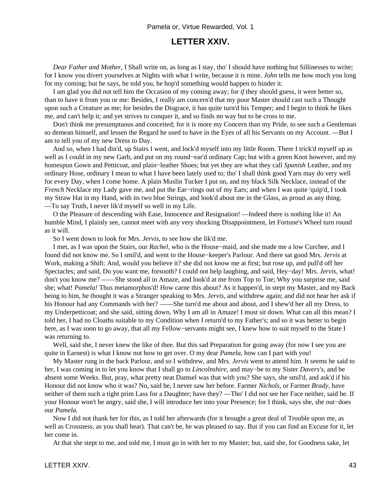### **LETTER XXIV.**

*Dear Father and Mother,* I Shall write on, as long as I stay, tho' I should have nothing but Sillinesses to write; for I know you divert yourselves at Nights with what I write, because it is mine. *John* tells me how much you long for my coming; but he says, he told you, he hop'd something would happen to hinder it.

 I am glad you did not tell him the Occasion of my coming away; for *if* they should guess, it were better so, than to have it from you or me: Besides, I really am concern'd that my poor Master should cast such a Thought upon such a Creature as me; for besides the Disgrace, it has quite turn'd his Temper; and I begin to think he likes me, and can't help it; and yet strives to conquer it, and so finds no way but to be cross to me.

 Don't think me presumptuous and conceited; for it is more my Concern than my Pride, to see such a Gentleman so demean himself, and lessen the Regard he used to have in the Eyes of all his Servants on my Account. —But I am to tell you of my new Dress to Day.

 And so, when I had din'd, up Stairs I went, and lock'd myself into my little Room. There I trick'd myself up as well as I could in my new Garb, and put on my round−ear'd ordinary Cap; but with a green Knot however, and my homespun Gown and Petticoat, and plain−leather Shoes; but yet they are what they call *Spanish* Leather, and my ordinary Hose, ordinary I mean to what I have been lately used to; tho' I shall think good Yarn may do very well for every Day, when I come home. A plain Muslin Tucker I put on, and my black Silk Necklace, instead of the *French* Necklace my Lady gave me, and put the Ear–rings out of my Ears; and when I was quite 'quip'd, I took my Straw Hat in my Hand, with its two blue Strings, and look'd about me in the Glass, as proud as any thing. —To say Truth, I never lik'd myself so well in my Life.

 O the Pleasure of descending with Ease, Innocence and Resignation! —Indeed there is nothing like it! An humble Mind, I plainly see, cannot meet with any very shocking Disappointment, let Fortune's Wheel turn round as it will.

So I went down to look for Mrs. *Jervis,* to see how she lik'd me.

 I met, as I was upon the Stairs, our *Rachel,* who is the House−maid, and she made me a low Curchee, and I found did not know me. So I smil'd, and went to the House−keeper's Parlour. And there sat good Mrs. *Jervis* at Work, making a Shift: And, would you believe it? she did not know me at first; but rose up, and pull'd off her Spectacles; and said, Do you want me, forsooth? I could not help laughing, and said, Hey−day! Mrs. *Jervis,* what! don't you know me? ——She stood all in Amaze, and look'd at me from Top to Toe; Why you surprise me, said she; what! *Pamela!* Thus metamorphos'd! How carne this about? As it happen'd, in stept my Master, and my Back being to him, he thought it was a Stranger speaking to Mrs. *Jervis,* and withdrew again; and did not hear her ask if his Honour had any Commands with her? ——She turn'd me about and about, and I shew'd her all my Dress, to my Underpetticoat; and she said, sitting down, Why I am all in Amaze! I must sit down. What can all this mean? I told her, I had no Cloaths suitable to my Condition when I return'd to my Father's; and so it was better to begin here, as I was soon to go away, that all my Fellow−servants might see, I knew how to suit myself to the State I was returning to.

Well, said she, I never knew the like of thee. But this sad Preparation for going away (for now I see you are quite in Earnest) is what I know not how to get over. O my dear *Pamela,* how can I part with you!

 My Master rung in the back Parlour, and so I withdrew, and Mrs. *Jervis* went to attend him. It seems he said to her, I was coming in to let you know that I shall go to *Lincolnshire,* and may−be to my Sister *Davers's,* and be absent some Weeks. But, pray, what pretty neat Damsel was that with you? She says, she smil'd, and ask'd if his Honour did not know who it was? No, said he, I never saw her before. Farmer *Nichols,* or Farmer *Brady,* have neither of them such a tight prim Lass for a Daughter; have they? —Tho' I did not see her Face neither, said he. If your Honour won't be angry, said she, I will introduce her into your Presence; for I think, says she, she out−does our *Pamela.*

 Now I did not thank her for this, as I told her afterwards (for it brought a great deal of Trouble upon me, as well as Crossness, as you shall hear). That can't be, he was pleased to say. But if you can find an Excuse for it, let her come in.

At that she stept to me, and told me, I must go in with her to my Master; but, said she, for Goodness sake, let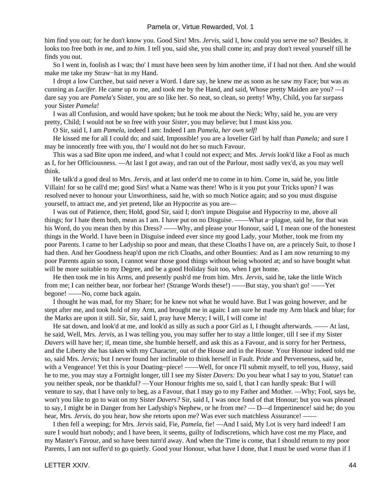him find you out; for he don't know you. Good Sirs! Mrs. *Jervis,* said I, how could you serve me so? Besides, it looks too free both *in me,* and *to him.* I tell you, said she, you shall come in; and pray don't reveal yourself till he finds you out.

 So I went in, foolish as I was; tho' I must have been seen by him another time, if I had not then. And she would make me take my Straw−hat in my Hand.

 I dropt a low Curchee, but said never a Word. I dare say, he knew me as soon as he saw my Face; but was as cunning as *Lucifer.* He came up to me, and took me by the Hand, and said, Whose pretty Maiden are you? —I dare say you are *Pamela's* Sister, you are so like her. So neat, so clean, so pretty! Why, Child, you far surpass your Sister *Pamela!*

 I was all Confusion, and would have spoken; but he took me about the Neck; Why, said he, you are very pretty, Child; I would not be so free with your *Sister,* you may believe; but I must kiss *you.*

O Sir, said I, I am *Pamela,* indeed I am: Indeed I am *Pamela, her own self!*

 He kissed me for all I could do; and said, Impossible! you are a lovelier Girl by half than *Pamela;* and sure I may be innocently free with you, tho' I would not do her so much Favour.

 This was a sad Bite upon me indeed, and what I could not expect; and Mrs. *Jervis* look'd like a Fool as much as I, for her Officiousness. —At last I got away, and ran out of the Parlour, most sadly vex'd, as you may well think.

 He talk'd a good deal to Mrs. *Jervis,* and at last order'd me to come in to him. Come in, said he, you little Villain! for so he call'd me; good Sirs! what a Name was there! Who is it you put your Tricks upon? I was resolved never to honour your Unworthiness, said he, with so much Notice again; and so you must disguise yourself, to attract me, and yet pretend, like an Hypocrite as you are—

 I was out of Patience, then; Hold, good Sir, said I; don't impute Disguise and Hypocrisy to me, above all things; for I hate them both, mean as I am. I have put on no Disguise. ——What a−plague, said he, for that was his Word, do you mean then by this Dress? ——Why, and please your Honour, said I, I mean one of the honestest things in the World. I have been in Disguise indeed ever since my good Lady, your Mother, took me from my poor Parents. I came to her Ladyship so poor and mean, that these Cloaths I have on, are a princely Suit, to those I had then. And her Goodness heap'd upon me rich Cloaths, and other Bounties: And as I am now returning to my poor Parents again so soon, I cannot wear those good things without being whooted at; and so have bought what will be more suitable to my Degree, and be a good Holiday Suit too, when I get home.

 He then took me in his Arms, and presently push'd me from him. Mrs. *Jervis,* said he, take the little Witch from me; I can neither bear, nor forbear her! (Strange Words these!) ——But stay, you shan't go! ——Yet begone! ——No, come back again.

 I thought he was mad, for my Share; for he knew not what he would have. But I was going however, and he stept after me, and took hold of my Arm, and brought me in again: I am sure he made my Arm black and blue; for the Marks are upon it still. Sir, Sir, said I, pray have Mercy; I will, I will come in!

 He sat down, and look'd at me, and look'd as silly as such a poor Girl as I, I thought afterwards. —— At last, he said, Well, Mrs. *Jervis,* as I was telling you, you may suffer her to stay a little longer, till I see if my Sister *Davers* will have her; if, mean time, she humble herself, and ask this as a Favour, and is sorry for her Pertness, and the Liberty she has taken with my Character, out of the House and in the House. Your Honour indeed told me so, said Mrs. *Jervis;* but I never found her inclinable to think herself in Fault. Pride and Perverseness, said he, with a Vengeance! Yet this is your Doating-piece! ——Well, for once I'll submit myself, to tell you, Hussy, said he to me, you may stay a Fortnight longer, till I see my Sister *Davers:* Do you hear what I say to you, Statue! can you neither speak, nor be thankful? —Your Honour frights me so, said I, that I can hardly speak: But I will venture to say, that I have only to beg, as a Favour, that I may go to my Father and Mother. —Why; Fool, says he, won't you like to go to wait on my Sister *Davers?* Sir, said I, I was once fond of that Honour; but you was pleased to say, I might be in Danger from her Ladyship's Nephew, or he from me? — D—d Impertinence! said he; do you hear, Mrs. *Jervis,* do you hear, how she retorts upon me? Was ever such matchless Assurance! ——

 I then fell a weeping; for Mrs. *Jervis* said, Fie, *Pamela,* fie! —And I said, My Lot is very hard indeed! I am sure I would hurt nobody; and I have been, it seems, guilty of Indiscretions, which have cost me my Place, and my Master's Favour, and so have been turn'd away. And when the Time is come, that I should return to my poor Parents, I am not suffer'd to go quietly. Good your Honour, what have I done, that I must be used worse than if I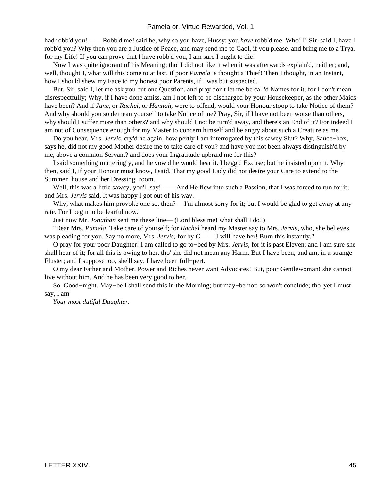had robb'd you! ——Robb'd me! said he, why so you have, Hussy; you *have* robb'd me. Who! I! Sir, said I, have I robb'd you? Why then you are a Justice of Peace, and may send me to Gaol, if you please, and bring me to a Tryal for my Life! If you can prove that I have robb'd you, I am sure I ought to die!

 Now I was quite ignorant of his Meaning; tho' I did not like it when it was afterwards explain'd, neither; and, well, thought I, what will this come to at last, if poor *Pamela* is thought a Thief! Then I thought, in an Instant, how I should shew my Face to my honest poor Parents, if I was but suspected.

 But, Sir, said I, let me ask you but one Question, and pray don't let me be call'd Names for it; for I don't mean disrespectfully; Why, if I have done amiss, am I not left to be discharged by your Housekeeper, as the other Maids have been? And if *Jane,* or *Rachel,* or *Hannah,* were to offend, would your Honour stoop to take Notice of them? And why should you so demean yourself to take Notice of me? Pray, Sir, if I have not been worse than others, why should I suffer more than others? and why should I not be turn'd away, and there's an End of it? For indeed I am not of Consequence enough for my Master to concern himself and be angry about such a Creature as me.

 Do you hear, Mrs. *Jervis,* cry'd he again, how pertly I am interrogated by this sawcy Slut? Why, Sauce−box, says he, did not my good Mother desire me to take care of you? and have you not been always distinguish'd by me, above a common Servant? and does your Ingratitude upbraid me for this?

 I said something mutteringly, and he vow'd he would hear it. I begg'd Excuse; but he insisted upon it. Why then, said I, if your Honour must know, I said, That my good Lady did not desire your Care to extend to the Summer−house and her Dressing−room.

Well, this was a little sawcy, you'll say! ——And He flew into such a Passion, that I was forced to run for it; and Mrs. *Jervis* said, It was happy I got out of his way.

Why, what makes him provoke one so, then? —I'm almost sorry for it; but I would be glad to get away at any rate. For I begin to be fearful now.

Just now Mr. *Jonathan* sent me these line— (Lord bless me! what shall I do?)

 "Dear Mrs. *Pamela,* Take care of yourself; for *Rachel* heard my Master say to Mrs. *Jervis,* who, she believes, was pleading for you, Say no more, Mrs. *Jervis*; for by G—— I will have her! Burn this instantly."

 O pray for your poor Daughter! I am called to go to−bed by Mrs. *Jervis,* for it is past Eleven; and I am sure she shall hear of it; for all this is owing to her, tho' she did not mean any Harm. But I have been, and am, in a strange Fluster; and I suppose too, she'll say, I have been full−pert.

 O my dear Father and Mother, Power and Riches never want Advocates! But, poor Gentlewoman! she cannot live without him. And he has been very good to her.

 So, Good−night. May−be I shall send this in the Morning; but may−be not; so won't conclude; tho' yet I must say, I am

*Your most dutiful Daughter.*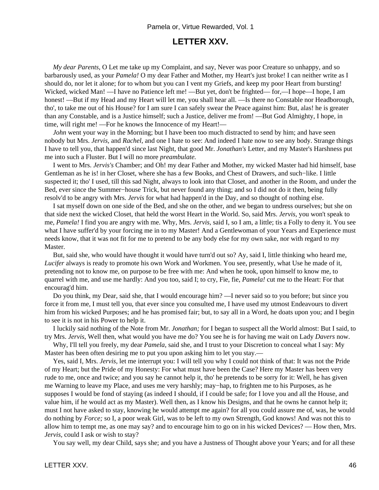# **LETTER XXV.**

*My dear Parents,* O Let me take up my Complaint, and say, Never was poor Creature so unhappy, and so barbarously used, as your *Pamela!* O my dear Father and Mother, my Heart's just broke! I can neither write as I should do, nor let it alone; for to whom but you can I vent my Griefs, and keep my poor Heart from bursting! Wicked, wicked Man! —I have no Patience left me! —But yet, don't be frighted— for,—I hope—I hope, I am honest! —But if my Head and my Heart will let me, you shall hear all. —Is there no Constable nor Headborough, tho', to take me out of his House? for I am sure I can safely swear the Peace against him: But, alas! he is greater than any Constable, and is a Justice himself; such a Justice, deliver me from! —But God Almighty, I hope, in time, will right me! —For he knows the Innocence of my Heart!—

*John* went your way in the Morning; but I have been too much distracted to send by him; and have seen nobody but Mrs. *Jervis,* and *Rachel,* and one I hate to see: And indeed I hate now to see any body. Strange things I have to tell you, that happen'd since last Night, that good Mr. *Jonathan's* Letter, and my Master's Harshness put me into such a Fluster. But I will no more *preambulate.*

 I went to Mrs. *Jervis's* Chamber; and Oh! my dear Father and Mother, my wicked Master had hid himself, base Gentleman as he is! in her Closet, where she has a few Books, and Chest of Drawers, and such−like. I little suspected it; tho' I used, till this sad Night, always to look into that Closet, and another in the Room, and under the Bed, ever since the Summer−house Trick, but never found any thing; and so I did not do it then, being fully resolv'd to be angry with Mrs. *Jervis* for what had happen'd in the Day, and so thought of nothing else.

 I sat myself down on one side of the Bed, and she on the other, and we began to undress ourselves; but she on that side next the wicked Closet, that held the worst Heart in the World. So, said Mrs. *Jervis,* you won't speak to me, *Pamela!* I find you are angry with me. Why, Mrs. *Jervis,* said I, so I am, a little; tis a Folly to deny it. You see what I have suffer'd by your forcing me in to my Master! And a Gentlewoman of your Years and Experience must needs know, that it was not fit for me to pretend to be any body else for my own sake, nor with regard to my Master.

 But, said she, who would have thought it would have turn'd out so? Ay, said I, little thinking who heard me, *Lucifer* always is ready to promote his own Work and Workmen. You see, presently, what Use he made of it, pretending not to know me, on purpose to be free with me: And when he took, upon himself to know me, to quarrel with me, and use me hardly: And you too, said I; to cry, Fie, fie, *Pamela!* cut me to the Heart: For that encourag'd him.

 Do you think, my Dear, said she, that I would encourage him? —I never said so to you before; but since you force it from me, I must tell you, that ever since you consulted me, I have used my utmost Endeavours to divert him from his wicked Purposes; and he has promised fair; but, to say all in a Word, he doats upon you; and I begin to see it is not in his Power to help it.

 I luckily said nothing of the Note from Mr. *Jonathan;* for I began to suspect all the World almost: But I said, to try Mrs. *Jervis,* Well then, what would you have me do? You see he is for having me wait on Lady *Davers* now.

 Why, I'll tell you freely, my dear *Pamela,* said she, and I trust to your Discretion to conceal what I say: My Master has been often desiring me to put you upon asking him to let you stay.—

 Yes, said I, Mrs. *Jervis,* let me interrupt you: I will tell you why I could not think of that: It was not the Pride of my Heart; but the Pride of my Honesty: For what must have been the Case? Here my Master has been very rude to me, once and twice; and you say he cannot help it, tho' he pretends to be sorry for it: Well, he has given me Warning to leave my Place, and uses me very harshly; may−hap, to frighten me to his Purposes, as he supposes I would be fond of staying (as indeed I should, if I could be safe; for I love you and all the House, and value him, if he would act as my Master). Well then, as I know his Designs, and that he owns he cannot help it; must I not have asked to stay, knowing he would attempt me again? for all you could assure me of, was, he would do nothing by *Force;* so I, a poor weak Girl, was to be left to my own Strength, God knows! And was not this to allow him to tempt me, as one may say? and to encourage him to go on in his wicked Devices? — How then, Mrs. *Jervis,* could I ask or wish to stay?

You say well, my dear Child, says she; and you have a Justness of Thought above your Years; and for all these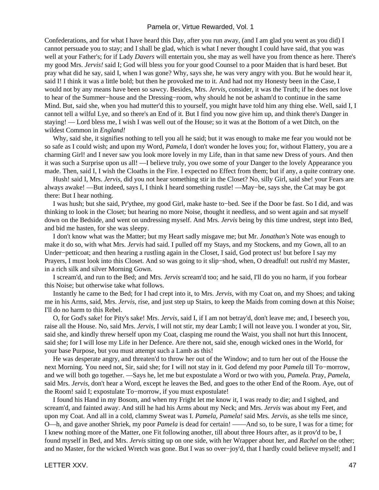Confederations, and for what I have heard this Day, after you run away, (and I am glad you went as you did) I cannot persuade you to stay; and I shall be glad, which is what I never thought I could have said, that you was well at your Father's; for if Lady *Davers* will entertain you, she may as well have you from thence as here. There's my good Mrs. *Jervis!* said I; God will bless you for your good Counsel to a poor Maiden that is hard beset. But pray what did he say, said I, when I was gone? Why, says she, he was very angry with you. But he would hear it, said I! I think it was a little bold; but then he provoked me to it. And had not my Honesty been in the Case, I would not by any means have been so sawcy. Besides, Mrs. *Jervis,* consider, it was the Truth; if he does not love to hear of the Summer−house and the Dressing−room, why should he not be asham'd to continue in the same Mind. But, said she, when you had mutter'd this to yourself, you might have told him any thing else. Well, said I, I cannot tell a wilful Lye, and so there's an End of it. But I find you now give him up, and think there's Danger in staying! — Lord bless me, I wish I was well out of the House; so it was at the Bottom of a wet Ditch, on the wildest Common in *England!*

 Why, said she, it signifies nothing to tell you all he said; but it was enough to make me fear you would not be so safe as I could wish; and upon my Word, *Pamela,* I don't wonder he loves you; for, without Flattery, you are a charming Girl! and I never saw you look more lovely in my Life, than in that same new Dress of yours. And then it was such a Surprise upon us all! —I believe truly, you owe some of your Danger to the lovely Appearance you made. Then, said I, I wish the Cloaths in the Fire. I expected no Effect from them; but if any, a quite contrary one.

 Hush! said I, Mrs. *Jervis,* did you not hear something stir in the Closet? No, silly Girl, said she! your Fears are always awake! —But indeed, says I, I think I heard something rustle! —May−be, says she, the Cat may be got there: But I hear nothing.

 I was hush; but she said, Pr'ythee, my good Girl, make haste to−bed. See if the Door be fast. So I did, and was thinking to look in the Closet; but hearing no more Noise, thought it needless, and so went again and sat myself down on the Bedside, and went on undressing myself. And Mrs. *Jervis* being by this time undrest, stept into Bed, and bid me hasten, for she was sleepy.

 I don't know what was the Matter; but my Heart sadly misgave me; but Mr. *Jonathan's* Note was enough to make it do so, with what Mrs. *Jervis* had said. I pulled off my Stays, and my Stockens, and my Gown, all to an Under−petticoat; and then hearing a rustling again in the Closet, I said, God protect us! but before I say my Prayers, I must look into this Closet. And so was going to it slip−shod, when, O dreadful! out rush'd my Master, in a rich silk and silver Morning Gown.

 I scream'd, and run to the Bed; and Mrs. *Jervis* scream'd too; and he said, I'll do you no harm, if you forbear this Noise; but otherwise take what follows.

 Instantly he came to the Bed; for I had crept into it, to Mrs. *Jervis,* with my Coat on, and my Shoes; and taking me in his Arms, said, Mrs. *Jervis,* rise, and just step up Stairs, to keep the Maids from coming down at this Noise; I'll do no harm to this Rebel.

 O, for God's sake! for Pity's sake! Mrs. *Jervis,* said I, if I am not betray'd, don't leave me; and, I beseech you, raise all the House. No, said Mrs. *Jervis,* I will not stir, my dear Lamb; I will not leave you. I wonder at you, Sir, said she, and kindly threw herself upon my Coat, clasping me round the Waist, you shall not hurt this Innocent, said she; for I will lose my Life in her Defence. Are there not, said she, enough wicked ones in the World, for your base Purpose, but you must attempt such a Lamb as this!

 He was desperate angry, and threaten'd to throw her out of the Window; and to turn her out of the House the next Morning. You need not, Sir, said she; for I will not stay in it. God defend my poor *Pamela* till To−morrow, and we will both go together. —Says he, let me but expostulate a Word or two with you, *Pamela.* Pray, *Pamela,* said Mrs. *Jervis,* don't hear a Word, except he leaves the Bed, and goes to the other End of the Room. Aye, out of the Room! said I; expostulate To−morrow, if you must expostulate!

 I found his Hand in my Bosom, and when my Fright let me know it, I was ready to die; and I sighed, and scream'd, and fainted away. And still he had his Arms about my Neck; and Mrs. *Jervis* was about my Feet, and upon my Coat. And all in a cold, clammy Sweat was I. *Pamela, Pamela!* said Mrs. *Jervis,* as she tells me since, O—h, and gave another Shriek, my poor *Pamela* is dead for certain! ——And so, to be sure, I was for a time; for I knew nothing more of the Matter, one Fit following another, till about three Hours after, as it prov'd to be, I found myself in Bed, and Mrs. *Jervis* sitting up on one side, with her Wrapper about her, and *Rachel* on the other; and no Master, for the wicked Wretch was gone. But I was so over−joy'd, that I hardly could believe myself; and I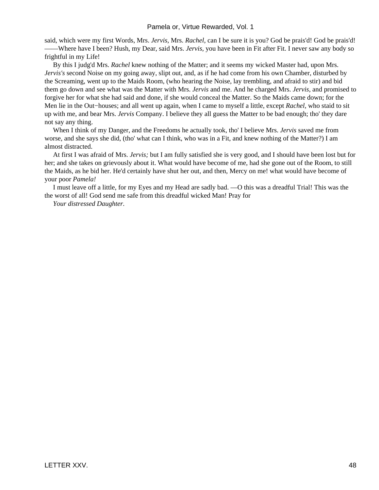said, which were my first Words, Mrs. *Jervis,* Mrs. *Rachel,* can I be sure it is you? God be prais'd! God be prais'd! ——Where have I been? Hush, my Dear, said Mrs. *Jervis,* you have been in Fit after Fit. I never saw any body so frightful in my Life!

 By this I judg'd Mrs. *Rachel* knew nothing of the Matter; and it seems my wicked Master had, upon Mrs. *Jervis's* second Noise on my going away, slipt out, and, as if he had come from his own Chamber, disturbed by the Screaming, went up to the Maids Room, (who hearing the Noise, lay trembling, and afraid to stir) and bid them go down and see what was the Matter with Mrs. *Jervis* and me. And he charged Mrs. *Jervis,* and promised to forgive her for what she had said and done, if she would conceal the Matter. So the Maids came down; for the Men lie in the Out−houses; and all went up again, when I came to myself a little, except *Rachel,* who staid to sit up with me, and bear Mrs. *Jervis* Company. I believe they all guess the Matter to be bad enough; tho' they dare not say any thing.

 When I think of my Danger, and the Freedoms he actually took, tho' I believe Mrs. *Jervis* saved me from worse, and she says she did, (tho' what can I think, who was in a Fit, and knew nothing of the Matter?) I am almost distracted.

 At first I was afraid of Mrs. *Jervis;* but I am fully satisfied she is very good, and I should have been lost but for her; and she takes on grievously about it. What would have become of me, had she gone out of the Room, to still the Maids, as he bid her. He'd certainly have shut her out, and then, Mercy on me! what would have become of your poor *Pamela!*

 I must leave off a little, for my Eyes and my Head are sadly bad. —O this was a dreadful Trial! This was the the worst of all! God send me safe from this dreadful wicked Man! Pray for

*Your distressed Daughter.*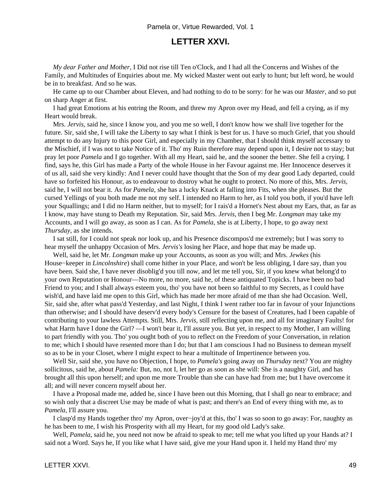## **LETTER XXVI.**

*My dear Father and Mother,* I Did not rise till Ten o'Clock, and I had all the Concerns and Wishes of the Family, and Multitudes of Enquiries about me. My wicked Master went out early to hunt; but left word, he would be in to breakfast. And so he was.

 He came up to our Chamber about Eleven, and had nothing to do to be sorry: for he was our *Master,* and so put on sharp Anger at first.

 I had great Emotions at his entring the Room, and threw my Apron over my Head, and fell a crying, as if my Heart would break.

 Mrs. *Jervis,* said he, since I know you, and you me so well, I don't know how we shall live together for the future. Sir, said she, I will take the Liberty to say what I think is best for us. I have so much Grief, that you should attempt to do any Injury to this poor Girl, and especially in my Chamber, that I should think myself accessary to the Mischief, if I was not to take Notice of it. Tho' my Ruin therefore may depend upon it, I desire not to stay; but pray let poor *Pamela* and I go together. With all my Heart, said he, and the sooner the better. She fell a crying. I find, says he, this Girl has made a Party of the whole House in her Favour against me. Her Innocence deserves it of us all, said she very kindly: And I never could have thought that the Son of my dear good Lady departed, could have so forfeited his Honour, as to endeavour to dostroy what he ought to protect. No more of this, Mrs. *Jervis,* said he, I will not bear it. As for *Pamela,* she has a lucky Knack at falling into Fits, when she pleases. But the cursed Yellings of you both made me not my self. I intended no Harm to her, as I told you both, if you'd have left your Squallings; and I did no Harm neither, but to myself; for I rais'd a Hornet's Nest about my Ears, that, as far as I know, may have stung to Death my Reputation. Sir, said Mrs. *Jervis,* then I beg Mr. *Longman* may take my Accounts, and I will go away, as soon as I can. As for *Pamela,* she is at Liberty, I hope, to go away next *Thursday,* as she intends.

 I sat still, for I could not speak nor look up, and his Presence discompos'd me extremely; but I was sorry to hear myself the unhappy Occasion of Mrs. *Jervis's* losing her Place, and hope that may be made up.

 Well, said he, let Mr. *Longman* make up your Accounts, as soon as you will; and Mrs. *Jewkes* (his House−keeper in *Lincolnshire*) shall come hither in your Place, and won't be less obliging, I dare say, than you have been. Said she, I have never disoblig'd you till now, and let me tell you, Sir, if you knew what belong'd to your own Reputation or Honour—No more, no more, said he, of these antiquated Topicks. I have been no bad Friend to you; and I shall always esteem you, tho' you have not been so faithful to my Secrets, as I could have wish'd, and have laid me open to this Girl, which has made her more afraid of me than she had Occasion. Well, Sir, said she, after what pass'd Yesterday, and last Night, I think I went rather too far in favour of your Injunctions than otherwise; and I should have deserv'd every body's Censure for the basest of Creatures, had I been capable of contributing to your lawless Attempts. Still, Mrs. *Jervis,* still reflecting upon me, and all for imaginary Faults! for what Harm have I done the Girl? —I won't bear it, I'll assure you. But yet, in respect to my Mother, I am willing to part friendly with you. Tho' you ought both of you to reflect on the Freedom of your Conversation, in relation to me; which I should have resented more than I do; but that I am conscious I had no Business to demean myself so as to be in your Closet, where I might expect to hear a multitude of Impertinence between you.

Well Sir, said she, you have no Objection, I hope, to *Pamela's* going away on *Thursday* next? You are mighty sollicitous, said he, about *Pamela:* But, no, not I, let her go as soon as she will: She is a naughty Girl, and has brought all this upon herself; and upon me more Trouble than she can have had from me; but I have overcome it all; and will never concern myself about her.

 I have a Proposal made me, added he, since I have been out this Morning, that I shall go near to embrace; and so wish only that a discreet Use may be made of what is past; and there's an End of every thing with me, as to *Pamela,* I'll assure you.

 I clasp'd my Hands together thro' my Apron, over−joy'd at this, tho' I was so soon to go away: For, naughty as he has been to me, I wish his Prosperity with all my Heart, for my good old Lady's sake.

Well, Pamela, said he, you need not now be afraid to speak to me; tell me what you lifted up your Hands at? I said not a Word. Says he, If you like what I have said, give me your Hand upon it. I held my Hand thro' my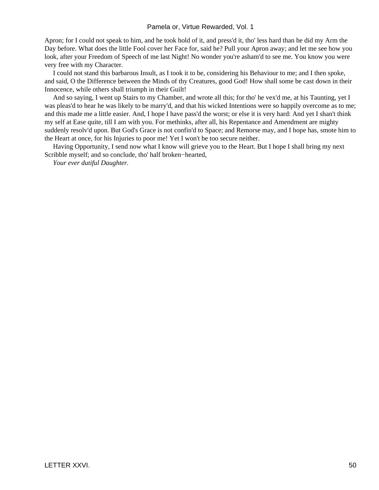Apron; for I could not speak to him, and he took hold of it, and press'd it, tho' less hard than he did my Arm the Day before. What does the little Fool cover her Face for, said he? Pull your Apron away; and let me see how you look, after your Freedom of Speech of me last Night! No wonder you're asham'd to see me. You know you were very free with my Character.

 I could not stand this barbarous Insult, as I took it to be, considering his Behaviour to me; and I then spoke, and said, O the Difference between the Minds of thy Creatures, good God! How shall some be cast down in their Innocence, while others shall triumph in their Guilt!

 And so saying, I went up Stairs to my Chamber, and wrote all this; for tho' he vex'd me, at his Taunting, yet I was pleas'd to hear he was likely to be marry'd, and that his wicked Intentions were so happily overcome as to me; and this made me a little easier. And, I hope I have pass'd the worst; or else it is very hard: And yet I shan't think my self at Ease quite, till I am with you. For methinks, after all, his Repentance and Amendment are mighty suddenly resolv'd upon. But God's Grace is not confin'd to Space; and Remorse may, and I hope has, smote him to the Heart at once, for his Injuries to poor me! Yet I won't be too secure neither.

 Having Opportunity, I send now what I know will grieve you to the Heart. But I hope I shall bring my next Scribble myself; and so conclude, tho' half broken−hearted,

*Your ever dutiful Daughter.*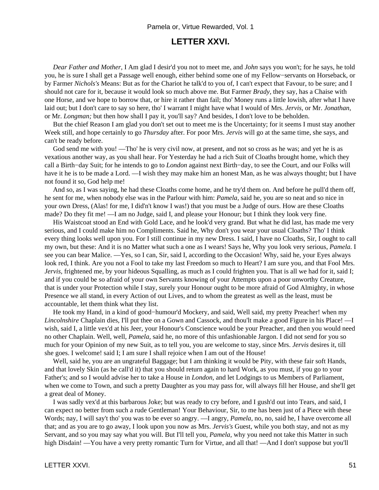### **LETTER XXVI.**

*Dear Father and Mother,* I Am glad I desir'd you not to meet me, and *John* says you won't; for he says, he told you, he is sure I shall get a Passage well enough, either behind some one of my Fellow−servants on Horseback, or by Farmer *Nichols's* Means: But as for the Chariot he talk'd to you of, I can't expect that Favour, to be sure; and I should not care for it, because it would look so much above me. But Farmer *Brady,* they say, has a Chaise with one Horse, and we hope to borrow that, or hire it rather than fail; tho' Money runs a little lowish, after what I have laid out; but I don't care to say so here, tho' I warrant I might have what I would of Mrs. *Jervis,* or Mr. *Jonathan,* or Mr. *Longman;* but then how shall I pay it, you'll say? And besides, I don't love to be beholden.

 But the chief Reason I am glad you don't set out to meet me is the Uncertainty; for it seems I must stay another Week still, and hope certainly to go *Thursday* after. For poor Mrs. *Jervis* will go at the same time, she says, and can't be ready before.

God send me with you! —Tho' he is very civil now, at present, and not so cross as he was; and yet he is as vexatious another way, as you shall hear. For Yesterday he had a rich Suit of Cloaths brought home, which they call a Birth−day Suit; for he intends to go to *London* against next Birth−day, to see the Court, and our Folks will have it he is to be made a Lord. —I wish they may make him an honest Man, as he was always thought; but I have not found it so, God help me!

 And so, as I was saying, he had these Cloaths come home, and he try'd them on. And before he pull'd them off, he sent for me, when nobody else was in the Parlour with him: *Pamela,* said he, you are so neat and so nice in your own Dress, (Alas! for me, I did'n't know I was!) that you must be a Judge of ours. How are these Cloaths made? Do they fit me! —I am no Judge, said I, and please your Honour; but I think they look very fine.

 His Waistcoat stood an End with Gold Lace, and he look'd very grand. But what he did last, has made me very serious, and I could make him no Compliments. Said he, Why don't you wear your usual Cloaths? Tho' I think every thing looks well upon you. For I still continue in my new Dress. I said, I have no Cloaths, Sir, I ought to call my own, but these: And it is no Matter what such a one as I wears! Says he, Why you look very serious, *Pamela.* I see you can bear Malice. —Yes, so I can, Sir, said I, according to the Occasion! Why, said he, your Eyes always look red, I think. Are you not a Fool to take my last Freedom so much to Heart? I am sure you, and that Fool Mrs. *Jervis*, frightened me, by your hideous Squalling, as much as I could frighten you. That is all we had for it, said I; and if you could be so afraid of your own Servants knowing of your Attempts upon a poor unworthy Creature, that is under your Protection while I stay, surely your Honour ought to be more afraid of God Almighty, in whose Presence we all stand, in every Action of out Lives, and to whom the greatest as well as the least, must be accountable, let them think what they list.

He took my Hand, in a kind of good–humour'd Mockery, and said, Well said, my pretty Preacher! when my *Lincolnshire* Chaplain dies, I'll put thee on a Gown and Cassock, and thou'lt make a good Figure in his Place! —I wish, said I, a little vex'd at his Jeer, your Honour's Conscience would be your Preacher, and then you would need no other Chaplain. Well, well, *Pamela,* said he, no more of this unfashionable Jargon. I did not send for you so much for your Opinion of my new Suit, as to tell you, you are welcome to stay, since Mrs. *Jervis* desires it, till she goes. I welcome! said I; I am sure I shall rejoice when I am out of the House!

Well, said he, you are an ungrateful Baggage; but I am thinking it would be Pity, with these fair soft Hands, and that lovely Skin (as he call'd it) that you should return again to hard Work, as you must, if you go to your Father's; and so I would advise her to take a House in *London,* and let Lodgings to us Members of Parliament, when we come to Town, and such a pretty Daughter as you may pass for, will always fill her House, and she'll get a great deal of Money.

 I was sadly vex'd at this barbarous Joke; but was ready to cry before, and I gush'd out into Tears, and said, I can expect no better from such a rude Gentleman! Your Behaviour, Sir, to me has been just of a Piece with these Words; nay, I will say't tho' you was to be ever so angry. —I angry, *Pamela,* no, no, said he, I have overcome all that; and as you are to go away, I look upon you now as Mrs. *Jervis's* Guest, while you both stay, and not as my Servant, and so you may say what you will. But I'll tell you, *Pamela,* why you need not take this Matter in such high Disdain! —You have a very pretty romantic Turn for Virtue, and all that! —And I don't suppose but you'll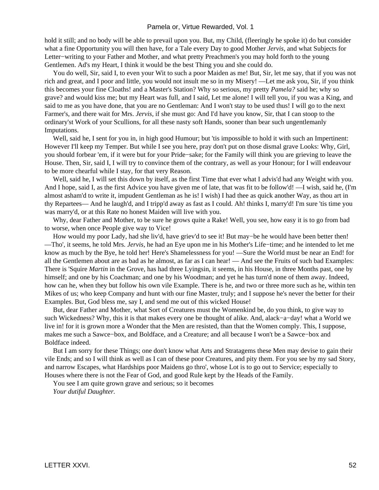hold it still; and no body will be able to prevail upon you. But, my Child, (fleeringly he spoke it) do but consider what a fine Opportunity you will then have, for a Tale every Day to good Mother *Jervis,* and what Subjects for Letter−writing to your Father and Mother, and what pretty Preachmen's you may hold forth to the young Gentlemen. Ad's my Heart, I think it would be the best Thing you and she could do.

 You do well, Sir, said I, to even your Wit to such a poor Maiden as me! But, Sir, let me say, that if you was not rich and great, and I poor and little, you would not insult me so in my Misery! —Let me ask you, Sir, if you think this becomes your fine Cloaths! and a Master's Station? Why so serious, my pretty *Pamela?* said he; why so grave? and would kiss me; but my Heart was full, and I said, Let me alone! I will tell you, if you was a King, and said to me as you have done, that you are no Gentleman: And I won't stay to be used thus! I will go to the next Farmer's, and there wait for Mrs. *Jervis,* if she must go: And I'd have you know, Sir, that I can stoop to the ordinary'st Work of your Scullions, for all these nasty soft Hands, sooner than bear such ungentlemanly Imputations.

Well, said he, I sent for you in, in high good Humour; but 'tis impossible to hold it with such an Impertinent: However I'll keep my Temper. But while I see you here, pray don't put on those dismal grave Looks: Why, Girl, you should forbear 'em, if it were but for your Pride−sake; for the Family will think you are grieving to leave the House. Then, Sir, said I, I will try to convince them of the contrary, as well as your Honour; for I will endeavour to be more chearful while I stay, for that very Reason.

Well, said he, I will set this down by itself, as the first Time that ever what I advis'd had any Weight with you. And I hope, said I, as the first Advice you have given me of late, that was fit to be follow'd! —I wish, said he, (I'm almost asham'd to write it, impudent Gentleman as he is! I wish) I had thee as quick another Way, as thou art in thy Repartees— And he laugh'd, and I tripp'd away as fast as I could. Ah! thinks I, marry'd! I'm sure 'tis time you was marry'd, or at this Rate no honest Maiden will live with you.

 Why, dear Father and Mother, to be sure he grows quite a Rake! Well, you see, how easy it is to go from bad to worse, when once People give way to Vice!

How would my poor Lady, had she liv'd, have griev'd to see it! But may–be he would have been better then! —Tho', it seems, he told Mrs. *Jervis,* he had an Eye upon me in his Mother's Life−time; and he intended to let me know as much by the Bye, he told her! Here's Shamelessness for you! —Sure the World must be near an End! for all the Gentlemen about are as bad as he almost, as far as I can hear! — And see the Fruits of such bad Examples: There is 'Squire *Martin* in the Grove, has had three Lyingsin, it seems, in his House, in three Months past, one by himself; and one by his Coachman; and one by his Woodman; and yet he has turn'd none of them away. Indeed, how can he, when they but follow his own vile Example. There is he, and two or three more such as he, within ten Mikes of us; who keep Company and hunt with our fine Master, truly; and I suppose he's never the better for their Examples. But, God bless me, say I, and send me out of this wicked House!

 But, dear Father and Mother, what Sort of Creatures must the Womenkind be, do you think, to give way to such Wickedness? Why, this it is that makes every one be thought of alike. And, alack−a−day! what a World we live in! for it is grown more a Wonder that the Men are resisted, than that the Women comply. This, I suppose, makes me such a Sawce−box, and Boldface, and a Creature; and all because I won't be a Sawce−box and Boldface indeed.

 But I am sorry for these Things; one don't know what Arts and Stratagems these Men may devise to gain their vile Ends; and so I will think as well as I can of these poor Creatures, and pity them. For you see by my sad Story, and narrow Escapes, what Hardships poor Maidens go thro', whose Lot is to go out to Service; especially to Houses where there is not the Fear of God, and good Rule kept by the Heads of the Family.

You see I am quite grown grave and serious; so it becomes

*Your dutiful Daughter.*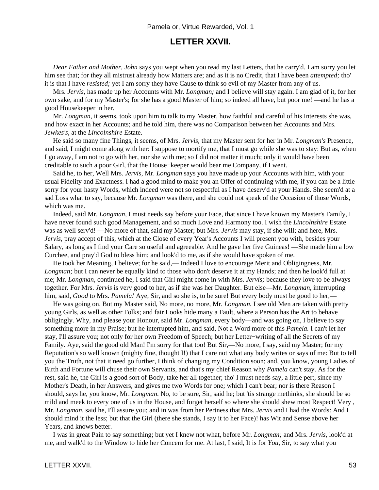## **LETTER XXVII.**

*Dear Father and Mother, John* says you wept when you read my last Letters, that he carry'd. I am sorry you let him see that; for they all mistrust already how Matters are; and as it is no Credit, that I have been *attempted;* tho' it is that I have *resisted;* yet I am sorry they have Cause to think so evil of my Master from any of us.

 Mrs. *Jervis,* has made up her Accounts with Mr. *Longman;* and I believe will stay again. I am glad of it, for her own sake, and for my Master's; for she has a good Master of him; so indeed all have, but poor me! —and he has a good Housekeeper in her.

 Mr. *Longman,* it seems, took upon him to talk to my Master, how faithful and careful of his Interests she was, and how exact in her Accounts; and he told him, there was no Comparison between her Accounts and Mrs. *Jewkes's,* at the *Lincolnshire* Estate.

 He said so many fine Things, it seems, of Mrs. *Jervis,* that my Master sent for her in Mr. *Longman's* Presence, and said, I might come along with her: I suppose to mortify me, that I must go while she was to stay: But as, when I go away, I am not to go with her, nor she with me; so I did not matter it much; only it would have been creditable to such a poor Girl, that the House−keeper would bear me Company, if I went.

 Said he, to her, Well Mrs. *Jervis,* Mr. *Longman* says you have made up your Accounts with him, with your usual Fidelity and Exactness. I had a good mind to make you an Offer of continuing with me, if you can be a little sorry for your hasty Words, which indeed were not so respectful as I have deserv'd at your Hands. She seem'd at a sad Loss what to say, because Mr. *Longman* was there, and she could not speak of the Occasion of those Words, which was me.

 Indeed, said Mr. *Longman,* I must needs say before your Face, that since I have known my Master's Family, I have never found such good Management, and so much Love and Harmony too. I wish the *Lincolnshire* Estate was as well serv'd! —No more of that, said my Master; but Mrs. *Jervis* may stay, if she will; and here, Mrs. *Jervis,* pray accept of this, which at the Close of every Year's Accounts I will present you with, besides your Salary, as long as I find your Care so useful and agreeable. And he gave her five Guineas! —She made him a low Curchee, and pray'd God to bless him; and look'd to me, as if she would have spoken of me.

 He took her Meaning, I believe; for he said,— Indeed I love to encourage Merit and Obligingness, Mr. *Longman*; but I can never be equally kind to those who don't deserve it at my Hands; and then he look'd full at me; Mr. *Longman,* continued he, I said that Girl might come in with Mrs. *Jervis;* because they love to be always together. For Mrs. *Jervis* is very good to her, as if she was her Daughter. But else—Mr. *Longman,* interrupting him, said, *Good* to Mrs. *Pamela!* Aye, Sir, and so she is, to be sure! But every body must be good to her,—

 He was going on. But my Master said, No more, no more, Mr. *Longman.* I see old Men are taken with pretty young Girls, as well as other Folks; and fair Looks hide many a Fault, where a Person has the Art to behave obligingly. Why, and please your Honour, said Mr. *Longman,* every body—and was going on, I believe to say something more in my Praise; but he interrupted him, and said, Not a Word more of this *Pamela.* I can't let her stay, I'll assure you; not only for her own Freedom of Speech; but her Letter−writing of all the Secrets of my Family. Aye, said the good old Man! I'm sorry for that too! But Sir,—No more, I say, said my Master; for my Reputation's so well known (mighty fine, thought I!) that I care not what any body writes or says of me: But to tell you the Truth, not that it need go further, I think of changing my Condition soon; and, you know, young Ladies of Birth and Fortune will chuse their own Servants, and that's my chief Reason why *Pamela* can't stay. As for the rest, said he, the Girl is a good sort of Body, take her all together; tho' I must needs say, a little pert, since my Mother's Death, in her Answers, and gives me two Words for one; which I can't bear; nor is there Reason I should, says he, you know, Mr. *Longman.* No, to be sure, Sir, said he; but 'tis strange methinks, she should be so mild and meek to every one of us in the House, and forget herself so where she should shew most Respect! Very , Mr. *Longman,* said he, I'll assure you; and in was from her Pertness that Mrs. *Jervis* and I had the Words: And I should mind it the less; but that the Girl (there she stands, I say it to her Face)! has Wit and Sense above her Years, and knows better.

 I was in great Pain to say something; but yet I knew not what, before Mr. *Longman;* and Mrs. *Jervis,* look'd at me, and walk'd to the Window to hide her Concern for me. At last, I said, It is for *You,* Sir, to say what you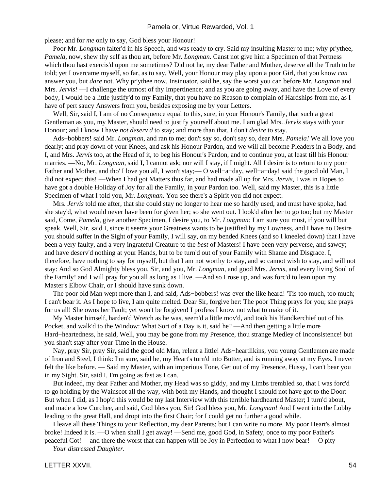please; and for *me* only to say, God bless your Honour!

 Poor Mr. *Longman* falter'd in his Speech, and was ready to cry. Said my insulting Master to me; why pr'ythee, *Pamela,* now, shew thy self as thou art, before Mr. *Longman.* Canst not give him a Specimen of that Pertness which thou hast exercis'd upon me sometimes? Did not he, my dear Father and Mother, deserve all the Truth to be told; yet I overcame myself, so far, as to say, Well, your Honour may play upon a poor Girl, that you know *can* answer you, but *dare* not. Why pr'ythee now, Insinuator, said he, say the worst you can before Mr. *Longman* and Mrs. *Jervis!* —I challenge the utmost of thy Impertinence; and as you are going away, and have the Love of every body, I would be a little justify'd to my Family, that you have no Reason to complain of Hardships from me, as I have of pert saucy Answers from you, besides exposing me by your Letters.

 Well, Sir, said I, I am of no Consequence equal to this, sure, in your Honour's Family, that such a great Gentleman as you, my Master, should need to justify yourself about me. I am glad Mrs. *Jervis* stays with your Honour; and I know I have *not deserv'd* to stay; and more than that, I don't *desire* to stay.

 Ads−bobbers! said Mr. *Longman,* and ran to me; don't say so, don't say so, dear Mrs. *Pamela!* We all love you dearly; and pray down of your Knees, and ask his Honour Pardon, and we will all become Pleaders in a Body, and I, and Mrs. *Jervis* too, at the Head of it, to beg his Honour's Pardon, and to continue you, at least till his Honour marries. —No, Mr. *Longman,* said I, I cannot ask; nor will I stay, if I might. All I desire is to return to my poor Father and Mother, and tho' I love you all, I won't stay;— O well−a−day, well−a−day! said the good old Man, I did not expect this! —When I had got Matters thus far, and had made all up for Mrs. *Jervis,* I was in Hopes to have got a double Holiday of Joy for all the Family, in your Pardon too. Well, said my Master, this is a little Specimen of what I told you, Mr. *Longman.* You see there's a Spirit you did not expect.

 Mrs. *Jervis* told me after, that she could stay no longer to hear me so hardly used, and must have spoke, had she stay'd, what would never have been for given her; so she went out. I look'd after her to go too; but my Master said, Come, *Pamela,* give another Specimen, I desire you, to Mr. *Longman:* I am sure you must, if you will but speak. Well, Sir, said I, since it seems your Greatness wants to be justified by my Lowness, and I have no Desire you should suffer in the Sight of your Family, I will say, on my bended Knees (and so I kneeled down) that I have been a very faulty, and a very ingrateful Creature to the *best* of Masters! I have been very perverse, and sawcy; and have deserv'd nothing at your Hands, but to be turn'd out of your Family with Shame and Disgrace. I, therefore, have nothing to say for myself, but that I am not worthy to stay, and so cannot wish to stay, and will not stay: And so God Almighty bless you, Sir, and you, Mr. *Longman,* and good Mrs. *Jervis,* and every living Soul of the Family! and I will pray for you all as long as I live. —And so I rose up, and was forc'd to lean upon my Master's Elbow Chair, or I should have sunk down.

 The poor old Man wept more than I, and said, Ads−bobbers! was ever the like heard! 'Tis too much, too much; I can't bear it. As I hope to live, I am quite melted. Dear Sir, forgive her: The poor Thing prays for you; she prays for us all! She owns her Fault; yet won't be forgiven! I profess I know not what to make of it.

 My Master himself, harden'd Wretch as he was, seem'd a little mov'd, and took his Handkerchief out of his Pocket, and walk'd to the Window: What Sort of a Day is it, said he? —And then getting a little more Hard−heartedness, he said, Well, you may be gone from my Presence, thou strange Medley of Inconsistence! but you shan't stay after your Time in the House.

 Nay, pray Sir, pray Sir, said the good old Man, relent a little! Ads−heartlikins, you young Gentlemen are made of Iron and Steel, I think: I'm sure, said he, my Heart's turn'd into Butter, and is running away at my Eyes. I never felt the like before. — Said my Master, with an imperious Tone, Get out of my Presence, Hussy, I can't bear you in my Sight. Sir, said I, I'm going as fast as I can.

 But indeed, my dear Father and Mother, my Head was so giddy, and my Limbs trembled so, that I was forc'd to go holding by the Wainscot all the way, with both my Hands, and thought I should not have got to the Door: But when I did, as I hop'd this would be my last Interview with this terrible hardhearted Master; I turn'd about, and made a low Curchee, and said, God bless you, Sir! God bless you, Mr. *Longman!* And I went into the Lobby leading to the great Hall, and dropt into the first Chair; for I could get no further a good while.

 I leave all these Things to your Reflection, my dear Parents; but I can write no more. My poor Heart's almost broke! Indeed it is. —O when shall I get away! —Send me, good God, in Safety, once to my poor Father's peaceful Cot! —and there the worst that can happen will be Joy in Perfection to what I now bear! —O pity

*Your distressed Daughter.*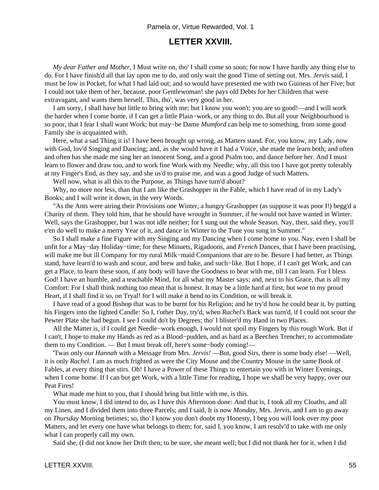# **LETTER XXVIII.**

*My dear Father and Mother,* I Must write on, tho' I shall come so soon; for now I have hardly any thing else to do. For I have finish'd all that lay upon me to do, and only wait the good Time of setting out. Mrs. *Jervis* said, I must be low in Pocket, for what I had laid out; and so would have presented me with two Guineas of her Five; but I could not take them of her, because, poor Gentlewoman! she pays old Debts for her Children that were extravagant, and wants them herself. This, tho', was very good in her.

 I am sorry, I shall have but little to bring with me; but I know you won't; you are so good!—and I will work the harder when I come home, if I can get a little Plain−work, or any thing to do. But all your Neighbourhood is so poor, that I fear I shall want Work; but may−be Dame *Mumford* can help me to something, from some good Family she is acquainted with.

 Here, what a sad Thing it is! I have been brought up wrong, as Matters stand. For, you know, my Lady, now with God, lov'd Singing and Dancing; and, as she would have it I had a Voice, she made me learn both; and often and often has she made me sing her an innocent Song, and a good Psalm too, and dance before her. And I must learn to flower and draw too, and to work fine Work with my Needle; why, all this too I have got pretty tolerably at my Finger's End, as they say, and she us'd to praise me, and was a good Judge of such Matters.

Well now, what is all this to the Purpose, as Things have turn'd about?

 Why, no more nor less, than that I am like the Grashopper in the Fable, which I have read of in my Lady's Books; and I will write it down, in the very Words.

 "As the Ants were airing their Provisions one Winter, a hungry Grashopper (as suppose it was poor I!) begg'd a Charity of them. They told him, that he should have wrought in Summer, if he would not have wanted in Winter. Well, says the Grashopper, but I was not idle neither; for I sung out the whole Season. Nay, then, said they, you'll e'en do well to make a merry Year of it, and dance in Winter to the Tune you sung in Summer."

 So I shall make a fine Figure with my Singing and my Dancing when I come home to you. Nay, even I shall be unfit for a May−day Holiday−time; for these Minuets, Rigadoons, and *French* Dances, that I have been practising, will make me but ill Company for my rural Milk−maid Companions that are to be. Besure I had better, as Things stand, have learn'd to wash and scour, and brew and bake, and such−like. But I hope, if I can't get Work, and can get a Place, to learn these soon, if any body will have the Goodness to bear with me, till I can learn. For I bless God! I have an humble, and a teachable Mind, for all what my Master says; and, next to his Grace, that is all my Comfort: For I shall think nothing too mean that is honest. It may be a little hard at first, but woe to my proud Heart, if I shall find it so, on Tryal! for I will make it bend to its Condition, or will break it.

 I have read of a good Bishop that was to be burnt for his Religion; and he try'd how he could bear it, by putting his Fingers into the lighted Candle: So I, t'other Day, try'd, when *Rachel's* Back was turn'd, if I could not scour the Pewter Plate she had begun. I see I could do't by Degrees; tho' I blister'd my Hand in two Places.

 All the Matter is, if I could get Needle−work enough, I would not spoil my Fingers by this rough Work. But if I can't, I hope to make my Hands as red as a Blood−pudden, and as hard as a Beechen Trencher, to accommodate them to my Condition. — But I must break off, here's some−body coming!—

 'Twas only our *Hannah* with a Message from Mrs. *Jervis!* —But, good Sirs, there is some body else! —Well, it is only *Rachel.* I am as much frighted as were the City Mouse and the Country Mouse in the same Book of Fables, at every thing that stirs. Oh! I have a Power of these Things to entertain you with in Winter Evenings, when I come home. If I can but get Work, with a little Time for reading, I hope we shall be very happy, over our Peat Fires!

What made me hint to you, that I should bring but little with me, is this.

 You must know, I did intend to do, as I have this Afternoon done: And that is, I took all my Cloaths, and all my Linen, and I divided them into three Parcels; and I said, It is now *Monday,* Mrs. *Jervis,* and I am to go away on *Thursday* Morning betimes; so, tho' I know you don't doubt my Honesty, I beg you will look over my poor Matters, and let every one have what belongs to them; for, said I, you know, I am resolv'd to take with me only what I can properly call my own.

Said she, (I did not know her Drift then; to be sure, she meant well; but I did not thank her for it, when I did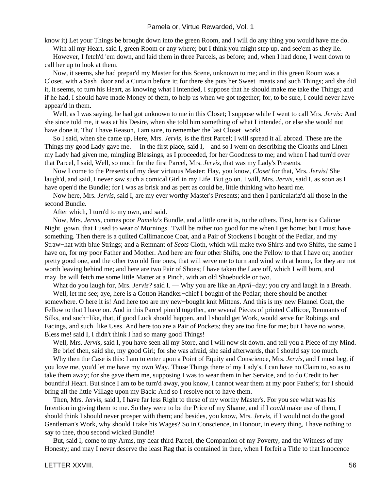know it) Let your Things be brought down into the green Room, and I will do any thing you would have me do.

With all my Heart, said I, green Room or any where; but I think you might step up, and see'em as they lie.

 However, I fetch'd 'em down, and laid them in three Parcels, as before; and, when I had done, I went down to call her up to look at them.

 Now, it seems, she had prepar'd my Master for this Scene, unknown to me; and in this green Room was a Closet, with a Sash−door and a Curtain before it; for there she puts her Sweet−meats and such Things; and she did it, it seems, to turn his Heart, as knowing what I intended, I suppose that he should make me take the Things; and if he had, I should have made Money of them, to help us when we got together; for, to be sure, I could never have appear'd in them.

 Well, as I was saying, he had got unknown to me in this Closet; I suppose while I went to call Mrs. *Jervis:* And she since told me, it was at his Desire, when she told him something of what I intended, or else she would not have done it. Tho' I have Reason, I am sure, to remember the last Closet−work!

 So I said, when she came up, Here, Mrs. *Jervis,* is the first Parcel; I will spread it all abroad. These are the Things my good Lady gave me. —In the first place, said I,—and so I went on describing the Cloaths and Linen my Lady had given me, mingling Blessings, as I proceeded, for her Goodness to me; and when I had turn'd over that Parcel, I said, Well, so much for the first Parcel, Mrs. *Jervis,* that was my Lady's Presents.

 Now I come to the Presents of my dear virtuous Master: Hay, you know, *Closet* for that, Mrs. *Jervis!* She laugh'd, and said, I never saw such a comical Girl in my Life. But go on. I will, Mrs. *Jervis,* said I, as soon as I have open'd the Bundle; for I was as brisk and as pert as could be, little thinking who heard me.

 Now here, Mrs. *Jervis,* said I, are my ever worthy Master's Presents; and then I particulariz'd all those in the second Bundle.

After which, I turn'd to my own, and said.

 Now, Mrs. *Jervis,* comes poor *Pamela's* Bundle, and a little one it is, to the others. First, here is a Calicoe Night−gown, that I used to wear o' Mornings. 'Twill be rather too good for me when I get home; but I must have something. Then there is a quilted Callimancoe Coat, and a Pair of Stockens I bought of the Pedlar, and my Straw−hat with blue Strings; and a Remnant of *Scots* Cloth, which will make two Shirts and two Shifts, the same I have on, for my poor Father and Mother. And here are four other Shifts, one the Fellow to that I have on; another pretty good one, and the other two old fine ones, that will serve me to turn and wind with at home, for they are not worth leaving behind me; and here are two Pair of Shoes; I have taken the Lace off, which I will burn, and may−be will fetch me some little Matter at a Pinch, with an old Shoebuckle or two.

What do you laugh for, Mrs. *Jervis?* said I. — Why you are like an *April*−day; you cry and laugh in a Breath.

 Well, let me see; aye, here is a Cotton Handker−chief I bought of the Pedlar; there should be another somewhere. O here it is! And here too are my new−bought knit Mittens. And this is my new Flannel Coat, the Fellow to that I have on. And in this Parcel pinn'd together, are several Pieces of printed Callicoe, Remnants of Silks, and such−like, that, if good Luck should happen, and I should get Work, would serve for Robings and Facings, and such−like Uses. And here too are a Pair of Pockets; they are too fine for me; but I have no worse. Bless me! said I, I didn't think I had so many good Things!

Well, Mrs. *Jervis*, said I, you have seen all my Store, and I will now sit down, and tell you a Piece of my Mind. Be brief then, said she, my good Girl; for she was afraid, she said afterwards, that I should say too much.

 Why then the Case is this: I am to enter upon a Point of Equity and Conscience, Mrs. *Jervis,* and I must beg, if you love me, you'd let me have my own Way. Those Things there of my Lady's, I can have no Claim to, so as to take them away; for she gave them me, supposing I was to wear them in her Service, and to do Credit to her bountiful Heart. But since I am to be turn'd away, you know, I cannot wear them at my poor Father's; for I should bring all the little Village upon my Back: And so I resolve not to have them.

 Then, Mrs. *Jervis,* said I, I have far less Right to these of my worthy Master's. For you see what was his Intention in giving them to me. So they were to be the Price of my Shame, and if I *could* make use of them, I should think I should never prosper with them; and besides, you know, Mrs. *Jervis,* if I would not do the good Gentleman's Work, why should I take his Wages? So in Conscience, in Honour, in every thing, I have nothing to say to thee, thou second wicked Bundle!

 But, said I, come to my Arms, my dear third Parcel, the Companion of my Poverty, and the Witness of my Honesty; and may I never deserve the least Rag that is contained in thee, when I forfeit a Title to that Innocence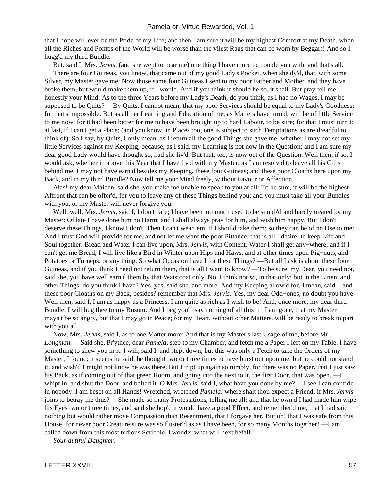that I hope will ever be the Pride of my Life; and then I am sure it will be my highest Comfort at my Death, when all the Riches and Pomps of the World will be worse than the vilest Rags that can be worn by Beggars! And so I hugg'd my third Bundle. —

But, said I, Mrs. *Jervis,* (and she wept to hear me) one thing I have more to trouble you with, and that's all.

 There are four Guineas, you know, that came out of my good Lady's Pocket, when she dy'd, that, with some Silver, my Master gave me: Now those same four Guineas I sent to my poor Father and Mother, and they have broke them; but would make them up, if I would. And if you think it should be so, it shall. But pray tell me honestly your Mind: As to the three Years before my Lady's Death, do you think, as I had no Wages, I may be supposed to be Quits? —By Quits, I cannot mean, that my poor Services should be equal to my Lady's Goodness; for that's impossible. But as all her Learning and Education of me, as Matters have turn'd, will be of little Service to me now; for it had been better for me to have been brought up to hard Labour, to be sure; for that I must turn to at last, if I can't get a Place; (and you know, in Places too, one is subject to such Temptations as are dreadful to think of): So I say, by Quits, I only mean, as I return all the good Things she gave me, whether I may not set my little Services against my Keeping; because, as I said, my Learning is not now in the Question; and I am sure my dear good Lady would have thought so, had she liv'd: But that, too, is now out of the Question. Well then, if so, I would ask, whether in above this Year that I have liv'd with my Master; as I am resolv'd to leave all his Gifts behind me, I may not have earn'd besides my Keeping, these four Guineas; and these poor Cloaths here upon my Back, and in my third Bundle? Now tell me your Mind freely, without Favour or Affection.

 Alas! my dear Maiden, said she, you make me unable to speak to you at all: To be sure, it will be the highest Affront that can be offer'd, for you to leave any of these Things behind you; and you must take all your Bundles with you, or my Master will never forgive you.

 Well, well, Mrs. *Jervis,* said I, I don't care; I have been too much used to be snubb'd and hardly treated by my Master: Of late I have done him no Harm; and I shall always pray for him, and wish him happy. But I don't deserve these Things, I know I don't. Then I can't wear 'em, if I should take them; so they can be of no Use to me: And I trust God will provide for me, and not let me want the poor Pittance, that is all I desire, to keep Life and Soul together. Bread and Water I can live upon, Mrs. *Jervis,* with Content. Water I shall get any−where; and if I can't get me Bread, I will live like a Bird in Winter upon Hips and Haws, and at other times upon Pig−nuts, and Potatoes or Turneps, or any thing. So what Occasion have I for these Things? —But all I ask is about these four Guineas, and if you think I need not return them, that is all I want to know? —To be sure, my Dear, you need not, said she, you have well earn'd them by that Waistcoat only. No, I think not *so,* in that only; but in the Linen, and other Things, do you think I have? Yes, yes, said she, and more. And my Keeping allow'd for, I mean, said I, and these poor Cloaths on my Back, besides? remember that Mrs. *Jervis.* Yes, my dear Odd−ones, no doubt you have! Well then, said I, I am as happy as a Princess. I am quite as rich as I wish to be! And, once more, my dear third Bundle, I will hug thee to my Bosom. And I beg you'll say nothing of all this till I am gone, that my Master mayn't be so angry, but that I may go in Peace; for my Heart, without other Matters, will be ready to break to part with you all.

 Now, Mrs. *Jervis,* said I, as to one Matter more: And that is my Master's last Usage of me, before Mr. *Longman.* —Said she, Pr'ythee, dear *Pamela,* step to my Chamber, and fetch me a Paper I left on my Table. I have something to shew you in it. I will, said I, and stept down; but this was only a Fetch to take the Orders of my Master, I found; it seems he said, he thought two or three times to have burst out upon me; but he could not stand it, and wish'd I might not know he was there. But I tript up again so nimbly, for there was no Paper, that I just saw his Back, as if coming out of that green Room, and going into the next to it, the first Door, that was open. —I whipt in, and shut the Door, and bolted it. O Mrs. *Jervis,* said I, what have you done by me? —I see I can confide in nobody. I am beset on all Hands! Wretched, wretched *Pamela!* where shalt thou expect a Friend, if Mrs. *Jervis* joins to betray me thus? —She made so many Protestations, telling me all; and that he own'd I had made him wipe his Eyes two or three times, and said she hop'd it would have a good Effect, and remember'd me, that I had said nothing but would rather move Compassion than Resentment, that I forgave her. But oh! that I was safe from this House! for never poor Creature sure was so fluster'd as as I have been, for so many Months together! —I am called down from this most tedious Scribble. I wonder what will next befall

*Your dutiful Daughter.*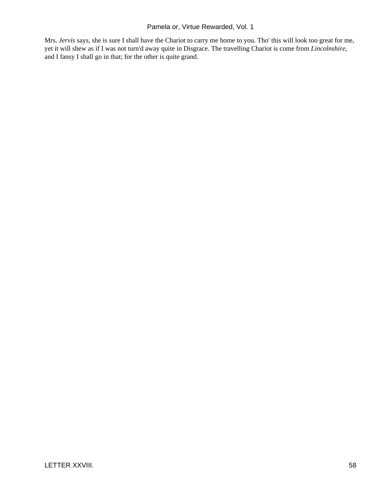Mrs. *Jervis* says, she is sure I shall have the Chariot to carry me home to you. Tho' this will look too great for me, yet it will shew as if I was not turn'd away quite in Disgrace. The travelling Chariot is come from *Lincolnshire,* and I fansy I shall go in that; for the other is quite grand.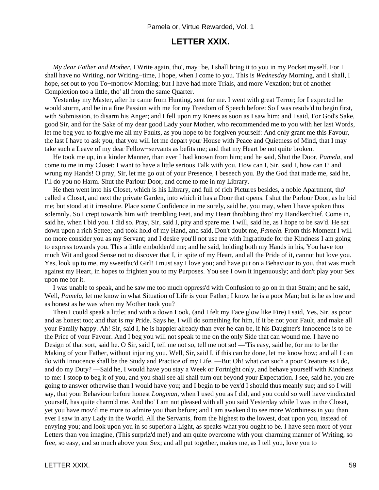### **LETTER XXIX.**

*My dear Father and Mother,* I Write again, tho', may–be, I shall bring it to you in my Pocket myself. For I shall have no Writing, nor Writing−time, I hope, when I come to you. This is *Wednesday* Morning, and I shall, I hope, set out to you To−morrow Morning; but I have had more Trials, and more Vexation; but of another Complexion too a little, tho' all from the same Quarter.

 Yesterday my Master, after he came from Hunting, sent for me. I went with great Terror; for I expected he would storm, and be in a fine Passion with me for my Freedom of Speech before: So I was resolv'd to begin first, with Submission, to disarm his Anger; and I fell upon my Knees as soon as I saw him; and I said, For God's Sake, good Sir, and for the Sake of my dear good Lady your Mother, who recommended me to you with her last Words, let me beg you to forgive me all my Faults, as you hope to be forgiven yourself: And only grant me this Favour, the last I have to ask you, that you will let me depart your House with Peace and Quietness of Mind, that I may take such a Leave of my dear Fellow−servants as befits me; and that my Heart be not quite broken.

 He took me up, in a kinder Manner, than ever I had known from him; and he said, Shut the Door, *Pamela,* and come to me in my Closet: I want to have a little serious Talk with you. How can I, Sir, said I, how can I? and wrung my Hands! O pray, Sir, let me go out of your Presence, I beseech you. By the God that made me, said he, I'll do you no Harm. Shut the Parlour Door, and come to me in my Library.

 He then went into his Closet, which is his Library, and full of rich Pictures besides, a noble Apartment, tho' called a Closet, and next the private Garden, into which it has a Door that opens. I shut the Parlour Door, as he bid me; but stood at it irresolute. Place some Confidence in me surely, said he, you may, when I have spoken thus solemnly. So I crept towards him with trembling Feet, and my Heart throbbing thro' my Handkerchief. Come in, said he, when I bid you. I did so. Pray, Sir, said I, pity and spare me. I will, said he, as I hope to be sav'd. He sat down upon a rich Settee; and took hold of my Hand, and said, Don't doubt me, *Pamela.* From this Moment I will no more consider you as my Servant; and I desire you'll not use me with Ingratitude for the Kindness I am going to express towards you. This a little embolden'd me; and he said, holding both my Hands in his, You have too much Wit and good Sense not to discover that I, in spite of my Heart, and all the Pride of it, cannot but love you. Yes, look up to me, my sweetfac'd Girl! I must say I love you; and have put on a Behaviour to you, that was much against my Heart, in hopes to frighten you to my Purposes. You see I own it ingenuously; and don't play your Sex upon me for it.

 I was unable to speak, and he saw me too much oppress'd with Confusion to go on in that Strain; and he said, Well, *Pamela,* let me know in what Situation of Life is your Father; I know he is a poor Man; but is he as low and as honest as he was when my Mother took you?

 Then I could speak a little; and with a down Look, (and I felt my Face glow like Fire) I said, Yes, Sir, as poor and as honest too; and that is my Pride. Says he, I will do something for him, if it be not your Fault, and make all your Family happy. Ah! Sir, said I, he is happier already than ever he can be, if his Daughter's Innocence is to be the Price of your Favour. And I beg you will not speak to me on the only Side that can wound me. I have no Design of that sort, said he. O Sir, said I, tell me not so, tell me not so! —'Tis easy, said he, for me to be the Making of your Father, without injuring you. Well, Sir, said I, if this can be done, let me know how; and all I can do with Innocence shall be the Study and Practice of my Life. —But Oh! what can such a poor Creature as I do, and do my Duty? —Said he, I would have you stay a Week or Fortnight only, and behave yourself with Kindness to me: I stoop to beg it of you, and you shall see all shall turn out beyond your Expectation. I see, said he, you are going to answer otherwise than I would have you; and I begin to be vex'd I should thus meanly sue; and so I will say, that your Behaviour before honest *Longman,* when I used you as I did, and you could so well have vindicated yourself, has quite charm'd me. And tho' I am not pleased with all you said Yesterday while I was in the Closet, yet you have mov'd me more to admire you than before; and I am awaken'd to see more Worthiness in you than ever I saw in any Lady in the World. All the Servants, from the highest to the lowest, doat upon you, instead of envying you; and look upon you in so superior a Light, as speaks what you ought to be. I have seen more of your Letters than you imagine, (This surpriz'd me!) and am quite overcome with your charming manner of Writing, so free, so easy, and so much above your Sex; and all put together, makes me, as I tell you, love you to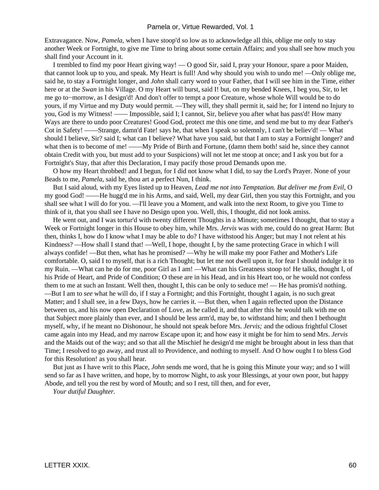Extravagance. Now, *Pamela,* when I have stoop'd so low as to acknowledge all this, oblige me only to stay another Week or Fortnight, to give me Time to bring about some certain Affairs; and you shall see how much you shall find your Account in it.

 I trembled to find my poor Heart giving way! — O good Sir, said I, pray your Honour, spare a poor Maiden, that cannot look up to you, and speak. My Heart is full! And why should you wish to undo me! —Only oblige me, said he, to stay a Fortnight longer, and *John* shall carry word to your Father, that I will see him in the Time, either here or at the *Swan* in his Village. O my Heart will burst, said I! but, on my bended Knees, I beg you, Sir, to let me go to−morrow, as I design'd! And don't offer to tempt a poor Creature, whose whole Will would be to do yours, if my Virtue and my Duty would permit. —They will, they shall permit it, said he; for I intend no Injury to you, God is my Witness! —— Impossible, said I; I cannot, Sir, believe you after what has pass'd! How many Ways are there to undo poor Creatures! Good God, protect me this one time, and send me but to my dear Father's Cot in Safety! ——Strange, damn'd Fate! says he, that when I speak so solemnly, I can't be believ'd! — What should I believe, Sir? said I; what can I believe? What have you said, but that I am to stay a Fortnight longer? and what then is to become of me! ——My Pride of Birth and Fortune, (damn them both! said he, since they cannot obtain Credit with you, but must add to your Suspicions) will not let me stoop at once; and I ask you but for a Fortnight's Stay, that after this Declaration, I may pacify those proud Demands upon me.

 O how my Heart throbbed! and I begun, for I did not know what I did, to say the Lord's Prayer. None of your Beads to me, *Pamela,* said he, thou art a perfect Nun, I think.

 But I said aloud, with my Eyes listed up to Heaven, *Lead me not into Temptation. But deliver me from Evil,* O my good God! ——He hugg'd me in his Arms, and said, Well, my dear Girl, then you stay this Fortnight, and you shall see what I will do for you. —I'll leave you a Moment, and walk into the next Room, to give you Time to think of it, that you shall see I have no Design upon you. Well, this, I thought, did not look amiss.

 He went out, and I was tortur'd with twenty different Thoughts in a Minute; sometimes I thought, that to stay a Week or Fortnight longer in this House to obey him, while Mrs. *Jervis* was with me, could do no great Harm: But then, thinks I, how do I know what I may be able to do? I have withstood his Anger; but may I not relent at his Kindness? —How shall I stand that! —Well, I hope, thought I, by the same protecting Grace in which I will always confide! —But then, what has he promised? —Why he will make my poor Father and Mother's Life comfortable. O, said I to myself, that is a rich Thought; but let me not dwell upon it, for fear I should indulge it to my Ruin. —What can he do for me, poor Girl as I am! —What can his Greatness stoop to! He talks, thought I, of his Pride of Heart, and Pride of Condition; O these are in his Head, and in his Heart too, or he would not confess them to me at such an Instant. Well then, thought I, this can be only to seduce me! — He has promis'd nothing. —But I am to *see* what he will do, if I stay a Fortnight; and this Fortnight, thought I again, is no such great Matter; and I shall see, in a few Days, how he carries it. —But then, when I again reflected upon the Distance between us, and his now open Declaration of Love, as he called it, and that after this he would talk with me on that Subject more plainly than ever, and I should be less arm'd, may be, to withstand him; and then I bethought myself, why, if he meant no Dishonour, he should not speak before Mrs. *Jervis;* and the odious frightful Closet came again into my Head, and my narrow Escape upon it; and how easy it might be for him to send Mrs. *Jervis* and the Maids out of the way; and so that all the Mischief he design'd me might be brought about in less than that Time; I resolved to go away, and trust all to Providence, and nothing to myself. And O how ought I to bless God for this Resolution! as you shall hear.

 But just as I have writ to this Place, *John* sends me word, that he is going this Minute your way; and so I will send so far as I have written, and hope, by to morrow Night, to ask your Blessings, at your own poor, but happy Abode, and tell you the rest by word of Mouth; and so I rest, till then, and for ever,

*Your dutiful Daughter.*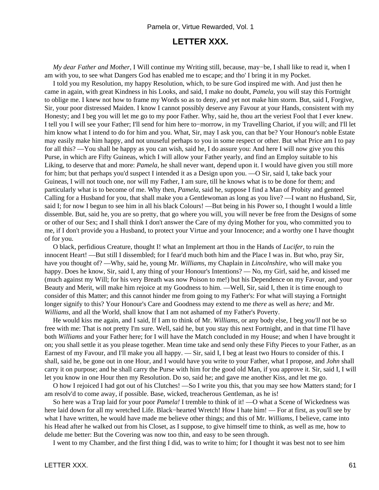# **LETTER XXX.**

*My dear Father and Mother,* I Will continue my Writing still, because, may–be, I shall like to read it, when I am with you, to see what Dangers God has enabled me to escape; and tho' I bring it in my Pocket.

 I told you my Resolution, my happy Resolution, which, to be sure God inspired me with. And just then he came in again, with great Kindness in his Looks, and said, I make no doubt, *Pamela,* you will stay this Fortnight to oblige me. I knew not how to frame my Words so as to deny, and yet not make him storm. But, said I, Forgive, Sir, your poor distressed Maiden. I know I cannot possibly deserve any Favour at your Hands, consistent with my Honesty; and I beg you will let me go to my poor Father. Why, said he, thou art the veriest Fool that I ever knew. I tell you I will see your Father; I'll send for him here to−morrow, in my Travelling Chariot, if you will; and I'll let him know what I intend to do for him and you. What, Sir, may I ask you, can that be? Your Honour's noble Estate may easily make him happy, and not unuseful perhaps to you in some respect or other. But what Price am I to pay for all this? —You shall be happy as you can wish, said he, I do assure you: And here I will now give you this Purse, in which are Fifty Guineas, which I will allow your Father yearly, and find an Employ suitable to his Liking, to deserve that and more: *Pamela,* he shall never want, depend upon it. I would have given you still more for him; but that perhaps you'd suspect I intended it as a Design upon you. —O Sir, said I, take back your Guineas, I will not touch one, nor will my Father, I am sure, till he knows what is to be done for them; and particularly what is to become of me. Why then, *Pamela,* said he, suppose I find a Man of Probity and genteel Calling for a Husband for you, that shall make you a Gentlewoman as long as you live? —I want no Husband, Sir, said I; for now I begun to see him in all his black Colours! —But being in his Power so, I thought I would a little dissemble. But, said he, you are so pretty, that go where you will, you will never be free from the Designs of some or other of our Sex; and I shall think I don't answer the Care of my dying Mother for you, who committed you to me, if I don't provide you a Husband, to protect your Virtue and your Innocence; and a worthy one I have thought of for you.

 O black, perfidious Creature, thought I! what an Implement art thou in the Hands of *Lucifer,* to ruin the innocent Heart! —But still I dissembled; for I fear'd much both him and the Place I was in. But who, pray Sir, have you thought of? —Why, said he, young Mr. *Williams,* my Chaplain in *Lincolnshire,* who will make you happy. Does he know, Sir, said I, any thing of your Honour's Intentions? — No, my Girl, said he, and kissed me (much against my Will; for his very Breath was now Poison to me!) but his Dependence on my Favour, and your Beauty and Merit, will make him rejoice at my Goodness to him. —Well, Sir, said I, then it is time enough to consider of this Matter; and this cannot hinder me from going to my Father's: For what will staying a Fortnight longer signify to this? Your Honour's Care and Goodness may extend to me *there* as well as *here;* and Mr. *Williams,* and all the World, shall know that I am not ashamed of my Father's Poverty.

 He would kiss me again, and I said, If I am to think of Mr. *Williams,* or any body else, I beg *you'll* not be so free with me: That is not pretty I'm sure. Well, said he, but you stay this next Fortnight, and in that time I'll have both *Williams* and your Father here; for I will have the Match concluded in my House; and when I have brought it on; you shall settle it as you please together. Mean time take and send only these Fifty Pieces to your Father, as an Earnest of my Favour, and I'll make you all happy. — Sir, said I, I beg at least two Hours to consider of this. I shall, said he, be gone out in one Hour, and I would have you write to your Father, what I propose, and *John* shall carry it on purpose; and he shall carry the Purse with him for the good old Man, if you approve it. Sir, said I, I will let you know in one Hour then my Resolution. Do so, said he; and gave me another Kiss, and let me go.

 O how I rejoiced I had got out of his Clutches! —So I write you this, that you may see how Matters stand; for I am resolv'd to come away, if possible. Base, wicked, treacherous Gentleman, as he is!

 So here was a Trap laid for your poor *Pamela!* I tremble to think of it! —O what a Scene of Wickedness was here laid down for all my wretched Life. Black−hearted Wretch! How I hate him! — For at first, as you'll see by what I have written, he would have made me believe other things; and this of Mr. *Williams,* I believe, came into his Head after he walked out from his Closet, as I suppose, to give himself time to think, as well as me, how to delude me better: But the Covering was now too thin, and easy to be seen through.

I went to my Chamber, and the first thing I did, was to write to him; for I thought it was best not to see him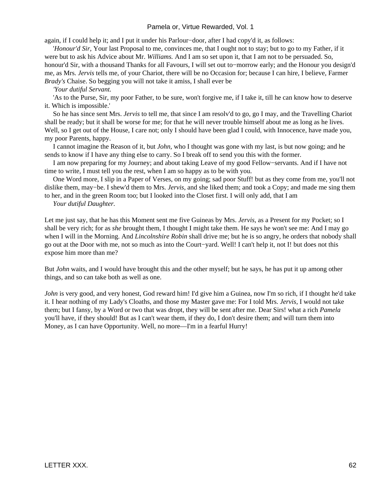again, if I could help it; and I put it under his Parlour−door, after I had copy'd it, as follows:

 '*Honour'd Sir,* Your last Proposal to me, convinces me, that I ought not to stay; but to go to my Father, if it were but to ask his Advice about Mr. *Williams.* And I am so set upon it, that I am not to be persuaded. So, honour'd Sir, with a thousand Thanks for all Favours, I will set out to−morrow early; and the Honour you design'd me, as Mrs. *Jervis* tells me, of your Chariot, there will be no Occasion for; because I can hire, I believe, Farmer *Brady's* Chaise. So begging you will not take it amiss, I shall ever be

*'Your dutiful Servant.*

 'As to the Purse, Sir, my poor Father, to be sure, won't forgive me, if I take it, till he can know how to deserve it. Which is impossible.'

 So he has since sent Mrs. *Jervis* to tell me, that since I am resolv'd to go, go I may, and the Travelling Chariot shall be ready; but it shall be worse for me; for that he will never trouble himself about me as long as he lives. Well, so I get out of the House, I care not; only I should have been glad I could, with Innocence, have made you, my poor Parents, happy.

 I cannot imagine the Reason of it, but *John,* who I thought was gone with my last, is but now going; and he sends to know if I have any thing else to carry. So I break off to send you this with the former.

 I am now preparing for my Journey; and about taking Leave of my good Fellow−servants. And if I have not time to write, I must tell you the rest, when I am so happy as to be with you.

 One Word more, I slip in a Paper of Verses, on my going; sad poor Stuff! but as they come from me, you'll not dislike them, may−be. I shew'd them to Mrs. *Jervis,* and she liked them; and took a Copy; and made me sing them to her, and in the green Room too; but I looked into the Closet first. I will only add, that I am

*Your dutiful Daughter.*

Let me just say, that he has this Moment sent me five Guineas by Mrs. *Jervis,* as a Present for my Pocket; so I shall be very rich; for as *she* brought them, I thought I might take them. He says he won't see me: And I may go when I will in the Morning. And *Lincolnshire Robin* shall drive me; but he is so angry, he orders that nobody shall go out at the Door with me, not so much as into the Court−yard. Well! I can't help it, not I! but does not this expose him more than me?

But *John* waits, and I would have brought this and the other myself; but he says, he has put it up among other things, and so can take both as well as one.

*John* is very good, and very honest, God reward him! I'd give him a Guinea, now I'm so rich, if I thought he'd take it. I hear nothing of my Lady's Cloaths, and those my Master gave me: For I told Mrs. *Jervis,* I would not take them; but I fansy, by a Word or two that was dropt, they will be sent after me. Dear Sirs! what a rich *Pamela* you'll have, if they should! But as I can't wear them, if they do, I don't desire them; and will turn them into Money, as I can have Opportunity. Well, no more—I'm in a fearful Hurry!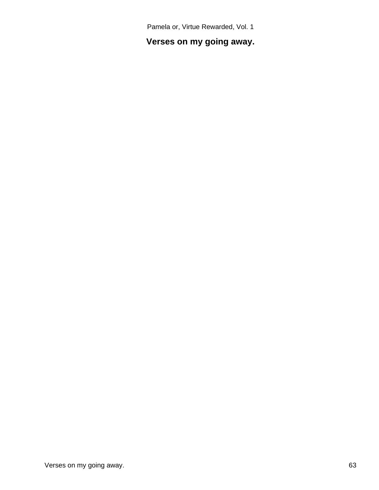**Verses on my going away.**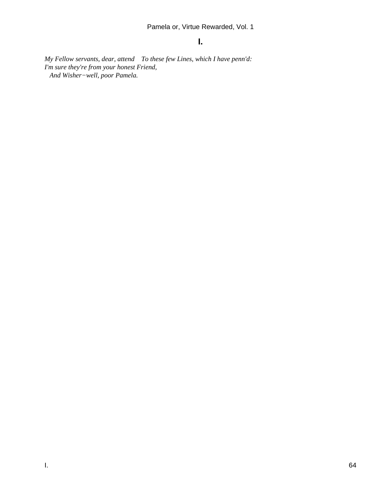# **I.**

*My Fellow servants, dear, attend To these few Lines, which I have penn'd: I'm sure they're from your honest Friend, And Wisher−well, poor Pamela.*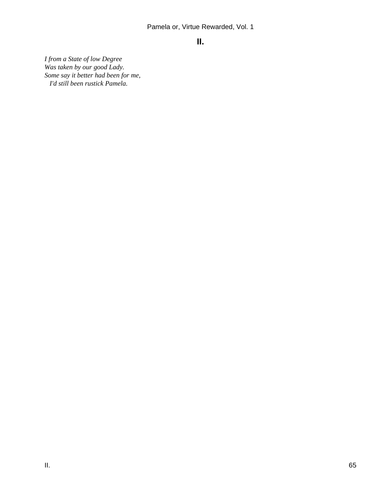# **II.**

*I from a State of low Degree Was taken by our good Lady. Some say it better had been for me, I'd still been rustick Pamela.*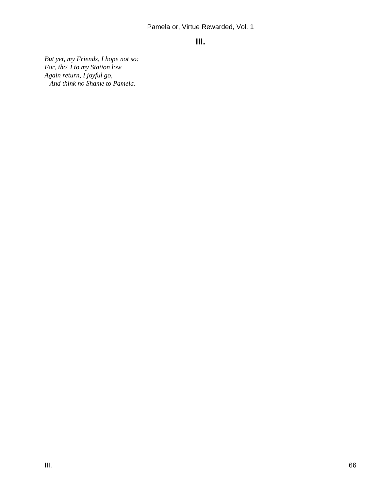# **III.**

*But yet, my Friends, I hope not so: For, tho' I to my Station low Again return, I joyful go, And think no Shame to Pamela.*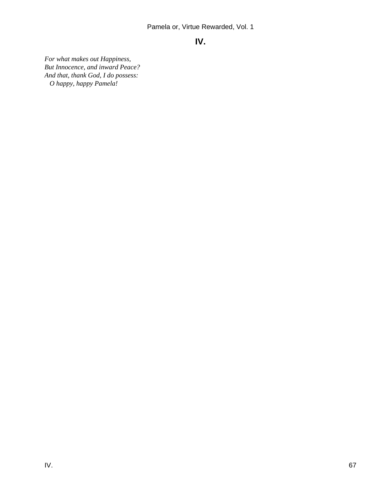# **IV.**

*For what makes out Happiness, But Innocence, and inward Peace? And that, thank God, I do possess: O happy, happy Pamela!*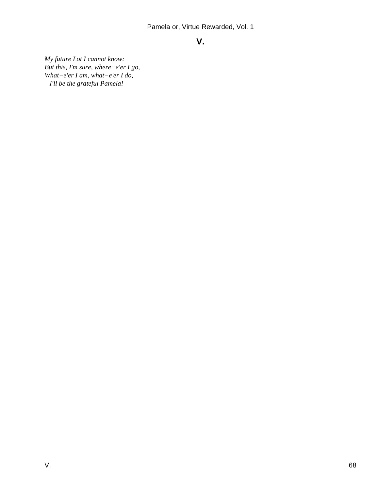# **V.**

*My future Lot I cannot know: But this, I'm sure, where−e'er I go, What−e'er I am, what−e'er I do, I'll be the grateful Pamela!*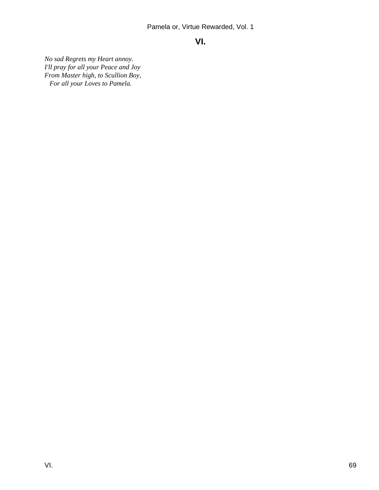# **VI.**

*No sad Regrets my Heart annoy. I'll pray for all your Peace and Joy From Master high, to Scullion Boy, For all your Loves to Pamela.*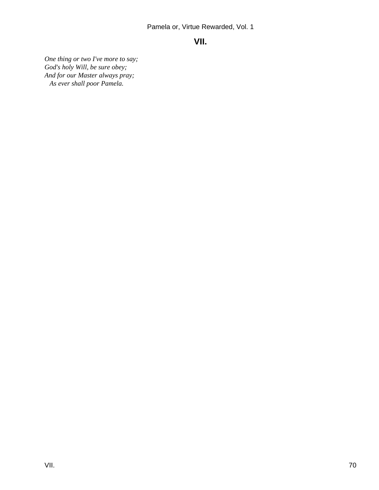## **VII.**

*One thing or two I've more to say; God's holy Will, be sure obey; And for our Master always pray; As ever shall poor Pamela.*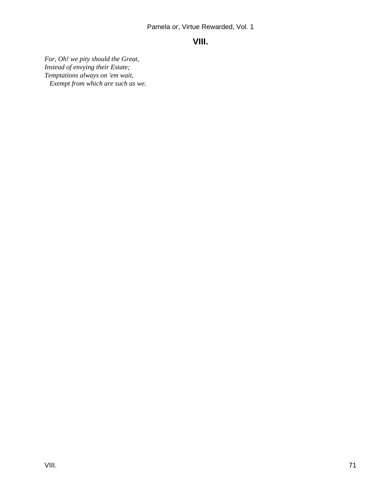# **VIII.**

*For, Oh! we pity should the Great, Instead of envying their Estate; Temptations always on 'em wait, Exempt from which are such as we.*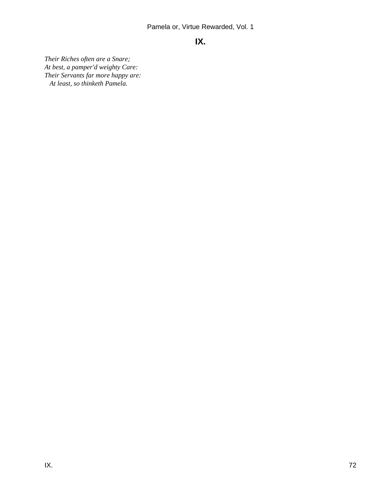## **IX.**

*Their Riches often are a Snare; At best, a pamper'd weighty Care: Their Servants far more happy are: At least, so thinketh Pamela.*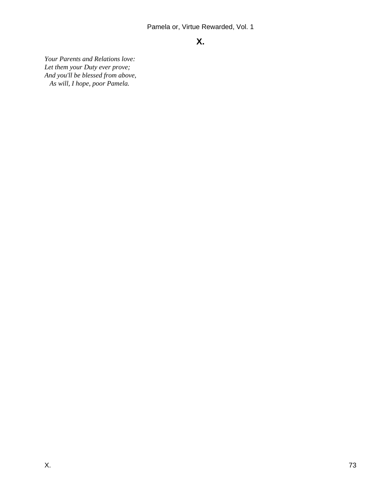# **X.**

*Your Parents and Relations love: Let them your Duty ever prove; And you'll be blessed from above, As will, I hope, poor Pamela.*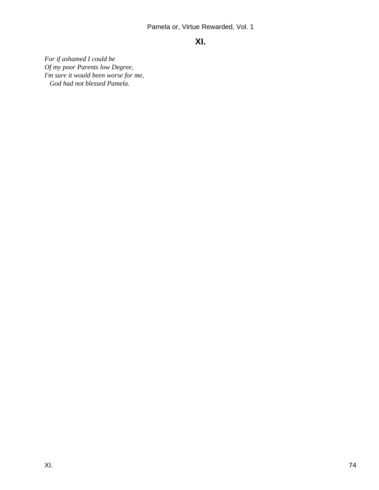# **XI.**

*For if ashamed I could be Of my poor Parents low Degree, I'm sure it would been worse for me, God had not blessed Pamela.*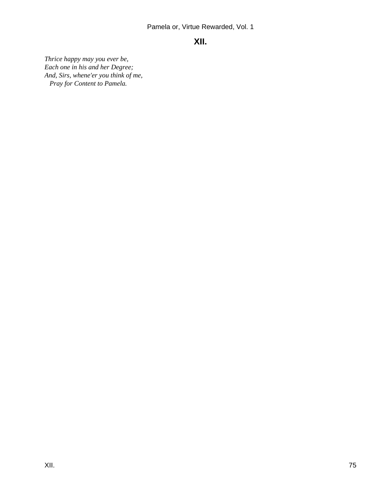## **XII.**

*Thrice happy may you ever be, Each one in his and her Degree; And, Sirs, whene'er you think of me, Pray for Content to Pamela.*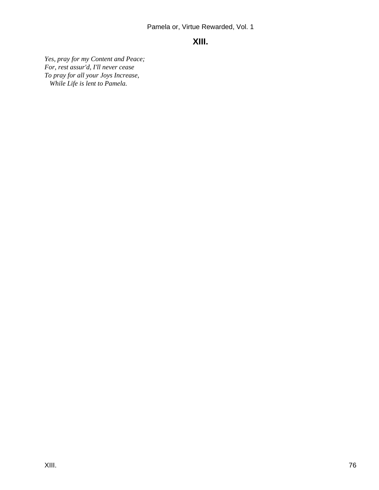# **XIII.**

*Yes, pray for my Content and Peace; For, rest assur'd, I'll never cease To pray for all your Joys Increase, While Life is lent to Pamela.*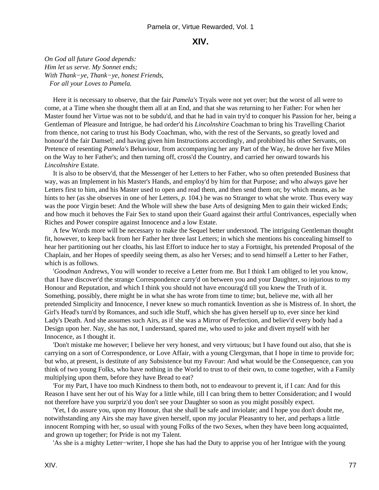### **XIV.**

*On God all future Good depends: Him let us serve. My Sonnet ends; With Thank−ye, Thank−ye, honest Friends, For all your Loves to Pamela.*

 Here it is necessary to observe, that the fair *Pamela's* Tryals were not yet over; but the worst of all were to come, at a Time when she thought them all at an End, and that she was returning to her Father: For when her Master found her Virtue was not to be subdu'd, and that he had in vain try'd to conquer his Passion for her, being a Gentleman of Pleasure and Intrigue, he had order'd his *Lincolnshire* Coachman to bring his Travelling Chariot from thence, not caring to trust his Body Coachman, who, with the rest of the Servants, so greatly loved and honour'd the fair Damsel; and having given him Instructions accordingly, and prohibited his other Servants, on Pretence of resenting *Pamela's* Behaviour, from accompanying her any Part of the Way, he drove her five Miles on the Way to her Father's; and then turning off, cross'd the Country, and carried her onward towards his *Lincolnshire* Estate.

 It is also to be observ'd, that the Messenger of her Letters to her Father, who so often pretended Business that way, was an Implement in his Master's Hands, and employ'd by him for that Purpose; and who always gave her Letters first to him, and his Master used to open and read them, and then send them on; by which means, as he hints to her (as she observes in one of her Letters, *p.* 104.) he was no Stranger to what she wrote. Thus every way was the poor Virgin beset: And the Whole will shew the base Arts of designing Men to gain their wicked Ends; and how much it behoves the Fair Sex to stand upon their Guard against their artful Contrivances, especially when Riches and Power conspire against Innocence and a low Estate.

 A few Words more will be necessary to make the Sequel better understood. The intriguing Gentleman thought fit, however, to keep back from her Father her three last Letters; in which she mentions his concealing himself to hear her partitioning out her cloaths, his last Effort to induce her to stay a Fortnight, his pretended Proposal of the Chaplain, and her Hopes of speedily seeing them, as also her Verses; and to send himself a Letter to her Father, which is as follows.

 '*Goodman* Andrews, You will wonder to receive a Letter from me. But I think I am obliged to let you know, that I have discover'd the strange Correspondence carry'd on between you and your Daughter, so injurious to my Honour and Reputation, and which I think you should not have encourag'd till you knew the Truth of it. Something, possibly, there might be in what she has wrote from time to time; but, believe me, with all her pretended Simplicity and Innocence, I never knew so much romantick Invention as she is Mistress of. In short, the Girl's Head's turn'd by Romances, and such idle Stuff, which she has given herself up to, ever since her kind Lady's Death. And she assumes such Airs, as if she was a Mirror of Perfection, and believ'd every body had a Design upon her. Nay, she has not, I understand, spared me, who used to joke and divert myself with her Innocence, as I thought it.

 'Don't mistake me however; I believe her very honest, and very virtuous; but I have found out also, that she is carrying on a sort of Correspondence, or Love Affair, with a young Clergyman, that I hope in time to provide for; but who, at present, is destitute of any Subsistence but my Favour: And what would be the Consequence, can you think of two young Folks, who have nothing in the World to trust to of their own, to come together, with a Family multiplying upon them, before they have Bread to eat?

 'For my Part, I have too much Kindness to them both, not to endeavour to prevent it, if I can: And for this Reason I have sent her out of his Way for a little while, till I can bring them to better Consideration; and I would not therefore have you surpriz'd you don't see your Daughter so soon as you might possibly expect.

 'Yet, I do assure you, upon my Honour, that she shall be safe and inviolate; and I hope you don't doubt me, notwithstanding any Airs she may have given herself, upon my jocular Pleasantry to her, and perhaps a little innocent Romping with her, so usual with young Folks of the two Sexes, when they have been long acquainted, and grown up together; for Pride is not my Talent.

'As she is a mighty Letter−writer, I hope she has had the Duty to apprise you of her Intrigue with the young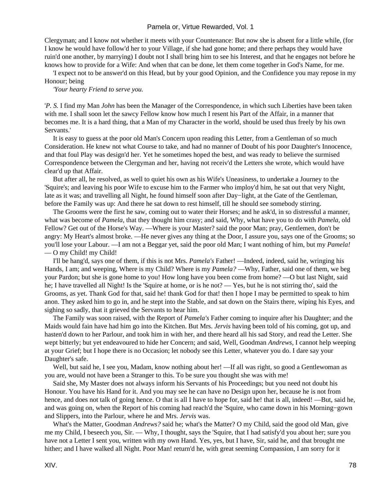Clergyman; and I know not whether it meets with your Countenance: But now she is absent for a little while, (for I know he would have follow'd her to your Village, if she had gone home; and there perhaps they would have ruin'd one another, by marrying) I doubt not I shall bring him to see his Interest, and that he engages not before he knows how to provide for a Wife: And when that can be done, let them come together in God's Name, for me.

 'I expect not to be answer'd on this Head, but by your good Opinion, and the Confidence you may repose in my Honour; being

*'Your hearty Friend to serve you.*

'*P. S.* I find my Man *John* has been the Manager of the Correspondence, in which such Liberties have been taken with me. I shall soon let the sawcy Fellow know how much I resent his Part of the Affair, in a manner that becomes me. It is a hard thing, that a Man of my Character in the world, should be used thus freely by his own Servants.'

 It is easy to guess at the poor old Man's Concern upon reading this Letter, from a Gentleman of so much Consideration. He knew not what Course to take, and had no manner of Doubt of his poor Daughter's Innocence, and that foul Play was design'd her. Yet he sometimes hoped the best, and was ready to believe the surmised Correspondence between the Clergyman and her, having not receiv'd the Letters she wrote, which would have clear'd up that Affair.

 But after all, he resolved, as well to quiet his own as his Wife's Uneasiness, to undertake a Journey to the 'Squire's; and leaving his poor Wife to excuse him to the Farmer who imploy'd him, he sat out that very Night, late as it was; and travelling all Night, he found himself soon after Day−light, at the Gate of the Gentleman, before the Family was up: And there he sat down to rest himself, till he should see somebody stirring.

 The Grooms were the first he saw, coming out to water their Horses; and he ask'd, in so distressful a manner, what was become of *Pamela,* that they thought him crasy; and said, Why, what have you to do with *Pamela,* old Fellow? Get out of the Horse's Way. —Where is your Master? said the poor Man; pray, Gentlemen, don't be angry: My Heart's almost broke. —He never gives any thing at the Door, I assure you, says one of the Grooms; so you'll lose your Labour. —I am not a Beggar yet, said the poor old Man; I want nothing of him, but my *Pamela!* — O my Child! my Child!

 I'll be hang'd, says one of them, if this is not Mrs. *Pamela's* Father! —Indeed, indeed, said he, wringing his Hands, I am; and weeping, Where is my Child? Where is my *Pamela?* —Why, Father, said one of them, we beg your Pardon; but she is gone home to you! How long have you been come from home? —O but last Night, said he; I have travelled all Night! Is the 'Squire at home, or is he not? — Yes, but he is not stirring tho', said the Grooms, as yet. Thank God for that, said he! thank God for that! then I hope I may be permitted to speak to him anon. They asked him to go in, and he stept into the Stable, and sat down on the Stairs there, wiping his Eyes, and sighing so sadly, that it grieved the Servants to hear him.

 The Family was soon raised, with the Report of *Pamela's* Father coming to inquire after his Daughter; and the Maids would fain have had him go into the Kitchen. But Mrs. *Jervis* having been told of his coming, got up, and hasten'd down to her Parlour, and took him in with her, and there heard all his sad Story, and read the Letter. She wept bitterly; but yet endeavoured to hide her Concern; and said, Well, Goodman *Andrews,* I cannot help weeping at your Grief; but I hope there is no Occasion; let nobody see this Letter, whatever you do. I dare say your Daughter's safe.

Well, but said he, I see you, Madam, know nothing about her! —If all was right, so good a Gentlewoman as you are, would not have been a Stranger to this. To be sure you thought she was with me!

 Said she, My Master does not always inform his Servants of his Proceedings; but you need not doubt his Honour. You have his Hand for it. And you may see he can have no Design upon her, because he is not from hence, and does not talk of going hence. O that is all I have to hope for, said he! that is all, indeed! —But, said he, and was going on, when the Report of his coming had reach'd the 'Squire, who came down in his Morning−gown and Slippers, into the Parlour, where he and Mrs. *Jervis* was.

 What's the Matter, Goodman *Andrews?* said he; what's the Matter? O my Child, said the good old Man, give me my Child, I beseech you, Sir. — Why, I thought, says the 'Squire, that I had satisfy'd you about her; sure you have not a Letter I sent you, written with my own Hand. Yes, yes, but I have, Sir, said he, and that brought me hither; and I have walked all Night. Poor Man! return'd he, with great seeming Compassion, I am sorry for it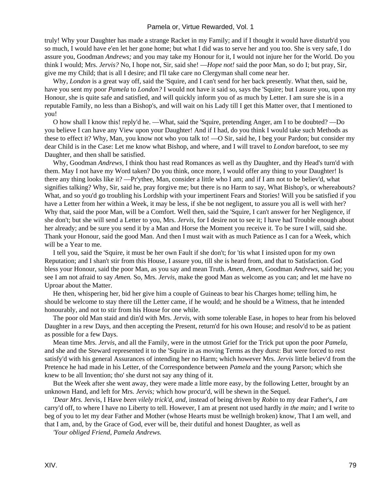truly! Why your Daughter has made a strange Racket in my Family; and if I thought it would have disturb'd you so much, I would have e'en let her gone home; but what I did was to serve her and you too. She is very safe, I do assure you, Goodman *Andrews;* and you may take my Honour for it, I would not injure her for the World. Do you think I would; Mrs. *Jervis?* No, I hope not, Sir, said she! —*Hope not!* said the poor Man, so do I; but pray, Sir, give me my Child; that is all I desire; and I'll take care no Clergyman shall come near her.

Why, *London* is a great way off, said the 'Squire, and I can't send for her back presently. What then, said he, have you sent my poor *Pamela* to *London?* I would not have it said so, says the 'Squire; but I assure you, upon my Honour, she is quite safe and satisfied, and will quickly inform you of as much by Letter. I am sure she is in a reputable Family, no less than a Bishop's, and will wait on his Lady till I get this Matter over, that I mentioned to you!

 O how shall I know this! reply'd he. —What, said the 'Squire, pretending Anger, am I to be doubted? —Do you believe I can have any View upon your Daughter! And if I had, do you think I would take such Methods as these to effect it? Why, Man, you know not who you talk to! —O Sir, said he, I beg your Pardon; but consider my dear Child is in the Case: Let me know what Bishop, and where, and I will travel to *London* barefoot, to see my Daughter, and then shall be satisfied.

 Why, Goodman *Andrews,* I think thou hast read Romances as well as thy Daughter, and thy Head's turn'd with them. May I not have my Word taken? Do you think, once more, I would offer any thing to your Daughter! Is there any thing looks like it? —Pr'ythee, Man, consider a little who I am; and if I am not to be believ'd, what signifies talking? Why, Sir, said he, pray forgive me; but there is no Harm to say, What Bishop's, or whereabouts? What, and so you'd go troubling his Lordship with your impertinent Fears and Stories! Will you be satisfied if you have a Letter from her within a Week, it may be less, if she be not negligent, to assure you all is well with her? Why that, said the poor Man, will be a Comfort. Well then, said the 'Squire, I can't answer for her Negligence, if she don't; but she will send a Letter to you, Mrs. *Jervis,* for I desire not to see it; I have had Trouble enough about her already; and be sure you send it by a Man and Horse the Moment you receive it. To be sure I will, said she. Thank your Honour, said the good Man. And then I must wait with as much Patience as I can for a Week, which will be a Year to me.

 I tell you, said the 'Squire, it must be her own Fault if she don't; for 'tis what I insisted upon for my own Reputation; and I shan't stir from this House, I assure you, till she is heard from, and that to Satisfaction. God bless your Honour, said the poor Man, as you say and mean Truth. *Amen, Amen,* Goodman *Andrews,* said he; you see I am not afraid to say *Amen.* So, Mrs. *Jervis,* make the good Man as welcome as you can; and let me have no Uproar about the Matter.

 He then, whispering her, bid her give him a couple of Guineas to bear his Charges home; telling him, he should be welcome to stay there till the Letter came, if he would; and he should be a Witness, that he intended honourably, and not to stir from his House for one while.

 The poor old Man staid and din'd with Mrs. *Jervis,* with some tolerable Ease, in hopes to hear from his beloved Daughter in a rew Days, and then accepting the Present, return'd for his own House; and resolv'd to be as patient as possible for a few Days.

 Mean time Mrs. *Jervis,* and all the Family, were in the utmost Grief for the Trick put upon the poor *Pamela,* and she and the Steward represented it to the 'Squire in as moving Terms as they durst: But were forced to rest satisfy'd with his general Assurances of intending her no Harm; which however Mrs. *Jervis* little believ'd from the Pretence he had made in his Letter, of the Correspondence between *Pamela* and the young Parson; which she knew to be all Invention; tho' she durst not say any thing of it.

 But the Week after she went away, they were made a little more easy, by the following Letter, brought by an unknown Hand, and left for Mrs. *Jervis;* which how procur'd, will be shewn in the Sequel.

 '*Dear Mrs.* Jervis, I Have *been vilely trick'd, and,* instead of being driven by *Robin* to my dear Father's, *I am* carry'd off, to where I have no Liberty to tell. However, I am at present not used hardly *in the main;* and I write to beg of you to let my dear Father and Mother (whose Hearts must be wellnigh broken) know, That I am well, and that I am, and, by the Grace of God, ever will be, their dutiful and honest Daughter, as well as

*'Your obliged Friend, Pamela Andrews.*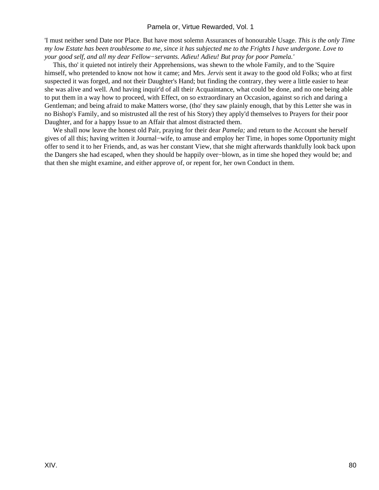'I must neither send Date nor Place. But have most solemn Assurances of honourable Usage. *This is the only Time my low Estate has been troublesome to me, since it has subjected me to the Frights I have undergone. Love to your good self, and all my dear Fellow−servants. Adieu! Adieu! But pray for poor Pamela.'*

 This, tho' it quieted not intirely their Apprehensions, was shewn to the whole Family, and to the 'Squire himself, who pretended to know not how it came; and Mrs. *Jervis* sent it away to the good old Folks; who at first suspected it was forged, and not their Daughter's Hand; but finding the contrary, they were a little easier to hear she was alive and well. And having inquir'd of all their Acquaintance, what could be done, and no one being able to put them in a way how to proceed, with Effect, on so extraordinary an Occasion, against so rich and daring a Gentleman; and being afraid to make Matters worse, (tho' they saw plainly enough, that by this Letter she was in no Bishop's Family, and so mistrusted all the rest of his Story) they apply'd themselves to Prayers for their poor Daughter, and for a happy Issue to an Affair that almost distracted them.

 We shall now leave the honest old Pair, praying for their dear *Pamela;* and return to the Account she herself gives of all this; having written it Journal−wife, to amuse and employ her Time, in hopes some Opportunity might offer to send it to her Friends, and, as was her constant View, that she might afterwards thankfully look back upon the Dangers she had escaped, when they should be happily over−blown, as in time she hoped they would be; and that then she might examine, and either approve of, or repent for, her own Conduct in them.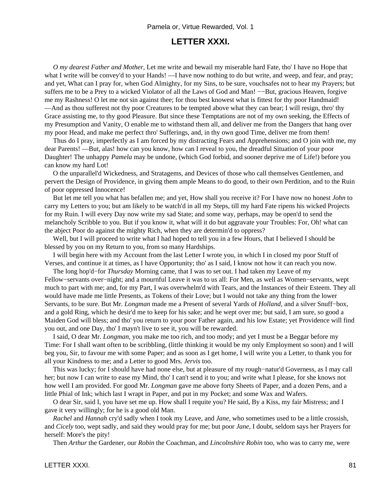### **LETTER XXXI.**

*O my dearest Father and Mother,* Let me write and bewail my miserable hard Fate, tho' I have no Hope that what I write will be convey'd to your Hands! —I have now nothing to do but write, and weep, and fear, and pray; and yet, What can I pray for, when God Almighty, for my Sins, to be sure, vouchsafes not to hear my Prayers; but suffers me to be a Prey to a wicked Violator of all the Laws of God and Man! ––But, gracious Heaven, forgive me my Rashness! O let me not sin against thee; for thou best knowest what is fittest for thy poor Handmaid! —And as thou sufferest not thy poor Creatures to be tempted above what they can bear; I will resign, thro' thy Grace assisting me, to thy good Pleasure. But since these Temptations are not of my own seeking, the Effects of my Presumption and Vanity, O enable me to withstand them all, and deliver me from the Dangers that hang over my poor Head, and make me perfect thro' Sufferings, and, in thy own good Time, deliver me from them!

 Thus do I pray, imperfectly as I am forced by my distracting Fears and Apprehensions; and O join with me, my dear Parents! —But, alas! how can you know, how can I reveal to you, the dreadful Situation of your poor Daughter! The unhappy *Pamela* may be undone, (which God forbid, and sooner deprive me of Life!) before you can know my hard Lot!

 O the unparallel'd Wickedness, and Stratagems, and Devices of those who call themselves Gentlemen, and pervert the Design of Providence, in giving them ample Means to do good, to their own Perdition, and to the Ruin of poor oppressed Innocence!

 But let me tell you what has befallen me; and yet, How shall you receive it? For I have now no honest *John* to carry my Letters to you; but am likely to be watch'd in all my Steps, till my hard Fate ripens his wicked Projects for my Ruin. I will every Day now write my sad State; and some way, perhaps, may be open'd to send the melancholy Scribble to you. But if you know it, what will it do but aggravate your Troubles: For, Oh! what can the abject Poor do against the mighty Rich, when they are determin'd to oppress?

Well, but I will proceed to write what I had hoped to tell you in a few Hours, that I believed I should be blessed by you on my Return to you, from so many Hardships.

 I will begin here with my Account from the last Letter I wrote you, in which I in closed my poor Stuff of Verses, and continue it at times, as I have Opportunity; tho' as I said, I know not how it can reach you now.

 The long hop'd−for *Thursday* Morning came, that I was to set out. I had taken my Leave of my Fellow−servants over−night; and a mournful Leave it was to us all: For Men, as well as Women−servants, wept much to part with me; and, for my Part, I was overwhelm'd with Tears, and the Instances of their Esteem. They all would have made me little Presents, as Tokens of their Love; but I would not take any thing from the lower Servants, to be sure. But Mr. *Longman* made me a Present of several Yards of *Holland,* and a silver Snuff−box, and a gold Ring, which he desir'd me to keep for his sake; and he wept over me; but said, I am sure, so good a Maiden God will bless; and tho' you return to your poor Father again, and his low Estate; yet Providence will find you out, and one Day, tho' I mayn't live to see it, you will be rewarded.

 I said, O dear Mr. *Longman,* you make me too rich, and too mody; and yet I must be a Beggar before my Time: For I shall want often to be scribbling, (little thinking it would be my only Employment so soon) and I will beg you, Sir, to favour me with some Paper; and as soon as I get home, I will write you a Letter, to thank you for all your Kindness to me; and a Letter to good Mrs. *Jervis* too.

 This was lucky; for I should have had none else, but at pleasure of my rough−natur'd Governess, as I may call her; but now I can write to ease my Mind, tho' I can't send it to you; and write what I please, for she knows not how well I am provided. For good Mr. *Longman* gave me above forty Sheets of Paper, and a dozen Pens, and a little Phial of Ink; which last I wrapt in Paper, and put in my Pocket; and some Wax and Wafers.

 O dear Sir, said I, you have set me up. How shall I requite you? He said, By a Kiss, my fair Mistress; and I gave it very willingly; for he is a good old Man.

*Rachel* and *Hannah* cry'd sadly when I took my Leave, and *Jane,* who sometimes used to be a little crossish, and *Cicely* too, wept sadly, and said they would pray for me; but poor *Jane,* I doubt, seldom says her Prayers for herself: More's the pity!

Then *Arthur* the Gardener, our *Robin* the Coachman, and *Lincolnshire Robin* too, who was to carry me, were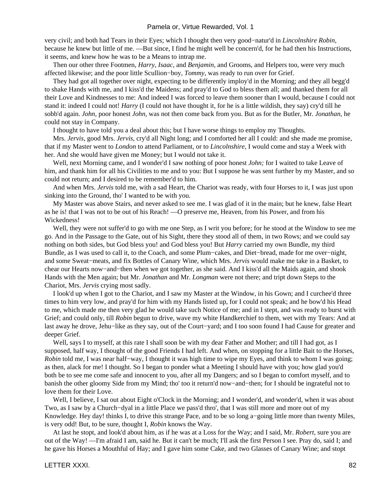very civil; and both had Tears in their Eyes; which I thought then very good−natur'd in *Lincolnshire Robin,* because he knew but little of me. —But since, I find he might well be concern'd, for he had then his Instructions, it seems, and knew how he was to be a Means to intrap me.

 Then our other three Footmen, *Harry, Isaac,* and *Benjamin,* and Grooms, and Helpers too, were very much affected likewise; and the poor little Scullion−boy, *Tommy,* was ready to run over for Grief.

 They had got all together over night, expecting to be differently imploy'd in the Morning; and they all begg'd to shake Hands with me, and I kiss'd the Maidens; and pray'd to God to bless them all; and thanked them for all their Love and Kindnesses to me: And indeed I was forced to leave them sooner than I would, because I could not stand it: indeed I could not! *Harry* (I could not have thought it, for he is a little wildish, they say) cry'd till he sobb'd again. *John,* poor honest *John,* was not then come back from you. But as for the Butler, Mr. *Jonathan,* he could not stay in Company.

I thought to have told you a deal about this; but I have worse things to employ my Thoughts.

 Mrs. *Jervis,* good Mrs. *Jervis,* cry'd all Night long; and I comforted her all I could: and she made me promise, that if my Master went to *London* to attend Parliament, or to *Lincolnshire,* I would come and stay a Week with her. And she would have given me Money; but I would not take it.

 Well, next Morning came, and I wonder'd I saw nothing of poor honest *John;* for I waited to take Leave of him, and thank him for all his Civilities to me and to you: But I suppose he was sent further by my Master, and so could not return; and I desired to be remember'd to him.

 And when Mrs. *Jervis* told me, with a sad Heart, the Chariot was ready, with four Horses to it, I was just upon sinking into the Ground, tho' I wanted to be with you.

 My Master was above Stairs, and never asked to see me. I was glad of it in the main; but he knew, false Heart as he is! that I was not to be out of his Reach! —O preserve me, Heaven, from his Power, and from his Wickedness!

Well, they were not suffer'd to go with me one Step, as I writ you before; for he stood at the Window to see me go. And in the Passage to the Gate, out of his Sight, there they stood all of them, in two Rows; and we could say nothing on both sides, but God bless you! and God bless you! But *Harry* carried my own Bundle, my third Bundle, as I was used to call it, to the Coach, and some Plum−cakes, and Diet−bread, made for me over−night, and some Sweat−meats, and fix Bottles of Canary Wine, which Mrs. *Jervis* would make me take in a Basket, to chear our Hearts now−and−then when we got together, as she said. And I kiss'd all the Maids again, and shook Hands with the Men again; but Mr. *Jonathan* and Mr. *Longman* were not there; and tript down Steps to the Chariot, Mrs. *Jervis* crying most sadly.

 I look'd up when I got to the Chariot, and I saw my Master at the Window, in his Gown; and I curchee'd three times to him very low, and pray'd for him with my Hands listed up, for I could not speak; and he bow'd his Head to me, which made me then very glad he would take such Notice of me; and in I stept, and was ready to burst with Grief; and could only, till *Robin* begun to drive, wave my white Handkerchief to them, wet with my Tears: And at last away he drove, Jehu−like as they say, out of the Court−yard; and I too soon found I had Cause for greater and deeper Grief.

Well, says I to myself, at this rate I shall soon be with my dear Father and Mother; and till I had got, as I supposed, half way, I thought of the good Friends I had left. And when, on stopping for a little Bait to the Horses, *Robin* told me, I was near half–way, I thought it was high time to wipe my Eyes, and think to whom I was going; as then, alack for me! I thought. So I began to ponder what a Meeting I should have with you; how glad you'd both be to see me come safe and innocent to you, after all my Dangers; and so I began to comfort myself, and to banish the other gloomy Side from my Mind; tho' too it return'd now−and−then; for I should be ingrateful not to love them for their Love.

Well, I believe, I sat out about Eight o'Clock in the Morning; and I wonder'd, and wonder'd, when it was about Two, as I saw by a Church−dyal in a little Place we pass'd thro', that I was still more and more out of my Knowledge. Hey day! thinks I, to drive this strange Pace, and to be so long a−going little more than twenty Miles, is very odd! But, to be sure, thought I, *Robin* knows the Way.

 At last he stopt, and look'd about him, as if he was at a Loss for the Way; and I said, Mr. *Robert,* sure you are out of the Way! —I'm afraid I am, said he. But it can't be much; I'll ask the first Person I see. Pray do, said I; and he gave his Horses a Mouthful of Hay; and I gave him some Cake, and two Glasses of Canary Wine; and stopt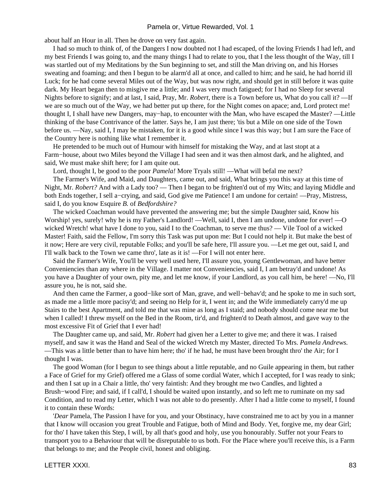about half an Hour in all. Then he drove on very fast again.

 I had so much to think of, of the Dangers I now doubted not I had escaped, of the loving Friends I had left, and my best Friends I was going to, and the many things I had to relate to you, that I the less thought of the Way, till I was startled out of my Meditations by the Sun beginning to set, and still the Man driving on, and his Horses sweating and foaming; and then I begun to be alarm'd all at once, and called to him; and he said, he had horrid ill Luck; for he had come several Miles out of the Way, but was now right, and should get in still before it was quite dark. My Heart began then to misgive me a little; and I was very much fatigued; for I had no Sleep for several Nights before to signify; and at last, I said, Pray, Mr. *Robert,* there is a Town before us, What do you call it? —If we are so much out of the Way, we had better put up there, for the Night comes on apace; and, Lord protect me! thought I, I shall have new Dangers, may−hap, to encounter with the Man, who have escaped the Master? —Little thinking of the base Contrivance of the latter. Says he, I am just there; 'tis but a Mile on one side of the Town before us. —Nay, said I, I may be mistaken, for it is a good while since I was this way; but I am sure the Face of the Country here is nothing like what I remember it.

 He pretended to be much out of Humour with himself for mistaking the Way, and at last stopt at a Farm−house, about two Miles beyond the Village I had seen and it was then almost dark, and he alighted, and said, We must make shift here; for I am quite out.

Lord, thought I, be good to the poor *Pamela!* More Tryals still! —What will befal me next?

 The Farmer's Wife, and Maid, and Daughters, came out, and said, What brings you this way at this time of Night, Mr. *Robert?* And with a Lady too? — Then I began to be frighten'd out of my Wits; and laying Middle and both Ends together, I sell a−crying, and said, God give me Patience! I am undone for certain! —Pray, Mistress, said I, do you know Esquire *B.* of *Bedfordshire?*

 The wicked Coachman would have prevented the answering me; but the simple Daughter said, Know his Worship! yes, surely! why he is my Father's Landlord! —Well, said I, then I am undone, undone for ever! —O wicked Wretch! what have I done to you, said I to the Coachman, to serve me thus? — Vile Tool of a wicked Master! Faith, said the Fellow, I'm sorry this Task was put upon me: But I could not help it. But make the best of it now; Here are very civil, reputable Folks; and you'll be safe here, I'll assure you. —Let me get out, said I, and I'll walk back to the Town we came thro', late as it is! —For I will not enter here.

 Said the Farmer's Wife, You'll be very well used here, I'll assure you, young Gentlewoman, and have better Conveniencies than any where in the Village. I matter not Conveniencies, said I, I am betray'd and undone! As you have a Daughter of your own, pity me, and let me know, if your Landlord, as you call him, be here! —No, I'll assure you, he is not, said she.

 And then came the Farmer, a good−like sort of Man, grave, and well−behav'd; and he spoke to me in such sort, as made me a little more pacisy'd; and seeing no Help for it, I went in; and the Wife immediately carry'd me up Stairs to the best Apartment, and told me that was mine as long as I staid; and nobody should come near me but when I called! I threw myself on the Bed in the Room, tir'd, and frighten'd to Death almost, and gave way to the most excessive Fit of Grief that I ever had!

 The Daughter came up, and said, Mr. *Robert* had given her a Letter to give me; and there it was. I raised myself, and saw it was the Hand and Seal of the wicked Wretch my Master, directed To Mrs. *Pamela Andrews.* —This was a little better than to have him here; tho' if he had, he must have been brought thro' the Air; for I thought I was.

 The good Woman (for I begun to see things about a little reputable, and no Guile appearing in them, but rather a Face of Grief for my Grief) offered me a Glass of some cordial Water, which I accepted, for I was ready to sink; and then I sat up in a Chair a little, tho' very faintish: And they brought me two Candles, and lighted a Brush−wood Fire; and said, if I call'd, I should be waited upon instantly, and so left me to ruminate on my sad Condition, and to read my Letter, which I was not able to do presently. After I had a little come to myself, I found it to contain these Words:

 '*Dear* Pamela, The Passion I have for you, and your Obstinacy, have constrained me to act by you in a manner that I know will occasion you great Trouble and Fatigue, both of Mind and Body. Yet, forgive me, my dear Girl; for tho' I have taken this Step, I will, by all that's good and holy, use you honourably. Suffer not your Fears to transport you to a Behaviour that will be disreputable to us both. For the Place where you'll receive this, is a Farm that belongs to me; and the People civil, honest and obliging.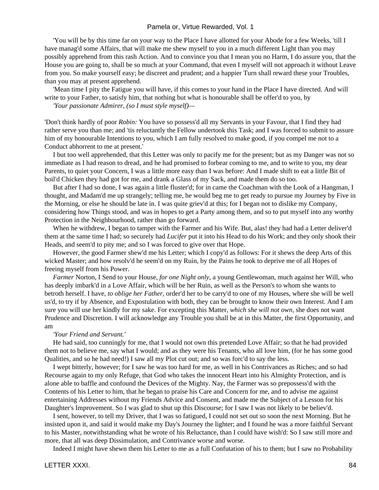'You will be by this time far on your way to the Place I have allotted for your Abode for a few Weeks, 'till I have manag'd some Affairs, that will make me shew myself to you in a much different Light than you may possibly apprehend from this rash Action. And to convince you that I mean you no Harm, I do assure you, that the House you are going to, shall be so much at your Command, that even I myself will not approach it without Leave from you. So make yourself easy; be discreet and prudent; and a happier Turn shall reward these your Troubles, than you may at present apprehend.

 'Mean time I pity the Fatigue you will have, if this comes to your hand in the Place I have directed. And will write to your Father, to satisfy him, that nothing but what is honourable shall be offer'd to you, by

*'Your passionate Admirer, (so I must style myself)—*

'Don't think hardly of poor *Robin:* You have so possess'd all my Servants in your Favour, that I find they had rather serve you than me; and 'tis reluctantly the Fellow undertook this Task; and I was forced to submit to assure him of my honourable Intentions to you, which I am fully resolved to make good, if you compel me not to a Conduct abhorrent to me at present.'

 I but too well apprehended, that this Letter was only to pacify me for the present; but as my Danger was not so immediate as I had reason to dread, and he had promised to forbear coming to me, and to write to you, my dear Parents, to quiet your Concern, I was a little more easy than I was before: And I made shift to eat a little Bit of boil'd Chicken they had got for me, and drank a Glass of my Sack, and made them do so too.

 But after I had so done, I was again a little fluster'd; for in came the Coachman with the Look of a Hangman, I thought, and Madam'd me up strangely; telling me, he would beg me to get ready to pursue my Journey by Five in the Morning, or else he should be late in. I was quite griev'd at this; for I began not to dislike my Company, considering how Things stood, and was in hopes to get a Party among them, and so to put myself into any worthy Protection in the Neighbourhood, rather than go forward.

When he withdrew, I began to tamper with the Farmer and his Wife. But, alas! they had had a Letter deliver'd them at the same time I had; so securely had *Lucifer* put it into his Head to do his Work; and they only shook their Heads, and seem'd to pity me; and so I was forced to give over that Hope.

 However, the good Farmer shew'd me his Letter; which I copy'd as follows: For it shews the deep Arts of this wicked Master; and how resolv'd he seem'd on my Ruin, by the Pains he took to deprive me of all Hopes of freeing myself from his Power.

*Farmer* Norton, I Send to your House, *for one Night only,* a young Gentlewoman, much against her Will, who has deeply imbark'd in a Love Affair, which will be her Ruin, as well as the Person's to whom she wants to betroth herself. I have, *to oblige her Father,* order'd her to be carry'd to one of my Houses, where she will be well us'd, to try if by Absence, and Expostulation with both, they can be brought to know their own Interest. And I am sure you will use her kindly for my sake. For excepting this Matter, *which she will not own,* she does not want Prudence and Discretion. I will acknowledge any Trouble you shall be at in this Matter, the first Opportunity, and am

#### *'Your Friend and Servant.'*

 He had said, too cunningly for me, that I would not own this pretended Love Affair; so that he had provided them not to believe me, say what I would; and as they were his Tenants, who all love him, (for he has some good Qualities, and so he had need!) I saw all my Plot cut out; and so was forc'd to say the less.

 I wept bitterly, however; for I saw he was too hard for me, as well in his Contrivances as Riches; and so had Recourse again to my only Refuge, that God who takes the innocent Heart into his Almighty Protection, and is alone able to baffle and confound the Devices of the Mighty. Nay, the Farmer was so prepossess'd with the Contents of his Letter to him, that he began to praise his Care and Concern for me, and to advise me against entertaining Addresses without my Friends Advice and Consent, and made me the Subject of a Lesson for his Daughter's Improvement. So I was glad to shut up this Discourse; for I saw I was not likely to be believ'd.

 I sent, however, to tell my Driver, that I was so fatigued, I could not set out so soon the next Morning. But he insisted upon it, and said it would make my Day's Journey the lighter; and I found he was a more faithful Servant to his Master, notwithstanding what he wrote of his Reluctance, than I could have wish'd: So I saw still more and more, that all was deep Dissimulation, and Contrivance worse and worse.

Indeed I might have shewn them his Letter to me as a full Confutation of his to them; but I saw no Probability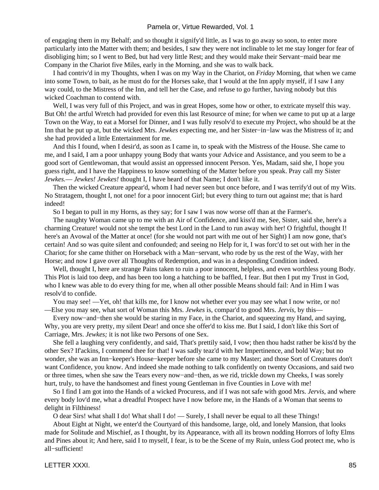of engaging them in my Behalf; and so thought it signify'd little, as I was to go away so soon, to enter more particularly into the Matter with them; and besides, I saw they were not inclinable to let me stay longer for fear of disobliging him; so I went to Bed, but had very little Rest; and they would make their Servant−maid bear me Company in the Chariot five Miles, early in the Morning, and she was to walk back.

 I had contriv'd in my Thoughts, when I was on my Way in the Chariot, on *Friday* Morning, that when we came into some Town, to bait, as he must do for the Horses sake, that I would at the Inn apply myself, if I saw I any way could, to the Mistress of the Inn, and tell her the Case, and refuse to go further, having nobody but this wicked Coachman to contend with.

Well, I was very full of this Project, and was in great Hopes, some how or other, to extricate myself this way. But Oh! the artful Wretch had provided for even this last Resource of mine; for when we came to put up at a large Town on the Way, to eat a Morsel for Dinner, and I was fully resolv'd to execute my Project, who should be at the Inn that he put up at, but the wicked Mrs. *Jewkes* expecting me, and her Sister−in−law was the Mistress of it; and she had provided a little Entertainment for me.

 And this I found, when I desir'd, as soon as I came in, to speak with the Mistress of the House. She came to me, and I said, I am a poor unhappy young Body that wants your Advice and Assistance, and you seem to be a good sort of Gentlewoman, that would assist an oppressed innocent Person. Yes, Madam, said she, I hope you guess right, and I have the Happiness to know something of the Matter before you speak. Pray call my Sister *Jewkes.*— *Jewkes! Jewkes!* thought I, I have heard of that Name; I don't like it.

 Then the wicked Creature appear'd, whom I had never seen but once before, and I was terrify'd out of my Wits. No Stratagem, thought I, not one! for a poor innocent Girl; but every thing to turn out against me; that is hard indeed!

So I began to pull in my Horns, as they say; for I saw I was now worse off than at the Farmer's.

 The naughty Woman came up to me with an Air of Confidence, and kiss'd me, See, Sister, said she, here's a charming Creature! would not she tempt the best Lord in the Land to run away with her! O frightful, thought I! here's an Avowal of the Matter at once! (for she would not part with me out of her Sight) I am now gone, that's certain! And so was quite silent and confounded; and seeing no Help for it, I was forc'd to set out with her in the Chariot; for she came thither on Horseback with a Man−servant, who rode by us the rest of the Way, with her Horse; and now I gave over all Thoughts of Redemption, and was in a desponding Condition indeed.

Well, thought I, here are strange Pains taken to ruin a poor innocent, helpless, and even worthless young Body. This Plot is laid too deep, and has been too long a hatching to be baffled, I fear. But then I put my Trust in God, who I knew was able to do every thing for me, when all other possible Means should fail: And in Him I was resolv'd to confide.

You may see! —Yet, oh! that kills me, for I know not whether ever you may see what I now write, or no! —Else you may see, what sort of Woman this Mrs. *Jewkes* is, compar'd to good Mrs. *Jervis,* by this—

 Every now−and−then she would be staring in my Face, in the Chariot, and squeezing my Hand, and saying, Why, you are very pretty, my silent Dear! and once she offer'd to kiss me. But I said, I don't like this Sort of Carriage, Mrs. *Jewkes;* it is not like two Persons of one Sex.

 She fell a laughing very confidently, and said, That's prettily said, I vow; then thou hadst rather be kiss'd by the other Sex? If'ackins, I commend thee for that! I was sadly teaz'd with her Impertinence, and bold Way; but no wonder, she was an Inn−keeper's House−keeper before she came to my Master; and those Sort of Creatures don't want Confidence, you know. And indeed she made nothing to talk confidently on twenty Occasions, and said two or three times, when she saw the Tears every now−and−then, as we rid, trickle down my Cheeks, I was sorely hurt, truly, to have the handsomest and finest young Gentleman in five Counties in Love with me!

 So I find I am got into the Hands of a wicked Procuress, and if I was not safe with good Mrs. *Jervis,* and where every body lov'd me, what a dreadful Prospect have I now before me, in the Hands of a Woman that seems to delight in Filthiness!

O dear Sirs! what shall I do! What shall I do! — Surely, I shall never be equal to all these Things!

 About Eight at Night, we enter'd the Courtyard of this handsome, large, old, and lonely Mansion, that looks made for Solitude and Mischief, as I thought, by its Appearance, with all its brown nodding Horrors of lofty Elms and Pines about it; And here, said I to myself, I fear, is to be the Scene of my Ruin, unless God protect me, who is all−sufficient!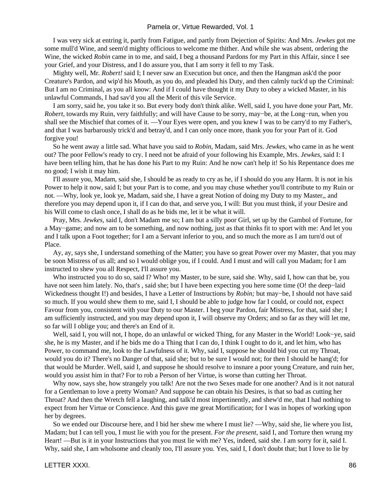I was very sick at entring it, partly from Fatigue, and partly from Dejection of Spirits: And Mrs. *Jewkes* got me some mull'd Wine, and seem'd mighty officious to welcome me thither. And while she was absent, ordering the Wine, the wicked *Robin* came in to me, and said, I beg a thousand Pardons for my Part in this Affair, since I see your Grief, and your Distress, and I do assure you, that I am sorry it fell to my Task.

 Mighty well, Mr. *Robert!* said I; I never saw an Execution but once, and then the Hangman ask'd the poor Creature's Pardon, and wip'd his Mouth, as you do, and pleaded his Duty, and then calmly tuck'd up the Criminal: But I am no Criminal, as you all know: And if I could have thought it my Duty to obey a wicked Master, in his unlawful Commands, I had sav'd you all the Merit of this vile Service.

 I am sorry, said he, you take it so. But every body don't think alike. Well, said I, you have done your Part, Mr. *Robert,* towards my Ruin, very faithfully; and will have Cause to be sorry, may−be, at the Long−run, when you shall see the Mischief that comes of it. —Your Eyes were open, and you knew I was to be carry'd to my Father's, and that I was barbarously trick'd and betray'd, and I can only once more, thank you for your Part of it. God forgive you!

 So he went away a little sad. What have you said to *Robin,* Madam, said Mrs. *Jewkes,* who came in as he went out? The poor Fellow's ready to cry. I need not be afraid of your following his Example, Mrs. *Jewkes,* said I: I have been telling him, that he has done his Part to my Ruin: And he now can't help it! So his Repentance does me no good; I wish it may him.

 I'll assure you, Madam, said she, I should be as ready to cry as he, if I should do you any Harm. It is not in his Power to help it now, said I; but your Part is to come, and you may chuse whether you'll contribute to my Ruin or not. —Why, look ye, look ye, Madam, said she, I have a great Notion of doing my Duty to my Master,, and therefore you may depend upon it, if I can do that, and serve you, I will: But you must think, if your Desire and his Will come to clash once, I shall do as he bids me, let it be what it will.

 Pray, Mrs. *Jewkes,* said I, don't Madam me so; I am but a silly poor Girl, set up by the Gambol of Fortune, for a May−game; and now am to be something, and now nothing, just as that thinks fit to sport with me: And let you and I talk upon a Foot together; for I am a Servant inferior to you, and so much the more as I am turn'd out of Place.

 Ay, ay, says she, I understand something of the Matter; you have so great Power over my Master, that you may be soon Mistress of us all; and so I would oblige you, if I could. And I must and will call you Madam; for I am instructed to shew you all Respect, I'll assure you.

 Who instructed you to do so, said I? Who! my Master, to be sure, said she. Why, said I, how can that be, you have not seen him lately. No, that's , said she; but I have been expecting you here some time (O! the deep−laid Wickedness thought I!) and besides, I have a Letter of Instructions by *Robin;* but may−be, I should not have said so much. If you would shew them to me, said I, I should be able to judge how far I could, or could not, expect Favour from you, consistent with your Duty to our Master. I beg your Pardon, fair Mistress, for that, said she; I am sufficiently instructed, and you may depend upon it, I will observe my Orders; and so far as they will let me, so far will I oblige you; and there's an End of it.

 Well, said I, you will not, I hope, do an unlawful or wicked Thing, for any Master in the World! Look−ye, said she, he is my Master, and if he bids me do a Thing that I can do, I think I ought to do it, and let him, who has Power, to command me, look to the Lawfulness of it. Why, said I, suppose he should bid you cut my Throat, would you do it? There's no Danger of that, said she; but to be sure I would not; for then I should be hang'd; for that would be Murder. Well, said I, and suppose he should resolve to insnare a poor young Creature, and ruin her, would you assist him in that? For to rob a Person of her Virtue, is worse than cutting her Throat.

 Why now, says she, how strangely you talk! Are not the two Sexes made for one another? And is it not natural for a Gentleman to love a pretty Woman? And suppose he can obtain his Desires, is that so bad as cutting her Throat? And then the Wretch fell a laughing, and talk'd most impertinently, and shew'd me, that I had nothing to expect from her Virtue or Conscience. And this gave me great Mortification; for I was in hopes of working upon her by degrees.

 So we ended our Discourse here, and I bid her shew me where I must lie? —Why, said she, lie where you list, Madam; but I can tell you, I must lie with you for the present. *For the present,* said I, and Torture then wrung my Heart! —But is it in your Instructions that you must lie with me? Yes, indeed, said she. I am sorry for it, said I. Why, said she, I am wholsome and cleanly too, I'll assure you. Yes, said I, I don't doubt that; but I love to lie by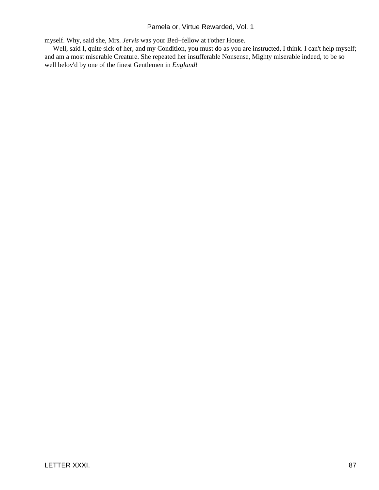myself. Why, said she, Mrs. *Jervis* was your Bed−fellow at t'other House.

 Well, said I, quite sick of her, and my Condition, you must do as you are instructed, I think. I can't help myself; and am a most miserable Creature. She repeated her insufferable Nonsense, Mighty miserable indeed, to be so well belov'd by one of the finest Gentlemen in *England!*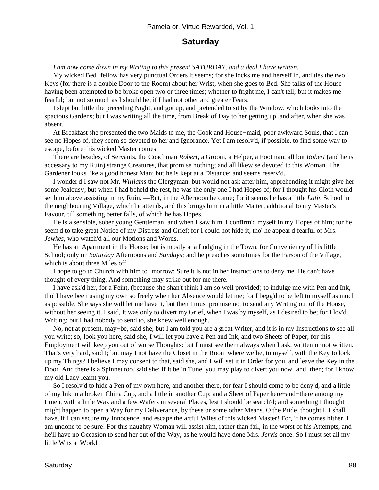### **Saturday**

*I am now come down in my Writing to this present SATURDAY, and a deal I have written.*

 My wicked Bed−fellow has very punctual Orders it seems; for she locks me and herself in, and ties the two Keys (for there is a double Door to the Room) about her Wrist, when she goes to Bed. She talks of the House having been attempted to be broke open two or three times; whether to fright me, I can't tell; but it makes me fearful; but not so much as I should be, if I had not other and greater Fears.

 I slept but little the preceding Night, and got up, and pretended to sit by the Window, which looks into the spacious Gardens; but I was writing all the time, from Break of Day to her getting up, and after, when she was absent.

 At Breakfast she presented the two Maids to me, the Cook and House−maid, poor awkward Souls, that I can see no Hopes of, they seem so devoted to her and Ignorance. Yet I am resolv'd, if possible, to find some way to escape, before this wicked Master comes.

 There are besides, of Servants, the Coachman *Robert,* a Groom, a Helper, a Footman; all but *Robert* (and he is accessary to my Ruin) strange Creatures, that promise nothing; and all likewise devoted to this Woman. The Gardener looks like a good honest Man; but he is kept at a Distance; and seems reserv'd.

 I wonder'd I saw not Mr. *Williams* the Clergyman, but would not ask after him, apprehending it might give her some Jealousy; but when I had beheld the rest, he was the only one I had Hopes of; for I thought his Cloth would set him above assisting in my Ruin. —But, in the Afternoon he came; for it seems he has a little *Latin* School in the neighbouring Village, which he attends, and this brings him in a little Matter, additional to my Master's Favour, till something better falls, of which he has Hopes.

 He is a sensible, sober young Gentleman, and when I saw him, I confirm'd myself in my Hopes of him; for he seem'd to take great Notice of my Distress and Grief; for I could not hide it; tho' he appear'd fearful of Mrs. *Jewkes,* who watch'd all our Motions and Words.

 He has an Apartment in the House; but is mostly at a Lodging in the Town, for Conveniency of his little School; only on *Saturday* Afternoons and *Sundays;* and he preaches sometimes for the Parson of the Village, which is about three Miles off.

 I hope to go to Church with him to−morrow: Sure it is not in her Instructions to deny me. He can't have thought of every thing. And something may strike out for me there.

 I have ask'd her, for a Feint, (because she shan't think I am so well provided) to indulge me with Pen and Ink, tho' I have been using my own so freely when her Absence would let me; for I begg'd to be left to myself as much as possible. She says she will let me have it, but then I must promise not to send any Writing out of the House, without her seeing it. I said, It was only to divert my Grief, when I was by myself, as I desired to be; for I lov'd Writing; but I had nobody to send to, she knew well enough.

 No, not at present, may−be, said she; but I am told you are a great Writer, and it is in my Instructions to see all you write; so, look you here, said she, I will let you have a Pen and Ink, and two Sheets of Paper; for this Employment will keep you out of worse Thoughts: but I must see them always when I ask, written or not written. That's very hard, said I; but may I not have the Closet in the Room where we lie, to myself, with the Key to lock up my Things? I believe I may consent to that, said she, and I will set it in Order for you, and leave the Key in the Door. And there is a Spinnet too, said she; if it be in Tune, you may play to divert you now−and−then; for I know my old Lady learnt you.

 So I resolv'd to hide a Pen of my own here, and another there, for fear I should come to be deny'd, and a little of my Ink in a broken China Cup, and a little in another Cup; and a Sheet of Paper here−and−there among my Linen, with a little Wax and a few Wafers in several Places, lest I should be search'd; and something I thought might happen to open a Way for my Deliverance, by these or some other Means. O the Pride, thought I, I shall have, if I can secure my Innocence, and escape the artful Wiles of this wicked Master! For, if he comes hither, I am undone to be sure! For this naughty Woman will assist him, rather than fail, in the worst of his Attempts, and he'll have no Occasion to send her out of the Way, as he would have done Mrs. *Jervis* once. So I must set all my little Wits at Work!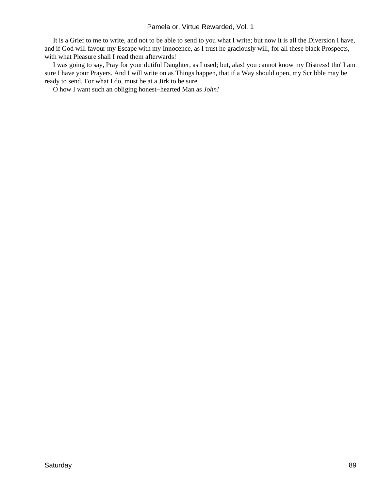It is a Grief to me to write, and not to be able to send to you what I write; but now it is all the Diversion I have, and if God will favour my Escape with my Innocence, as I trust he graciously will, for all these black Prospects, with what Pleasure shall I read them afterwards!

 I was going to say, Pray for your dutiful Daughter, as I used; but, alas! you cannot know my Distress! tho' I am sure I have your Prayers. And I will write on as Things happen, that if a Way should open, my Scribble may be ready to send. For what I do, must be at a Jirk to be sure.

O how I want such an obliging honest−hearted Man as *John!*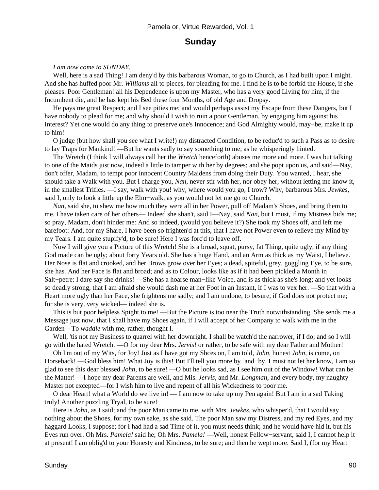### **Sunday**

#### *I am now come to SUNDAY.*

Well, here is a sad Thing! I am deny'd by this barbarous Woman, to go to Church, as I had built upon I might. And she has huffed poor Mr. *Williams* all to pieces, for pleading for me. I find he is to be forbid the House, if she pleases. Poor Gentleman! all his Dependence is upon my Master, who has a very good Living for him, if the Incumbent die, and he has kept his Bed these four Months, of old Age and Dropsy.

 He pays me great Respect; and I see pities me; and would perhaps assist my Escape from these Dangers, but I have nobody to plead for me; and why should I wish to ruin a poor Gentleman, by engaging him against his Interest? Yet one would do any thing to preserve one's Innocence; and God Almighty would, may−be, make it up to him!

 O judge (but how shall you see what I write!) my distracted Condition, to be reduc'd to such a Pass as to desire to lay Traps for Mankind! —But he wants sadly to say something to me, as he whisperingly hinted.

 The Wretch (I think I will always call her the *Wretch* henceforth) abuses me more and more. I was but talking to one of the Maids just now, indeed a little to tamper with her by degrees; and she popt upon us, and said—Nay, don't offer, Madam, to tempt poor innocent Country Maidens from doing their Duty. You wanted, I hear, she should take a Walk with you. But I charge you, *Nan,* never stir with her, nor obey her, without letting me know it, in the smallest Trifles. —I say, walk with you! why, where would you go, I trow? Why, barbarous Mrs. *Jewkes,* said I, only to look a little up the Elm−walk, as you would not let me go to Church.

*Nan,* said she, to shew me how much they were all in her Power, pull off Madam's Shoes, and bring them to me. I have taken care of her others— Indeed she shan't, said I—Nay, said *Nan,* but I must, if my Mistress bids me; so pray, Madam, don't hinder me: And so indeed, (would you believe it?) She took my Shoes off, and left me barefoot: And, for my Share, I have been so frighten'd at this, that I have not Power even to relieve my Mind by my Tears. I am quite stupify'd, to be sure! Here I was forc'd to leave off.

 Now I will give you a Picture of this Wretch! She is a broad, squat, pursy, fat Thing, quite ugly, if any thing God made can be ugly; about forty Years old. She has a huge Hand, and an Arm as thick as my Waist, I believe. Her Nose is flat and crooked, and her Brows grow over her Eyes; a dead, spiteful, grey, goggling Eye, to be sure, she has. And her Face is flat and broad; and as to Colour, looks like as if it had been pickled a Month in Salt−petre: I dare say she drinks! —She has a hoarse man−like Voice, and is as thick as she's long; and yet looks so deadly strong, that I am afraid she would dash me at her Foot in an Instant, if I was to vex her. —So that with a Heart more ugly than her Face, she frightens me sadly; and I am undone, to besure, if God does not protect me; for she is very, very wicked— indeed she is.

 This is but poor helpless Spight to me! —But the Picture is too near the Truth notwithstanding. She sends me a Message just now, that I shall have my Shoes again, if I will accept of her Company to walk with me in the Garden—To *waddle* with me, rather, thought I.

Well, 'tis not my Business to quarrel with her downright. I shall be watch'd the narrower, if I do; and so I will go with the hated Wretch. —O for my dear Mrs. *Jervis!* or rather, to be safe with my dear Father and Mother!

 Oh I'm out of my Wits, for Joy! Just as I have got my Shces on, I am told, *John,* honest *John,* is come, on Horseback! —God bless him! What Joy is this! But I'll tell you more by−and−by. I must not let her know, I am so glad to see this dear blessed *John,* to be sure! —O but he looks sad, as I see him out of the Window! What can be the Matter! —I hope my dear Parents are well, and Mis. *Jervis,* and Mr. *Longman,* and every body, my naughty Master not excepted—for I wish him to live and repent of all his Wickedness to poor me.

 O dear Heart! what a World do we live in! — I am now to take up my Pen again! But I am in a sad Taking truly! Another puzzling Tryal, to be sure!

 Here is *John,* as I said; and the poor Man came to me, with Mrs. *Jewkes,* who whisper'd, that I would say nothing about the Shoes, for my own sake, as she said. The poor Man saw my Distress, and my red Eyes, and my haggard Looks, I suppose; for I had had a sad Time of it, you must needs think; and he would have hid it, but his Eyes run over. Oh Mrs. *Pamela!* said he; Oh Mrs. *Pamela!* —Well, honest Fellow−servant, said I, I cannot help it at present! I am oblig'd to your Honesty and Kindness, to be sure; and then he wept more. Said I, (for my Heart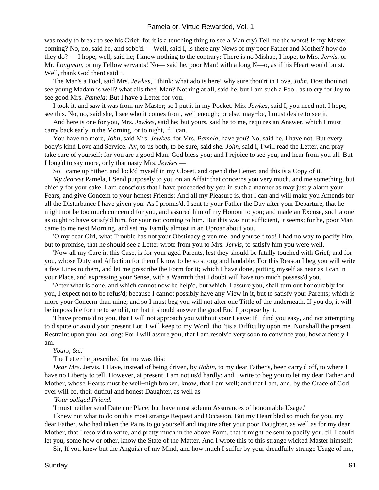was ready to break to see his Grief; for it is a touching thing to see a Man cry) Tell me the worst! Is my Master coming? No, no, said he, and sobb'd. —Well, said I, is there any News of my poor Father and Mother? how do they do? — I hope, well, said he; I know nothing to the contrary: There is no Mishap, I hope, to Mrs. *Jervis,* or Mr. *Longman,* or my Fellow servants! No— said he, poor Man! with a long N—o, as if his Heart would burst. Well, thank God then! said I.

 The Man's a Fool, said Mrs. *Jewkes,* I think; what ado is here! why sure thou'rt in Love, *John.* Dost thou not see young Madam is well? what ails thee, Man? Nothing at all, said he, but I am such a Fool, as to cry for Joy to see good Mrs. *Pamela:* But I have a Letter for you.

 I took it, and saw it was from my Master; so I put it in my Pocket. Mis. *Jewkes,* said I, you need not, I hope, see this. No, no, said she, I see who it comes from, well enough; or else, may–be, I must desire to see it.

 And here is one for you, Mrs. *Jewkes,* said he; but yours, said he to me, requires an Answer, which I must carry back early in the Morning, or to night, if I can.

 You have no more, *John,* said Mrs. *Jewkes,* for Mrs. *Pamela,* have you? No, said he, I have not. But every body's kind Love and Service. Ay, to us both, to be sure, said she. *John,* said I, I will read the Letter, and pray take care of yourself; for you are a good Man. God bless you; and I rejoice to see you, and hear from you all. But I long'd to say more, only that nasty Mrs. *Jewkes* —

So I came up hither, and lock'd myself in my Closet, and open'd the Letter; and this is a Copy of it.

*My dearest* Pamela, I Send purposely to you on an Affair that concerns you very much, and me something, but chiefly for your sake. I am conscious that I have proceeded by you in such a manner as may justly alarm your Fears, and give Concern to your honest Friends: And all my Pleasure is, that I can and will make you Amends for all the Disturbance I have given you. As I promis'd, I sent to your Father the Day after your Departure, that he might not be too much concern'd for you, and assured him of my Honour to you; and made an Excuse, such a one as ought to have satisfy'd him, for your not coming to him. But this was not sufficient, it seems; for he, poor Man! came to me next Morning, and set my Family almost in an Uproar about you.

 'O my dear Girl, what Trouble has not your Obstinacy given me, and yourself too! I had no way to pacify him, but to promise, that he should see a Letter wrote from you to Mrs. *Jervis,* to satisfy him you were well.

 'Now all my Care in this Case, is for your aged Parents, lest they should be fatally touched with Grief; and for you, whose Duty and Affection for them I know to be so strong and laudable: For this Reason I beg you will write a few Lines to them, and let me prescribe the Form for it; which I have done, putting myself as near as I can in your Place, and expressing your Sense, with a Warmth that I doubt will have too much possess'd you.

 'After what is done, and which cannot now be help'd, but which, I assure you, shall turn out honourably for you, I expect not to be refus'd; because I cannot possibly have any View in it, but to satisfy your Parents; which is more your Concern than mine; and so I must beg you will not alter one Tittle of the underneath. If you do, it will be impossible for me to send it, or that it should answer the good End I propose by it.

 'I have promis'd to you, that I will not approach you without your Leave: If I find you easy, and not attempting to dispute or avoid your present Lot, I will keep to my Word, tho' 'tis a Difficulty upon me. Nor shall the present Restraint upon you last long: For I will assure you, that I am resolv'd very soon to convince you, how ardently I am.

#### *Yours,* &c.'

The Letter he prescribed for me was this:

*Dear Mrs.* Jervis, I Have, instead of being driven, by *Robin,* to my dear Father's, been carry'd off, to where I have no Liberty to tell. However, at present, I am not us'd hardly; and I write to beg you to let my dear Father and Mother, whose Hearts must be well−nigh broken, know, that I am well; and that I am, and, by the Grace of God, ever will be, their dutiful and honest Daughter, as well as

#### *'Your obliged Friend.*

'I must neither send Date nor Place; but have most solemn Assurances of honourable Usage.'

 I knew not what to do on this most strange Request and Occasion. But my Heart bled so much for you, my dear Father, who had taken the Pains to go yourself and inquire after your poor Daughter, as well as for my dear Mother, that I resolv'd to write, and pretty much in the above Form, that it might be sent to pacify you, till I could let you, some how or other, know the State of the Matter. And I wrote this to this strange wicked Master himself:

Sir, If you knew but the Anguish of my Mind, and how much I suffer by your dreadfully strange Usage of me,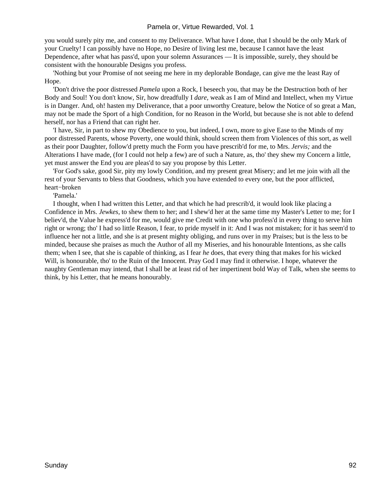you would surely pity me, and consent to my Deliverance. What have I done, that I should be the only Mark of your Cruelty! I can possibly have no Hope, no Desire of living lest me, because I cannot have the least Dependence, after what has pass'd, upon your solemn Assurances — It is impossible, surely, they should be consistent with the honourable Designs you profess.

 'Nothing but your Promise of not seeing me here in my deplorable Bondage, can give me the least Ray of Hope.

 'Don't drive the poor distressed *Pamela* upon a Rock, I beseech you, that may be the Destruction both of her Body and Soul! You don't know, Sir, how dreadfully I *dare,* weak as I am of Mind and Intellect, when my Virtue is in Danger. And, oh! hasten my Deliverance, that a poor unworthy Creature, below the Notice of so great a Man, may not be made the Sport of a high Condition, for no Reason in the World, but because she is not able to defend herself, nor has a Friend that can right her.

 'I have, Sir, in part to shew my Obedience to you, but indeed, I own, more to give Ease to the Minds of my poor distressed Parents, whose Poverty, one would think, should screen them from Violences of this sort, as well as their poor Daughter, follow'd pretty much the Form you have prescrib'd for me, to Mrs. *Jervis;* and the Alterations I have made, (for I could not help a few) are of such a Nature, as, tho' they shew my Concern a little, yet must answer the End you are pleas'd to say you propose by this Letter.

 'For God's sake, good Sir, pity my lowly Condition, and my present great Misery; and let me join with all the rest of your Servants to bless that Goodness, which you have extended to every one, but the poor afflicted, heart−broken

'Pamela.'

 I thought, when I had written this Letter, and that which he had prescrib'd, it would look like placing a Confidence in Mrs. *Jewkes,* to shew them to her; and I shew'd her at the same time my Master's Letter to me; for I believ'd, the Value he express'd for me, would give me Credit with one who profess'd in every thing to serve him right or wrong; tho' I had so little Reason, I fear, to pride myself in it: And I was not mistaken; for it has seem'd to influence her not a little, and she is at present mighty obliging, and runs over in my Praises; but is the less to be minded, because she praises as much the Author of all my Miseries, and his honourable Intentions, as she calls them; when I see, that she is capable of thinking, as I fear *he* does, that every thing that makes for his wicked Will, is honourable, tho' to the Ruin of the Innocent. Pray God I may find it otherwise. I hope, whatever the naughty Gentleman may intend, that I shall be at least rid of her impertinent bold Way of Talk, when she seems to think, by his Letter, that he means honourably.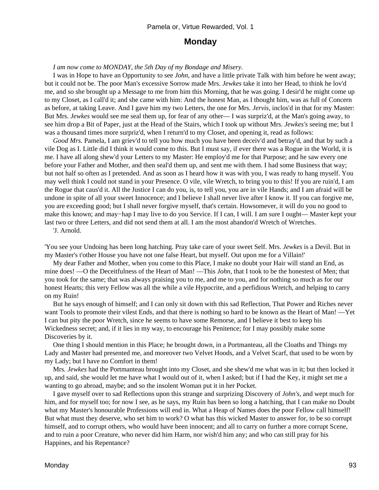### **Monday**

#### *I am now come to MONDAY, the 5th Day of my Bondage and Misery.*

 I was in Hope to have an Opportunity to see *John,* and have a little private Talk with him before he went away; but it could not be. The poor Man's excessive Sorrow made Mrs. *Jewkes* take it into her Head, to think he lov'd me, and so she brought up a Message to me from him this Morning, that he was going. I desir'd he might come up to my Closet, as I call'd it; and she came with him: And the honest Man, as I thought him, was as full of Concern as before, at taking Leave. And I gave him my two Letters, the one for Mrs. *Jervis,* inclos'd in that for my Master: But Mrs. *Jewkes* would see me seal them up, for fear of any other— I was surpriz'd, at the Man's going away, to see him drop a Bit of Paper, just at the Head of the Stairs, which I took up without Mrs. *Jewkes's* seeing me; but I was a thousand times more surpriz'd, when I return'd to my Closet, and opening it, read as follows:

*Good Mrs.* Pamela, I am griev'd to tell you how much you have been deceiv'd and betray'd, and that by such a vile Dog as I. Little did I think it would come to this. But I must say, if ever there was a Rogue in the World, it is me. I have all along shew'd your Letters to my Master: He employ'd me for that Purpose; and he saw every one before your Father and Mother, and then seal'd them up, and sent me with them. I had some Business that way; but not half so often as I pretended. And as soon as I heard how it was with you, I was ready to hang myself. You may well think I could not stand in your Presence. O vile, vile Wretch, to bring you to this! If you are ruin'd, I am the Rogue that caus'd it. All the Justice I can do you, is, to tell you, you are in vile Hands; and I am afraid will be undone in spite of all your sweet Innocence; and I believe I shall never live after I know it. If you can forgive me, you are exceeding good; but I shall never forgive myself, that's certain. Howsomever, it will do you no good to make this known; and may−hap I may live to do you Service. If I can, I will. I am sure I ought— Master kept your last two or three Letters, and did not send them at all. I am the most abandon'd Wretch of Wretches.

'J. Arnold.

'You see your Undoing has been long hatching. Pray take care of your sweet Self. Mrs. *Jewkes* is a Devil. But in my Master's t'other House you have not one false Heart, but myself. Out upon me for a Villain!'

 My dear Father and Mother, when you come to this Place, I make no doubt your Hair will stand an End, as mine does! —O the Deceitfulness of the Heart of Man! —This *John,* that I took to be the honestest of Men; that you took for the same; that was always praising you to me, and me to you, and for nothing so much as for our honest Hearts; this very Fellow was all the while a vile Hypocrite, and a perfidious Wretch, and helping to carry on my Ruin!

 But he says enough of himself; and I can only sit down with this sad Reflection, That Power and Riches never want Tools to promote their vilest Ends, and that there is nothing so hard to be known as the Heart of Man! —Yet I can but pity the poor Wretch, since he seems to have some Remorse, and I believe it best to keep his Wickedness secret; and, if it lies in my way, to encourage his Penitence; for I may possibly make some Discoveries by it.

 One thing I should mention in this Place; he brought down, in a Portmanteau, all the Cloaths and Things my Lady and Master had presented me, and moreover two Velvet Hoods, and a Velvet Scarf, that used to be worn by my Lady; but I have no Comfort in them!

 Mrs. *Jewkes* had the Portmanteau brought into my Closet, and she shew'd me what was in it; but then locked it up, and said, she would let me have what I would out of it, when I asked; but if I had the Key, it might set me a wanting to go abroad, maybe; and so the insolent Woman put it in her Pocket.

 I gave myself over to sad Reflections upon this strange and surprizing Discovery of *John's,* and wept much for him, and for myself too; for now I see, as he says, my Ruin has been so long a hatching, that I can make no Doubt what my Master's honourable Professions will end in. What a Heap of Names does the poor Fellow call himself! But what must they deserve, who set him to work? O what has this wicked Master to answer for, to be so corrupt himself, and to corrupt others, who would have been innocent; and all to carry on further a more corrupt Scene, and to ruin a poor Creature, who never did him Harm, nor wish'd him any; and who can still pray for his Happines, and his Repentance?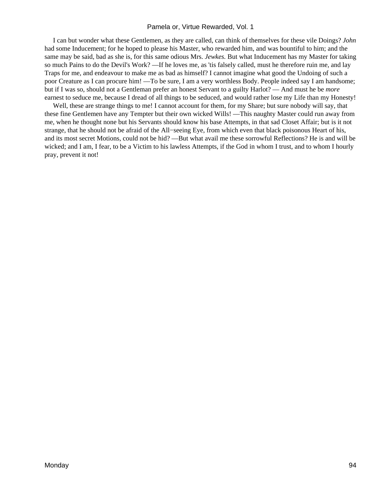I can but wonder what these Gentlemen, as they are called, can think of themselves for these vile Doings? *John* had some Inducement; for he hoped to please his Master, who rewarded him, and was bountiful to him; and the same may be said, bad as she is, for this same odious Mrs. *Jewkes.* But what Inducement has my Master for taking so much Pains to do the Devil's Work? —If he loves me, as 'tis falsely called, must he therefore ruin me, and lay Traps for me, and endeavour to make me as bad as himself? I cannot imagine what good the Undoing of such a poor Creature as I can procure him! —To be sure, I am a very worthless Body. People indeed say I am handsome; but if I was so, should not a Gentleman prefer an honest Servant to a guilty Harlot? — And must he be *more* earnest to seduce me, because I dread of all things to be seduced, and would rather lose my Life than my Honesty!

Well, these are strange things to me! I cannot account for them, for my Share; but sure nobody will say, that these fine Gentlemen have any Tempter but their own wicked Wills! —This naughty Master could run away from me, when he thought none but his Servants should know his base Attempts, in that sad Closet Affair; but is it not strange, that he should not be afraid of the All−seeing Eye, from which even that black poisonous Heart of his, and its most secret Motions, could not be hid? —But what avail me these sorrowful Reflections? He is and will be wicked; and I am, I fear, to be a Victim to his lawless Attempts, if the God in whom I trust, and to whom I hourly pray, prevent it not!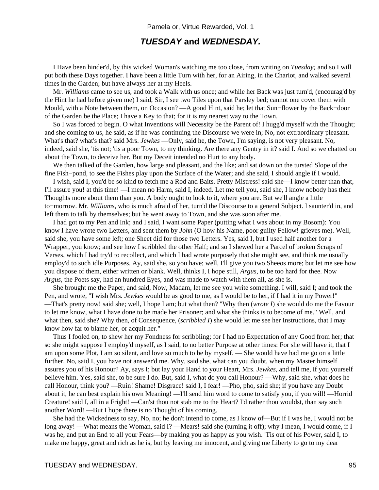### **TUESDAY and WEDNESDAY.**

 I Have been hinder'd, by this wicked Woman's watching me too close, from writing on *Tuesday;* and so I will put both these Days together. I have been a little Turn with her, for an Airing, in the Chariot, and walked several times in the Garden; but have always her at my Heels.

 Mr. *Williams* came to see us, and took a Walk with us once; and while her Back was just turn'd, (encourag'd by the Hint he had before given me) I said, Sir, I see two Tiles upon that Parsley bed; cannot one cover them with Mould, with a Note between them, on Occasion? —A good Hint, said he; let that Sun−flower by the Back−door of the Garden be the Place; I have a Key to that; for it is my nearest way to the Town.

 So I was forced to begin. O what Inventions will Necessity be the Parent of! I hugg'd myself with the Thought; and she coming to us, he said, as if he was continuing the Discourse we were in; No, not extraordinary pleasant. What's that? what's that? said Mrs. *Jewkes* —Only, said he, the Town, I'm saying, is not very pleasant. No, indeed, said she, 'tis not; 'tis a poor Town, to my thinking. Are there any Gentry in it? said I. And so we chatted on about the Town, to deceive her. But my Deceit intended no Hurt to any body.

 We then talked of the Garden, how large and pleasant, and the like; and sat down on the tursted Slope of the fine Fish−pond, to see the Fishes play upon the Surface of the Water; and she said, I should angle if I would.

 I wish, said I, you'd be so kind to fetch me a Rod and Baits. Pretty Mistress! said she—I know better than that, I'll assure you! at this time! —I mean no Harm, said I, indeed. Let me tell you, said she, I know nobody has their Thoughts more about them than you. A body ought to look to it, where you are. But we'll angle a little to−morrow. Mr. *Williams,* who is much afraid of her, turn'd the Discourse to a general Subject. I saunter'd in, and left them to talk by themselves; but he went away to Town, and she was soon after me.

 I had got to my Pen and Ink; and I said, I want some Paper (putting what I was about in my Bosom): You know I have wrote two Letters, and sent them by *John* (O how his Name, poor guilty Fellow! grieves me). Well, said she, you have some left; one Sheet did for those two Letters. Yes, said I, but I used half another for a Wrapper, you know; and see how I scribbled the other Half; and so I shewed her a Parcel of broken Scraps of Verses, which I had try'd to recollect, and which I had wrote purposely that she might see, and think me usually employ'd to such idle Purposes. Ay, said she, so you have; well, I'll give you two Sheeos more; but let me see how you dispose of them, either written or blank. Well, thinks I, I hope still, *Argus,* to be too hard for thee. Now *Argus,* the Poets say, had an hundred Eyes, and was made to watch with them all, as she is.

 She brought me the Paper, and said, Now, Madam, let me see you write something. I will, said I; and took the Pen, and wrote, "I wish Mrs. *Jewkes* would be as good to me, as I would be to her, if I had it in my Power!" —That's pretty now! said she; well, I hope I am; but what then? "Why then (*wrote I*) she would do me the Favour to let me know, what I have done to be made her Prisoner; and what she thinks is to become of me." Well, and what then, said she? Why then, of Consequence, *(scribbled I)* she would let me see her Instructions, that I may know how far to blame her, or acquit her."

 Thus I fooled on, to shew her my Fondness for scribbling; for I had no Expectation of any Good from her; that so she might suppose I employ'd myself, as I said, to no better Purpose at other times: For she will have it, that I am upon some Plot, I am so silent, and love so much to be by myself. — She would have had me go on a little further. No, said I, you have not answer'd me. Why, said she, what can you doubt, when my Master himself assures you of his Honour? Ay, says I; but lay your Hand to your Heart, Mrs. *Jewkes,* and tell me, if you yourself believe him. Yes, said she, to be sure I do. But, said I, what do you call Honour? —Why, said she, what does he call Honour, think you? —Ruin! Shame! Disgrace! said I, I fear! —Pho, pho, said she; if you have any Doubt about it, he can best explain his own Meaning! —I'll send him word to come to satisfy you, if you will! —Horrid Creature! said I, all in a Fright! —Can'st thou not stab me to the Heart? I'd rather thou wouldst, than say such another Word! —But I hope there is no Thought of his coming.

 She had the Wickedness to say, No, no; he don't intend to come, as I know of—But if I was he, I would not be long away! —What means the Woman, said I? —Mears! said she (turning it off); why I mean, I would come, if I was he, and put an End to all your Fears—by making you as happy as you wish. 'Tis out of his Power, said I, to make me happy, great and rich as he is, but by leaving me innocent, and giving me Liberty to go to my dear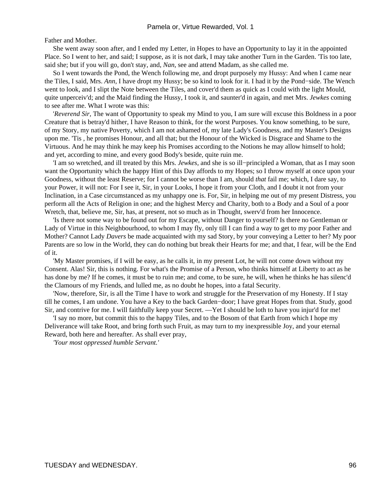Father and Mother.

 She went away soon after, and I ended my Letter, in Hopes to have an Opportunity to lay it in the appointed Place. So I went to her, and said; I suppose, as it is not dark, I may take another Turn in the Garden. 'Tis too late, said she; but if you will go, don't stay, and, *Nan,* see and attend Madam, as she called me.

 So I went towards the Pond, the Wench following me, and dropt purposely my Hussy: And when I came near the Tiles, I said, Mrs. *Ann,* I have dropt my Hussy; be so kind to look for it. I had it by the Pond−side. The Wench went to look, and I slipt the Note between the Tiles, and cover'd them as quick as I could with the light Mould, quite unperceiv'd; and the Maid finding the Hussy, I took it, and saunter'd in again, and met Mrs. *Jewkes* coming to see after me. What I wrote was this:

 '*Reverend Sir,* The want of Opportunity to speak my Mind to you, I am sure will excuse this Boldness in a poor Creature that is betray'd hither, I have Reason to think, for the worst Purposes. You know something, to be sure, of my Story, my native Poverty, which I am not ashamed of, my late Lady's Goodness, and my Master's Designs upon me. 'Tis , he promises Honour, and all that; but the Honour of the Wicked is Disgrace and Shame to the Virtuous. And he may think he may keep his Promises according to the Notions he may allow himself to hold; and yet, according to mine, and every good Body's beside, quite ruin me.

 'I am so wretched, and ill treated by this Mrs. *Jewkes,* and she is so ill−principled a Woman, that as I may soon want the Opportunity which the happy Hint of this Day affords to my Hopes; so I throw myself at once upon your Goodness, without the least Reserve; for I cannot be worse than I am, should *that* fail me; which, I dare say, to your Power, it will not: For I see it, Sir, in your Looks, I hope it from your Cloth, and I doubt it not from your Inclination, in a Case circumstanced as my unhappy one is. For, Sir, in helping me out of my present Distress, you perform all the Acts of Religion in one; and the highest Mercy and Charity, both to a Body and a Soul of a poor Wretch, that, believe me, Sir, has, at present, not so much as in Thought, swerv'd from her Innocence.

 'Is there not some way to be found out for my Escape, without Danger to yourself? Is there no Gentleman or Lady of Virtue in this Neighbourhood, to whom I may fly, only till I can find a way to get to my poor Father and Mother? Cannot Lady *Davers* be made acquainted with my sad Story, by your conveying a Letter to her? My poor Parents are so low in the World, they can do nothing but break their Hearts for me; and that, I fear, will be the End of it.

 'My Master promises, if I will be easy, as he calls it, in my present Lot, he will not come down without my Consent. Alas! Sir, this is nothing. For what's the Promise of a Person, who thinks himself at Liberty to act as he has done by me? If he comes, it must be to ruin me; and come, to be sure, he will, when he thinks he has silenc'd the Clamours of my Friends, and lulled me, as no doubt he hopes, into a fatal Security.

 'Now, therefore, Sir, is all the Time I have to work and struggle for the Preservation of my Honesty. If I stay till he comes, I am undone. You have a Key to the back Garden−door; I have great Hopes from that. Study, good Sir, and contrive for me. I will faithfully keep your Secret. —Yet I should be loth to have you injur'd for me!

 'I say no more, but commit this to the happy Tiles, and to the Bosom of that Earth from which I hope my Deliverance will take Root, and bring forth such Fruit, as may turn to my inexpressible Joy, and your eternal Reward, both here and hereafter. As shall ever pray,

*'Your most oppressed humble Servant.'*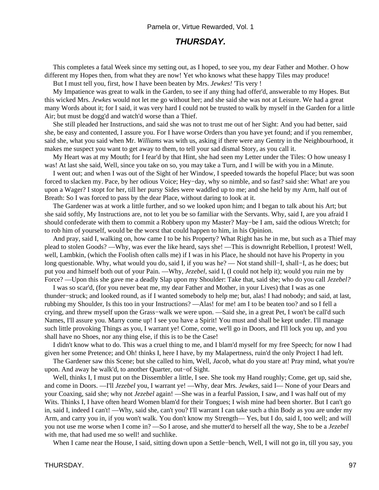### **THURSDAY.**

 This completes a fatal Week since my setting out, as I hoped, to see you, my dear Father and Mother. O how different my Hopes then, from what they are now! Yet who knows what these happy Tiles may produce!

But I must tell you, first, how I have been beaten by Mrs. *Jewkes!* 'Tis very !

 My Impatience was great to walk in the Garden, to see if any thing had offer'd, answerable to my Hopes. But this wicked Mrs. *Jewkes* would not let me go without her; and she said she was not at Leisure. We had a great many Words about it; for I said, it was very hard I could not be trusted to walk by myself in the Garden for a little Air; but must be dogg'd and watch'd worse than a Thief.

 She still pleaded her Instructions, and said she was not to trust me out of her Sight: And you had better, said she, be easy and contented, I assure you. For I have worse Orders than you have yet found; and if you remember, said she, what you said when Mr. *Williams* was with us, asking if there were any Gentry in the Neighbourhood, it makes me suspect you want to get away to them, to tell your sad dismal Story, as you call it.

 My Heart was at my Mouth; for I fear'd by that Hint, she had seen my Letter under the Tiles: O how uneasy I was! At last she said, Well, since you take on so, you may take a Turn, and I will be with you in a Minute.

 I went out; and when I was out of the Sight of her Window, I speeded towards the hopeful Place; but was soon forced to slacken my. Pace, by her odious Voice; Hey−day, why so nimble, and so fast? said she: What! are you upon a Wager? I stopt for her, till her pursy Sides were waddled up to me; and she held by my Arm, half out of Breath: So I was forced to pass by the dear Place, without daring to look at it.

 The Gardener was at work a little further, and so we looked upon him; and I began to talk about his Art; but she said softly, My Instructions are, not to let you be so familiar with the Servants. Why, said I, are you afraid I should confederate with them to commit a Robbery upon my Master? May−be I am, said the odious Wretch; for to rob him of yourself, would be the worst that could happen to him, in his Opinion.

 And pray, said I, walking on, how came I to be his Property? What Right has he in me, but such as a Thief may plead to stolen Goods? —Why, was ever the like heard, says she! —This is downright Rebellion, I protest! Well, well, Lambkin, (which the Foolish often calls me) if I was in his Place, he should not have his Property in you long questionable. Why, what would you do, said I, if you was he? — Not stand shill−I, shall−I, as he does; but put you and himself both out of your Pain. —Why, *Jezebel,* said I, (I could not help it); would you ruin me by Force? —Upon this she gave me a deadly Slap upon my Shoulder: Take that, said she; who do you call *Jezebel?*

 I was so scar'd, (for you never beat me, my dear Father and Mother, in your Lives) that I was as one thunder−struck; and looked round, as if I wanted somebody to help me; but, alas! I had nobody; and said, at last, rubbing my Shoulder, Is this too in your Instructions? —Alas! for me! am I to be beaten too? and so I fell a crying, and threw myself upon the Grass−walk we were upon. —Said she, in a great Pet, I won't be call'd such Names, I'll assure you. Marry come up! I see you have a Spirit! You must and shall be kept under. I'll manage such little provoking Things as you, I warrant ye! Come, come, we'll go in Doors, and I'll lock you up, and you shall have no Shoes, nor any thing else, if this is to be the Case!

 I didn't know what to do. This was a cruel thing to me, and I blam'd myself for my free Speech; for now I had given her some Pretence; and Oh! thinks I, here I have, by my Malapertness, ruin'd the only Project I had left.

 The Gardener saw this Scene; but she called to him, Well, *Jacob,* what do you stare at! Pray mind, what you're upon. And away he walk'd, to another Quarter, out−of Sight.

Well, thinks I, I must put on the Dissembler a little, I see. She took my Hand roughly; Come, get up, said she, and come in Doors. —I'll *Jezebel* you, I warrant ye! —Why, dear Mrs. *Jewkes,* said I— None of your Dears and your Coaxing, said she; why not *Jezebel* again! —She was in a fearful Passion, I saw, and I was half out of my Wits. Thinks I, I have often heard Women blam'd for their Tongues; I wish mine had been shorter. But I can't go in, said I, indeed I can't! —Why, said she, can't you? I'll warrant I can take such a thin Body as you are under my Arm, and carry you in, if you won't walk. You don't know my Strength— Yes, but I do, said I, too well; and will you not use me worse when I come in? —So I arose, and she mutter'd to herself all the way, She to be a *Jezebel* with me, that had used me so well! and suchlike.

When I came near the House, I said, sitting down upon a Settle−bench, Well, I will not go in, till you say, you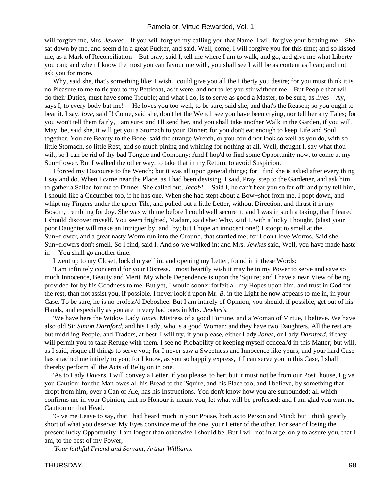will forgive me, Mrs. *Jewkes*—If you will forgive my calling you that Name, I will forgive your beating me—She sat down by me, and seem'd in a great Pucker, and said, Well, come, I will forgive you for this time; and so kissed me, as a Mark of Reconciliation—But pray, said I, tell me where I am to walk, and go, and give me what Liberty you can; and when I know the most you can favour me with, you shall see I will be as content as I can; and not ask you for more.

 Why, said she, that's something like: I wish I could give you all the Liberty you desire; for you must think it is no Pleasure to me to tie you to my Petticoat, as it were, and not to let you stir without me—But People that will do their Duties, must have some Trouble; and what I do, is to serve as good a Master, to be sure, as lives—Ay, says I, to every body but me! —He loves you too well, to be sure, said she, and that's the Reason; so you ought to bear it. I say, *love,* said I! Come, said she, don't let the Wench see you have been crying, nor tell her any Tales; for you won't tell them fairly, I am sure; and I'll send her, and you shall take another Walk in the Garden, if you will. May−be, said she, it will get you a Stomach to your Dinner; for you don't eat enough to keep Life and Soul together. You are Beauty to the Bone, said the strange Wretch, or you could not look so well as you do, with so little Stomach, so little Rest, and so much pining and whining for nothing at all. Well, thought I, say what thou wilt, so I can be rid of thy bad Tongue and Company: And I hop'd to find some Opportunity now, to come at my Sun−flower. But I walked the other way, to take that in my Return, to avoid Suspicion.

 I forced my Discourse to the Wench; but it was all upon general things; for I find she is asked after every thing I say and do. When I came near the Place, as I had been devising, I said, Pray, step to the Gardener, and ask him to gather a Sallad for me to Dinner. She called out, *Jacob!* —Said I, he can't hear you so far off; and pray tell him, I should like a Cucumber too, if he has one. When she had stept about a Bow−shot from me, I popt down, and whipt my Fingers under the upper Tile, and pulled out a little Letter, without Direction, and thrust it in my Bosom, trembling for Joy. She was with me before I could well secure it; and I was in such a taking, that I feared I should discover myself. You seem frighted, Madam, said she: Why, said I, with a lucky Thought, (alas! your poor Daughter will make an Intriguer by−and−by; but I hope an innocent one!) I stoopt to smell at the Sun−flower, and a great nasty Worm run into the Ground, that startled me; for I don't love Worms. Said she, Sun−flowers don't smell. So I find, said I. And so we walked in; and Mrs. *Jewkes* said, Well, you have made haste in— You shall go another time.

I went up to my Closet, lock'd myself in, and opening my Letter, found in it these Words:

 'I am infinitely concern'd for your Distress. I most heartily wish it may be in my Power to serve and save so much Innocence, Beauty and Merit. My whole Dependence is upon the 'Squire; and I have a near View of being provided for by his Goodness to me. But yet, I would sooner forfeit all my Hopes upon him, and trust in God for the rest, than not assist you, if possible. I never look'd upon Mr. *B.* in the Light he now appears to me in, in your Case. To be sure, he is no profess'd Deboshee. But I am intirely of Opinion, you should, if possible, get out of his Hands, and especially as you are in very bad ones in Mrs. *Jewkes's.*

 'We have here the Widow Lady *Jones,* Mistress of a good Fortune, and a Woman of Virtue, I believe. We have also old Sir *Simon Darnford,* and his Lady, who is a good Woman; and they have two Daughters. All the rest are but middling People, and Traders, at best. I will try, if you please, either Lady *Jones,* or Lady *Darnford,* if they will permit you to take Refuge with them. I see no Probability of keeping myself conceal'd in this Matter; but will, as I said, risque all things to serve you; for I never saw a Sweetness and Innocence like yours; and your hard Case has attached me intirely to you; for I know, as you so happily express, if I can serve you in this Case, I shall thereby perform all the Acts of Religion in one.

 'As to Lady *Davers,* I will convey a Letter, if you please, to her; but it must not be from our Post−house, I give you Caution; for the Man owes all his Bread to the 'Squire, and his Place too; and I believe, by something that dropt from him, over a Can of Ale, has his Instructions. You don't know how you are surrounded; all which confirms me in your Opinion, that no Honour is meant you, let what will be professed; and I am glad you want no Caution on that Head.

 'Give me Leave to say, that I had heard much in your Praise, both as to Person and Mind; but I think greatly short of what you deserve: My Eyes convince me of the one, your Letter of the other. For sear of losing the present lucky Opportunity, I am longer than otherwise I should be. But I will not inlarge, only to assure you, that I am, to the best of my Power,

*'Your faithful Friend and Servant, Arthur Williams.*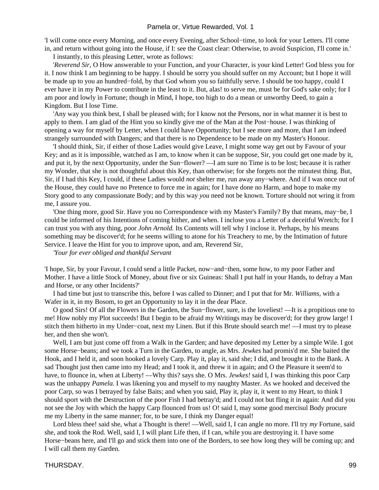'I will come once every Morning, and once every Evening, after School−time, to look for your Letters. I'll come in, and return without going into the House, if I: see the Coast clear: Otherwise, to avoid Suspicion, I'll come in.'

I instantly, to this pleasing Letter, wrote as follows:

 '*Reverend Sir,* O How answerable to your Function, and your Character, is your kind Letter! God bless you for it. I now think I am beginning to be happy. I should be sorry you should suffer on my Account; but I hope it will be made up to you an hundred−fold, by that God whom you so faithfully serve. I should be too happy, could I ever have it in my Power to contribute in the least to it. But, alas! to serve me, must be for God's sake only; for I am poor and lowly in Fortune; though in Mind, I hope, too high to do a mean or unworthy Deed, to gain a Kingdom. But I lose Time.

 'Any way you think best, I shall be pleased with; for I know not the Persons, nor in what manner it is best to apply to them. I am glad of the Hint you so kindly give me of the Man at the Post−house. I was thinking of opening a way for myself by Letter, when I could have Opportunity; but I see more and more, that I am indeed strangely surrounded with Dangers; and that there is no Dependence to be made on my Master's Honour.

 'I should think, Sir, if either of those Ladies would give Leave, I might some way get out by Favour of your Key; and as it is impossible, watched as I am, to know when it can be suppose, Sir, you could get one made by it, and put it, by the next Opportunity, under the Sun−flower? —I am sure no Time is to be lost; because it is rather my Wonder, that she is not thoughtful about this Key, than otherwise; for she forgets not the minutest thing. But, Sir, if I had this Key, I could, if these Ladies would *not* shelter me, run away any−where. And if I was once out of the House, they could have no Pretence to force me in again; for I have done no Harm, and hope to make my Story good to any compassionate Body; and by this way *you* need not be known. Torture should not wring it from me, I assure you.

 'One thing more, good Sir. Have you no Correspondence with my Master's Family? By that means, may−be, I could be informed of his Intentions of coming hither, and when. I inclose you a Letter of a deceitful Wretch; for I can trust you with any thing, poor *John Arnold.* Its Contents will tell why I inclose it. Perhaps, by his means something may be discover'd; for he seems willing to atone for his Treachery to me, by the Intimation of future Service. I leave the Hint for you to improve upon, and am, Reverend Sir,

*'Your for ever obliged and thankful Servant*

'I hope, Sir, by your Favour, I could send a little Packet, now−and−then, some how, to my poor Father and Mother. I have a little Stock of Money, about five or six Guineas: Shall I put half in your Hands, to defray a Man and Horse, or any other Incidents?'

 I had time but just to transcribe this, before I was called to Dinner; and I put that for Mr. *Williams,* with a Wafer in it, in my Bosom, to get an Opportunity to lay it in the dear Place.

 O good Sirs! Of all the Flowers in the Garden, the Sun−flower, sure, is the loveliest! —It is a propitious one to me! How nobly my Plot succeeds! But I begin to be afraid my Writings may be discover'd; for they grow large! I stitch them hitherto in my Under−coat, next my Linen. But if this Brute should search me! —I must try to please her, and then she won't.

 Well, I am but just come off from a Walk in the Garden; and have deposited my Letter by a simple Wile. I got some Horse−beans; and we took a Turn in the Garden, to angle, as Mrs. *Jewkes* had promis'd me. She baited the Hook, and I held it, and soon hooked a lovely Carp. Play it, play it, said she; I did, and brought it to the Bank. A sad Thought just then came into my Head; and I took it, and threw it in again; and O the Pleasure it seem'd to have, to flounce in, when at Liberty! —Why this? says she. O Mrs. *Jewkes!* said I, I was thinking this poor Carp was the unhappy *Pamela.* I was likening you and myself to my naughty Master. As we hooked and deceived the poor Carp, so was I betrayed by false Baits; and when you said, Play it, play it, it went to my Heart, to think I should sport with the Destruction of the poor Fish I had betray'd; and I could not but fling it in again: And did you not see the Joy with which the happy Carp flounced from us! O! said I, may some good mercisul Body procure me my Liberty in the same manner; for, to be sure, I think my Danger equal!

 Lord bless thee! said she, what a Thought is there! —Well, said I, I can angle no more. I'll try *my* Fortune, said she, and took the Rod. Well, said I, I will plant Life then, if I can, while you are destroying it. I have some Horse−beans here, and I'll go and stick them into one of the Borders, to see how long they will be coming up; and I will call them my Garden.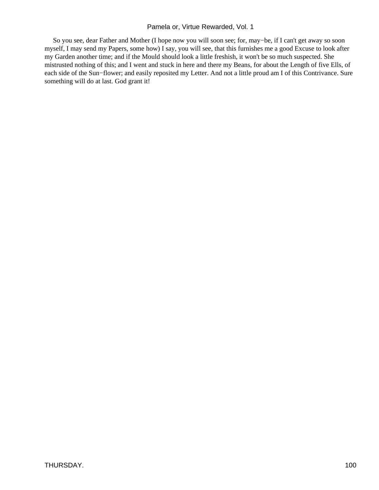So you see, dear Father and Mother (I hope now you will soon see; for, may−be, if I can't get away so soon myself, I may send my Papers, some how) I say, you will see, that this furnishes me a good Excuse to look after my Garden another time; and if the Mould should look a little freshish, it won't be so much suspected. She mistrusted nothing of this; and I went and stuck in here and there my Beans, for about the Length of five Ells, of each side of the Sun−flower; and easily reposited my Letter. And not a little proud am I of this Contrivance. Sure something will do at last. God grant it!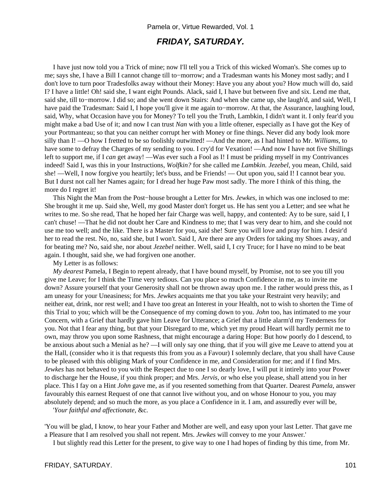## **FRIDAY, SATURDAY.**

 I have just now told you a Trick of mine; now I'll tell you a Trick of this wicked Woman's. She comes up to me; says she, I have a Bill I cannot change till to−morrow; and a Tradesman wants his Money most sadly; and I don't love to turn poor Tradesfolks away without their Money: Have you any about you? How much will do, said I? I have a little! Oh! said she, I want eight Pounds. Alack, said I, I have but between five and six. Lend me that, said she, till to−morrow. I did so; and she went down Stairs: And when she came up, she laugh'd, and said, Well, I have paid the Tradesman: Said I, I hope you'll give it me again to−morrow. At that, the Assurance, laughing loud, said, Why, what Occasion have you for Money? To tell you the Truth, Lambkin, I didn't want it. I only fear'd you might make a bad Use of it; and now I can trust *Nan* with you a little oftener, especially as I have got the Key of your Portmanteau; so that you can neither corrupt her with Money or fine things. Never did any body look more silly than I! —O how I fretted to be so foolishly outwitted! —And the more, as I had hinted to Mr. *Williams,* to have some to defray the Charges of my sending to you. I cry'd for Vexation! —And now I have not five Shillings left to support me, if I *can* get away! —Was ever such a Fool as I! I must be priding myself in my Contrivances indeed! Said I, was this in your Instructions, *Wolfkin?* for she called me *Lambkin. Jezebel,* you mean, Child, said she! —Well, I now forgive you heartily; let's buss, and be Friends! — Out upon you, said I! I cannot bear you. But I durst not call her Names again; for I dread her huge Paw most sadly. The more I think of this thing, the more do I regret it!

 This Night the Man from the Post−house brought a Letter for Mrs. *Jewkes,* in which was one inclosed to me: She brought it me up. Said she, Well, my good Master don't forget us. He has sent you a Letter; and see what he writes to me. So she read, That he hoped her fair Charge was well, happy, and contented: Ay to be sure, said I, I can't chuse! —That he did not doubt her Care and Kindness to me; that I was very dear to him, and she could not use me too well; and the like. There is a Master for you, said she! Sure you will love and pray for him. I desir'd her to read the rest. No, no, said she, but I won't. Said I, Are there are any Orders for taking my Shoes away, and for beating me? No, said she, nor about *Jezebel* neither. Well, said I, I cry Truce; for I have no mind to be beat again. I thought, said she, we had forgiven one another.

My Letter is as follows:

*My dearest* Pamela, I Begin to repent already, that I have bound myself, by Promise, not to see you till you give me Leave; for I think the Time very tedious. Can you place so much Confidence in me, as to invite me down? Assure yourself that your Generosity shall not be thrown away upon me. I the rather would press this, as I am uneasy for your Uneasiness; for Mrs. *Jewkes* acquaints me that you take your Restraint very heavily; and neither eat, drink, nor rest well; and I have too great an Interest in your Health, not to wish to shorten the Time of this Trial to you; which will be the Consequence of my coming down to you. *John* too, has intimated to me your Concern, with a Grief that hardly gave him Leave for Utterance; a Grief that a little alarm'd my Tenderness for you. Not that I fear any thing, but that your Disregard to me, which yet my proud Heart will hardly permit me to own, may throw you upon some Rashness, that might encourage a daring Hope: But how poorly do I descend, to be anxious about such a Menial as he? —I will only say one thing, that if you will give me Leave to attend you at the Hall, (consider who it is that requests this from you as a Favour) I solemnly declare, that you shall have Cause to be pleased with this obliging Mark of your Confidence in me, and Consideration for me; and if I find Mrs. *Jewkes* has not behaved to you with the Respect due to one I so dearly love, I will put it intirely into your Power to discharge her the House, if you think proper; and Mrs. *Jervis,* or who else you please, shall attend you in her place. This I fay on a Hint *John* gave me, as if you resented something from that Quarter. Dearest *Pamela,* answer favourably this earnest Request of one that cannot live without you, and on whose Honour to you, you may absolutely depend; and so much the more, as you place a Confidence in it. I am, and assuredly ever will be,

'*Your faithful and affectionate,* &c.

'You will be glad, I know, to hear your Father and Mother are well, and easy upon your last Letter. That gave me a Pleasure that I am resolved you shall not repent. Mrs. *Jewkes* will convey to me your Answer.'

I but slightly read this Letter for the present, to give way to one I had hopes of finding by this time, from Mr.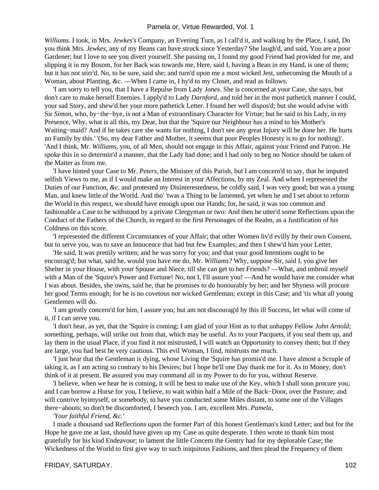*Williams.* I took, in Mrs. *Jewkes's* Company, an Evening Turn, as I call'd it, and walking by the Place, I said, Do you think Mrs. *Jewkes,* any of my Beans can have struck since Yesterday? She laugh'd, and said, You are a poor Gardener; but I love to see you divert yourself. She passing on, I found my good Friend had provided for me, and slipping it in my Bosom, for her Back was towards me, Here, said I, having a Bean in my Hand, is one of them; but it has not stirr'd. No, to be sure, said she; and turn'd upon me a most wicked Jest, unbecoming the Mouth of a Woman, about Planting, *&c.* —When I came in, I hy'd to my Closet, and read as follows.

 'I am sorry to tell you, that I have a Repulse from Lady *Jones.* She is concerned at your Case, she says, but don't care to make herself Enemies. I apply'd to Lady *Darnford,* and told her in the most pathetick manner I could, your sad Story, and shew'd her your more pathetick Letter. I found her well dispos'd; but she would advise with Sir *Simon,* who, by−the−bye, is not a Man of extraordinary Character for Virtue; but he said to his Lady, in my Presence, Why, what is all this, my Dear, but that the 'Squire our Neighbour has a mind to his Mother's Waiting−maid? And if he takes care she wants for nothing, I don't see any great Injury will be done her. He hurts no Family by this.' '(So, my dear Father and Mother, it seems that poor Peoples Honesty is to go for nothing)'. 'And I think, Mr. *Williams,* you, of all Men, should not engage in this Affair, against your Friend and Patron. He spoke this in so determin'd a manner, that the Lady had done; and I had only to beg no Notice should be taken of the Matter as from me.

 'I have hinted your Case to Mr. *Peters,* the Minister of this Parish, but I am concern'd to say, that he imputed selfish Views to me, as if I would make an Interest in your Affections, by my Zeal. And when I represented the Duties of our Function,  $\&c$ . and protested my Disinterestedness, he coldly said, I was very good; but was a young Man, and knew little of the World. And tho' 'twas a Thing to be lamented, yet when he and I set about to reform the World in this respect, we should have enough upon our Hands; for, he said, it was too common and fashionable a Case to be withstood by a private Clergyman or two: And then he utter'd some Reflections upon the Conduct of the Fathers of the Church, in regard to the first Personages of the Realm, as a Justification of his Coldness on this score.

 'I represented the different Circumstances of your Affair; that other Women liv'd evilly by their own Consent, but to serve you, was to save an Innocence that had but few Examples; and then I shew'd him your Letter.

 'He said, It was prettily written; and he was sorry for you; and that your good Intentions ought to be encourag'd; but what, said he, would you have me do, Mr. *Williams?* Why, suppose Sir, said I, you give her Shelter in your House, with your Spouse and Niece, till she can get to her Friends? —What, and imbroil myself with a Man of the 'Squire's Power and Fortune! No, not I, I'll assure you! —And he would have me consider what I was about. Besides, she owns, said he, that he promises to do honourably by her; and her Shyness will procure her good Terms enough; for he is no covetous nor wicked Gentleman; except in this Case; and 'tis what all young Gentlemen will do.

 'I am greatly concern'd for him, I assure you; but am not discourag'd by this ill Success, let what will come of it, if I can serve you.

 'I don't hear, as yet, that the 'Squire is coming; I am glad of your Hint as to that unhappy Fellow *John Arnold;* something, perhaps, will strike out from that, which may be useful. As to your Pacquets, if you seal them up, and lay them in the usual Place, if you find it not mistrusted, I will watch an Opportunity to convey them; but if they are large, you had best be very cautious. This evil Woman, I find, mistrusts me much.

 'I just hear that the Gentleman is dying, whose Living the 'Squire has promis'd me. I have almost a Scruple of taking it, as I am acting so contrary to his Desires; but I hope he'll one Day thank me for it. As to Money, don't think of it at present. Be assured you may command all in my Power to do for you, without Reserve.

 'I believe, when we hear he is coming, it will be best to make use of the Key, which I shall soon procure you; and I can borrow a Horse for you, I believe, to wait within half a Mile of the Back−Door, over the Pasture; and will contrive byimyself, or somebody, to have you conducted some Miles distant, to some one of the Villages there−abouts; so don't be discomforted, I beseech you. I am, excellent Mrs. *Pamela,*

*'Your faithful Friend, &c.'*

 I made a thousand sad Reflections upon the former Part of this honest Gentleman's kind Letter; and but for the Hope he gave me at last, should have given up my Case as quite desperate. I then wrote to thank him most gratefully for his kind Endeavour; to lament the little Concern the Gentry had for my deplorable Case; the Wickedness of the World to first give way to such iniquitous Fashions, and then plead the Frequency of them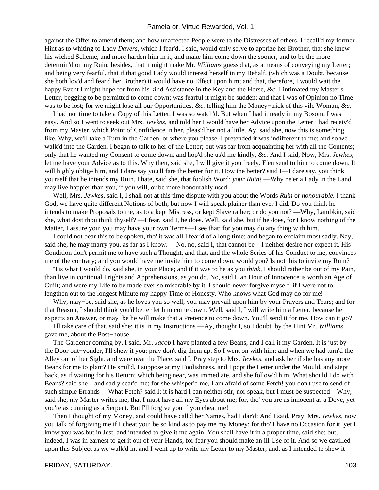against the Offer to amend them; and how unaffected People were to the Distresses of others. I recall'd my former Hint as to whiting to Lady *Davers,* which I fear'd, I said, would only serve to apprize her Brother, that she knew his wicked Scheme, and more harden him in it, and make him come down the sooner, and to be the more determin'd on my Ruin; besides, that it might make Mr. *Williams* guess'd at, as a means of conveying my Letter; and being very fearful, that if that good Lady would interest herself in my Behalf, (which was a Doubt, because she both lov'd and fear'd her Brother) it would have no Effect upon him; and that, therefore, I would wait the happy Event I might hope for from his kind Assistance in the Key and the Horse, *&c.* I intimated my Master's Letter, begging to be permitted to come down; was fearful it might be sudden; and that I was of Opinion no Time was to be lost; for we might lose all our Opportunities, *&c.* telling him the Money−trick of this vile Woman, *&c.*

 I had not time to take a Copy of this Letter, I was so watch'd. But when I had it ready in my Bosom, I was easy. And so I went to seek out Mrs. *Jewkes,* and told her I would have her Advice upon the Letter I had receiv'd from my Master, which Point of Confidence in her, pleas'd her not a little. Ay, said she, now this is something like. Why, we'll take a Turn in the Garden, or where you please. I pretended it was indifferent to me; and so we walk'd into the Garden. I began to talk to her of the Letter; but was far from acquainting her with all the Contents; only that he wanted my Consent to come down, and hop'd she us'd me kindly, *&c.* And I said, Now, Mrs. *Jewkes,* let me have your Advice as to this. Why then, said she, I will give it you freely. E'en send to him to come down. It will highly oblige him, and I dare say you'll fare the better for it. How the better? said I—I dare say, you think yourself that he intends my Ruin. I hate, said she, that foolish Word; *your Ruin!* —Why ne'er a Lady in the Land may live happier than you, if you will, or be more honourably used.

 Well, Mrs. *Jewkes,* said I, I shall not at this time dispute with you about the Words *Ruin* or *honourable.* I thank God, we have quite different Notions of both; but now I will speak plainer than ever I did. Do you think he intends to make Proposals to me, as to a kept Mistress, or kept Slave rather; or do you not? —Why, Lambkin, said she, what dost thou think thyself? —I fear, said I, he does. Well, said she, but if he does, for I know nothing of the Matter, I assure you; you may have your own Terms—I see that; for you may do any thing with him.

 I could not bear this to be spoken, tho' it was all I fear'd of a long time; and began to exclaim most sadly. Nay, said she, he may marry you, as far as I know. —No, no, said I, that cannot be—I neither desire nor expect it. His Condition don't permit me to have such a Thought, and that, and the whole Series of his Conduct to me, convinces me of the contrary; and you would have me invite him to come down, would you? Is not this to invite my Ruin?

 'Tis what I would do, said she, in your Place; and if it was to be as you *think,* I should rather be out of my Pain, than live in continual Frights and Apprehensions, as you do. No, said I, an Hour of Innocence is worth an Age of Guilt; and were my Life to be made ever so miserable by it, I should never forgive myself, if I were not to lengthen out to the longest Minute my happy Time of Honesty. Who knows what God may do for me!

 Why, may−be, said she, as he loves you so well, you may prevail upon him by your Prayers and Tears; and for that Reason, I should think you'd better let him come down. Well, said I, I will write him a Letter, because he expects an Answer, or may−be he will make that a Pretence to come down. You'll send it for me. How can it go?

 I'll take care of that, said she; it is in my Instructions —Ay, thought I, so I doubt, by the Hint Mr. *Williams* gave me, about the Post−house.

 The Gardener coming by, I said, Mr. *Jacob* I have planted a few Beans, and I call it my Garden. It is just by the Door out−yonder, I'll shew it you; pray don't dig them up. So I went on with him; and when we had turn'd the Alley out of her Sight, and were near the Place, said I, Pray step to Mrs. *Jewkes,* and ask her if she has any more Beans for me to plant? He smil'd, I suppose at my Foolishness, and I popt the Letter under the Mould, and stept back, as if waiting for his Return; which being near, was immediate, and she follow'd him. What should I do with Beans? said she—and sadly scar'd me; for she whisper'd me, I am afraid of some Fetch! you don't use to send of such simple Errands— What Fetch? said I; it is hard I can neither stir, nor speak, but I must be suspected—Why, said she, my Master writes me, that I must have all my Eyes about me; for, tho' you are as innocent as a Dove, yet you're as cunning as a Serpent. But I'll forgive you if you cheat me!

 Then I thought of my Money, and could have call'd her Names, had I dar'd: And I said, Pray, Mrs. *Jewkes,* now you talk of forgiving me if I cheat you; be so kind as to pay me my Money; for tho' I have no Occasion for it, yet I know you was but in Jest, and intended to give it me again. You shall have it in a proper time, said she; but, indeed, I was in earnest to get it out of your Hands, for fear you should make an ill Use of it. And so we cavilled upon this Subject as we walk'd in, and I went up to write my Letter to my Master; and, as I intended to shew it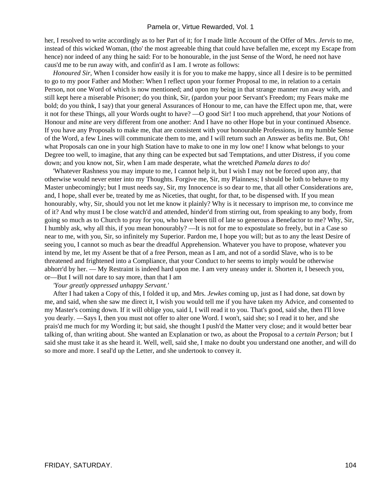her, I resolved to write accordingly as to her Part of it; for I made little Account of the Offer of Mrs. *Jervis* to me, instead of this wicked Woman, (tho' the most agreeable thing that could have befallen me, except my Escape from hence) nor indeed of any thing he said: For to be honourable, in the just Sense of the Word, he need not have caus'd me to be run away with, and confin'd as I am. I wrote as follows:

*Honoured Sir*, When I consider how easily it is for you to make me happy, since all I desire is to be permitted to go to my poor Father and Mother: When I reflect upon your former Proposal to me, in relation to a certain Person, not one Word of which is now mentioned; and upon my being in that strange manner run away with, and still kept here a miserable Prisoner; do you think, Sir, (pardon your poor Servant's Freedom; my Fears make me bold; do you think, I say) that your general Assurances of Honour to me, can have the Effect upon me, that, were it not for these Things, all your Words ought to have? —O good Sir! I too much apprehend, that *your* Notions of Honour and *mine* are very different from one another: And I have no other Hope but in your continued Absence. If you have any Proposals to make me, that are consistent with your honourable Professions, in my humble Sense of the Word, a few Lines will communicate them to me, and I will return such an Answer as befits me. But, Oh! what Proposals can one in your high Station have to make to one in my low one! I know what belongs to your Degree too well, to imagine, that any thing can be expected but sad Temptations, and utter Distress, if you come down; and you know not, Sir, when I am made desperate, what the wretched *Pamela dares to do!*

 'Whatever Rashness you may impute to me, I cannot help it, but I wish I may not be forced upon any, that otherwise would never enter into my Thoughts. Forgive me, Sir, my Plainness; I should be loth to behave to my Master unbecomingly; but I must needs say, Sir, my Innocence is so dear to me, that all other Considerations are, and, I hope, shall ever be, treated by me as Niceties, that ought, for that, to be dispensed with. If you mean honourably, why, Sir, should you not let me know it plainly? Why is it necessary to imprison me, to convince me of it? And why must I be close watch'd and attended, hinder'd from stirring out, from speaking to any body, from going so much as to Church to pray for you, who have been till of late so generous a Benefactor to me? Why, Sir, I humbly ask, why all this, if you mean honourably? —It is not for me to expostulate so freely, but in a Case so near to me, with you, Sir, so infinitely my Superior. Pardon me, I hope you will; but as to any the least Desire of seeing you, I cannot so much as bear the dreadful Apprehension. Whatever you have to propose, whatever you intend by me, let my Assent be that of a free Person, mean as I am, and not of a sordid Slave, who is to be threatened and frightened into a Compliance, that your Conduct to her seems to imply would be otherwise abhorr'd by her. — My Restraint is indeed hard upon me. I am very uneasy under it. Shorten it, I beseech you, or—But I will not dare to say more, than that I am

#### *'Your greatly oppressed unhappy Servant.'*

 After I had taken a Copy of this, I folded it up, and Mrs. *Jewkes* coming up, just as I had done, sat down by me, and said, when she saw me direct it, I wish you would tell me if you have taken my Advice, and consented to my Master's coming down. If it will oblige you, said I, I will read it to you. That's good, said she, then I'll love you dearly. —Says I, then you must not offer to alter one Word. I won't, said she; so I read it to her, and she prais'd me much for my Wording it; but said, she thought I push'd the Matter very close; and it would better bear talking of, than writing about. She wanted an Explanation or two, as about the Proposal to a *certain Person;* but I said she must take it as she heard it. Well, well, said she, I make no doubt you understand one another, and will do so more and more. I seal'd up the Letter, and she undertook to convey it.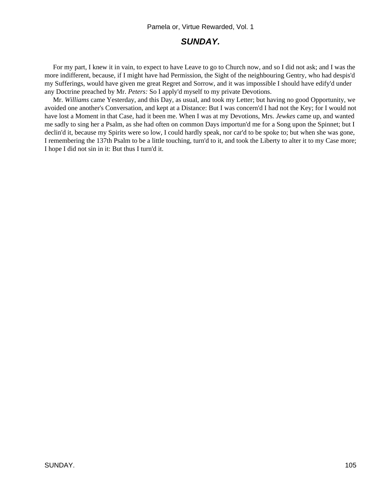## **SUNDAY.**

 For my part, I knew it in vain, to expect to have Leave to go to Church now, and so I did not ask; and I was the more indifferent, because, if I might have had Permission, the Sight of the neighbouring Gentry, who had despis'd my Sufferings, would have given me great Regret and Sorrow, and it was impossible I should have edify'd under any Doctrine preached by Mr. *Peters:* So I apply'd myself to my private Devotions.

 Mr. *Williams* came Yesterday, and this Day, as usual, and took my Letter; but having no good Opportunity, we avoided one another's Conversation, and kept at a Distance: But I was concern'd I had not the Key; for I would not have lost a Moment in that Case, had it been me. When I was at my Devotions, Mrs. *Jewkes* came up, and wanted me sadly to sing her a Psalm, as she had often on common Days importun'd me for a Song upon the Spinnet; but I declin'd it, because my Spirits were so low, I could hardly speak, nor car'd to be spoke to; but when she was gone, I remembering the 137th Psalm to be a little touching, turn'd to it, and took the Liberty to alter it to my Case more; I hope I did not sin in it: But thus I turn'd it.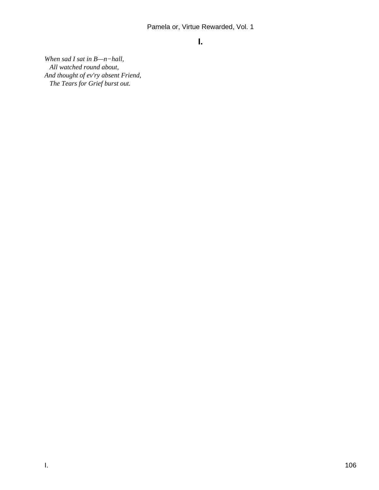**I.**

*When sad I sat in B—n−hall, All watched round about, And thought of ev'ry absent Friend, The Tears for Grief burst out.*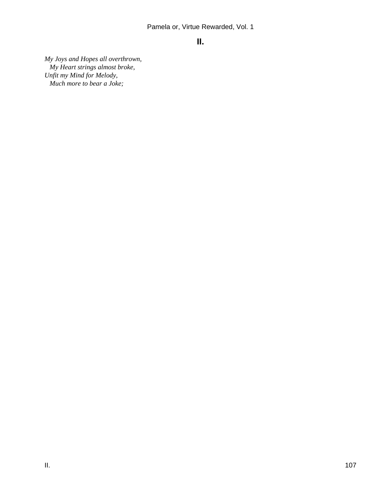# **II.**

*My Joys and Hopes all overthrown, My Heart strings almost broke, Unfit my Mind for Melody, Much more to bear a Joke;*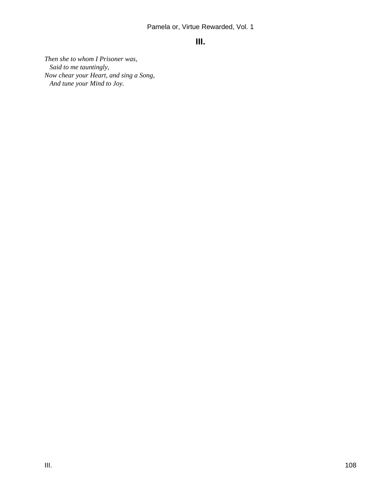## **III.**

*Then she to whom I Prisoner was, Said to me tauntingly, Now chear your Heart, and sing a Song, And tune your Mind to Joy.*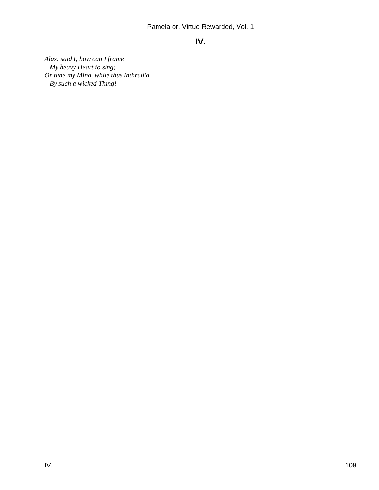# **IV.**

*Alas! said I, how can I frame My heavy Heart to sing; Or tune my Mind, while thus inthrall'd By such a wicked Thing!*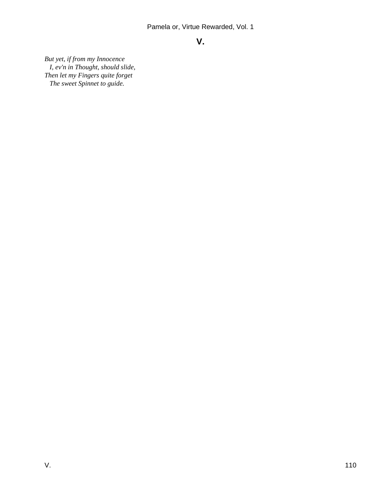# **V.**

*But yet, if from my Innocence I, ev'n in Thought, should slide, Then let my Fingers quite forget The sweet Spinnet to guide.*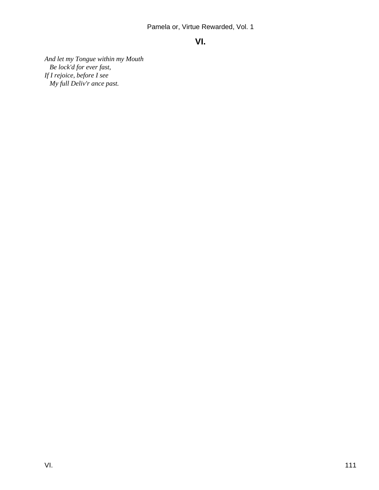# **VI.**

*And let my Tongue within my Mouth Be lock'd for ever fast, If I rejoice, before I see My full Deliv'r ance past.*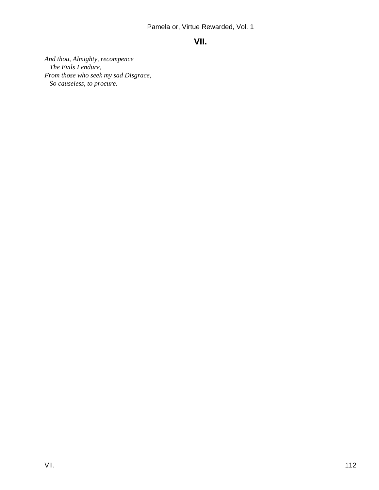## **VII.**

*And thou, Almighty, recompence The Evils I endure, From those who seek my sad Disgrace, So causeless, to procure.*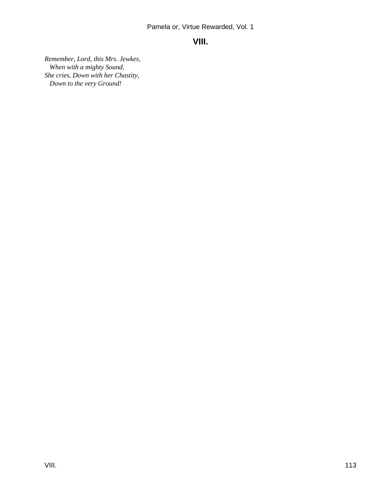# **VIII.**

*Remember, Lord, this Mrs. Jewkes, When with a mighty Sound, She cries, Down with her Chastity, Down to the very Ground!*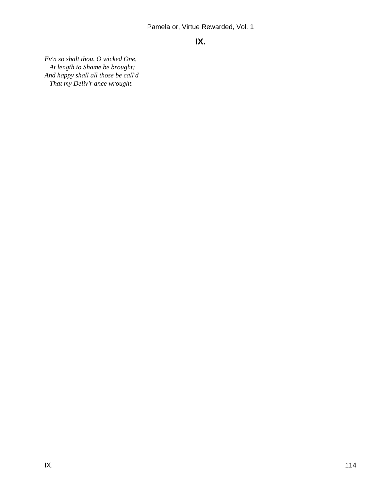## **IX.**

*Ev'n so shalt thou, O wicked One, At length to Shame be brought; And happy shall all those be call'd That my Deliv'r ance wrought.*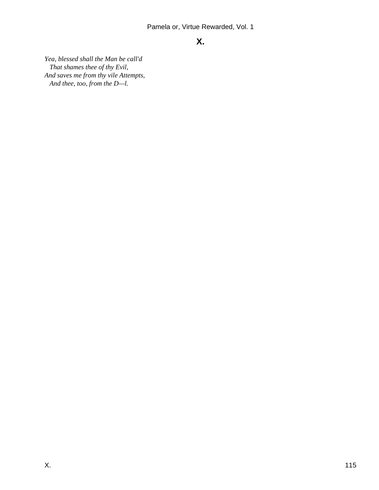# **X.**

*Yea, blessed shall the Man be call'd That shames thee of thy Evil, And saves me from thy vile Attempts, And thee, too, from the D—l.*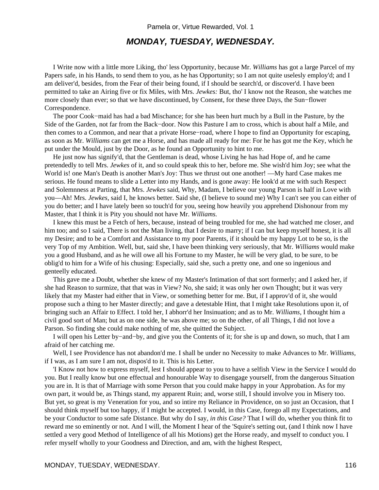## **MONDAY, TUESDAY, WEDNESDAY.**

 I Write now with a little more Liking, tho' less Opportunity, because Mr. *Williams* has got a large Parcel of my Papers safe, in his Hands, to send them to you, as he has Opportunity; so I am not quite uselesly employ'd; and I am deliver'd, besides, from the Fear of their being found, if I should be search'd, or discover'd. I have been permitted to take an Airing five or fix Miles, with Mrs. *Jewkes:* But, tho' I know not the Reason, she watches me more closely than ever; so that we have discontinued, by Consent, for these three Days, the Sun−flower Correspondence.

 The poor Cook−maid has had a bad Mischance; for she has been hurt much by a Bull in the Pasture, by the Side of the Garden, not far from the Back−door. Now this Pasture I am to cross, which is about half a Mile, and then comes to a Common, and near that a private Horse−road, where I hope to find an Opportunity for escaping, as soon as Mr. *Williams* can get me a Horse, and has made all ready for me: For he has got me the Key, which he put under the Mould, just by the Door, as he found an Opportunity to hint to me.

 He just now has signify'd, that the Gentleman is dead, whose Living he has had Hope of, and he came pretendedly to tell Mrs. *Jewkes* of it, and so could speak this to her, before me. She wish'd him Joy; see what the World is! one Man's Death is another Man's Joy: Thus we thrust out one another! —My hard Case makes me serious. He found means to slide a Letter into my Hands, and is gone away: He look'd at me with such Respect and Solemnness at Parting, that Mrs. *Jewkes* said, Why, Madam, I believe our young Parson is half in Love with you—Ah! Mrs. *Jewkes,* said I, he knows better. Said she, (I believe to sound me) Why I can't see you can either of you do better; and I have lately been so touch'd for you, seeing how heavily you apprehend Dishonour from my Master, that I think it is Pity you should not have Mr. *Williams.*

 I knew this must be a Fetch of hers, because, instead of being troubled for me, she had watched me closer, and him too; and so I said, There is not the Man living, that I desire to marry; if I can but keep myself honest, it is all my Desire; and to be a Comfort and Assistance to my poor Parents, if it should be my happy Lot to be so, is the very Top of my Ambition. Well, but, said she, I have been thinking very seriously, that Mr. *Williams* would make you a good Husband, and as he will owe all his Fortune to my Master, he will be very glad, to be sure, to be oblig'd to him for a Wife of his chusing: Especially, said she, such a pretty one, and one so ingenious and genteelly educated.

 This gave me a Doubt, whether she knew of my Master's Intimation of that sort formerly; and I asked her, if she had Reason to surmize, that that was in View? No, she said; it was only her own Thought; but it was very likely that my Master had either that in View, or something better for me. But, if I approv'd of it, she would propose such a thing to her Master directly; and gave a detestable Hint, that I might take Resolutions upon it, of bringing such an Affair to Effect. I told her, I abhorr'd her Insinuation; and as to Mr. *Williams,* I thought him a civil good sort of Man; but as on one side, he was above me; so on the other, of all Things, I did not love a Parson. So finding she could make nothing of me, she quitted the Subject.

 I will open his Letter by−and−by, and give you the Contents of it; for she is up and down, so much, that I am afraid of her catching me.

 Well, I see Providence has not abandon'd me. I shall be under no Necessity to make Advances to Mr. *Williams,* if I was, as I am sure I am not, dispos'd to it. This is his Letter.

 'I Know not how to express myself, lest I should appear to you to have a selfish View in the Service I would do you. But I really know but one effectual and honourable Way to disengage yourself, from the dangerous Situation you are in. It is that of Marriage with some Person that you could make happy in your Approbation. As for my own part, it would be, as Things stand, my apparent Ruin; and, worse still, I should involve you in Misery too. But yet, so great is my Veneration for you, and so intire my Reliance in Providence, on so just an Occasion, that I should think myself but too happy, if I might be accepted. I would, in this Case, forego all my Expectations, and be your Conductor to some safe Distance. But why do I say, *in this Case?* That I will do, whether you think fit to reward me so eminently or not. And I will, the Moment I hear of the 'Squire's setting out, (and I think now I have settled a very good Method of Intelligence of all his Motions) get the Horse ready, and myself to conduct you. I refer myself wholly to your Goodness and Direction, and am, with the highest Respect,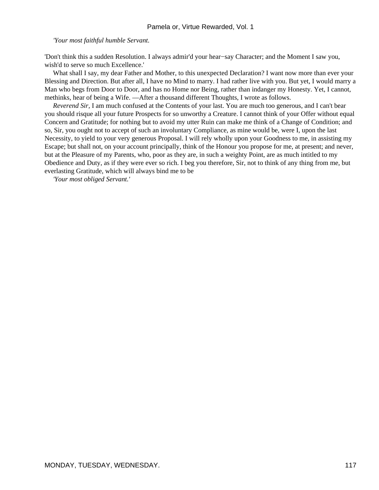*'Your most faithful humble Servant.*

'Don't think this a sudden Resolution. I always admir'd your hear−say Character; and the Moment I saw you, wish'd to serve so much Excellence.'

What shall I say, my dear Father and Mother, to this unexpected Declaration? I want now more than ever your Blessing and Direction. But after all, I have no Mind to marry. I had rather live with you. But yet, I would marry a Man who begs from Door to Door, and has no Home nor Being, rather than indanger my Honesty. Yet, I cannot, methinks, hear of being a Wife. —After a thousand different Thoughts, I wrote as follows.

*Reverend Sir,* I am much confused at the Contents of your last. You are much too generous, and I can't bear you should risque all your future Prospects for so unworthy a Creature. I cannot think of your Offer without equal Concern and Gratitude; for nothing but to avoid my utter Ruin can make me think of a Change of Condition; and so, Sir, you ought not to accept of such an involuntary Compliance, as mine would be, were I, upon the last Necessity, to yield to your very generous Proposal. I will rely wholly upon your Goodness to me, in assisting my Escape; but shall not, on your account principally, think of the Honour you propose for me, at present; and never, but at the Pleasure of my Parents, who, poor as they are, in such a weighty Point, are as much intitled to my Obedience and Duty, as if they were ever so rich. I beg you therefore, Sir, not to think of any thing from me, but everlasting Gratitude, which will always bind me to be

*'Your most obliged Servant.'*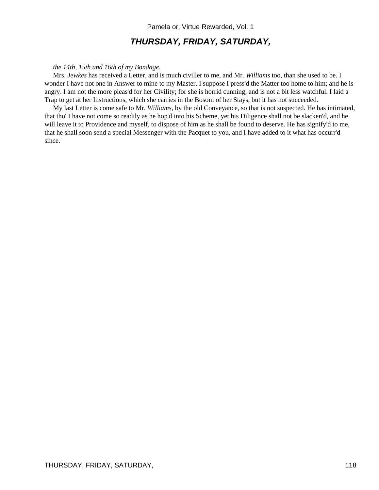## **THURSDAY, FRIDAY, SATURDAY,**

#### *the 14th, 15th and 16th of my Bondage.*

 Mrs. *Jewkes* has received a Letter, and is much civiller to me, and Mr. *Williams* too, than she used to be. I wonder I have not one in Answer to mine to my Master. I suppose I press'd the Matter too home to him; and he is angry. I am not the more pleas'd for her Civility; for she is horrid cunning, and is not a bit less watchful. I laid a Trap to get at her Instructions, which she carries in the Bosom of her Stays, but it has not succeeded.

 My last Letter is come safe to Mr. *Williams,* by the old Conveyance, so that is not suspected. He has intimated, that tho' I have not come so readily as he hop'd into his Scheme, yet his Diligence shall not be slacken'd, and he will leave it to Providence and myself, to dispose of him as he shall be found to deserve. He has signify'd to me, that he shall soon send a special Messenger with the Pacquet to you, and I have added to it what has occurr'd since.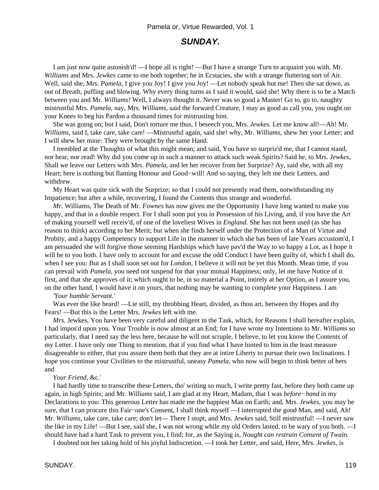### **SUNDAY.**

 I am just now quite astonish'd! —I hope all is right! —But I have a strange Turn to acquaint you with. Mr. *Williams* and Mrs. *Jewkes* came to me both together; he in Ecstacies, she with a strange fluttering sort of Air. Well, said she, Mrs. *Pamela*, I give you Joy! I give you Joy! —Let nobody speak but me! Then she sat down, as out of Breath, puffing and blowing. Why every thing turns as I said it would, said she! Why there is to be a Match between you and Mr. *Williams!* Well, I always thought it. Never was so good a Master! Go to, go to, naughty mistrustful Mrs. *Pamela,* nay, Mrs. *Williams,* said the forward Creature, I may as good as call you, you ought on your Knees to beg his Pardon a thousand times for mistrusting him.

 She was going on; but I said, Don't torture me thus, I beseech you, Mrs. *Jewkes.* Let me know all!—Ah! Mr. *Williams,* said I, take care, take care! —Mistrustful again, said she! why, Mr. *Williams,* shew her your Letter; and I will shew her mine: They were brought by the same Hand.

 I trembled at the Thoughts of what this might mean; and said, You have so surpriz'd me, that I cannot stand, nor hear, nor read! Why did you come up in such a manner to attack such weak Spirits? Said he, to Mrs. *Jewkes,* Shall we leave our Letters with Mrs. *Pamela,* and let her recover from her Surprize? Ay, said she, with all my Heart; here is nothing but flaming Honour and Good–will! And so saying, they left me their Letters, and withdrew.

 My Heart was quite sick with the Surprize; so that I could not presently read them, notwithstanding my Impatience; but after a while, recovering, I found the Contents thus strange and wonderful.

*Mr.* Williams, The Death of Mr. *Fownes* has now given me the Opportunity I have long wanted to make you happy, and that in a double respect. For I shall soon put you in Possession of his Living, and, if you have the Art of making yourself well receiv'd, of one of the loveliest Wives in *England.* She has not been used (as she has reason to think) according to her Merit; but when she finds herself under the Protection of a Man of Virtue and Probity, and a happy Competency to support Life in the manner to which she has been of late Years accustom'd, I am persuaded she will forgive those seeming Hardships which have pav'd the Way to so happy a Lot, as I hope it will be to you both. I have only to account for and excuse the odd Conduct I have been guilty of, which I shall do, when I see you: But as I shall soon set out for *London,* I believe it will not be yet this Month. Mean time, if you can prevail with *Pamela,* you need not suspend for that your mutual Happiness; only, let me have Notice of it first, and that she approves of it; which ought to be, in so material a Point, intirely at her Option, as I assure you, on the other hand, I would have it on yours, that nothing may be wanting to complete your Happiness. I am

*'Your humble Servant.'*

 Was ever the like heard! —Lie still, my throbbing Heart, divided, as thou art, between thy Hopes and thy Fears! —But this is the Letter Mrs. *Jewkes* left with me.

*Mrs.* Jewkes, You have been very careful and diligent in the Task, which, for Reasons I shall hereafter explain, I had impos'd upon you. Your Trouble is now almost at an End; for I have wrote my Intentions to Mr. *Williams* so particularly, that I need say the less here, because he will not scruple, I believe, to let you know the Contents of my Letter. I have only one Thing to mention, that if you find what I have hinted to him in the least measure disagreeable to either, that you assure them both that they are at intire Liberty to pursue their own Inclinations. I hope you continue your Civilities to the mistrustful, uneasy *Pamela,* who now will begin to think better of hers and

#### *Your Friend,* &c.'

 I had hardly time to transcribe these Letters, tho' writing so much, I write pretty fast, before they both came up again, in high Spirits; and Mr. *Williams* said, I am glad at my Heart, Madam, that I was *before−hand* in my Declarations to you: This generous Letter has made me the happiest Man on Earth; and, Mrs. *Jewkes,* you may be sure, that I can procure this Fair–one's Consent, I shall think myself —I interrupted the good Man, and said, Ah! Mr. *Williams,* take care, take care; don't let— There I stopt, and Mrs. *Jewkes* said, Still mistrustful! —I never saw the like in my Life! —But I see, said she, I was not wrong while my old Orders lasted, to be wary of you both. —I should have had a hard Task to prevent you, I find; for, as the Saying is, *Nought can restrain Consent of Twain.*

I doubted not her taking hold of his joyful Indiscretion. —I took her Letter, and said, Here, Mrs. *Jewkes,* is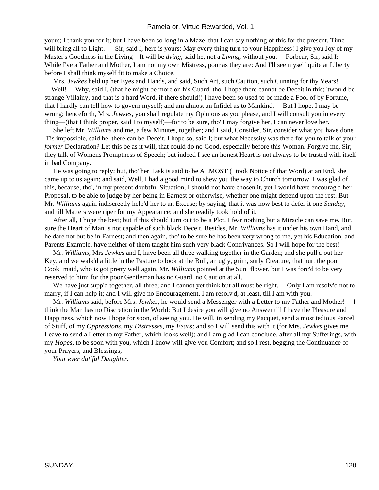yours; I thank you for it; but I have been so long in a Maze, that I can say nothing of this for the present. Time will bring all to Light. — Sir, said I, here is yours: May every thing turn to your Happiness! I give you Joy of my Master's Goodness in the Living—It will be *dying,* said he, not a *Living,* without you. —Forbear, Sir, said I: While I've a Father and Mother, I am not my own Mistress, poor as they are: And I'll see myself quite at Liberty before I shall think myself fit to make a Choice.

 Mrs. *Jewkes* held up her Eyes and Hands, and said, Such Art, such Caution, such Cunning for thy Years! —Well! —Why, said I, (that he might be more on his Guard, tho' I hope there cannot be Deceit in this; 'twould be strange Villainy, and that is a hard Word, if there should!) I have been so used to be made a Fool of by Fortune, that I hardly can tell how to govern myself; and am almost an Infidel as to Mankind. —But I hope, I may be wrong; henceforth, Mrs. *Jewkes,* you shall regulate my Opinions as you please, and I will consult you in every thing—(that I think proper, said I to myself)—for to be sure, tho' I may forgive her, I can never love her.

 She left Mr. *Williams* and me, a few Minutes, together; and I said, Consider, Sir, consider what you have done. 'Tis impossible, said he, there can be Deceit. I hope so, said I; but what Necessity was there for you to talk of your *former* Declaration? Let this be as it will, that could do no Good, especially before this Woman. Forgive me, Sir; they talk of Womens Promptness of Speech; but indeed I see an honest Heart is not always to be trusted with itself in bad Company.

 He was going to reply; but, tho' her Task is said to be ALMOST (I took Notice of that Word) at an End, she came up to us again; and said, Well, I had a good mind to shew you the way to Church tomorrow. I was glad of this, because, tho', in my present doubtful Situation, I should not have chosen it, yet I would have encourag'd her Proposal, to be able to judge by her being in Earnest or otherwise, whether one might depend upon the rest. But Mr. *Williams* again indiscreetly help'd her to an Excuse; by saying, that it was now best to defer it one *Sunday,* and till Matters were riper for my Appearance; and she readily took hold of it.

 After all, I hope the best; but if this should turn out to be a Plot, I fear nothing but a Miracle can save me. But, sure the Heart of Man is not capable of such black Deceit. Besides, Mr. *Williams* has it under his own Hand, and he dare not but be in Earnest; and then again, tho' to be sure he has been very wrong to me, yet his Education, and Parents Example, have neither of them taught him such very black Contrivances. So I will hope for the best!—

 Mr. *Williams,* Mrs *Jewkes* and I, have been all three walking together in the Garden; and she pull'd out her Key, and we walk'd a little in the Pasture to look at the Bull, an ugly, grim, surly Creature, that hurt the poor Cook−maid, who is got pretty well again. Mr. *Williams* pointed at the Sun−flower, but I was forc'd to be very reserved to him; for the poor Gentleman has no Guard, no Caution at all.

We have just supp'd together, all three; and I cannot yet think but all must be right. —Only I am resolv'd not to marry, if I can help it; and I will give no Encouragement, I am resolv'd, at least, till I am with you.

 Mr. *Williams* said, before Mrs. *Jewkes,* he would send a Messenger with a Letter to my Father and Mother! —I think the Man has no Discretion in the World: But I desire you will give no Answer till I have the Pleasure and Happiness, which now I hope for soon, of seeing you. He will, in sending my Pacquet, send a most tedious Parcel of Stuff, of my *Oppressions,* my *Distresses,* my *Fears;* and so I will send this with it (for Mrs. *Jewkes* gives me Leave to send a Letter to my Father, which looks well); and I am glad I can conclude, after all my Sufferings, with my *Hopes,* to be soon with you, which I know will give you Comfort; and so I rest, begging the Continuance of your Prayers, and Blessings,

*Your ever dutiful Daughter.*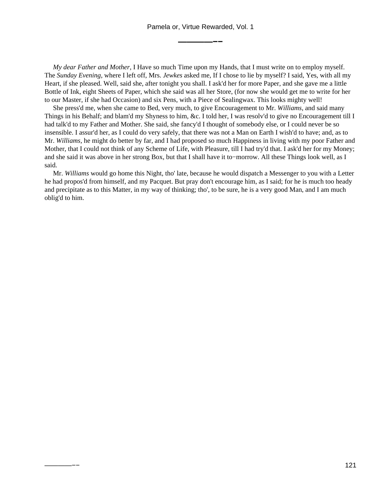**————−−**

*My dear Father and Mother,* I Have so much Time upon my Hands, that I must write on to employ myself. The *Sunday Evening,* where I left off, Mrs. *Jewkes* asked me, If I chose to lie by myself? I said, Yes, with all my Heart, if she pleased. Well, said she, after tonight you shall. I ask'd her for more Paper, and she gave me a little Bottle of Ink, eight Sheets of Paper, which she said was all her Store, (for now she would get me to write for her to our Master, if she had Occasion) and six Pens, with a Piece of Sealingwax. This looks mighty well!

 She press'd me, when she came to Bed, very much, to give Encouragement to Mr. *Williams,* and said many Things in his Behalf; and blam'd my Shyness to him, &c. I told her, I was resolv'd to give no Encouragement till I had talk'd to my Father and Mother. She said, she fancy'd I thought of somebody else, or I could never be so insensible. I assur'd her, as I could do very safely, that there was not a Man on Earth I wish'd to have; and, as to Mr. *Williams,* he might do better by far, and I had proposed so much Happiness in living with my poor Father and Mother, that I could not think of any Scheme of Life, with Pleasure, till I had try'd that. I ask'd her for my Money; and she said it was above in her strong Box, but that I shall have it to−morrow. All these Things look well, as I said.

 Mr. *Williams* would go home this Night, tho' late, because he would dispatch a Messenger to you with a Letter he had propos'd from himself, and my Pacquet. But pray don't encourage him, as I said; for he is much too heady and precipitate as to this Matter, in my way of thinking; tho', to be sure, he is a very good Man, and I am much oblig'd to him.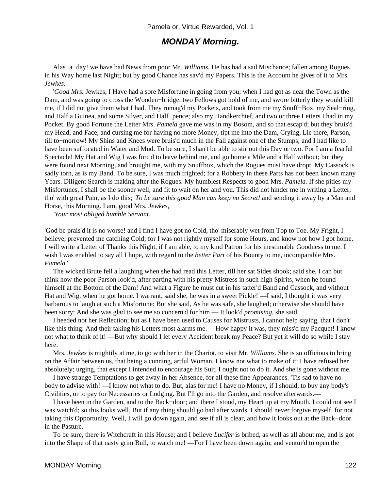## **MONDAY Morning.**

 Alas−a−day! we have bad News from poor Mr. *Williams.* He has had a sad Mischance; fallen among Rogues in his Way home last Night; but by good Chance has sav'd my Papers. This is the Account he gives of it to Mrs. *Jewkes.*

 '*Good Mrs.* Jewkes, I Have had a sore Misfortune in going from you; when I had got as near the Town as the Dam, and was going to cross the Wooden−bridge, two Fellows got hold of me, and swore bitterly they would kill me, if I did not give them what I had. They romag'd my Pockets, and took from me my Snuff−Box, my Seal−ring, and Half a Guinea, and some Silver, and Half−pence; also my Handkerchief, and two or three Letters I had in my Pocket. By good Fortune the Letter Mrs. *Pamela* gave me was in my Bosom, and so that escap'd; but they bruis'd my Head, and Face, and cursing me for having no more Money, tipt me into the Dam, Crying, Lie there, Parson, till to−morrow! My Shins and Knees were bruis'd much in the Fall against one of the Stumps; and I had like to have been suffocated in Water and Mud. To be sure, I shan't be able to stir out this Day or two. For I am a fearful Spectacle! My Hat and Wig I was forc'd to leave behind me, and go home a Mile and a Half without; but they were found next Morning, and brought me, with my Snuffbox, which the Rogues must have dropt. My Cassock is sadly torn, as is my Band. To be sure, I was much frighted; for a Robbery in these Parts has not been known many Years. Diligent Search is making after the Rogues. My humblest Respects to good Mrs. *Pamela.* If she pities my Misfortunes, I shall be the sooner well, and fit to wait on her and you. This did not hinder me in writing a Letter, tho' with great Pain, as I do this;' *To be sure this good Man can keep no Secret!* and sending it away by a Man and Horse, this Morning. I am, good Mrs. *Jewkes,*

*'Your most obliged humble Servant.*

'God be prais'd it is no worse! and I find I have got no Cold, tho' miserably wet from Top to Toe. My Fright, I believe, prevented me catching Cold; for I was not rightly myself for some Hours, and know not how I got home. I will write a Letter of Thanks this Night, if I am able, to my kind Patron for his inestimable Goodness to me. I wish I was enabled to say all I hope, with regard to the *better Part* of his Bounty to me, incomparable Mrs. *Pamela.*'

 The wicked Brute fell a laughing when she had read this Letter, till her sat Sides shook; said she, I can but think how the poor Parson look'd, after parting with his pretty Mistress in such high Spirits, when he found himself at the Bottom of the Dam! And what a Figure he must cut in his tatter'd Band and Cassock, and without Hat and Wig, when he got home. I warrant, said she, he was in a sweet Pickle! —I said, I thought it was very barbarous to laugh at such a Misfortune: But she said, As he was safe, she laughed; otherwise she should have been sorry: And she was glad to see me so concern'd for him — It look'd *promising,* she said.

 I heeded not her Reflection; but as I have been used to Causes for Mistrusts, I cannot help saying, that I don't like this thing: And their taking his Letters most alarms me. —How happy it was, they miss'd my Pacquet! I know not what to think of it! —But why should I let every Accident break my Peace? But yet it will do so while I stay here.

 Mrs. *Jewkes* is mightily at me, to go with her in the Chariot, to visit Mr. *Williams.* She is so officious to bring on the Affair between us, that being a cunning, artful Woman, I know not what to make of it: I have refused her absolutely; urging, that except I intended to encourage his Suit, I ought not to do it. And she is gone without me.

 I have strange Temptations to get away in her Absence, for all these fine Appearances. 'Tis sad to have no body to advise with! —I know not what to do. But, alas for me! I have no Money, if I should, to buy any body's Civilities, or to pay for Necessaries or Lodging. But I'll go into the Garden, and resolve afterwards.—

 I have been in the Garden, and to the Back−door; and there I stood, my Heart up at my Mouth. I could not see I was watch'd; so this looks well. But if any thing should go bad after wards, I should never forgive myself, for not taking this Opportunity. Well, I will go down again, and see if all is clear, and how it looks out at the Back−door in the Pasture.

 To be sure, there is Witchcraft in this House; and I believe *Lucifer* is bribed, as well as all about me, and is got into the Shape of that nasty grim Bull, to watch me! —For I have been down again; and ventur'd to open the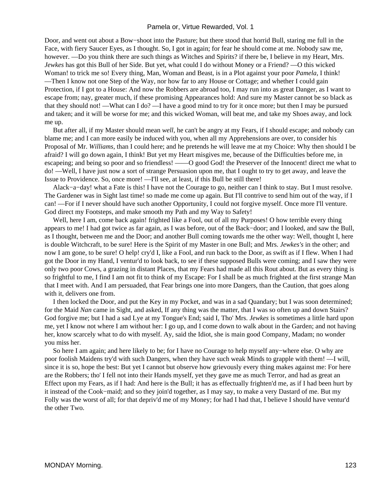Door, and went out about a Bow−shoot into the Pasture; but there stood that horrid Bull, staring me full in the Face, with fiery Saucer Eyes, as I thought. So, I got in again; for fear he should come at me. Nobody saw me, however. —Do you think there are such things as Witches and Spirits? if there be, I believe in my Heart, Mrs. *Jewkes* has got this Bull of her Side. But yet, what could I do without Money or a Friend? —O this wicked Woman! to trick me so! Every thing, Man, Woman and Beast, is in a Plot against your poor *Pamela,* I think!

—Then I know not one Step of the Way, nor how far to any House or Cottage; and whether I could gain Protection, if I got to a House: And now the Robbers are abroad too, I may run into as great Danger, as I want to escape from; nay, greater much, if these promising Appearances hold: And sure my Master cannot be so black as that they should not! —What can I do? —I have a good mind to try for it once more; but then I may be pursued and taken; and it will be worse for me; and this wicked Woman, will beat me, and take my Shoes away, and lock me up.

 But after all, if my Master should mean *well,* he can't be angry at my Fears, if I should escape; and nobody can blame me; and I can more easily be induced with you, when all my Apprehensions are over, to consider his Proposal of Mr. *Williams,* than I could here; and he pretends he will leave me at my Choice: Why then should I be afraid? I will go down again, I think! But yet my Heart misgives me, because of the Difficulties before me, in escapeing; and being so poor and so friendless! ——O good God! the Preserver of the Innocent! direct me what to do! —Well, I have just now a sort of strange Persuasion upon me, that I ought to try to get away, and leave the Issue to Providence. So, once more! —I'll see, at least, if this Bull be still there!

 Alack−a−day! what a Fate is this! I have not the Courage to go, neither can I think to stay. But I must resolve. The Gardener was in Sight last time! so made me come up again. But I'll contrive to send him out of the way, if I can! —For if I never should have such another Opportunity, I could not forgive myself. Once more I'll venture. God direct my Footsteps, and make smooth my Path and my Way to Safety!

Well, here I am, come back again! frighted like a Fool, out of all my Purposes! O how terrible every thing appears to me! I had got twice as far again, as I was before, out of the Back−door; and I looked, and saw the Bull, as I thought, between me and the Door; and another Bull coming towards me the other way: Well, thought I, here is double Witchcraft, to be sure! Here is the Spirit of my Master in one Bull; and Mrs. *Jewkes's* in the other; and now I am gone, to be sure! O help! cry'd I, like a Fool, and run back to the Door, as swift as if I flew. When I had got the Door in my Hand, I ventur'd to look back, to see if these supposed Bulls were coming; and I saw they were only two poor Cows, a grazing in distant Places, that my Fears had made all this Rout about. But as every thing is so frightful to me, I find I am not fit to think of my Escape: For I shall be as much frighted at the first strange Man that I meet with. And I am persuaded, that Fear brings one into more Dangers, than the Caution, that goes along with it, delivers one from.

 I then locked the Door, and put the Key in my Pocket, and was in a sad Quandary; but I was soon determined; for the Maid *Nan* came in Sight, and asked, If any thing was the matter, that I was so often up and down Stairs? God forgive me; but I had a sad Lye at my Tongue's End; said I, Tho' Mrs. *Jewkes* is sometimes a little hard upon me, yet I know not where I am without her: I go up, and I come down to walk about in the Garden; and not having her, know scarcely what to do with myself. Ay, said the Idiot, she is main good Company, Madam; no wonder you miss her.

 So here I am again; and here likely to be; for I have no Courage to help myself any−where else. O why are poor foolish Maidens try'd with such Dangers, when they have such weak Minds to grapple with them! —I will, since it is so, hope the best: But yet I cannot but observe how grievously every thing makes against me: For here are the Robbers; tho' I fell not into their Hands myself, yet they gave me as much Terror, and had as great an Effect upon my Fears, as if I had: And here is the Bull; it has as effectually frighten'd me, as if I had been hurt by it instead of the Cook−maid; and so they join'd together, as I may say, to make a very Dastard of me. But my Folly was the worst of all; for that depriv'd me of my Money; for had I had that, I believe I should have ventur'd the other Two.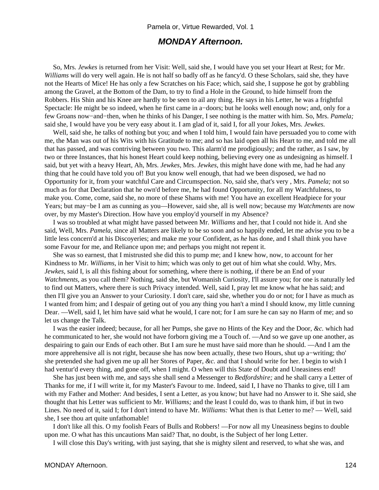### **MONDAY Afternoon.**

 So, Mrs. *Jewkes* is returned from her Visit: Well, said she, I would have you set your Heart at Rest; for Mr. *Williams* will do very well again. He is not half so badly off as he fancy'd. O these Scholars, said she, they have not the Hearts of Mice! He has only a few Scratches on his Face; which, said she, I suppose he got by grabbling among the Gravel, at the Bottom of the Dam, to try to find a Hole in the Ground, to hide himself from the Robbers. His Shin and his Knee are hardly to be seen to ail any thing. He says in his Letter, he was a frightful Spectacle: He might be so indeed, when he first came in a−doors; but he looks well enough now; and, only for a few Groans now−and−then, when he thinks of his Danger, I see nothing is the matter with him. So, Mrs. *Pamela;* said she, I would have you be very easy about it. I am glad of it, said I, for all your Jokes, Mrs. *Jewkes.*

 Well, said she, he talks of nothing but you; and when I told him, I would fain have persuaded you to come with me, the Man was out of his Wits with his Gratitude to me; and so has laid open all his Heart to me, and told me all that has passed, and was contriving between you two. This alarm'd me prodigiously; and the rather, as I saw, by two or three Instances, that his honest Heart could keep nothing, believing every one as undesigning as himself. I said, but yet with a heavy Heart, Ah, Mrs. *Jewkes,* Mrs. *Jewkes,* this might have done with me, had he had any thing that he could have told you of! But you know well enough, that had we been disposed, we had no Opportunity for it, from your watchful Care and Circumspection. No, said she, that's very , Mrs. *Pamela;* not so much as for that Declaration that he own'd before me, he had found Opportunity, for all my Watchfulness, to make you. Come, come, said she, no more of these Shams with me! You have an excellent Headpiece for your Years; but may−be I am as cunning as you—However, said she, all is well now; because my *Watchments* are now over, by my Master's Direction. How have you employ'd yourself in my Absence?

 I was so troubled at what might have passed between Mr. *Williams* and her, that I could not hide it. And she said, Well, Mrs. *Pamela,* since all Matters are likely to be so soon and so happily ended, let me advise you to be a little less concern'd at his Discoyeries; and make me your Confident, as *he* has done, and I shall think you have some Favour for me, and Reliance upon me; and perhaps you might not repent it.

 She was so earnest, that I mistrusted she did this to pump me; and I knew how, now, to account for her Kindness to Mr. *Williams,* in her Visit to him; which was only to get out of him what she could. Why, Mrs. *Jewkes,* said I, is all this fishing about for something, where there is nothing, if there be an End of your *Watchments,* as you call them? Nothing, said she, but Womanish Curiosity, I'll assure you; for one is naturally led to find out Matters, where there is such Privacy intended. Well, said I, pray let me know what he has said; and then I'll give you an Answer to your Curiosity. I don't care, said she, whether you do or not; for I have as much as I wanted from him; and I despair of geting out of you any thing you han't a mind I should know, my little cunning Dear. —Well, said I, let him have said what he would, I care not; for I am sure he can say no Harm of me; and so let us change the Talk.

 I was the easier indeed; because, for all her Pumps, she gave no Hints of the Key and the Door, *&c.* which had he communicated to her, she would not have forborn giving me a Touch of. —And so we gave up one another, as despairing to gain our Ends of each other. But I am sure he must have said more than he should. —And I am the more apprehensive all is not right, because she has now been actually, these two Hours, shut up a−writing; tho' she pretended she had given me up all her Stores of Paper, *&c.* and that I should write for her. I begin to wish I had ventur'd every thing, and gone off, when I might. O when will this State of Doubt and Uneasiness end!

 She has just been with me, and says she shall send a Messenger to *Bedfordshire;* and he shall carry a Letter of Thanks for me, if I will write it, for my Master's Favour to me. Indeed, said I, I have no Thanks to give, till I am with my Father and Mother: And besides, I sent a Letter, as you know; but have had no Answer to it. She said, she thought that his Letter was sufficient to Mr. *Williams;* and the least I could do, was to thank him, if but in two Lines. No need of it, said I; for I don't intend to have Mr. *Williams:* What then is that Letter to me? — Well, said she, I see thou art quite unfathomable!

 I don't like all this. O my foolish Fears of Bulls and Robbers! —For now all my Uneasiness begins to double upon me. O what has this uncautions Man said? That, no doubt, is the Subject of her long Letter.

I will close this Day's writing, with just saying, that she is mighty silent and reserved, to what she was, and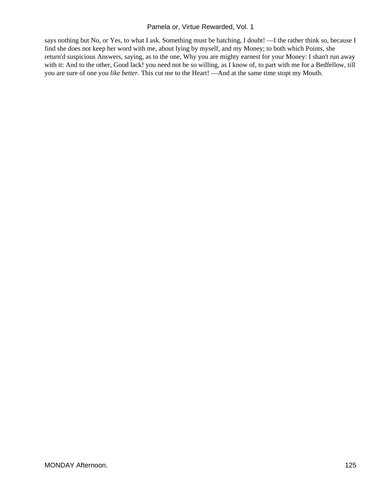says nothing but No, or Yes, to what I ask. Something must be hatching, I doubt! —I the rather think so, because I find she does not keep her word with me, about lying by myself, and my Money; to both which Points, she return'd suspicious Answers, saying, as to the one, Why you are mighty earnest for your Money: I shan't run away with it: And to the other, Good lack! you need not be so willing, as I know of, to part with me for a Bedfellow, till you are sure of one you *like better.* This cut me to the Heart! —And at the same time stopt my Mouth.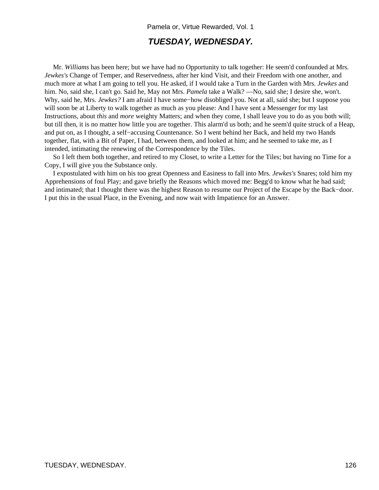### **TUESDAY, WEDNESDAY.**

 Mr. *Williams* has been here; but we have had no Opportunity to talk together: He seem'd confounded at Mrs. *Jewkes's* Change of Temper, and Reservedness, after her kind Visit, and their Freedom with one another, and much more at what I am going to tell you. He asked, if I would take a Turn in the Garden with Mrs. *Jewkes* and him. No, said she, I can't go. Said he, May not Mrs. *Pamela* take a Walk? —No, said she; I desire she, won't. Why, said he, Mrs. *Jewkes?* I am afraid I have some−how disobliged you. Not at all, said she; but I suppose you will soon be at Liberty to walk together as much as you please: And I have sent a Messenger for my last Instructions, about *this* and *more* weighty Matters; and when they come, I shall leave you to do as you both will; but till then, it is no matter how little you are together. This alarm'd us both; and he seem'd quite struck of a Heap, and put on, as I thought, a self−accusing Countenance. So I went behind her Back, and held my two Hands together, flat, with a Bit of Paper, I had, between them, and looked at him; and he seemed to take me, as I intended, intimating the renewing of the Correspondence by the Tiles.

 So I left them both together, and retired to my Closet, to write a Letter for the Tiles; but having no Time for a Copy, I will give you the Substance only.

 I expostulated with him on his too great Openness and Easiness to fall into Mrs. *Jewkes's* Snares; told him my Apprehensions of foul Play; and gave briefly the Reasons which moved me: Begg'd to know what he had said; and intimated; that I thought there was the highest Reason to resume our Project of the Escape by the Back−door. I put this in the usual Place, in the Evening, and now wait with Impatience for an Answer.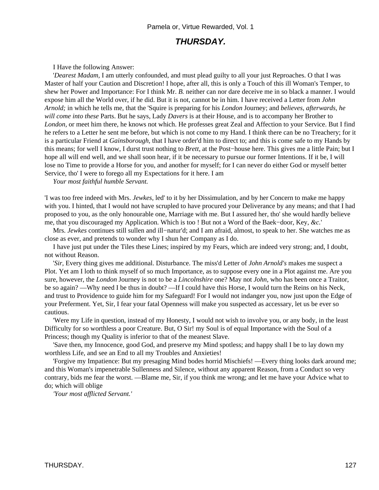## **THURSDAY.**

I Have the following Answer:

 '*Dearest Madam,* I am utterly confounded, and must plead guilty to all your just Reproaches. O that I was Master of half your Caution and Discretion! I hope, after all, this is only a Touch of this ill Woman's Temper, to shew her Power and Importance: For I think Mr. *B.* neither can nor dare deceive me in so black a manner. I would expose him all the World over, if he did. But it is not, cannot be in him. I have received a Letter from *John Arnold;* in which he tells me, that the 'Squire is preparing for his *London* Journey; and *believes, afterwards, he will come into these* Parts. But he says, Lady *Davers* is at their House, and is to accompany her Brother to *London,* or meet him there, he knows not which. He professes great Zeal and Affection to your Service. But I find he refers to a Letter he sent me before, but which is not come to my Hand. I think there can be no Treachery; for it is a particular Friend at *Gainsborough,* that I have order'd him to direct to; and this is come safe to my Hands by this means; for well I know, I durst trust nothing to *Brett,* at the Post−house here. This gives me a little Pain; but I hope all will end well, and we shall soon hear, if it be necessary to pursue our former Intentions. If it be, I will lose no Time to provide a Horse for you, and another for myself; for I can never do either God or myself better Service, tho' I were to forego all my Expectations for it here. I am

*Your most faithful humble Servant.*

'I was too free indeed with Mrs. *Jewkes,* led' to it by her Dissimulation, and by her Concern to make me happy with you. I hinted, that I would not have scrupled to have procured your Deliverance by any means; and that I had proposed to you, as the only honourable one, Marriage with me. But I assured her, tho' she would hardly believe me, that you discouraged my Application. Which is too ! But not a Word of the Baek−door, Key, *&c.*'

 Mrs. *Jewkes* continues still sullen and ill−natur'd; and I am afraid, almost, to speak to her. She watches me as close as ever, and pretends to wonder why I shun her Company as I do.

 I have just put under the Tiles these Lines; inspired by my Fears, which are indeed very strong; and, I doubt, not without Reason.

 '*Sir,* Every thing gives me additional. Disturbance. The miss'd Letter of *John Arnold's* makes me suspect a Plot. Yet am I loth to think myself of so much Importance, as to suppose every one in a Plot against me. Are you sure, however, the *London* Journey is not to be a *Lincolnshire* one? May not *John,* who has been once a Traitor, be so again? —Why need I be thus in doubt? —If I could have this Horse, I would turn the Reins on his Neck, and trust to Providence to guide him for my Safeguard! For I would not indanger you, now just upon the Edge of your Preferment. Yet, Sir, I fear your fatal Openness will make you suspected as accessary, let us be ever so cautious.

 'Were my Life in question, instead of my Honesty, I would not wish to involve you, or any body, in the least Difficulty for so worthless a poor Creature. But, O Sir! my Soul is of equal Importance with the Soul of a Princess; though my Quality is inferior to that of the meanest Slave.

 'Save then, my Innocence, good God, and preserve my Mind spotless; and happy shall I be to lay down my worthless Life, and see an End to all my Troubles and Anxieties!

 'Forgive my Impatience: But my presaging Mind bodes horrid Mischiefs! —Every thing looks dark around me; and this Woman's impenetrable Sullenness and Silence, without any apparent Reason, from a Conduct so very contrary, bids me fear the worst. —Blame me, Sir, if you think me wrong; and let me have your Advice what to do; which will oblige

*'Your most afflicted Servant.'*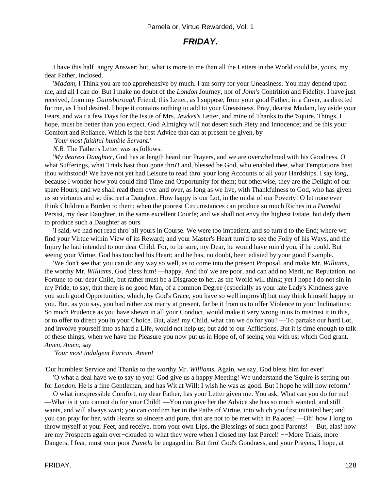### **FRIDAY.**

 I have this half−angry Answer; but, what is more to me than all the Letters in the World could be, yours, my dear Father, inclosed.

 '*Madam,* I Think you are too apprehensive by much. I am sorry for your Uneasiness. You may depend upon me, and all I can do. But I make no doubt of the *London* Journey, nor of *John's* Contrition and Fidelity. I have just received, from my *Gainsborough* Friend, this Letter, as I suppose, from your good Father, in a Cover, as directed for me, as I had desired. I hope it contains nothing to add to your Uneasiness. Pray, dearest Madam, lay aside your Fears, and wait a few Days for the Issue of Mrs. *Jewkes's* Letter, and mine of Thanks to the 'Squire. Things, I hope, must be better than you expect. God Almighty will not desert such Piety and Innocence; and be this your Comfort and Reliance. Which is the best Advice that can at present be given, by

*'Your most faithful humble Servant.'*

*N.B.* The Father's Letter was as follows:

 '*My dearest Daughter,* God has at length heard our Prayers, and we are overwhelmed with his Goodness. O what Sufferings, what Trials hast thou gone thro'! and, blessed be God, who enabled thee, what Temptations hast thou withstood! We have not yet had Leisure to read thro' your long Accounts of all your Hardships. I say *long,* because I wonder how you could find Time and Opportunity for them; but otherwise, they are the Delight of our spare Hours; and we shall read them over and over, as long as we live, with Thankfulness to God, who has given us so virtuous and so discreet a Daughter. How happy is our Lot, in the midst of our Poverty! O let none ever think Children a Burden to them; when the poorest Circumstances can produce so much Riches in a *Pamela!* Persist, my dear Daughter, in the same excellent Courfe; and we shall not envy the highest Estate, but defy them to produce such a Daughter as ours.

 'I said, we had not read thro' all yours in Course. We were too impatient, and so turn'd to the End; where we find your Virtue within View of its Reward; and your Master's Heart turn'd to see the Folly of his Ways, and the Injury he had intended to our dear Child. For, to be sure, my Dear, he would have ruin'd you, if he could. But seeing your Virtue, God has touched his Heart; and he has, no doubt, been edisied by your good Example.

 'We don't see that you can do any way so well, as to come into the present Proposal, and make Mr. *Williams,* the worthy Mr. *Williams,* God bless him! —happy. And tho' we are poor, and can add no Merit, no Reputation, no Fortune to our dear Child, but rather must be a Disgrace to her, as the World will think; yet I hope I do not sin in my Pride, to say, that there is no good Man, of a common Degree (especially as your late Lady's Kindness gave you such good Opportunities, which, by God's Grace, you have so well improv'd) but may think himself happy in you. But, as you say, you had rather *not* marry at present, far be it from us to offer Violence to your Inclinations: So much Prudence as you have shewn in all your Conduct, would make it very wrong in us to mistrust it in this, or to offer to direct you in your Choice. But, alas! my Child, what can we do for you? —To partake our hard Lot, and involve yourself into as hard a Life, would not help us; but add to our Afflictions. But it is time enough to talk of these things, when we have the Pleasure you now put us in Hope of, of seeing you with us; which God grant. *Amen, Amen,* say

*'Your most indulgent Parexts, Amen!*

'Our humblest Service and Thanks to the worthy Mr. *Williams.* Again, we say, God bless him for ever!

 'O what a deal have we to say to you! God give us a happy Meeting! We understand the 'Squire is setting out for *London.* He is a fine Gentleman, and has Wit at Will: I wish he was as good. But I hope he will now reform.'

 O what inexpressible Comfort, my dear Father, has your Letter given me. You ask, What can you do for me! —What is it you cannot do for your Child! —You can give her the Advice she has so much wanted, and still wants, and will always want; you can confirm her in the Paths of Virtue, into which you first initiated her; and you can pray for her, with Hearts so sincere and pure, that are not to be met with in Palaces! —Oh! how I long to throw myself at your Feet, and receive, from your own Lips, the Blessings of such good Parents! —But, alas! how are my Prospects again over−clouded to what they were when I closed my last Parcel! −−More Trials, more Dangers, I fear, must your poor *Pamela* be engaged in: But thro' God's Goodness, and your Prayers, I hope, at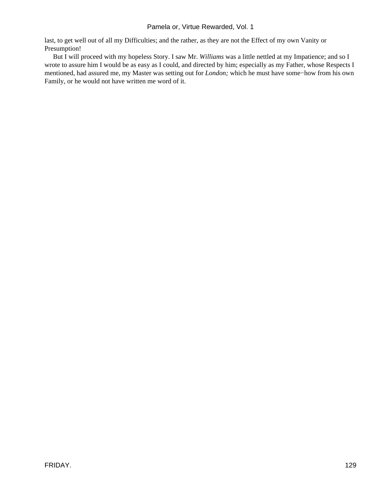last, to get well out of all my Difficulties; and the rather, as they are not the Effect of my own Vanity or Presumption!

 But I will proceed with my hopeless Story. I saw Mr. *Williams* was a little nettled at my Impatience; and so I wrote to assure him I would be as easy as I could, and directed by him; especially as my Father, whose Respects I mentioned, had assured me, my Master was setting out for *London;* which he must have some−how from his own Family, or he would not have written me word of it.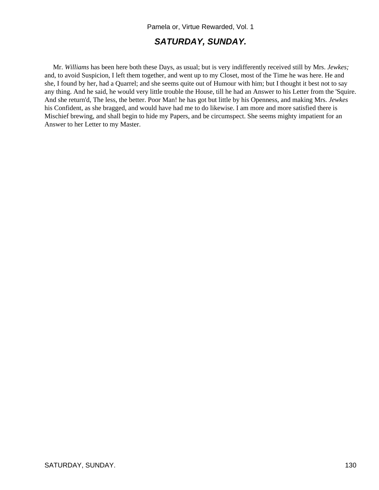## **SATURDAY, SUNDAY.**

 Mr. *Williams* has been here both these Days, as usual; but is very indifferently received still by Mrs. *Jewkes;* and, to avoid Suspicion, I left them together, and went up to my Closet, most of the Time he was here. He and she, I found by her, had a Quarrel; and she seems quite out of Humour with him; but I thought it best not to say any thing. And he said, he would very little trouble the House, till he had an Answer to his Letter from the 'Squire. And she return'd, The less, the better. Poor Man! he has got but little by his Openness, and making Mrs. *Jewkes* his Confident, as she bragged, and would have had me to do likewise. I am more and more satisfied there is Mischief brewing, and shall begin to hide my Papers, and be circumspect. She seems mighty impatient for an Answer to her Letter to my Master.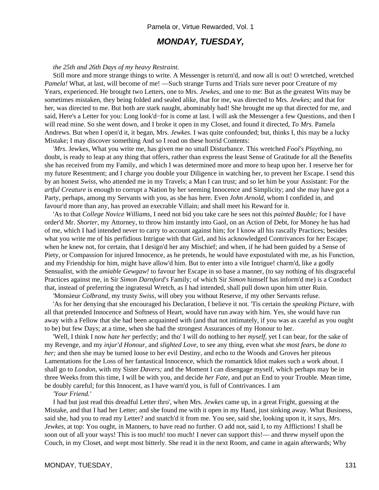## **MONDAY, TUESDAY,**

#### *the 25th and 26th Days of my heavy Restraint.*

 Still more and more strange things to write. A Messenger is return'd, and now all is out! O wretched, wretched *Pamela!* What, at last, will become of me! —Such strange Turns and Trials sure never poor Creature of my Years, experienced. He brought two Letters, one to Mrs. *Jewkes,* and one to me: But as the greatest Wits may be sometimes mistaken, they being folded and sealed alike, that for me, was directed to Mrs. *Jewkes;* and that for her, was directed to me. But both are stark naught, abominably bad! She brought me up that directed for me, and said, Here's a Letter for you: Long look'd−for is come at last. I will ask the Messenger a few Questions, and then I will read mine. So she went down, and I broke it open in my Closet, and found it directed, *To Mrs.* Pamela Andrews. But when I open'd it, it began, Mrs. *Jewkes.* I was quite confounded; but, thinks I, this may be a lucky Mistake; I may discover something And so I read on these horrid Contents:

 '*Mrs.* Jewkes, What you write me, has given me no small Disturbance. This wretched *Fool's Plaything,* no doubt, is ready to leap at any thing that offers, rather than express the least Sense of Gratitude for all the Benefits she has received from my Family, and which I was determined more and more to heap upon her. I reserve her for my future Resentment; and I charge you double your Diligence in watching her, to prevent her Escape. I send this by an honest *Swiss,* who attended me in my Travels; a Man I can trust; and so let him be your Assistant: For the *artful Creature* is enough to corrupt a Nation by her seeming Innocence and Simplicity; and she may have got a Party, perhaps, among my Servants with you, as she has here. Even *John Arnold,* whom I confided in, and favour'd more than any, has proved an execrable Villain; and shall meet his Reward for it.

 'As to that *College Novice Williams,* I need not bid you take care he sees not this *painted Bauble;* for I have order'd Mr. *Shorter,* my Attorney, to throw him instantly into Gaol, on an Action of Debt, for Money he has had of me, which I had intended never to carry to account against him; for I know all his rascally Practices; besides what you write me of his perfidious Intrigue with that Girl, and his acknowledged Contrivances for her Escape; when he knew not, for certain, that I design'd her any Mischief; and when, if he had been guided by a Sense of Piety, or Compassion for injured Innocence, as he pretends, he would have expostulated with me, as his Function, and my Friendship for him, might have allow'd him. But to enter into a vile Intrigue! charm'd, like a godly Sensualist, with the *amiable Gewgaw!* to favour her Escape in so base a manner, (to say nothing of his disgraceful Practices against me, in Sir *Simon Darnford's* Family; of which Sir *Simon* himself has inform'd me) is a Conduct that, instead of preferring the ingratesul Wretch, as I had intended, shall pull down upon him utter Ruin.

'Monsieur *Colbrand,* my trusty *Swiss,* will obey you without Reserve, if my other Servants refuse.

 'As for her denying that she encouraged his Declaration, I believe it not. 'Tis certain the *speaking Picture,* with all that pretended Innocence and Softness of Heart, would have run away with him. Yes, she would have run away with a Fellow that she had been acquainted with (and that not intimately, if you was as careful as you ought to be) but few Days; at a time, when she had the strongest Assurances of my Honour to her.

 'Well, I think I now *hate her* perfectly; and tho' I will do nothing to her *myself,* yet I can bear, for the sake of my Revenge, and my *injur'd Honour,* and *slighted Love,* to see any thing, even what *she most fears,* be *done to her;* and then she may be turned loose to her evil Destiny, and echo to the Woods and Groves her piteous Lamentations for the Loss of her fantastical Innocence, which the romantick Idiot makes such a work about. I shall go to *London,* with my Sister *Davers;* and the Moment I can disengage myself, which perhaps may be in three Weeks from this time, I will be with you, and decide *her Fate,* and put an End to your Trouble. Mean time, be doubly careful; for this Innocent, as I have warn'd you, is full of Contrivances. I am

#### *'Your Friend.'*

 I had but just read this dreadful Letter thro', when Mrs. *Jewkes* came up, in a great Fright, guessing at the Mistake, and that I had her Letter; and she found me with it open in my Hand, just sinking away. What Business, said she, had you to read my Letter? and snatch'd it from me. You see, said she, looking upon it, it says, *Mrs. Jewkes,* at top: You ought, in Manners, to have read no further. O add not, said I, to my Afflictions! I shall be soon out of all your ways! This is too much! too much! I never can support this!— and threw myself upon the Couch, in my Closet, and wept most bitterly. She read it in the next Room, and came in again afterwards; Why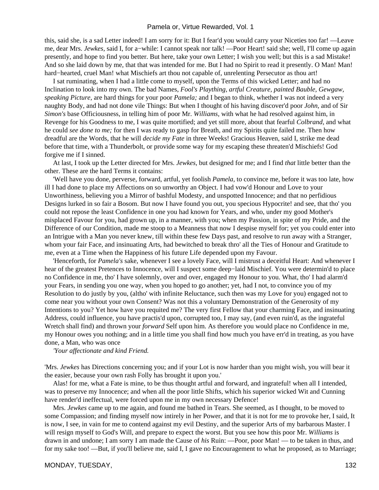this, said she, is a sad Letter indeed! I am sorry for it: But I fear'd you would carry your Niceties too far! —Leave me, dear Mrs. *Jewkes,* said I, for a−while: I cannot speak nor talk! —Poor Heart! said she; well, I'll come up again presently, and hope to find you better. But here, take your own Letter; I wish you well; but this is a sad Mistake! And so she laid down by me, that that was intended for me. But I had no Spirit to read it presently. O Man! Man! hard−hearted, cruel Man! what Mischiefs art thou not capable of, unrelenting Persecutor as thou art!

 I sat ruminating, when I had a little come to myself, upon the Terms of this wicked Letter; and had no Inclination to look into my own. The bad Names, *Fool's Plaything, artful Creature, painted Bauble, Gewgaw, speaking Picture,* are hard things for your poor *Pamela;* and I began to think, whether I was not indeed a very naughty Body, and had not done vile Things: But when I thought of his having discover'd poor *John,* and of Sir *Simon's* base Officiousness, in telling him of poor Mr. *Williams,* with what he had resolved against him, in Revenge for his Goodness to me, I was quite mortified; and yet still more, about that fearful *Colbrand,* and what he could *see done to me;* for then I was ready to gasp for Breath, and my Spirits quite failed me. Then how dreadful are the Words, that he will *decide my Fate* in three Weeks! Gracious Heaven, said I, strike me dead before that time, with a Thunderbolt, or provide some way for my escaping these threaten'd Mischiefs! God forgive me if I sinned.

 At last, I took up the Letter directed for Mrs. *Jewkes,* but designed for me; and I find *that* little better than the other. These are the hard Terms it contains:

 'Well have you done, perverse, forward, artful, yet foolish *Pamela,* to convince me, before it was too late, how ill I had done to place my Affections on so unworthy an Object. I had vow'd Honour and Love to your Unworthiness, believing you a Mirror of bashful Modesty, and unspotted Innocence; and that no perfidious Designs lurked in so fair a Bosom. But now I have found you out, you specious Hypocrite! and see, that tho' you could not repose the least Confidence in one you had known for Years, and who, under my good Mother's misplaced Favour for you, had grown up, in a manner, with you; when my Passion, in spite of my Pride, and the Difference of our Condition, made me stoop to a Meanness that now I despise myself for; yet you could enter into an Intrigue with a Man you never knew, till within these few Days past, and resolve to run away with a Stranger, whom your fair Face, and insinuating Arts, had bewitched to break thro' all the Ties of Honour and Gratitude to me, even at a Time when the Happiness of his future Life depended upon my Favour.

 'Henceforth, for *Pamela's* sake, whenever I see a lovely Face, will I mistrust a deceitful Heart: And whenever I hear of the greatest Pretences to Innocence, will I suspect some deep−laid Mischief. You were determin'd to place no Confidence in me, tho' I have solemnly, over and over, engaged my Honour to you. What, tho' I had alarm'd your Fears, in sending you one way, when you hoped to go another; yet, had I not, to convince you of my Resolution to do justly by you, (altho' with infinite Reluctance, such then was my Love for you) engaged not to come near you without your own Consent? Was not this a voluntary Demonstration of the Generosity of my Intentions to you? Yet how have you requited me? The very first Fellow that your charming Face, and insinuating Address, could influence, you have practis'd upon, corrupted too, I may say, (and even ruin'd, as the ingrateful Wretch shall find) and thrown your *forward* Self upon him. As therefore you would place no Confidence in me, my Honour owes you nothing; and in a little time you shall find how much you have err'd in treating, as you have done, a Man, who was once

*'Your affectionate and kind Friend.*

'Mrs. *Jewkes* has Directions concerning you; and if your Lot is now harder than you might wish, you will bear it the easier, because your own rash Folly has brought it upon you.'

 Alas! for me, what a Fate is mine, to be thus thought artful and forward, and ingrateful! when all I intended, was to preserve my Innocence; and when all the poor little Shifts, which his superior wicked Wit and Cunning have render'd ineffectual, were forced upon me in my own necessary Defence!

 Mrs. *Jewkes* came up to me again, and found me bathed in Tears. She seemed, as I thought, to be moved to some Compassion; and finding myself now intirely in her Power, and that it is not for me to provoke her, I said, It is now, I see, in vain for me to contend against my evil Destiny, and the superior Arts of my barbarous Master. I will resign myself to God's Will, and prepare to expect the worst. But you see how this poor Mr. *Williams* is drawn in and undone; I am sorry I am made the Cause of *his* Ruin: —Poor, poor Man! — to be taken in thus, and for my sake too! —But, if you'll believe me, said I, I gave no Encouragement to what he proposed, as to Marriage;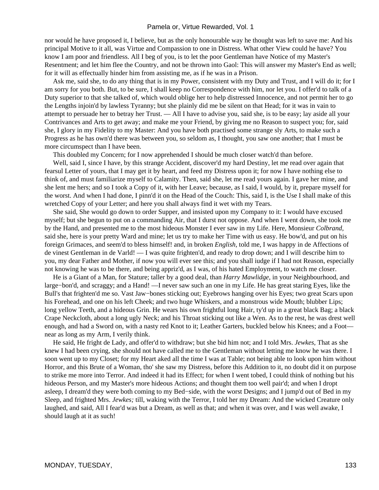nor would he have proposed it, I believe, but as the only honourable way he thought was left to save me: And his principal Motive to it all, was Virtue and Compassion to one in Distress. What other View could he have? You know I am poor and friendless. All I beg of you, is to let the poor Gentleman have Notice of my Master's Resentment; and let him flee the Country, and not be thrown into Gaol: This will answer my Master's End as well; for it will as effectually hinder him from assisting me, as if he was in a Prison.

 Ask me, said she, to do any thing that is in my Power, consistent with my Duty and Trust, and I will do it; for I am sorry for you both. But, to be sure, I shall keep no Correspondence with him, nor let you. I offer'd to talk of a Duty superior to that she talked of, which would oblige her to help distressed Innocence, and not permit her to go the Lengths injoin'd by lawless Tyranny; but she plainly did me be silent on that Head; for it was in vain to attempt to persuade her to betray her Trust. — All I have to advise you, said she, is to be easy; lay aside all your Contrivances and Arts to get away; and make me your Friend, by giving me no Reason to suspect you; for, said she, I glory in my Fidelity to my Master: And you have both practised some strange sly Arts, to make such a Progress as he has own'd there was between you, so seldom as, I thought, you saw one another; that I must be more circumspect than I have been.

This doubled my Concern; for I now apprehended I should be much closer watch'd than before.

 Well, said I, since I have, by this strange Accident, discover'd my hard Destiny, let me read over again that fearsul Letter of yours, that I may get it by heart, and feed my Distress upon it; for now I have nothing else to think of, and must familiarize myself to Calamity. Then, said she, let me read yours again. I gave her mine, and she lent me hers; and so I took a Copy of it, with her Leave; because, as I said, I would, by it, prepare myself for the worst. And when I had done, I pinn'd it on the Head of the Couch: This, said I, is the Use I shall make of this wretched Copy of your Letter; and here you shall always find it wet with my Tears.

 She said, She would go down to order Supper, and insisted upon my Company to it: I would have excused myself; but she begun to put on a commanding Air, that I durst not oppose. And when I went down, she took me by the Hand, and presented me to the most hideous Monster I ever saw in my Life. Here, Monsieur *Colbrand,* said she, here is your pretty Ward and mine; let us try to make her Time with us easy. He bow'd, and put on his foreign Grimaces, and seem'd to bless himself! and, in broken *English,* told me, I was happy in de Affections of de vinest Gentleman in de Varld! — I was quite frighten'd, and ready to drop down; and I will describe him to you, my dear Father and Mother, if now you will ever see this; and you shall iudge if I had not Reason, especially not knowing he was to be there, and being appriz'd, as I was, of his hated Employment, to watch me closer.

 He is a Giant of a Man, for Stature; taller by a good deal, than *Harry Mawlidge,* in your Neighbourhood, and large−bon'd, and scraggy; and a Hand! —I never saw such an one in my Life. He has great staring Eyes, like the Bull's that frighten'd me so. Vast Jaw−bones sticking out; Eyebrows hanging over his Eyes; two great Scars upon his Forehead, and one on his left Cheek; and two huge Whiskers, and a monstrous wide Mouth; blubber Lips; long yellow Teeth, and a hideous Grin. He wears his own frightful long Hair, ty'd up in a great black Bag; a black Crape Neckcloth, about a long ugly Neck; and his Throat sticking out like a Wen. As to the rest, he was drest well enough, and had a Sword on, with a nasty red Knot to it; Leather Garters, buckled below his Knees; and a Foot near as long as my Arm, I verily think.

 He said, He fright de Lady, and offer'd to withdraw; but she bid him not; and I told Mrs. *Jewkes,* That as she knew I had been crying, she should not have called me to the Gentleman without letting me know he was there. I soon went up to my Closet; for my Heart aked all the time I was at Table; not being able to look upon him without Horror, and this Brute of a Woman, tho' she saw my Distress, before this Addition to it, no doubt did it on purpose to strike me more into Terror. And indeed it had its Effect; for when I went tobed, I could think of nothing but his hideous Person, and my Master's more hideous Actions; and thought them too well pair'd; and when I dropt asleep, I dream'd they were both coming to my Bed−side, with the worst Designs; and I jump'd out of Bed in my Sleep, and frighted Mrs. *Jewkes;* till, waking with the Terror, I told her my Dream: And the wicked Creature only laughed, and said, All I fear'd was but a Dream, as well as that; and when it was over, and I was well awake, I should laugh at it as such!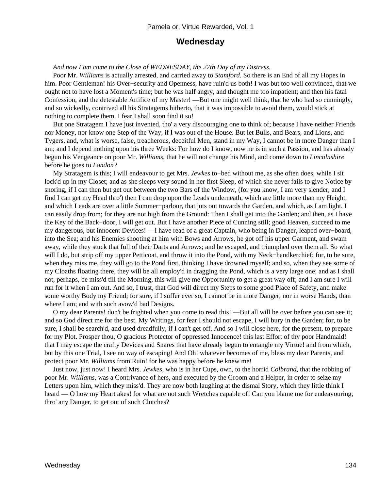## **Wednesday**

### *And now I am come to the Close of WEDNESDAY, the 27th Day of my Distress.*

 Poor Mr. *Williams* is actually arrested, and carried away to *Stamford.* So there is an End of all my Hopes in him. Poor Gentleman! his Over−security and Openness, have ruin'd us both! I was but too well convinced, that we ought not to have lost a Moment's time; but he was half angry, and thought me too impatient; and then his fatal Confession, and the detestable Artifice of my Master! —But one might well think, that he who had so cunningly, and so wickedly, contrived all his Stratagems hitherto, that it was impossible to avoid them, would stick at nothing to complete them. I fear I shall soon find it so!

 But one Stratagem I have just invented, tho' a very discouraging one to think of; because I have neither Friends nor Money, nor know one Step of the Way, if I was out of the House. But let Bulls, and Bears, and Lions, and Tygers, and, what is worse, false, treacherous, deceitful Men, stand in my Way, I cannot be in more Danger than I am; and I depend nothing upon his three Weeks: For how do I know, now he is in such a Passion, and has already begun his Vengeance on poor Mr. *Williams,* that he will not change his Mind, and come down to *Lincolnshire* before he goes to *London?*

 My Stratagem is this; I will endeavour to get Mrs. *Jewkes* to−bed without me, as she often does, while I sit lock'd up in my Closet; and as she sleeps very sound in her first Sleep, of which she never fails to give Notice by snoring, if I can then but get out between the two Bars of the Window, (for you know, I am very slender, and I find I can get my Head thro') then I can drop upon the Leads underneath, which are little more than my Height, and which Leads are over a little Summer−parlour, that juts out towards the Garden, and which, as I am light, I can easily drop from; for they are not high from the Ground: Then I shall get into the Garden; and then, as I have the Key of the Back−door, I will get out. But I have another Piece of Cunning still; good Heaven, succeed to me my dangerous, but innocent Devices! —I have read of a great Captain, who being in Danger, leaped over−board, into the Sea; and his Enemies shooting at him with Bows and Arrows, he got off his upper Garment, and swam away, while they stuck that full of their Darts and Arrows; and he escaped, and triumphed over them all. So what will I do, but strip off my upper Petticoat, and throw it into the Pond, with my Neck−handkerchief; for, to be sure, when they miss me, they will go to the Pond first, thinking I have drowned myself; and so, when they see some of my Cloaths floating there, they will be all employ'd in dragging the Pond, which is a very large one; and as I shall not, perhaps, be miss'd till the Morning, this will give me Opportunity to get a great way off; and I am sure I will run for it when I am out. And so, I trust, that God will direct my Steps to some good Place of Safety, and make some worthy Body my Friend; for sure, if I suffer ever so, I cannot be in more Danger, nor in worse Hands, than where I am; and with such avow'd bad Designs.

 O my dear Parents! don't be frighted when you come to read this! —But all will be over before you can see it; and so God direct me for the best. My Writings, for fear I should not escape, I will bury in the Garden; for, to be sure, I shall be search'd, and used dreadfully, if I can't get off. And so I will close here, for the present, to prepare for my Plot. Prosper thou, O gracious Protector of oppressed Innocence! this last Effort of thy poor Handmaid! that I may escape the crafty Devices and Snares that have already begun to entangle my Virtue! and from which, but by this one Trial, I see no way of escaping! And Oh! whatever becomes of me, bless my dear Parents, and protect poor Mr. *Williams* from Ruin! for he was happy before he knew me!

 Just now, just now! I heard Mrs. *Jewkes,* who is in her Cups, own, to the horrid *Colbrand,* that the robbing of poor Mr. *Williams,* was a Contrivance of hers, and executed by the Groom and a Helper, in order to seize my Letters upon him, which they miss'd. They are now both laughing at the dismal Story, which they little think I heard — O how my Heart akes! for what are not such Wretches capable of! Can you blame me for endeavouring, thro' any Danger, to get out of such Clutches?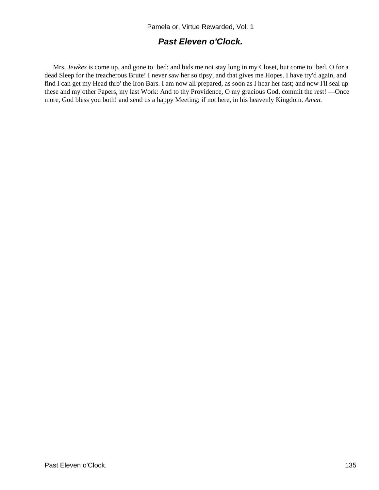## **Past Eleven o'Clock.**

 Mrs. *Jewkes* is come up, and gone to−bed; and bids me not stay long in my Closet, but come to−bed. O for a dead Sleep for the treacherous Brute! I never saw her so tipsy, and that gives me Hopes. I have try'd again, and find I can get my Head thro' the Iron Bars. I am now all prepared, as soon as I hear her fast; and now I'll seal up these and my other Papers, my last Work: And to thy Providence, O my gracious God, commit the rest! —Once more, God bless you both! and send us a happy Meeting; if not here, in his heavenly Kingdom. *Amen.*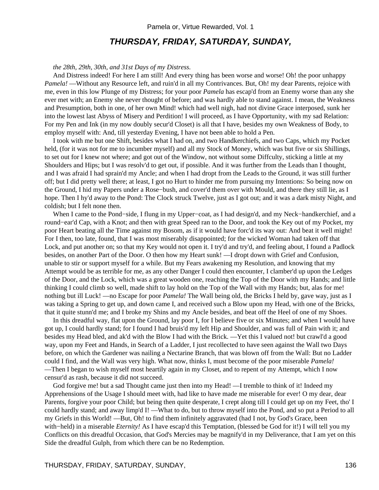## **THURSDAY, FRIDAY, SATURDAY, SUNDAY,**

#### *the 28th, 29th, 30th, and 31st Days of my Distress.*

 And Distress indeed! For here I am still! And every thing has been worse and worse! Oh! the poor unhappy *Pamela!* —Without any Resource left, and ruin'd in all my Contrivances. But, Oh! my dear Parents, rejoice with me, even in this low Plunge of my Distress; for your poor *Pamela* has escap'd from an Enemy worse than any she ever met with; an Enemy she never thought of before; and was hardly able to stand against. I mean, the Weakness and Presumption, both in one, of her own Mind! which had well nigh, had not divine Grace interposed, sunk her into the lowest last Abyss of Misery and Perdition! I will proceed, as I have Opportunity, with my sad Relation: For my Pen and Ink (in my now doubly secur'd Closet) is all that I have, besides my own Weakness of Body, to employ myself with: And, till yesterday Evening, I have not been able to hold a Pen.

 I took with me but one Shift, besides what I had on, and two Handkerchiefs, and two Caps, which my Pocket held, (for it was not for me to incumber myself) and all my Stock of Money, which was but five or six Shillings, to set out for I knew not where; and got out of the Window, not without some Diffculty, sticking a little at my Shoulders and Hips; but I was resolv'd to get out, if possible. And it was further from the Leads than I thought, and I was afraid I had sprain'd my Ancle; and when I had dropt from the Leads to the Ground, it was still further off; but I did pretty well there; at least, I got no Hurt to hinder me from pursuing my Intentions: So being now on the Ground, I hid my Papers under a Rose−bush, and cover'd them over with Mould, and there they still lie, as I hope. Then I hy'd away to the Pond: The Clock struck Twelve, just as I got out; and it was a dark misty Night, and coldish; but I felt none then.

 When I came to the Pond−side, I flung in my Upper−coat, as I had design'd, and my Neck−handkerchief, and a round−ear'd Cap, with a Knot; and then with great Speed ran to the Door, and took the Key out of my Pocket, my poor Heart beating all the Time against my Bosom, as if it would have forc'd its way out: And beat it well might! For I then, too late, found, that I was most miserably disappointed; for the wicked Woman had taken off that Lock, and put another on; so that my Key would not open it. I try'd and try'd, and feeling about, I found a Padlock besides, on another Part of the Door. O then how my Heart sunk! —I dropt down with Grief and Confusion, unable to stir or support myself for a while. But my Fears awakening my Resolution, and knowing that my Attempt would be as terrible for me, as any other Danger I could then encounter, I clamber'd up upon the Ledges of the Door, and the Lock, which was a great wooden one, reaching the Top of the Door with my Hands; and little thinking I could climb so well, made shift to lay hold on the Top of the Wall with my Hands; but, alas for me! nothing but ill Luck! —no Escape for poor *Pamela!* The Wall being old, the Bricks I held by, gave way, just as I was taking a Spring to get up, and down came I, and received such a Blow upon my Head, with one of the Bricks, that it quite stunn'd me; and I broke my Shins and my Ancle besides, and beat off the Heel of one of my Shoes.

 In this dreadful way, flat upon the Ground, lay poor I, for I believe five or six Minutes; and when I would have got up, I could hardly stand; for I found I had bruis'd my left Hip and Shoulder, and was full of Pain with it; and besides my Head bled, and ak'd with the Blow I had with the Brick. —Yet this I valued not! but crawl'd a good way, upon my Feet and Hands, in Search of a Ladder, I just recollected to have seen against the Wall two Days before, on which the Gardener was nailing a Nectarine Branch, that was blown off from the Wall: But no Ladder could I find, and the Wall was very high. What now, thinks I, must become of the poor miserable *Pamela!* —Then I began to wish myself most heartily again in my Closet, and to repent of my Attempt, which I now censur'd as rash, because it did not succeed.

 God forgive me! but a sad Thought came just then into my Head! —I tremble to think of it! Indeed my Apprehensions of the Usage I should meet with, had like to have made me miserable for ever! O my dear, dear Parents, forgive your poor Child; but being then quite desperate, I crept along till I could get up on my Feet, tho' I could hardly stand; and away limp'd I! —What to do, but to throw myself into the Pond, and so put a Period to all my Griefs in this World! —But, Oh! to find them infinitely aggravated (had I not, by God's Grace, been with–held) in a miserable *Eternity!* As I have escap'd this Temptation, (blessed be God for it!) I will tell you my Conflicts on this dreadful Occasion, that God's Mercies may be magnify'd in my Deliverance, that I am yet on this Side the dreadful Gulph, from which there can be no Redemption.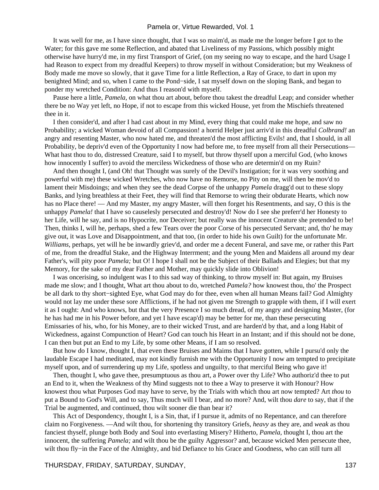It was well for me, as I have since thought, that I was so maim'd, as made me the longer before I got to the Water; for this gave me some Reflection, and abated that Liveliness of my Passions, which possibly might otherwise have hurry'd me, in my first Transport of Grief, (on my seeing no way to escape, and the hard Usage I had Reason to expect from my dreadful Keepers) to throw myself in without Consideration; but my Weakness of Body made me move so slowly, that it gave Time for a little Reflection, a Ray of Grace, to dart in upon my benighted Mind; and so, when I came to the Pond−side, I sat myself down on the sloping Bank, and began to ponder my wretched Condition: And thus I reason'd with myself.

 Pause here a little, *Pamela,* on what thou art about, before thou takest the dreadful Leap; and consider whether there be no Way yet left, no Hope, if not to escape from this wicked House, yet from the Mischiefs threatened thee in it.

 I then consider'd, and after I had cast about in my Mind, every thing that could make me hope, and saw no Probability; a wicked Woman devoid of all Compassion! a horrid Helper just arriv'd in this dreadful *Colbrand!* an angry and resenting Master, who now hated me, and threaten'd the most afflicting Evils! and, that I should, in all Probability, be depriv'd even of the Opportunity I now had before me, to free myself from all their Persecutions— What hast thou to do, distressed Creature, said I to myself, but throw thyself upon a merciful God, (who knows how innocently I suffer) to avoid the merciless Wickedness of those who are determin'd on my Ruin?

 And then thought I, (and Oh! that Thought was surely of the Devil's Instigation; for it was very soothing and powerful with me) these wicked Wretches, who now have no Remorse, no Pity on me, will then be mov'd to lament their Misdoings; and when they see the dead Corpse of the unhappy *Pamela* dragg'd out to these slopy Banks, and lying breathless at their Feet, they will find that Remorse to wring their obdurate Hearts, which now has no Place there! — And my Master, my angry Master, will then forget his Resentments, and say, O this is the unhappy *Pamela!* that I have so causelesly persecuted and destroy'd! Now do I see she preferr'd her Honesty to her Life, will he say, and is no Hypocrite, nor Deceiver; but really was the innocent Creature she pretended to be! Then, thinks I, will he, perhaps, shed a few Tears over the poor Corse of his persecuted Servant; and, tho' he may give out, it was Love and Disappointment, and that too, (in order to hide his own Guilt) for the unfortunate Mr. *Williams,* perhaps, yet will he be inwardly griev'd, and order me a decent Funeral, and save me, or rather this Part of me, from the dreadful Stake, and the Highway Interrment; and the young Men and Maidens all around my dear Father's, will pity poor *Pamela;* but O! I hope I shall not be the Subject of their Ballads and Elegies; but that my Memory, for the sake of my dear Father and Mother, may quickly slide into Oblivion!

 I was oncerising, so indulgent was I to this sad way of thinking, to throw myself in: But again, my Bruises made me slow; and I thought, What art thou about to do, wretched *Pamela?* how knowest thou, tho' the Prospect be all dark to thy short−sighted Eye, what God may do for thee, even when all human Means fail? God Almighty would not lay me under these sore Afflictions, if he had not given me Strength to grapple with them, if I will exert it as I ought: And who knows, but that the very Presence I so much dread, of my angry and designing Master, (for he has had me in his Power before, and yet I have escap'd) may be better for me, than these persecuting Emissaries of his, who, for his Money, are to their wicked Trust, and are harden'd by that, and a long Habit of Wickedness, against Compunction of Heart? God can touch his Heart in an Instant; and if this should not be done, I can then but put an End to my Life, by some other Means, if I am so resolved.

 But how do I know, thought I, that even these Bruises and Maims that I have gotten, while I pursu'd only the laudable Escape I had meditated, may not kindly furnish me with the Opportunity I now am tempted to precipitate myself upon, and of surrendering up my Life, spotless and unguilty, to that merciful Being who gave it!

 Then, thought I, who gave thee, presumptuous as thou art, a Power over thy Life? Who authoriz'd thee to put an End to it, when the Weakness of thy Mind suggests not to thee a Way to preserve it with Honour? How knowest thou what Purposes God may have to serve, by the Trials with which thou art now tempted? Art *thou* to put a Bound to God's Will, and to say, Thus much will I bear, and no more? And, wilt thou *dare* to say, that if the Trial be augmented, and continued, thou wilt sooner die than bear it?

 This Act of Despondency, thought I, is a Sin, that, if I pursue it, admits of no Repentance, and can therefore claim no Forgiveness. —And wilt thou, for shortening thy transitory Griefs, *heavy* as they are, and *weak* as thou fanciest thyself, plunge both Body and Soul into everlasting Misery? Hitherto, *Pamela,* thought I, thou art the innocent, the suffering *Pamela;* and wilt thou be the guilty Aggressor? and, because wicked Men persecute thee, wilt thou fly−in the Face of the Almighty, and bid Defiance to his Grace and Goodness, who can still turn all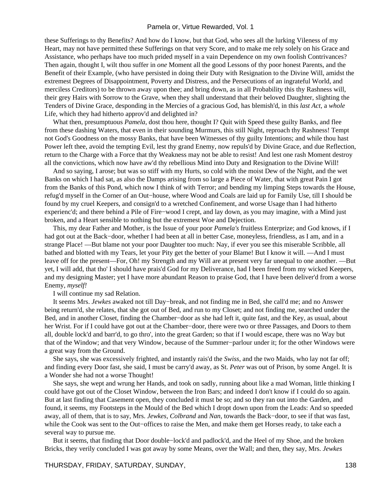these Sufferings to thy Benefits? And how do I know, but that God, who sees all the lurking Vileness of my Heart, may not have permitted these Sufferings on that very Score, and to make me rely solely on his Grace and Assistance, who perhaps have too much prided myself in a vain Dependence on my own foolish Contrivances? Then again, thought I, wilt thou suffer in *one* Moment all the good Lessons of thy poor honest Parents, and the Benefit of their Example, (who have persisted in doing their Duty with Resignation to the Divine Will, amidst the extremest Degrees of Disappointment, Poverty and Distress, and the Persecutions of an ingrateful World, and merciless Creditors) to be thrown away upon thee; and bring down, as in all Probability this thy Rashness will, their grey Hairs with Sorrow to the Grave, when they shall understand that their beloved Daughter, slighting the Tenders of Divine Grace, desponding in the Mercies of a gracious God, has blemish'd, in this *last Act,* a *whole* Life, which they had hitherto approv'd and delighted in?

 What then, presumptuous *Pamela,* dost thou here, thought I? Quit with Speed these guilty Banks, and flee from these dashing Waters, that even in their sounding Murmurs, this still Night, reproach thy Rashness! Tempt not God's Goodness on the mossy Banks, that have been Witnesses of thy guilty Intentions; and while thou hast Power left thee, avoid the tempting Evil, lest thy grand Enemy, now repuls'd by Divine Grace, and due Reflection, return to the Charge with a Force that thy Weakness may not be able to resist! And lest one rash Moment destroy all the convictions, which now have aw'd thy rebellious Mind into Duty and Resignation to the Divine Will!

 And so saying, I arose; but was so stiff with my Hurts, so cold with the moist Dew of the Night, and the wet Banks on which I had sat, as also the Damps arising from so large a Piece of Water, that with great Pain I got from the Banks of this Pond, which now I think of with Terror; and bending my limping Steps towards the House, refug'd myself in the Corner of an Out−house, where Wood and Coals are laid up for Family Use, till I should be found by my cruel Keepers, and consign'd to a wretched Confinement, and worse Usage than I had hitherto experienc'd; and there behind a Pile of Fire−wood I crept, and lay down, as you may imagine, with a Mind just broken, and a Heart sensible to nothing but the extremest Woe and Dejection.

 This, my dear Father and Mother, is the Issue of your poor *Pamela's* fruitless Enterprize; and God knows, if I had got out at the Back−door, whether I had been at all in better Case, moneyless, friendless, as I am, and in a strange Place! —But blame not your poor Daughter too much: Nay, if ever you see this miserable Scribble, all bathed and blotted with my Tears, let your Pity get the better of your Blame! But I know it will. —And I must leave off for the present—For, Oh! my Strength and my Will are at present very far unequal to one another. —But yet, I will add, that tho' I should have prais'd God for my Deliverance, had I been freed from my wicked Keepers, and my designing Master; yet I have more abundant Reason to praise God, that I have been deliver'd from a worse Enemy, *myself!*

I will continue my sad Relation.

 It seems Mrs. *Jewkes* awaked not till Day−break, and not finding me in Bed, she call'd me; and no Answer being return'd, she relates, that she got out of Bed, and run to my Closet; and not finding me, searched under the Bed, and in another Closet, finding the Chamber−door as she had left it, quite fast, and the Key, as usual, about her Wrist. For if I could have got out at the Chamber−door, there were two or three Passages, and Doors to them all, double lock'd and barr'd, to go thro', into the great Garden; so that if I would escape, there was no Way but that of the Window; and that very Window, because of the Summer−parlour under it; for the other Windows were a great way from the Ground.

 She says, she was excessively frighted, and instantly rais'd the *Swiss,* and the two Maids, who lay not far off; and finding every Door fast, she said, I must be carry'd away, as St. *Peter* was out of Prison, by some Angel. It is a Wonder she had not a worse Thought!

 She says, she wept and wrung her Hands, and took on sadly, running about like a mad Woman, little thinking I could have got out of the Closet Window, between the Iron Bars; and indeed I don't know if I could do so again. But at last finding that Casement open, they concluded it must be so; and so they ran out into the Garden, and found, it seems, my Footsteps in the Mould of the Bed which I dropt down upon from the Leads: And so speeded away, all of them, that is to say, Mrs. *Jewkes, Colbrand* and *Nan,* towards the Back−door, to see if that was fast, while the Cook was sent to the Out−offices to raise the Men, and make them get Horses ready, to take each a several way to pursue me.

 But it seems, that finding that Door double−lock'd and padlock'd, and the Heel of my Shoe, and the broken Bricks, they verily concluded I was got away by some Means, over the Wall; and then, they say, Mrs. *Jewkes*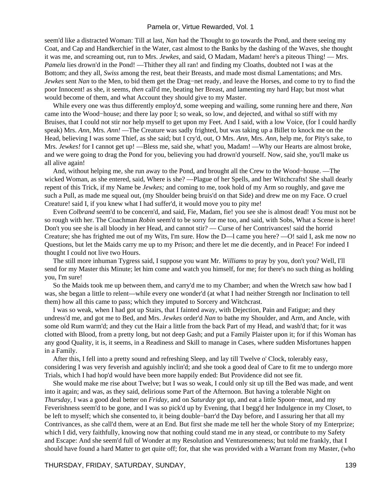seem'd like a distracted Woman: Till at last, *Nan* had the Thought to go towards the Pond, and there seeing my Coat, and Cap and Handkerchief in the Water, cast almost to the Banks by the dashing of the Waves, she thought it was me, and screaming out, run to Mrs. *Jewkes,* and said, O Madam, Madam! here's a piteous Thing! — Mrs. *Pamela* lies drown'd in the Pond! —Thither they all ran! and finding my Cloaths, doubted not I was at the Bottom; and they all, *Swiss* among the rest, beat their Breasts, and made most dismal Lamentations; and Mrs. *Jewkes* sent *Nan* to the Men, to bid them get the Drag−net ready, and leave the Horses, and come to try to find the poor Innocent! as she, it seems, *then* call'd me, beating her Breast, and lamenting my hard Hap; but most what would become of them, and what Account they should give to my Master.

 While every one was thus differently employ'd, some weeping and wailing, some running here and there, *Nan* came into the Wood−house; and there lay poor I; so weak, so low, and dejected, and withal so stiff with my Bruises, that I could not stir nor help myself to get upon my Feet. And I said, with a low Voice, (for I could hardly speak) Mrs. *Ann,* Mrs. *Ann!* —The Creature was sadly frighted, but was taking up a Billet to knock me on the Head, believing I was some Thief, as she said; but I cry'd, out, O Mrs. *Ann,* Mrs. *Ann,* help me, for Pity's sake, to Mrs. *Jewkes!* for I cannot get up! —Bless me, said she, what! you, Madam! —Why our Hearts are almost broke, and we were going to drag the Pond for you, believing you had drown'd yourself. Now, said she, you'll make us all alive again!

 And, without helping me, she run away to the Pond, and brought all the Crew to the Wood−house. —The wicked Woman, as she entered, said, Where is she? —Plague of her Spells, and her Witchcrafts! She shall dearly repent of this Trick, if my Name be *Jewkes;* and coming to me, took hold of my Arm so roughly, and gave me such a Pull, as made me squeal out, (my Shoulder being bruis'd on that Side) and drew me on my Face. O cruel Creature! said I, if you knew what I had suffer'd, it would move you to pity me!

 Even *Colbrand* seem'd to be concern'd, and said, Fie, Madam, fie! you see she is almost dead! You must not be so rough with her. The Coachman *Robin* seem'd to be sorry for me too, and said, with Sobs, What a Scene is here! Don't you see she is all bloody in her Head, and cannot stir? — Curse of her Contrivances! said the horrid Creature; she has frighted me out of my Wits, I'm sure. How the D—l came you here? —O! said I, ask me now no Questions, but let the Maids carry me up to my Prison; and there let me die decently, and in Peace! For indeed I thought I could not live two Hours.

 The still more inhuman Tygress said, I suppose you want Mr. *Williams* to pray by you, don't you? Well, I'll send for my Master this Minute; let him come and watch you himself, for me; for there's no such thing as holding you, I'm sure!

 So the Maids took me up between them, and carry'd me to my Chamber; and when the Wretch saw how bad I was, she began a little to relent—while every one wonder'd (at what I had neither Strength nor Inclination to tell them) how all this came to pass; which they imputed to Sorcery and Witchcrast.

 I was so weak, when I had got up Stairs, that I fainted away, with Dejection, Pain and Fatigue; and they undress'd me, and got me to Bed, and Mrs. *Jewkes* order'd *Nan* to bathe my Shoulder, and Arm, and Ancle, with some old Rum warm'd; and they cut the Hair a little from the back Part of my Head, and wash'd that; for it was clotted with Blood, from a pretty long, but not deep Gash; and put a Family Plaister upon it; for if this Woman has any good Quality, it is, it seems, in a Readiness and Skill to manage in Cases, where sudden Misfortunes happen in a Family.

 After this, I fell into a pretty sound and refreshing Sleep, and lay till Twelve o' Clock, tolerably easy, considering I was very feverish and aguishly inclin'd; and she took a good deal of Care to fit me to undergo more Trials, which I had hop'd would have been more happily ended: But Providence did not see fit.

 She would make me rise about Twelve; but I was so weak, I could only sit up till the Bed was made, and went into it again; and was, as they said, delirious some Part of the Afternoon. But having a tolerable Night on *Thursday,* I was a good deal better on *Friday,* and on *Saturday* got up, and eat a little Spoon−meat, and my Feverishness seem'd to be gone, and I was so pick'd up by Evening, that I begg'd her Indulgence in my Closet, to be left to myself; which she consented to, it being double−barr'd the Day before, and I assuring her that all my Contrivances, as she call'd them, were at an End. But first she made me tell her the whole Story of my Enterprize; which I did, very faithfully, knowing now that nothing could stand me in any stead, or contribute to my Safety and Escape: And she seem'd full of Wonder at my Resolution and Venturesomeness; but told me frankly, that I should have found a hard Matter to get quite off; for, that she was provided with a Warrant from my Master, (who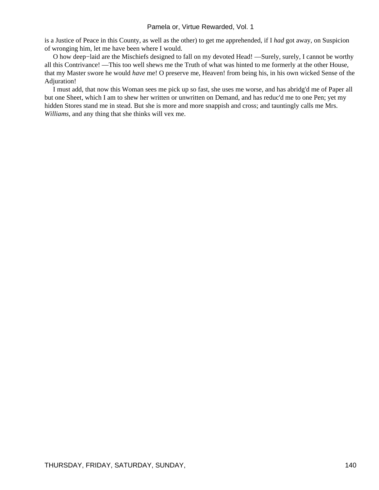is a Justice of Peace in this County, as well as the other) to get me apprehended, if I *had* got away, on Suspicion of wronging him, let me have been where I would.

 O how deep−laid are the Mischiefs designed to fall on my devoted Head! —Surely, surely, I cannot be worthy all this Contrivance! —This too well shews me the Truth of what was hinted to me formerly at the other House, that my Master swore he would *have* me! O preserve me, Heaven! from being his, in his own wicked Sense of the Adjuration!

 I must add, that now this Woman sees me pick up so fast, she uses me worse, and has abridg'd me of Paper all but one Sheet, which I am to shew her written or unwritten on Demand, and has reduc'd me to one Pen; yet my hidden Stores stand me in stead. But she is more and more snappish and cross; and tauntingly calls me Mrs. *Williams,* and any thing that she thinks will vex me.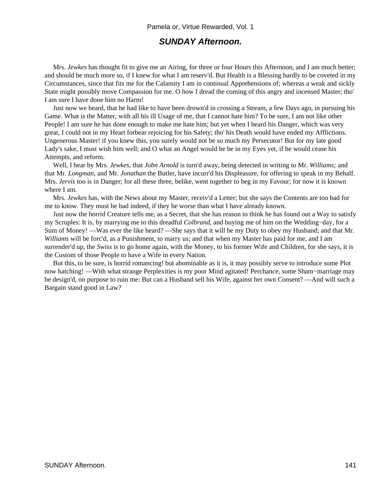### **SUNDAY Afternoon.**

 Mrs. *Jewkes* has thought fit to give me an Airing, for three or four Hours this Afternoon, and I am much better; and should be much more so, if I knew for what I am reserv'd. But Health is a Blessing hardly to be coveted in my Circumstances, since that fits me for the Calamity I am in continual Apprehensions of; whereas a weak and sickly State might possibly move Compassion for me. O how I dread the coming of this angry and incensed Master; tho' I am sure I have done him no Harm!

 Just now we heard, that he had like to have been drown'd in crossing a Stream, a few Days ago, in pursuing his Game. What is the Matter, with all his ill Usage of me, that I cannot hate him? To be sure, I am not like other People! I am sure he has done enough to make me hate him; but yet when I heard his Danger, which was very great, I could not in my Heart forbear rejoicing for his Safety; tho' his Death would have ended my Afflictions. Ungenerous Master! if you knew this, you surely would not be so much my Persecutor! But for my late good Lady's sake, I must wish him well; and O what an Angel would he be in my Eyes yet, if he would cease his Attempts, and reform.

 Well, I hear by Mrs. *Jewkes,* that *Jobn Arnold* is turn'd away, being detected in writing to Mr. *Williams;* and that Mr. *Longman,* and Mr. *Jonathan* the Butler, have incurr'd his Displeasure, for offering to speak in my Behalf. Mrs. *Jervis* too is in Danger; for all these three, belike, went together to beg in my Favour; for now it is known where I am.

 Mrs. *Jewkes* has, with the News about my Master, receiv'd a Letter; but she says the Contents are too bad for me to know. They must be bad indeed, if they be worse than what I have already known.

 Just now the horrid Creature tells me, as a Secret, that she has reason to think he has found out a Way to satisfy my Scruples: It is, by marrying me to this dreadful *Colbrand,* and buying me of him on the Wedding−day, for a Sum of Money! —Was ever the like heard? —She says that it will be my Duty to obey my Husband; and that Mr. *Williams* will be forc'd, as a Punishment, to marry us; and that when my Master has paid for me, and I am surrender'd up, the *Swiss* is to go home again, with the Money, to his former Wife and Children, for she says, it is the Custom of those People to have a Wife in every Nation.

 But this, to be sure, is horrid romancing! but abominable as it is, it may possibly serve to introduce some Plot now hatching! —With what strange Perplexities is my poor Mind agitated! Perchance, some Sham−marriage may be design'd, on purpose to ruin me: But can a Husband sell his Wife, against her own Consent? —And will such a Bargain stand good in Law?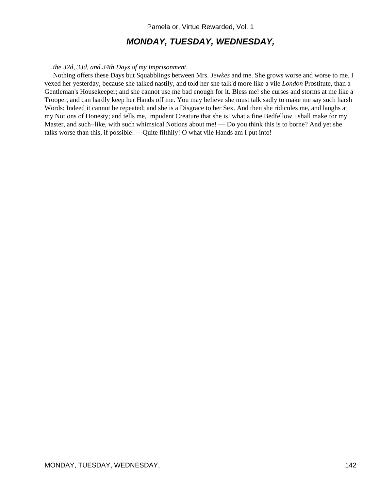# **MONDAY, TUESDAY, WEDNESDAY,**

#### *the 32d, 33d, and 34th Days of my Imprisonment.*

 Nothing offers these Days but Squabblings between Mrs. *Jewkes* and me. She grows worse and worse to me. I vexed her yesterday, because she talked nastily, and told her she talk'd more like a vile *London* Prostitute, than a Gentleman's Housekeeper; and she cannot use me bad enough for it. Bless me! she curses and storms at me like a Trooper, and can hardly keep her Hands off me. You may believe she must talk sadly to make me say such harsh Words: Indeed it cannot be repeated; and she is a Disgrace to her Sex. And then she ridicules me, and laughs at my Notions of Honesty; and tells me, impudent Creature that she is! what a fine Bedfellow I shall make for my Master, and such−like, with such whimsical Notions about me! — Do you think this is to borne? And yet she talks worse than this, if possible! —Quite filthily! O what vile Hands am I put into!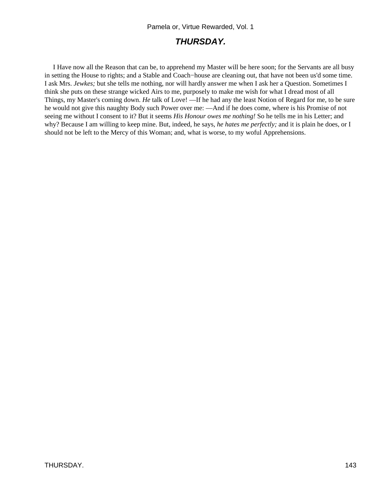# **THURSDAY.**

 I Have now all the Reason that can be, to apprehend my Master will be here soon; for the Servants are all busy in setting the House to rights; and a Stable and Coach−house are cleaning out, that have not been us'd some time. I ask Mrs. *Jewkes;* but she tells me nothing, nor will hardly answer me when I ask her a Question. Sometimes I think she puts on these strange wicked Airs to me, purposely to make me wish for what I dread most of all Things, my Master's coming down. *He* talk of Love! —If he had any the least Notion of Regard for me, to be sure he would not give this naughty Body such Power over me: —And if he does come, where is his Promise of not seeing me without I consent to it? But it seems *His Honour owes me nothing!* So he tells me in his Letter; and why? Because I am willing to keep mine. But, indeed, he says, *he hates me perfectly;* and it is plain he does, or I should not be left to the Mercy of this Woman; and, what is worse, to my woful Apprehensions.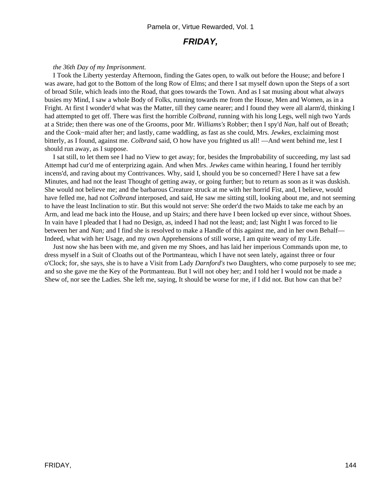### **FRIDAY,**

#### *the 36th Day of my Imprisonment.*

 I Took the Liberty yesterday Afternoon, finding the Gates open, to walk out before the House; and before I was aware, had got to the Bottom of the long Row of Elms; and there I sat myself down upon the Steps of a sort of broad Stile, which leads into the Road, that goes towards the Town. And as I sat musing about what always busies my Mind, I saw a whole Body of Folks, running towards me from the House, Men and Women, as in a Fright. At first I wonder'd what was the Matter, till they came nearer; and I found they were all alarm'd, thinking I had attempted to get off. There was first the horrible *Colbrand,* running with his long Legs, well nigh two Yards at a Stride; then there was one of the Grooms, poor Mr. *Williams's* Robber; then I spy'd *Nan,* half out of Breath; and the Cook−maid after her; and lastly, came waddling, as fast as she could, Mrs. *Jewkes,* exclaiming most bitterly, as I found, against me. *Colbrand* said, O how have you frighted us all! —And went behind me, lest I should run away, as I suppose.

 I sat still, to let them see I had no View to get away; for, besides the Improbability of succeeding, my last sad Attempt had cur'd me of enterprizing again. And when Mrs. *Jewkes* came within hearing, I found her terribly incens'd, and raving about my Contrivances. Why, said I, should you be so concerned? Here I have sat a few Minutes, and had not the least Thought of getting away, or going further; but to return as soon as it was duskish. She would not believe me; and the barbarous Creature struck at me with her horrid Fist, and, I believe, would have felled me, had not *Colbrand* interposed, and said, He saw me sitting still, looking about me, and not seeming to have the least Inclination to stir. But this would not serve: She order'd the two Maids to take me each by an Arm, and lead me back into the House, and up Stairs; and there have I been locked up ever since, without Shoes. In vain have I pleaded that I had no Design, as, indeed I had not the least; and; last Night I was forced to lie between her and *Nan;* and I find she is resolved to make a Handle of this against me, and in her own Behalf— Indeed, what with her Usage, and my own Apprehensions of still worse, I am quite weary of my Life.

 Just now she has been with me, and given me my Shoes, and has laid her imperious Commands upon me, to dress myself in a Suit of Cloaths out of the Portmanteau, which I have not seen lately, against three or four o'Clock; for, she says, she is to have a Visit from Lady *Darnford's* two Daughters, who come purposely to see me; and so she gave me the Key of the Portmanteau. But I will not obey her; and I told her I would not be made a Shew of, nor see the Ladies. She left me, saying, It should be worse for me, if I did not. But how can that be?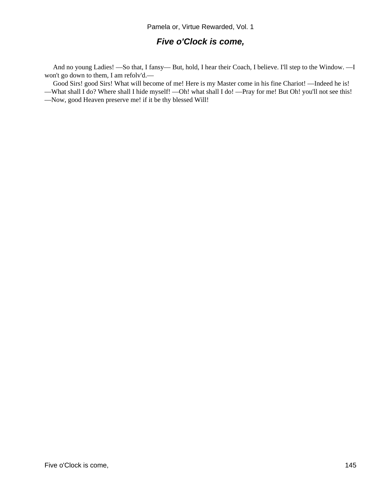# **Five o'Clock is come,**

 And no young Ladies! —So that, I fansy— But, hold, I hear their Coach, I believe. I'll step to the Window. —I won't go down to them, I am refolv'd.—

 Good Sirs! good Sirs! What will become of me! Here is my Master come in his fine Chariot! —Indeed he is! —What shall I do? Where shall I hide myself! —Oh! what shall I do! —Pray for me! But Oh! you'll not see this!

—Now, good Heaven preserve me! if it be thy blessed Will!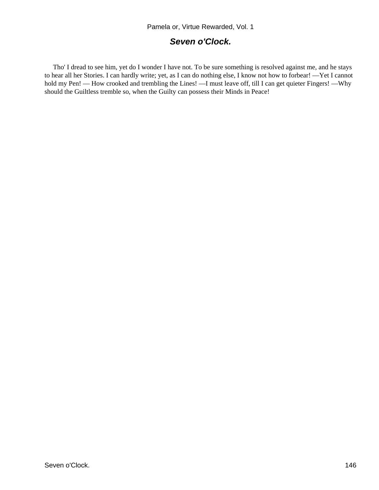# **Seven o'Clock.**

 Tho' I dread to see him, yet do I wonder I have not. To be sure something is resolved against me, and he stays to hear all her Stories. I can hardly write; yet, as I can do nothing else, I know not how to forbear! —Yet I cannot hold my Pen! — How crooked and trembling the Lines! —I must leave off, till I can get quieter Fingers! —Why should the Guiltless tremble so, when the Guilty can possess their Minds in Peace!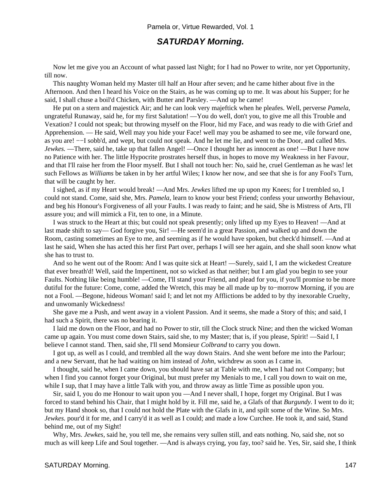# **SATURDAY Morning.**

 Now let me give you an Account of what passed last Night; for I had no Power to write, nor yet Opportunity, till now.

 This naughty Woman held my Master till half an Hour after seven; and he came hither about five in the Afternoon. And then I heard his Voice on the Stairs, as he was coming up to me. It was about his Supper; for he said, I shall chuse a boil'd Chicken, with Butter and Parsley. —And up he came!

 He put on a stern and majestick Air; and he can look very majeftick when he pleafes. Well, perverse *Pamela,* ungrateful Runaway, said he, for my first Salutation! —You do well, don't you, to give me all this Trouble and Vexation? I could not speak; but throwing myself on the Floor, hid my Face, and was ready to die with Grief and Apprehension. — He said, Well may you hide your Face! well may you be ashamed to see me, vile forward one, as you are! −−I sobb'd, and wept, but could not speak. And he let me lie, and went to the Door, and called Mrs. *Jewkes.* —There, said he, take up that fallen Angel! —Once I thought her as innocent as one! —But I have now no Patience with her. The little Hypocrite prostrates herself thus, in hopes to move my Weakness in her Favour, and that I'll raise her from the Floor myself. But I shall not touch her: No, said he, cruel Gentleman as he was! let such Fellows as *Williams* be taken in by her artful Wiles; I know her now, and see that she is for any Fool's Turn, that will be caught by her.

 I sighed, as if my Heart would break! —And Mrs. *Jewkes* lifted me up upon my Knees; for I trembled so, I could not stand. Come, said she, Mrs. *Pamela,* learn to know your best Friend; confess your unworthy Behaviour, and beg his Honour's Forgiveness of all your Faults. I was ready to faint; and he said, She is Mistress of Arts, I'll assure you; and will mimick a Fit, ten to one, in a Minute.

 I was struck to the Heart at this; but could not speak presently; only lifted up my Eyes to Heaven! —And at last made shift to say— God forgive you, Sir! —He seem'd in a great Passion, and walked up and down the Room, casting sometimes an Eye to me, and seeming as if he would have spoken, but check'd himself. —And at last he said, When she has acted this her first Part over, perhaps I will see her again, and she shall soon know what she has to trust to.

 And so he went out of the Room: And I was quite sick at Heart! —Surely, said I, I am the wickedest Creature that ever breath'd! Well, said the Impertinent, not so wicked as that neither; but I am glad you begin to see your Faults. Nothing like being humble! —Come, I'll stand your Friend, and plead for you, if you'll promise to be more dutiful for the future: Come, come, added the Wretch, this may be all made up by to−morrow Morning, if you are not a Fool. —Begone, hideous Woman! said I; and let not my Afflictions be added to by thy inexorable Cruelty, and unwomanly Wickedness!

 She gave me a Push, and went away in a violent Passion. And it seems, she made a Story of this; and said, I had such a Spirit, there was no bearing it.

 I laid me down on the Floor, and had no Power to stir, till the Clock struck Nine; and then the wicked Woman came up again. You must come down Stairs, said she, to my Master; that is, if you please, Spirit! —Said I, I believe I cannot stand. Then, said she, I'll send Monsieur *Colbrand* to carry you down.

 I got up, as well as I could, and trembled all the way down Stairs. And she went before me into the Parlour; and a new Servant, that he had waiting on him instead of *John,* wichdrew as soon as I came in.

 I thought, said he, when I came down, you should have sat at Table with me, when I had not Company; but when I find you cannot forget your Original, but must prefer my Menials to me, I call you down to wait on me, while I sup, that I may have a little Talk with you, and throw away as little Time as possible upon you.

 Sir, said I, you do me Honour to wait upon you —And I never shall, I hope, forget my Original. But I was forced to stand behind his Chair, that I might hold by it. Fill me, said he, a Glafs of that *Burgundy.* I went to do it; but my Hand shook so, that I could not hold the Plate with the Glafs in it, and spilt some of the Wine. So Mrs. *Jewkes.* pour'd it for me, and I carry'd it as well as I could; and made a low Curchee. He took it, and said, Stand behind me, out of my Sight!

 Why, Mrs. *Jewkes,* said he, you tell me, she remains very sullen still, and eats nothing. No, said she, not so much as will keep Life and Soul together. —And is always crying, you fay, too? said he. Yes, Sir, said she, I think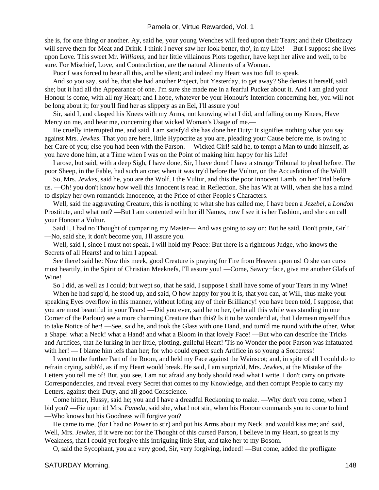she is, for one thing or another. Ay, said he, your young Wenches will feed upon their Tears; and their Obstinacy will serve them for Meat and Drink. I think I never saw her look better, tho', in my Life! —But I suppose she lives upon Love. This sweet Mr. *Williams,* and her little villainous Plots together, have kept her alive and well, to be sure. For Mischief, Love, and Contradiction, are the natural Aliments of a Woman.

Poor I was forced to hear all this, and be silent; and indeed my Heart was too full to speak.

 And so you say, said he, that she had another Project, but Yesterday, to get away? She denies it herself, said she; but it had all the Appearance of one. I'm sure she made me in a fearful Pucker about it. And I am glad your Honour is come, with all my Heart; and I hope, whatever be your Honour's Intention concerning her, you will not be long about it; for you'll find her as slippery as an Eel, I'll assure you!

 Sir, said I, and clasped his Knees with my Arms, not knowing what I did, and falling on my Knees, Have Mercy on me, and hear me, concerning that wicked Woman's Usage of me.—

 He cruelly interrupted me, and said, I am satisfy'd she has done her Duty: It signifies nothing what you say against Mrs. *Jewkes.* That you are here, little Hypocrite as you are, pleading your Cause before me, is owing to her Care of you; else you had been with the Parson. —Wicked Girl! said he, to tempt a Man to undo himself, as you have done him, at a Time when I was on the Point of making him happy for his Life!

 I arose, but said, with a deep Sigh, I have done, Sir, I have done! I have a strange Tribunal to plead before. The poor Sheep, in the Fable, had such an one; when it was try'd before the Vultur, on the Accusfation of the Wolf!

 So, Mrs. *Jewkes,* said he, you are the Wolf, I the Vultur, and this the poor innocent Lamb, on her Trial before us. —Oh! you don't know how well this Innocent is read in Reflection. She has Wit at Will, when she has a mind to display her own romantick Innocence, at the Price of other People's Characters.

 Well, said the aggravating Creature, this is nothing to what she has called me; I have been a *Jezebel,* a *London* Prostitute, and what not? —But I am contented with her ill Names, now I see it is her Fashion, and she can call your Honour a Vultur.

 Said I, I had no Thought of comparing my Master— And was going to say on: But he said, Don't prate, Girl! —No, said she, it don't become you, I'll assure you.

 Well, said I, since I must not speak, I will hold my Peace: But there is a righteous Judge, who knows the Secrets of all Hearts! and to him I appeal.

 See there! said he: Now this meek, good Creature is praying for Fire from Heaven upon us! O she can curse most heartily, in the Spirit of Christian Meeknefs, I'll assure you! —Come, Sawcy−face, give me another Glafs of Wine!

So I did, as well as I could; but wept so, that he said, I suppose I shall have some of your Tears in my Wine!

When he had supp'd, he stood up, and said, O how happy for you it is, that you can, at Will, thus make your speaking Eyes overflow in this manner, without lofing any of their Brilliancy! you have been told, I suppose, that you are most beautiful in your Tears! —Did you ever, said he to her, (who all this while was standing in one Corner of the Parlour) see a more charming Creature than this? Is it to be wonder'd at, that I demean myself thus to take Notice of her! —See, said he, and took the Glass with one Hand, and turn'd me round with the other, What a Shape! what a Neck! what a Hand! and what a Bloom in that lovely Face! —But who can describe the Tricks and Artifices, that lie lurking in her little, plotting, guileful Heart! 'Tis no Wonder the poor Parson was infatuated with her! — I blame him lefs than her; for who could expect such Artifice in so young a Sorceress!

 I went to the further Part of the Room, and held my Face against the Wainscot; and, in spite of all I could do to refrain crying, sobb'd, as if my Heart would break. He said, I am surpriz'd, Mrs. *Jewkes,* at the Mistake of the Letters you tell me of! But, you see, I am not afraid any body should read what I write. I don't carry on private Correspondencies, and reveal every Secret that comes to my Knowledge, and then corrupt People to carry my Letters, against their Duty, and all good Conscience.

 Come hither, Hussy, said he; you and I have a dreadful Reckoning to make. —Why don't you come, when I bid you? —Fie upon it! Mrs. *Pamela,* said she, what! not stir, when his Honour commands you to come to him! —Who knows but his Goodness will forgive you?

 He came to me, (for I had no Power to stir) and put his Arms about my Neck, and would kiss me; and said, Well, Mrs. *Jewkes,* if it were not for the Thought of this cursed Parson, I believe in my Heart, so great is my Weakness, that I could yet forgive this intriguing little Slut, and take her to my Bosom.

O, said the Sycophant, you are very good, Sir, very forgiving, indeed! —But come, added the profligate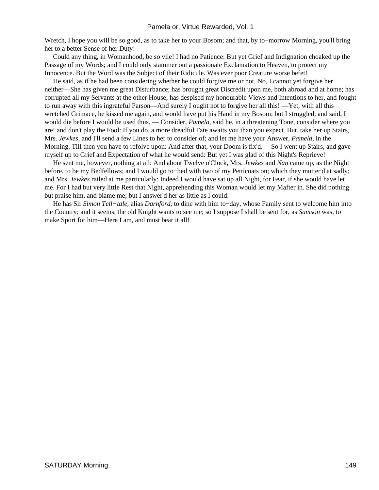Wretch, I hope you will be so good, as to take her to your Bosom; and that, by to−morrow Morning, you'll bring her to a better Sense of her Duty!

 Could any thing, in Womanhood, be so vile! I had no Patience: But yet Grief and Indignation choaked up the Passage of my Words; and I could only stammer out a passionate Exclamation to Heaven, to protect my Innocence. But the Word was the Subject of their Ridicule. Was ever poor Creature worse befet!

 He said, as if he had been considering whether he could forgive me or not, No, I cannot yet forgive her neither—She has given me great Disturbance; has brought great Discredit upon me, both abroad and at home; has corrupted all my Servants at the other House; has despised my honourable Views and Intentions to her, and fought to run away with this ingrateful Parson—And surely I ought not to forgive her all this! —Yet, with all this wretched Grimace, he kissed me again, and would have put his Hand in my Bosom; but I struggled, and said, I would die before I would be used thus. — Consider, *Pamela,* said he, in a threatening Tone, consider where you are! and don't play the Fool: If you do, a more dreadful Fate awaits you than you expect. But, take her up Stairs, Mrs. *Jewkes,* and I'll send a few Lines to her to consider of; and let me have your Answer, *Pamela,* in the Morning. Till then you have to refolve upon: And after that, your Doom is fix'd. —So I went up Stairs, and gave myself up to Grief and Expectation of what he would send: But yet I was glad of this Night's Reprieve!

 He sent me, however, nothing at all: And about Twelve o'Clock, Mrs. *Jewkes* and *Nan* came up, as the Night before, to be my Bedfellows; and I would go to−bed with two of my Petticoats on; which they mutter'd at sadly; and Mrs. *Jewkes* railed at me particularly: Indeed I would have sat up all Night, for Fear, if she would have let me. For I had but very little Rest that Night, apprehending this Woman would let my Mafter in. She did nothing but praise him, and blame me; but I answer'd her as little as I could.

 He has Sir *Simon Tell−tale,* alias *Darnford,* to dine with him to−day, whose Family sent to welcome him into the Country; and it seems, the old Knight wants to see me; so I suppose I shall be sent for, as *Samson* was, to make Sport for him—Here I am, and must bear it all!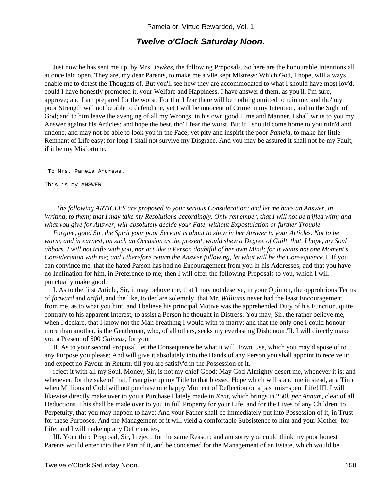### **Twelve o'Clock Saturday Noon.**

 Just now he has sent me up, by Mrs. *Jewkes,* the following Proposals. So here are the honourable Intentions all at once laid open. They are, my dear Parents, to make me a vile kept Mistress: Which God, I hope, will always enable me to detest the Thoughts of. But you'll see how they are accommodated to what I should have most lov'd, could I have honestly promoted it, your Welfare and Happiness. I have answer'd them, as you'll, I'm sure, approve; and I am prepared for the worst: For tho' I fear there will be nothing omitted to ruin me, and tho' my poor Strength will not be able to defend me, yet I will be innocent of Crime in my Intention, and in the Sight of God; and to him leave the avenging of all my Wrongs, in his own good Time and Manner. I shall write to you my Answer against his Articles; and hope the best, tho' I fear the worst. But if I should come home to you ruin'd and undone, and may not be able to look you in the Face; yet pity and inspirit the poor *Pamela,* to make her little Remnant of Life easy; for long I shall not survive my Disgrace. And you may be assured it shall not be my Fault, if it be my Misfortune.

'To Mrs. Pamela Andrews.

This is my ANSWER.

 *'The following ARTICLES are proposed to your serious Consideration; and let me have an Answer, in Writing, to them; that I may take my Resolutions accordingly. Only remember, that I will not be trifled with; and what you give for Answer, will absolutely decide your Fate, without Expostulation or further Trouble.*

*Forgive, good Sir, the Spirit your poor Servant is about to shew in her Answer to your Articles. Not to be warm, and in earnest, on such an Occasion as the present, would shew a Degree of Guilt, that, I hope, my Soul abbors. I will not trifle with you, nor act like a Person doubtful of her own Mind; for it wants not one Moment's Consideration with me; and I therefore return the Answer following, let what will be the Consequence.*'I. If you can convince me, that the hated Parson has had no Encouragement from you in his Addresses; and that you have no Inclination for him, in Preference to me; then I will offer the following Proposals to you, which I will punctually make good.

 I. As to the first Article, Sir, it may behove me, that I may not deserve, in your Opinion, the opprobrious Terms of *forward* and *artful,* and the like, to declare solemnly, that Mr. *Williams* never had the least Encouragement from me, as to what you hint; and I believe his principal Motive was the apprehended Duty of his Function, quite contrary to his apparent Interest, to assist a Person he thought in Distress. You may, Sir, the rather believe me, when I declare, that I know not the Man breathing I would with to marry; and that the only one I could honour more than another, is the Gentleman, who, of all others, seeks my everlasting Dishonour.'II. I will directly make you a Present of 500 *Guineas,* for your

 II. As to your second Proposal, let the Consequence be what it will, Iown Use, which you may dispose of to any Purpose you please: And will give it absolutely into the Hands of any Person you shall appoint to receive it; and expect no Favour in Return, till you are satisfy'd in the Possession of it.

 reject it with all my Soul. Money, Sir, is not my chief Good: May God Almighty desert me, whenever it is; and whenever, for the sake of that, I can give up my Title to that blessed Hope which will stand me in stead, at a Time when Millions of Gold will not purchase one happy Moment of Reflection on a past mis−spent Life!'III. I will likewise directly make over to you a Purchase I lately made in *Kent,* which brings in 250*l. per Annum,* clear of all Deductions. This shall be made over to you in full Property for your Life, and for the Lives of any Children, to Perpetuity, that you may happen to have: And your Father shall be immediately put into Possession of it, in Trust for these Purposes. And the Management of it will yield a comfortable Subsistence to him and your Mother, for Life; and I will make up any Deficiencies,

 III. Your third Proposal, Sir, I reject, for the same Reason; and am sorry you could think my poor honest Parents would enter into their Part of it, and be concerned for the Management of an Estate, which would be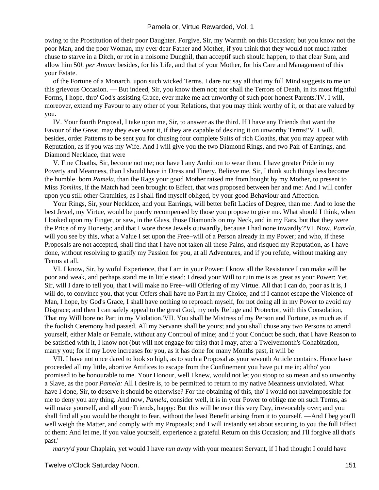owing to the Prostitution of their poor Daughter. Forgive, Sir, my Warmth on this Occasion; but you know not the poor Man, and the poor Woman, my ever dear Father and Mother, if you think that they would not much rather chuse to starve in a Ditch, or rot in a noisome Dunghil, than acceptif such should happen, to that clear Sum, and allow him 50*l. per Annum* besides, for his Life, and that of your Mother, for his Care and Management of this your Estate.

 of the Fortune of a Monarch, upon such wicked Terms. I dare not say all that my full Mind suggests to me on this grievous Occasion. — But indeed, Sir, you know them not; nor shall the Terrors of Death, in its most frightful Forms, I hope, thro' God's assisting Grace, ever make me act unworthy of such poor honest Parents.'IV. I will, moreover, extend my Favour to any other of your Relations, that you may think worthy of it, or that are valued by you.

 IV. Your fourth Proposal, I take upon me, Sir, to answer as the third. If I have any Friends that want the Favour of the Great, may they ever want it, if they are capable of desiring it on unworthy Terms!'V. I will, besides, order Patterns to be sent you for chusing four complete Suits of rich Cloaths, that you may appear with Reputation, as if you was my Wife. And I will give you the two Diamond Rings, and two Pair of Earrings, and Diamond Necklace, that were

 V. Fine Cloaths, Sir, become not me; nor have I any Ambition to wear them. I have greater Pride in my Poverty and Meanness, than I should have in Dress and Finery. Believe me, Sir, I think such things less become the humble−born *Pamela,* than the Rags your good Mother raised me from.bought by my Mother, to present to Miss *Tomlins,* if the Match had been brought to Effect, that was proposed between her and me: And I will confer upon you still other Gratuities, as I shall find myself obliged, by your good Behaviour and Affection.

 Your Rings, Sir, your Necklace, and your Earrings, will better befit Ladies of Degree, than me: And to lose the best Jewel, my Virtue, would be poorly recompensed by those you propose to give me. What should I think, when I looked upon my Finger, or saw, in the Glass, those Diamonds on my Neck, and in my Ears, but that they were the Price of my Honesty; and that I wore those Jewels outwardly, because I had none inwardly?'VI. Now, *Pamela,* will you see by this, what a Value I set upon the Free−will of a Person already in my Power; and who, if these Proposals are not accepted, shall find that I have not taken all these Pains, and risqued my Reputation, as I have done, without resolving to gratify my Passion for you, at all Adventures, and if you refufe, without making any Terms at all.

 VI. I know, Sir, by woful Experience, that I am in your Power: I know all the Resistance I can make will be poor and weak, and perhaps stand me in little stead: I dread your Will to ruin me is as great as your Power: Yet, Sir, will I dare to tell you, that I will make no Free−will Offering of my Virtue. All that I can do, poor as it is, I will do, to convince you, that your Offers shall have no Part in my Choice; and if I cannot escape the Violence of Man, I hope, by God's Grace, I shall have nothing to reproach myself, for not doing all in my Power to avoid my Disgrace; and then I can safely appeal to the great God, my only Refuge and Protector, with this Consolation, That my Will bore no Part in my Violation.'VII. You shall be Mistress of my Person and Fortune, as much as if the foolish Ceremony had passed. All my Servants shall be yours; and you shall chuse any two Persons to attend yourself, either Male or Female, without any Controul of mine; and if your Conduct be such, that I have Reason to be satisfied with it, I know not (but will not engage for this) that I may, after a Twelvemonth's Cohabitation, marry you; for if my Love increases for you, as it has done for many Months past, it will be

 VII. I have not once dared to look so high, as to such a Proposal as your seventh Article contains. Hence have proceeded all my little, abortive Artifices to escape from the Confinement you have put me in; altho' you promised to be honourable to me. Your Honour, well I knew, would not let you stoop to so mean and so unworthy a Slave, as the poor *Pamela:* All I desire is, to be permitted to return to my native Meanness unviolated. What have I done, Sir, to deserve it should be otherwise? For the obtaining of this, tho' I would not haveimpossible for me to deny you any thing. And now, *Pamela,* consider well, it is in your Power to oblige me on such Terms, as will make yourself, and all your Friends, happy: But this will be over this very Day, irrevocably over; and you shall find all you would be thought to fear, without the least Benefit arising from it to yourself. —And I beg you'll well weigh the Matter, and comply with my Proposals; and I will instantly set about securing to you the full Effect of them: And let me, if you value yourself, experience a grateful Return on this Occasion; and I'll forgive all that's past.'

*marry'd* your Chaplain, yet would I have *run away* with your meanest Servant, if I had thought I could have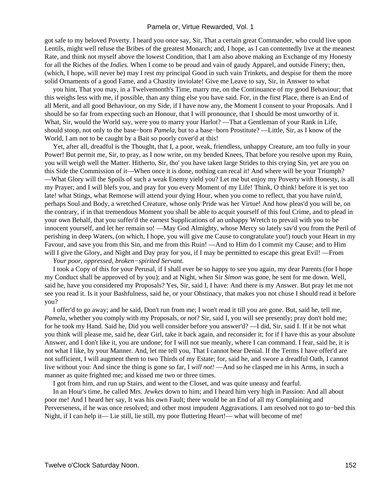got safe to my beloved Poverty. I heard you once say, Sir, That a certain great Commander, who could live upon Lentils, might well refuse the Bribes of the greatest Monarch; and, I hope, as I can contentedly live at the meanest Rate, and think not myself above the lowest Condition, that I am also above making an Exchange of my Honesty for all the Riches of the *Indies.* When I come to be proud and vain of gaudy Apparel, and outside Finery; then, (which, I hope, will never be) may I rest my principal Good in such vain Trinkets, and despise for them the more solid Ornaments of a good Fame, and a Chastity inviolate! Give me Leave to say, Sir, in Answer to what

 you hint, That you may, in a Twelvemonth's Time, marry me, on the Continuance of my good Behaviour; that this weighs less with me, if possible, than any thing else you have said. For, in the first Place, there is an End of all Merit, and all good Behaviour, on my Side, if I have now any, the Moment I consent to your Proposals. And I should be so far from expecting such an Honour, that I will pronounce, that I should be most unworthy of it. What, Sir, would the World say, were you to marry your Harlot? —That a Gentleman of your Rank in Life, should stoop, not only to the base−born *Pamela,* but to a base−born Prostitute? —Little, Sir, as I know of the World, I am not to be caught by a Bait so poorly cover'd at this!

 Yet, after all, dreadful is the Thought, that I, a poor, weak, friendless, unhappy Creature, am too fully in your Power! But permit me, Sir, to pray, as I now write, on my bended Knees, That before you resolve upon my Ruin, you will weigh well the Matter. Hitherto, Sir, tho' you have taken large Strides to this crying Sin, yet are you on this Side the Commission of it—When once it is done, nothing can recal it! And where will be your Triumph? —What Glory will the Spoils of such a weak Enemy yield you? Let me but enjoy my Poverty with Honesty, is all my Prayer; and I will blefs you, and pray for you every Moment of my Life! Think, O think! before it is yet too late! what Stings, what Remorse will attend your dying Hour, when you come to reflect, that you have ruin'd, perhaps Soul and Body, a wretched Creature, whose only Pride was her Virtue! And how pleas'd you will be, on the contrary, if in that tremendous Moment you shall be able to acquit yourself of this foul Crime, and to plead in your own Behalf, that you suffer'd the earnest Supplications of an unhappy Wretch to prevail with you to be innocent yourself, and let her remain so! —May God Almighty, whose Mercy so lately sav'd you from the Peril of perishing in deep Waters, (on which, I hope, you will give me Cause to congratulate you!) touch your Heart in my Favour, and save you from this Sin, and me from this Ruin! —And to Him do I commit my Cause; and to Him will I give the Glory, and Night and Day pray for you, if I may be permitted to escape this great Evil! —From

### *Your poor, oppressed, broken−spirited Servant.*

 I took a Copy of this for your Perusal, if I shall ever be so happy to see you again, my dear Parents (for I hope my Conduct shall be approved of by you); and at Night, when Sir *Simon* was gone, he sent for me down. Well, said he, have you considered my Proposals? Yes, Sir, said I, I have: And there is my Answer. But pray let me not see you read it. Is it your Bashfulness, said he, or your Obstinacy, that makes you not chuse I should read it before you?

 I offer'd to go away; and he said, Don't run from me; I won't read it till you are gone. But, said he, tell me, *Pamela,* whether you comply with my Proposals, or not? Sir, said I, you will see presently; pray don't hold me; for he took my Hand. Said he, Did you well consider before you answer'd? —I did, Sir, said I. If it be not what you think will please me, said he, dear Girl, take it back again, and reconsider it; for if I have this as your absolute Answer, and I don't like it, you are undone; for I will not sue meanly, where I can command. I fear, said he, it is not what I like, by your Manner. And, let me tell you, That I cannot bear Denial. If the Terms I have offer'd are not sufficient, I will augment them to two Thirds of my Estate; for, said he, and swore a dreadful Oath, I cannot live without you: And since the thing is gone so far, I *will not!* —And so he clasped me in his Arms, in such a manner as quite frighted me; and kissed me two or three times.

I got from him, and run up Stairs, and went to the Closet, and was quite uneasy and fearful.

 In an Hour's time, he called Mrs. *Jewkes* down to him; and I heard him very high in Passion: And all about poor me! And I heard her say, It was his own Fault; there would be an End of all my Complaining and Perverseness, if he was once resolved; and other most impudent Aggravations. I am resolved not to go to−bed this Night, if I can help it— Lie still, lie still, my poor fluttering Heart!— what will become of me!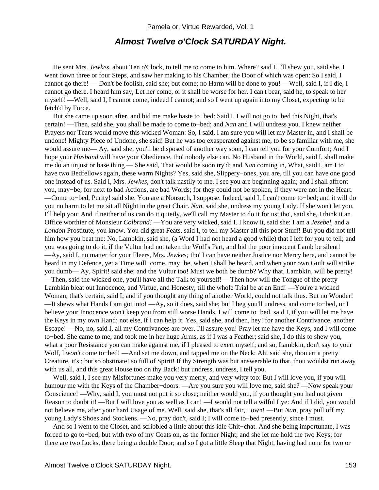## **Almost Twelve o'Clock SATURDAY Night.**

 He sent Mrs. *Jewkes,* about Ten o'Clock, to tell me to come to him. Where? said I. I'll shew you, said she. I went down three or four Steps, and saw her making to his Chamber, the Door of which was open: So I said, I cannot go there! — Don't be foolish, said she; but come; no Harm will be done to you! —Well, said I, if I die, I cannot go there. I heard him say, Let her come, or it shall be worse for her. I can't bear, said he, to speak to her myself! —Well, said I, I cannot come, indeed I cannot; and so I went up again into my Closet, expecting to be fetch'd by Force.

 But she came up soon after, and bid me make haste to−bed: Said I, I will not go to−bed this Night, that's certain! —Then, said she, you shall be made to come to−bed; and *Nan* and I will undress you. I knew neither Prayers nor Tears would move this wicked Woman: So, I said, I am sure you will let my Master in, and I shall be undone! Mighty Piece of Undone, she said! But he was too exasperated against me, to be so familiar with me, she would assure me— Ay, said she, you'll be disposed of another way soon, I can tell you for your Comfort; And I hope your *Husband* will have your Obedience, tho' nobody else can. No Husband in the World, said I, shall make me do an unjust or base thing — She said, That would be soon try'd; and *Nan* coming in, What, said I, am I to have two Bedfellows again, these warm Nights? Yes, said she, Slippery−ones, you are, till you can have one good one instead of us. Said I, Mrs. *Jewkes,* don't talk nastily to me. I see you are beginning again; and I shall affront you, may−be; for next to bad Actions, are bad Words; for they could not be spoken, if they were not in the Heart. —Come to−bed, Purity! said she. You are a Nonsuch, I suppose. Indeed, said I, I can't come to−bed; and it will do you no harm to let me sit all Night in the great Chair. *Nan,* said she, undress my young Lady. If she won't let you, I'll help you: And if neither of us can do it quietly, we'll call my Master to do it for us; tho', said she, I think it an Office worthier of Monsieur *Colbrand!* —You are very wicked, said I. I know it, said she: I am a *Jezebel,* and a *London* Prostitute, you know. You did great Feats, said I, to tell my Master all this poor Stuff! But you did not tell him how you beat me: No, Lambkin, said she, (a Word I had not heard a good while) that I left for you to tell; and you was going to do it, if the Vultur had not taken the Wolf's Part, and bid the poor innocent Lamb be silent! —Ay, said I, no matter for your Fleers, Mrs. *Jewkes;* tho' I can have neither Justice nor Mercy here, and cannot be heard in my Defence, yet a Time will−come, may−be, when I shall be heard, and when your own Guilt will strike you dumb— Ay, Spirit! said she; and the Vultur too! Must we both be dumb? Why that, Lambkin, will be pretty! —Then, said the wicked one, you'll have all the Talk to yourself!— Then how will the Tongue of the pretty Lambkin bleat out Innocence, and Virtue, and Honesty, till the whole Trial be at an End! —You're a wicked Woman, that's certain, said I; and if you thought any thing of another World, could not talk thus. But no Wonder! —It shews what Hands I am got into! —Ay, so it does, said she; but I beg you'll undress, and come to−bed, or I believe your Innocence won't keep you from still worse Hands. I will come to−bed, said I, if you will let me have the Keys in my own Hand; not else, if I can help it. Yes, said she, and then, hey! for another Contrivance, another Escape! —No, no, said I, all my Contrivances are over, I'll assure you! Pray let me have the Keys, and I will come to−bed. She came to me, and took me in her huge Arms, as if I was a Feather; said she, I do this to shew you, what a poor Resistance you can make against me, if I pleased to exert myself; and so, Lambkin, don't say to your Wolf, I *won't* come to−bed! —And set me down, and tapped me on the Neck: Ah! said she, thou art a pretty Creature, it's ; but so obstinate! so full of Spirit! If thy Strength was but answerable to that, thou wouldst run away with us all, and this great House too on thy Back! but undress, undress, I tell you.

 Well, said I, I see my Misfortunes make you very merry, and very witty too: But I will love you, if you will humour me with the Keys of the Chamber−doors. —Are you sure you will love me, said she? —Now speak your Conscience! —Why, said I, you must not put it so close; neither would you, if you thought you had not given Reason to doubt it! —But I will love you as well as I can! —I would not tell a wilful Lye: And if I did, you would not believe me, after your hard Usage of me. Well, said she, that's all fair, I own! —But *Nan,* pray pull off my young Lady's Shoes and Stockens. —No, pray don't, said I; I will come to−bed presently, since I must.

 And so I went to the Closet, and scribbled a little about this idle Chit−chat. And she being importunate, I was forced to go to−bed; but with two of my Coats on, as the former Night; and she let me hold the two Keys; for there are two Locks, there being a double Door; and so I got a little Sleep that Night, having had none for two or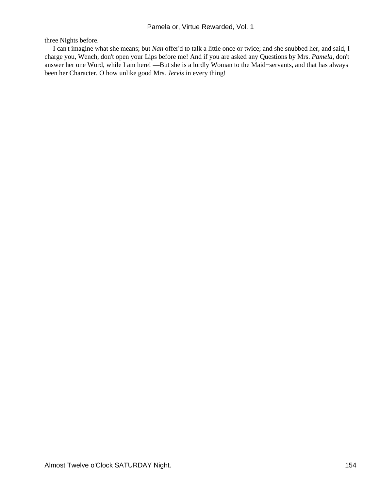three Nights before.

 I can't imagine what she means; but *Nan* offer'd to talk a little once or twice; and she snubbed her, and said, I charge you, Wench, don't open your Lips before me! And if you are asked any Questions by Mrs. *Pamela,* don't answer her one Word, while I am here! —But she is a lordly Woman to the Maid−servants, and that has always been her Character. O how unlike good Mrs. *Jervis* in every thing!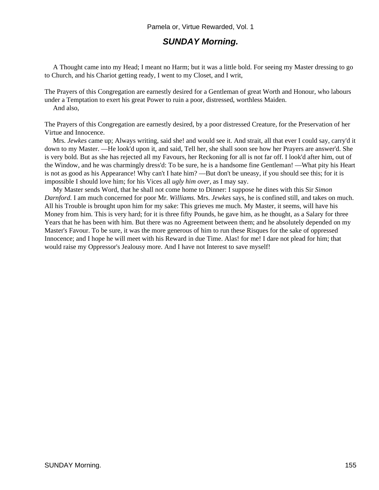# **SUNDAY Morning.**

 A Thought came into my Head; I meant no Harm; but it was a little bold. For seeing my Master dressing to go to Church, and his Chariot getting ready, I went to my Closet, and I writ,

The Prayers of this Congregation are earnestly desired for a Gentleman of great Worth and Honour, who labours under a Temptation to exert his great Power to ruin a poor, distressed, worthless Maiden.

And also,

The Prayers of this Congregation are earnestly desired, by a poor distressed Creature, for the Preservation of her Virtue and Innocence.

 Mrs. *Jewkes* came up; Always writing, said she! and would see it. And strait, all that ever I could say, carry'd it down to my Master. —He look'd upon it, and said, Tell her, she shall soon see how her Prayers are answer'd. She is very bold. But as she has rejected all my Favours, her Reckoning for all is not far off. I look'd after him, out of the Window, and he was charmingly dress'd: To be sure, he is a handsome fine Gentleman! —What pity his Heart is not as good as his Appearance! Why can't I hate him? —But don't be uneasy, if you should see this; for it is impossible I should love him; for his Vices all *ugly him over,* as I may say.

 My Master sends Word, that he shall not come home to Dinner: I suppose he dines with this Sir *Simon Darnford.* I am much concerned for poor Mr. *Williams.* Mrs. *Jewkes* says, he is confined still, and takes on much. All his Trouble is brought upon him for my sake: This grieves me much. My Master, it seems, will have his Money from him. This is very hard; for it is three fifty Pounds, he gave him, as he thought, as a Salary for three Years that he has been with him. But there was no Agreement between them; and he absolutely depended on my Master's Favour. To be sure, it was the more generous of him to run these Risques for the sake of oppressed Innocence; and I hope he will meet with his Reward in due Time. Alas! for me! I dare not plead for him; that would raise my Oppressor's Jealousy more. And I have not Interest to save myself!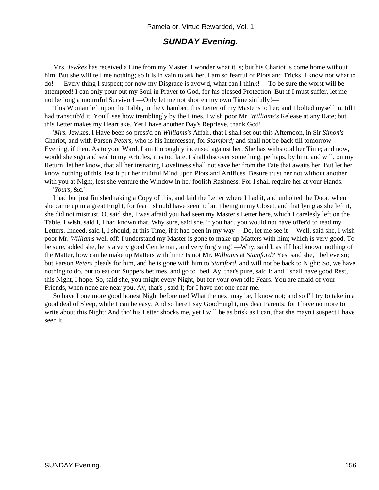### **SUNDAY Evening.**

 Mrs. *Jewkes* has received a Line from my Master. I wonder what it is; but his Chariot is come home without him. But she will tell me nothing; so it is in vain to ask her. I am so fearful of Plots and Tricks, I know not what to do! — Every thing I suspect; for now my Disgrace is avow'd, what can I think! —To be sure the worst will be attempted! I can only pour out my Soul in Prayer to God, for his blessed Protection. But if I must suffer, let me not be long a mournful Survivor! —Only let me not shorten my own Time sinfully!—

 This Woman left upon the Table, in the Chamber, this Letter of my Master's to her; and I bolted myself in, till I had transcrib'd it. You'll see how tremblingly by the Lines. I wish poor Mr. *Williams's* Release at any Rate; but this Letter makes my Heart ake. Yet I have another Day's Reprieve, thank God!

 '*Mrs.* Jewkes, I Have been so press'd on *Williams's* Affair, that I shall set out this Afternoon, in Sir *Simon's* Chariot, and with Parson *Peters,* who is his Intercessor, for *Stamford;* and shall not be back till tomorrow Evening, if then. As to your Ward, I am thoroughly incensed against her. She has withstood her Time; and now, would she sign and seal to my Articles, it is too late. I shall discover something, perhaps, by him, and will, on my Return, let her know, that all her insnaring Loveliness shall not save her from the Fate that awaits her. But let her know nothing of this, lest it put her fruitful Mind upon Plots and Artifices. Besure trust her not without another with you at Night, lest she venture the Window in her foolish Rashness: For I shall require her at your Hands.

'*Yours,* &c.'

 I had but just finished taking a Copy of this, and laid the Letter where I had it, and unbolted the Door, when she came up in a great Fright, for fear I should have seen it; but I being in my Closet, and that lying as she left it, she did not mistrust. O, said she, I was afraid you had seen my Master's Letter here, which I carelesly left on the Table. I wish, said I, I had known that. Why sure, said she, if you had, you would not have offer'd to read my Letters. Indeed, said I, I should, at this Time, if it had been in my way— Do, let me see it— Well, said she, I wish poor Mr. *Williams* well off: I understand my Master is gone to make up Matters with him; which is very good. To be sure, added she, he is a very good Gentleman, and very forgiving! —Why, said I, as if I had known nothing of the Matter, how can he make up Matters with him? Is not Mr. *Williams* at *Stamford?* Yes, said she, I believe so; but Parson *Peters* pleads for him, and he is gone with him to *Stamford,* and will not be back to Night: So, we have nothing to do, but to eat our Suppers betimes, and go to−bed. Ay, that's pure, said I; and I shall have good Rest, this Night, I hope. So, said she, you might every Night, but for your own idle Fears. You are afraid of your Friends, when none are near you. Ay, that's , said I; for I have not one near me.

 So have I one more good honest Night before me! What the next may be, I know not; and so I'll try to take in a good deal of Sleep, while I can be easy. And so here I say Good−night, my dear Parents; for I have no more to write about this Night: And tho' his Letter shocks me, yet I will be as brisk as I can, that she mayn't suspect I have seen it.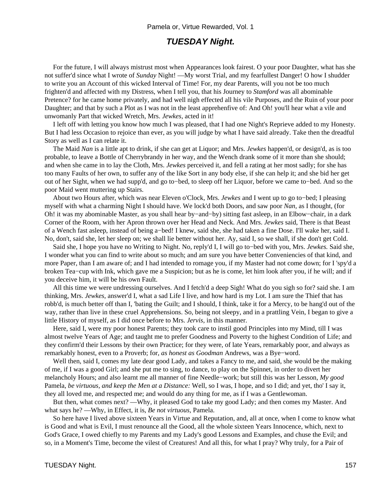# **TUESDAY Night.**

 For the future, I will always mistrust most when Appearances look fairest. O your poor Daughter, what has she not suffer'd since what I wrote of *Sunday* Night! —My worst Trial, and my fearfullest Danger! O how I shudder to write you an Account of this wicked Interval of Time! For, my dear Parents, will you not be too much frighten'd and affected with my Distress, when I tell you, that his Journey to *Stamford* was all abominable Pretence? for he came home privately, and had well nigh effected all his vile Purposes, and the Ruin of your poor Daughter; and that by such a Plot as I was not in the least apprehenfive of: And Oh! you'll hear what a vile and unwomanly Part that wicked Wretch, Mrs. *Jewkes,* acted in it!

 I left off with letting you know how much I was pleased, that I had one Night's Reprieve added to my Honesty. But I had less Occasion to rejoice than ever, as you will judge by what I have said already. Take then the dreadful Story as well as I can relate it.

 The Maid *Nan* is a little apt to drink, if she can get at Liquor; and Mrs. *Jewkes* happen'd, or design'd, as is too probable, to leave a Bottle of Cherrybrandy in her way, and the Wench drank some of it more than she should; and when she came in to lay the Cloth, Mrs. *Jewkes* perceived it, and fell a rating at her most sadly; for she has too many Faults of her own, to suffer any of the like Sort in any body else, if she can help it; and she bid her get out of her Sight, when we had supp'd, and go to−bed, to sleep off her Liquor, before we came to−bed. And so the poor Maid went muttering up Stairs.

 About two Hours after, which was near Eleven o'Clock, Mrs. *Jewkes* and I went up to go to−bed; I pleasing myself with what a charming Night I should have. We lock'd both Doors, and saw poor *Nan,* as I thought, (for Oh! it was my abominable Master, as you shall hear by−and−by) sitting fast asleep, in an Elbow−chair, in a dark Corner of the Room, with her Apron thrown over her Head and Neck. And Mrs. *Jewkes* said, There is that Beast of a Wench fast asleep, instead of being a−bed! I knew, said she, she had taken a fine Dose. I'll wake her, said I. No, don't, said she, let her sleep on; we shall lie better without her. Ay, said I, so we shall, if she don't get Cold.

 Said she, I hope you have no Writing to Night. No, reply'd I, I will go to−bed with you, Mrs. *Jewkes.* Said she, I wonder what you can find to write about so much; and am sure you have better Conveniencies of that kind, and more Paper, than I am aware of; and I had intended to romage you, if my Master had not come down; for I 'spy'd a broken Tea−cup with Ink, which gave me a Suspicion; but as he is come, let him look after you, if he will; and if you deceive him, it will be his own Fault.

 All this time we were undressing ourselves. And I fetch'd a deep Sigh! What do you sigh so for? said she. I am thinking, Mrs. *Jewkes,* answer'd I, what a sad Life I live, and how hard is my Lot. I am sure the Thief that has robb'd, is much better off than I, 'bating the Guilt; and I should, I think, take it for a Mercy, to be hang'd out of the way, rather than live in these cruel Apprehensions. So, being not sleepy, and in a prattling Vein, I began to give a little History of myself, as I did once before to Mrs. *Jervis,* in this manner.

 Here, said I, were my poor honest Parents; they took care to instil good Principles into my Mind, till I was almost twelve Years of Age; and taught me to prefer Goodness and Poverty to the highest Condition of Life; and they confirm'd their Lessons by their own Practice; for they were, of late Years, remarkably poor, and always as remarkably honest, even to a Proverb; for, *as honest as Goodman* Andrews, was a Bye−word.

Well then, said I, comes my late dear good Lady, and takes a Fancy to me, and said, she would be the making of me, if I was a good Girl; and she put me to sing, to dance, to play on the Spinnet, in order to divert her melancholy Hours; and also learnt me all manner of fine Needle−work; but still this was her Lesson, *My good* Pamela, *be virtuous, and keep the Men at a Distance:* Well, so I was, I hope, and so I did; and yet, tho' I say it, they all loved me, and respected me; and would do any thing for me, as if I was a Gentlewoman.

 But then, what comes next? —Why, it pleased God to take my good Lady; and then comes my Master. And what says he? —Why, in Effect, it is, *Be not virtuous,* Pamela.

 So here have I lived above sixteen Years in Virtue and Reputation, and, all at once, when I come to know what is Good and what is Evil, I must renounce all the Good, all the whole sixteen Years Innocence, which, next to God's Grace, I owed chiefly to my Parents and my Lady's good Lessons and Examples, and chuse the Evil; and so, in a Moment's Time, become the vilest of Creatures! And all this, for what I pray? Why truly, for a Pair of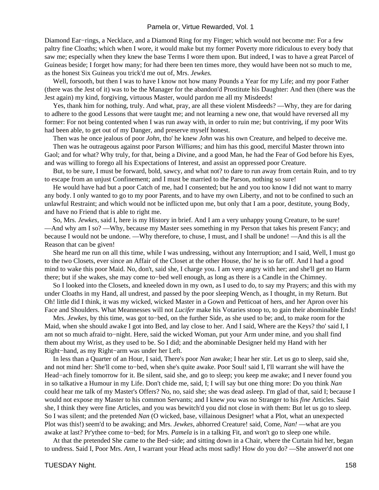Diamond Ear−rings, a Necklace, and a Diamond Ring for my Finger; which would not become me: For a few paltry fine Cloaths; which when I wore, it would make but my former Poverty more ridiculous to every body that saw me; especially when they knew the base Terms I wore them upon. But indeed, I was to have a great Parcel of Guineas beside; I forget how many; for had there been ten times more, they would have been not so much to me, as the honest Six Guineas you trick'd me out of, Mrs. *Jewkes.*

 Well, forsooth, but then I was to have I know not how many Pounds a Year for my Life; and my poor Father (there was the Jest of it) was to be the Manager for the abandon'd Prostitute his Daughter: And then (there was the Jest again) my kind, forgiving, virtuous Master, would pardon me all my Misdeeds!

 Yes, thank him for nothing, truly. And what, pray, are all these violent Misdeeds? —Why, they are for daring to adhere to the good Lessons that were taught me; and not learning a new one, that would have reversed all my former: For not being contented when I was run away with, in order to ruin me; but contriving, if my poor Wits had been able, to get out of my Danger, and preserve myself honest.

Then was he once jealous of poor *John,* tho' he knew *John* was his own Creature, and helped to deceive me.

 Then was he outrageous against poor Parson *Williams;* and him has this good, merciful Master thrown into Gaol; and for what? Why truly, for that, being a Divine, and a good Man, he had the Fear of God before his Eyes, and was willing to forego all his Expectations of Interest, and assist an oppressed poor Creature.

 But, to be sure, I must be forward, bold, sawcy, and what not? to dare to run away from certain Ruin, and to try to escape from an unjust Confinement; and I must be married to the Parson, nothing so sure!

 He would have had but a poor Catch of me, had I consented; but he and you too know I did not want to marry any body. I only wanted to go to my poor Parents, and to have my own Liberty, and not to be confined to such an unlawful Restraint; and which would not be inflicted upon me, but only that I am a poor, destitute, young Body, and have no Friend that is able to right me.

 So, Mrs. *Jewkes,* said I, here is my History in brief. And I am a very unhappy young Creature, to be sure! —And why am I so? —Why, because my Master sees something in my Person that takes his present Fancy; and because I would not be undone. —Why therefore, to chuse, I must, and I shall be undone! —And this is all the Reason that can be given!

 She heard me run on all this time, while I was undressing, without any Interruption; and I said, Well, I must go to the two Closets, ever since an Affair of the Closet at the other House, tho' he is so far off. And I had a good mind to wake this poor Maid. No, don't, said she, I charge you. I am very angry with her; and she'll get no Harm there; but if she wakes, she may come to−bed well enough, as long as there is a Candle in the Chimney.

 So I looked into the Closets, and kneeled down in my own, as I used to do, to say my Prayers; and this with my under Cloaths in my Hand, all undrest, and passed by the poor sleeping Wench, as I thought, in my Return. But Oh! little did I think, it was my wicked, wicked Master in a Gown and Petticoat of hers, and her Apron over his Face and Shoulders. What Meannesses will not *Lucifer* make his Votaries stoop to, to gain their abominable Ends!

 Mrs. *Jewkes,* by this time, was got to−bed, on the further Side, as she used to be; and, to make room for the Maid, when she should awake I got into Bed, and lay close to her. And I said, Where are the Keys? tho' said I, I am not so much afraid to−night. Here, said the wicked Woman, put your Arm under mine, and you shall find them about my Wrist, as they used to be. So I did; and the abominable Designer held my Hand with her Right−hand, as my Right−arm was under her Left.

 In less than a Quarter of an Hour, I said, There's poor *Nan* awake; I hear her stir. Let us go to sleep, said she, and not mind her: She'll come to−bed, when she's quite awake. Poor Soul! said I, I'll warrant she will have the Head–ach finely tomorrow for it. Be silent, said she, and go to sleep; you keep me awake; and I never found you in so talkative a Humour in my Life. Don't chide me, said, I; I will say but one thing more: Do you think *Nan* could hear me talk of my Master's Offers? No, no, said she; she was dead asleep. I'm glad of that, said I; because I would not expose my Master to his common Servants; and I knew *you* was no Stranger to his *fine* Articles. Said she, I think they were fine Articles, and you was bewitch'd you did not close in with them: But let us go to sleep. So I was silent; and the pretended *Nan* (O wicked, base, villainous Designer! what a Plot, what an unexpected Plot was this!) seem'd to be awaking; and Mrs. *Jewkes,* abhorred Creature! said, Come, *Nan!* —what are you awake at last? Pr'ythee come to−bed; for Mrs. *Pamela* is in a talking Fit, and won't go to sleep one while.

 At that the pretended She came to the Bed−side; and sitting down in a Chair, where the Curtain hid her, began to undress. Said I, Poor Mrs. *Ann,* I warrant your Head achs most sadly! How do you do? —She answer'd not one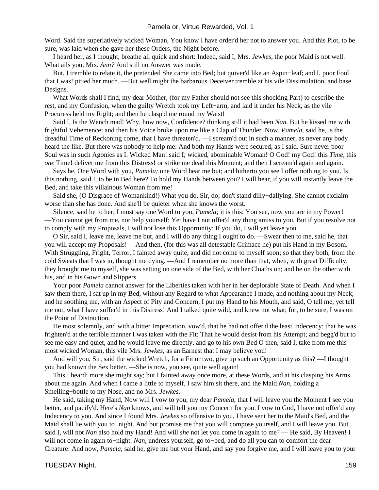Word. Said the superlatively wicked Woman, You know I have order'd her not to answer you. And this Plot, to be sure, was laid when she gave her these Orders, the Night before.

 I heard her, as I thought, breathe all quick and short: Indeed, said I, Mrs. *Jewkes,* the poor Maid is not well. What ails you, Mrs. *Ann?* And still no Answer was made.

 But, I tremble to relate it, the pretended She came into Bed; but quiver'd like an Aspin−leaf; and I, poor Fool that I was! pitied her much. —But well might the barbarous Deceiver tremble at his vile Dissimulation, and base Designs.

 What Words shall I find, my dear Mother, (for my Father should not see this shocking Part) to describe the rest, and my Confusion, when the guilty Wretch took my Left−arm, and laid it under his Neck, as the vile Procuress held my Right; and then he clasp'd me round my Waist!

 Said I, Is the Wench mad! Why, how now, Confidence? thinking still it had been *Nan.* But he kissed me with frightful Vehemence; and then his Voice broke upon me like a Clap of Thunder. Now, *Pamela,* said he, is the dreadful Time of Reckoning come, that I have threaten'd. —I scream'd out in such a manner, as never any body heard the like. But there was nobody to help me: And both my Hands were secured, as I said. Sure never poor Soul was in such Agonies as I. Wicked Man! said I; wicked, abominable Woman! O God! my God! this *Time,* this *one* Time! deliver me from this Distress! or strike me dead this Moment; and then I scream'd again and again.

 Says he, One Word with you, *Pamela;* one Word hear me but; and hitherto you see I offer nothing to you. Is this nothing, said I, to be in Bed here? To hold my Hands between you? I will hear, if you will instantly leave the Bed, and take this villainous Woman from me!

 Said she, (O Disgrace of Womankind!) What you do, Sir, do; don't stand dilly−dallying. She cannot exclaim worse than she has done. And she'll be quieter when she knows the worst.

 Silence, said he to her; I must say one Word to you, *Pamela;* it is this: You see, now you are in my Power! —You cannot get from me, nor help yourself: Yet have I not offer'd any thing amiss to you. But if you resolve not to comply with my Proposals, I will not lose this Opportunity: If you do, I will yet leave you.

 O Sir, said I, leave me, leave me but, and I will do any thing I ought to do. —Swear then to me, said he, that you will accept my Proposals! —And then, (for this was all detestable Grimace he) put his Hand in my Bosom. With Struggling, Fright, Terror, I fainted away quite, and did not come to myself soon; so that they both, from the cold Sweats that I was in, thought me dying. —And I remember no more than that, when, with great Difficulty, they brought me to myself, she was setting on one side of the Bed, with her Cloaths on; and he on the other with his, and in his Gown and Slippers.

 Your poor *Pamela* cannot answer for the Liberties taken with her in her deplorable State of Death. And when I saw them there, I sat up in my Bed, without any Regard to what Appearance I made, and nothing about my Neck; and he soothing me, with an Aspect of Pity and Concern, I put my Hand to his Mouth, and said, O tell me, yet tell me not, what I have suffer'd in this Distress! And I talked quite wild, and knew not what; for, to be sure, I was on the Point of Distraction.

 He most solemnly, and with a bitter Imprecation, vow'd, that he had not offer'd the least Indecency; that he was frighten'd at the terrible manner I was taken with the Fit: That he would desist from his Attempt; and begg'd but to see me easy and quiet, and he would leave me directly, and go to his own Bed O then, said I, take from me this most wicked Woman, this vile Mrs. *Jewkes,* as an Earnest that I may believe you!

 And will you, Sir, said the wicked Wretch, for a Fit or two, give up such an Opportunity as this? —I thought you had known the Sex better. —She is now, you see, quite well again!

 This I heard; more she might say; but I fainted away once more, at these Words, and at his clasping his Arms about me again. And when I came a little to myself, I saw him sit there, and the Maid *Nan,* holding a Smelling−bottle to my Nose, and no Mrs. *Jewkes.*

 He said, taking my Hand, Now will I vow to you, my dear *Pamela,* that I will leave you the Moment I see you better, and pacify'd. Here's *Nan* knows, and will tell you my Concern for you. I vow to God, I have not offer'd any Indecency to you. And since I found Mrs. *Jewkes* so offensive to you, I have sent her to the Maid's Bed, and the Maid shall lie with you to−night. And but promise me that you will compose yourself, and I will leave you. But said I, will not *Nan* also hold my Hand! And will *she* not let you come in again to me? — He said, By Heaven! I will not come in again to−night. *Nan,* undress yourself, go to−bed, and do all you can to comfort the dear Creature: And now, *Pamela,* said he, give me but your Hand, and say you forgive me, and I will leave you to your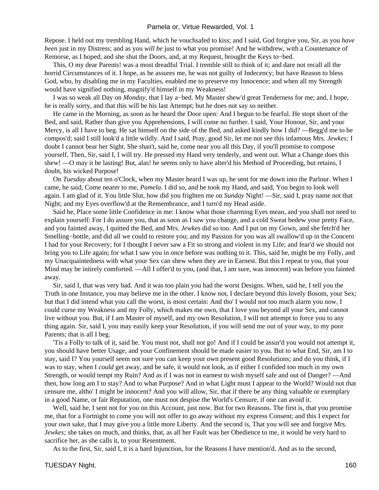Repose. I held out my trembling Hand, which he vouchsafed to kiss; and I said, God forgive you, Sir, as you *have been* just in my Distress; and as you *will be* just to what you promise! And he withdrew, with a Countenance of Remorse, as I hoped; and she shut the Doors, and, at my Request, brought the Keys to−bed.

 This, O my dear Parents! was a most dreadful Trial. I tremble still to think of it; and dare not recall all the horrid Circumstances of it. I hope, as he assures me, he was not guilty of Indecency; but have Reason to bless God, who, by disabling me in my Faculties, enabled me to preserve my Innocence; and when all my Strength would have signified nothing, magnify'd himself in my Weakness!

 I was so weak all Day on *Monday,* that I lay a−bed. My Master shew'd great Tenderness for me; and, I hope, he is really sorry, and that this will be his last Attempt; but he does not say so neither.

 He came in the Morning, as soon as he heard the Door open: And I begun to be fearful. He stopt short of the Bed, and said, Rather than give you Apprehensions, I will come no further. I said, Your Honour, Sir, and your Mercy, is all I have to beg. He sat himself on the side of the Bed, and asked kindly how I did? —Begg'd me to be compos'd; said I still look'd a little wildly. And I said, Pray, good Sir, let me not see this infamous Mrs. *Jewkes;* I doubt I cannot bear her Sight. She shan't, said he, come near you all this Day, if you'll promise to compose yourself. Then, Sir, said I, I will try. He pressed my Hand very tenderly, and went out. What a Change does this shew! —O may it be lasting! But, alas! he seems only to have alter'd his Method of Proceeding, but retains, I doubt, his wicked Purpose!

 On *Tuesday* about ten o'Clock, when my Master heard I was up, he sent for me down into the Parlour. When I came, he said, Come nearer to me, *Pamela.* I did so, and he took my Hand, and said, You begin to look well again. I am glad of it. You little Slut, how did you frighten me on *Sunday* Night! —Sir, said I, pray name not that Night; and my Eyes overflow'd at the Remembrance, and I turn'd my Head aside.

 Said he, Place some little Confidence in me: I know what those charming Eyes mean, and you shall not need to explain yourself: For I do assure you, that as soon as I saw you change, and a cold Sweat bedew your pretty Face, and you fainted away, I quitted the Bed, and Mrs. *Jewkes* did so too. And I put on my Gown, and she fetch'd her Smelling−bottle, and did all we could to restore you; and my Passion for you was all swallow'd up in the Concern I had for your Recovery; for I thought I never saw a Fit so strong and violent in my Life; and fear'd we should not bring you to Life again; for what I saw you in once before was nothing to it. This, said he, might be my Folly, and my Unacquaintedness with what your Sex can shew when they are in Earnest. But this I repeat to you, that your Mind may be intirely comforted. —All I offer'd to you, (and that, I am sure, was innocent) was before you fainted away.

 Sir, said I, that was very bad. And it was too plain you had the worst Designs. When, said he, I tell you the Truth in one Instance, you may believe me in the other. I know not, I declare beyond this lovely Bosom, your Sex; but that I did intend what you call the worst, is most certain: And tho' I would not too much alarm you now, I could curse my Weakness and my Folly, which makes me own, that I love you beyond all your Sex, and cannot live without you. But, if I am Master of myself, and my own Resolution, I will not attempt to force you to any thing again. Sir, said I, you may easily keep your Resolution, if you will send me out of your way, to my poor Parents; that is all I beg.

 'Tis a Folly to talk of it, said he. You must not, shall not go! And if I could be assur'd you would not attempt it, you should have better Usage, and your Confinement should be made easier to you. But to what End, Sir, am I to stay, said I? You yourself seem not sure you can keep your own present good Resolutions; and do you think, if I was to stay, when I *could* get away, and be safe, it would not look, as if either I confided too much in my own Strength, or would tempt my Ruin? And as if I was not in earnest to wish myself safe and out of Danger? —And then, how long am I to stay? And to what Purpose? And in what Light must I appear to the World? Would not that censure me, altho' I might be innocent? And you will allow, Sir, that if there be any thing valuable or exemplary in a good Name, or fair Reputation, one must not despise the World's Censure, if one can avoid it.

 Well, said he, I sent not for you on this Account, just now. But for two Reasons. The first is, that you promise me, that for a Fortnight to come you will not offer to go away without my express Consent; and this I expect for your own sake, that I may give you a little more Liberty. And the second is, That you will see and forgive Mrs. *Jewkes*; she takes on much, and thinks, that, as all her Fault was her Obedience to me, it would be very hard to sacrifice her, as she calls it, to your Resentment.

As to the first, Sir, said I, it is a hard Injunction, for the Reasons I have mention'd. And as to the second,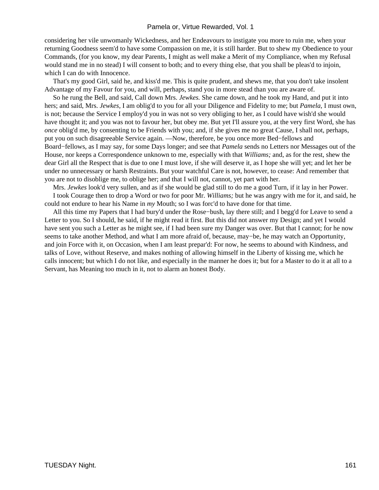considering her vile unwomanly Wickedness, and her Endeavours to instigate you more to ruin me, when your returning Goodness seem'd to have some Compassion on me, it is still harder. But to shew my Obedience to your Commands, (for you know, my dear Parents, I might as well make a Merit of my Compliance, when my Refusal would stand me in no stead) I will consent to both; and to every thing else, that you shall be pleas'd to injoin, which I can do with Innocence.

 That's my good Girl, said he, and kiss'd me. This is quite prudent, and shews me, that you don't take insolent Advantage of my Favour for you, and will, perhaps, stand you in more stead than you are aware of.

 So he rung the Bell, and said, Call down Mrs. *Jewkes.* She came down, and he took my Hand, and put it into hers; and said, Mrs. *Jewkes,* I am oblig'd to you for all your Diligence and Fidelity to me; but *Pamela,* I must own, is not; because the Service I employ'd you in was not so very obliging to her, as I could have wish'd she would have thought it; and you was not to favour her, but obey me. But yet I'll assure you, at the very first Word, she has *once* oblig'd me, by consenting to be Friends with you; and, if she gives me no great Cause, I shall not, perhaps, put you on such disagreeable Service again. —Now, therefore, be you once more Bed−fellows and Board−fellows, as I may say, for some Days longer; and see that *Pamela* sends no Letters nor Messages out of the House, nor keeps a Correspondence unknown to me, especially with that *Williams;* and, as for the rest, shew the dear Girl all the Respect that is due to one I must love, if she will deserve it, as I hope she will yet; and let her be under no unnecessary or harsh Restraints. But your watchful Care is not, however, to cease: And remember that you are not to disoblige me, to oblige her; and that I will not, cannot, yet part with her.

 Mrs. *Jewkes* look'd very sullen, and as if she would be glad still to do me a good Turn, if it lay in her Power. I took Courage then to drop a Word or two for poor Mr. *Williams;* but he was angry with me for it, and said, he could not endure to hear his Name in *my* Mouth; so I was forc'd to have done for that time.

 All this time my Papers that I had bury'd under the Rose−bush, lay there still; and I begg'd for Leave to send a Letter to you. So I should, he said, if he might read it first. But this did not answer my Design; and yet I would have sent you such a Letter as he might see, if I had been sure my Danger was over. But that I cannot; for he now seems to take another Method, and what I am more afraid of, because, may−be, he may watch an Opportunity, and join Force with it, on Occasion, when I am least prepar'd: For now, he seems to abound with Kindness, and talks of Love, without Reserve, and makes nothing of allowing himself in the Liberty of kissing me, which he calls innocent; but which I do not like, and especially in the manner he does it; but for a Master to do it at all to a Servant, has Meaning too much in it, not to alarm an honest Body.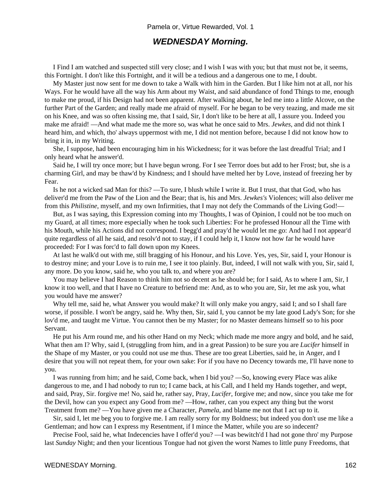### **WEDNESDAY Morning.**

 I Find I am watched and suspected still very close; and I wish I was with you; but that must not be, it seems, this Fortnight. I don't like this Fortnight, and it will be a tedious and a dangerous one to me, I doubt.

 My Master just now sent for me down to take a Walk with him in the Garden. But I like him not at all, nor his Ways. For he would have all the way his Arm about my Waist, and said abundance of fond Things to me, enough to make me proud, if his Design had not been apparent. After walking about, he led me into a little Alcove, on the further Part of the Garden; and really made me afraid of myself. For he began to be very teazing, and made me sit on his Knee, and was so often kissing me, that I said, Sir, I don't like to be here at all, I assure you. Indeed you make me afraid! —And what made me the more so, was what he once said to Mrs. *Jewkes,* and did not think I heard him, and which, tho' always uppermost with me, I did not mention before, because I did not know how to bring it in, in my Writing.

 She, I suppose, had been encouraging him in his Wickedness; for it was before the last dreadful Trial; and I only heard what he answer'd.

 Said he, I will try once more; but I have begun wrong. For I see Terror does but add to her Frost; but, she is a charming Girl, and may be thaw'd by Kindness; and I should have melted her by Love, instead of freezing her by Fear.

 Is he not a wicked sad Man for this? —To sure, I blush while I write it. But I trust, that that God, who has deliver'd me from the Paw of the Lion and the Bear; that is, his and Mrs. *Jewkes's* Violences; will also deliver me from this *Philistine,* myself, and my own Infirmities, that I may not defy the Commands of the Living God!—

 But, as I was saying, this Expression coming into my Thoughts, I was of Opinion, I could not be too much on my Guard, at all times; more especially when he took such Liberties: For he professed Honour all the Time with his Mouth, while his Actions did not correspond. I begg'd and pray'd he would let me go: And had I not appear'd quite regardless of all he said, and resolv'd not to stay, if I could help it, I know not how far he would have proceeded: For I was forc'd to fall down upon my Knees.

 At last he walk'd out with me, still bragging of his Honour, and his Love. Yes, yes, Sir, said I, your Honour is to destroy mine; and your Love is to ruin me, I see it too plainly. But, indeed, I will not walk with you, Sir, said I, any more. Do you know, said he, who you talk to, and where you are?

 You may believe I had Reason to think him not so decent as he should be; for I said, As to where I am, Sir, I know it too well, and that I have no Creature to befriend me: And, as to who you are, Sir, let me ask you, what you would have me answer?

Why tell me, said he, what Answer you would make? It will only make you angry, said I; and so I shall fare worse, if possible. I won't be angry, said he. Why then, Sir, said I, you cannot be my late good Lady's Son; for she lov'd me, and taught me Virtue. You cannot then be my Master; for no Master demeans himself so to his poor Servant.

 He put his Arm round me, and his other Hand on my Neck; which made me more angry and bold, and he said, What then am I? Why, said I, (struggling from him, and in a great Passion) to be sure you are *Lucifer* himself in the Shape of my Master, or you could not use me thus. These are too great Liberties, said he, in Anger, and I desire that you will not repeat them, for your own sake: For if you have no Decency towards me, I'll have none to you.

 I was running from him; and he said, Come back, when I bid you? —So, knowing every Place was alike dangerous to me, and I had nobody to run to; I came back, at his Call, and I held my Hands together, and wept, and said, Pray, Sir. forgive me! No, said he, rather say, Pray, *Lucifer,* forgive me; and now, since you take me for the Devil, how can you expect any Good from me? —How, rather, can you expect any thing but the worst Treatment from me? —You have given me a Character, *Pamela,* and blame me not that I act up to it.

 Sir, said I, let me beg you to forgive me. I am really sorry for my Boldness; but indeed you don't use me like a Gentleman; and how can I express my Resentment, if I mince the Matter, while you are so indecent?

 Precise Fool, said he, what Indecencies have I offer'd you? —I was bewitch'd I had not gone thro' my Purpose last *Sunday* Night; and then your licentious Tongue had not given the worst Names to little puny Freedoms, that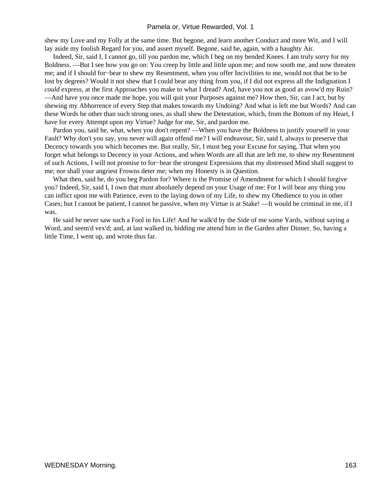shew my Love and my Folly at the same time. But begone, and learn another Conduct and more Wit, and I will lay aside my foolish Regard for you, and assert myself. Begone, said he, again, with a haughty Air.

 Indeed, Sir, said I, I cannot go, till you pardon me, which I beg on my bended Knees. I am truly sorry for my Boldness. —But I see how you go on: You creep by little and little upon me; and now sooth me, and now threaten me; and if I should for−bear to shew my Resentment, when you offer Incivilities to me, would not that be to be lost by degrees? Would it not shew that I could bear any thing from you, if I did not express all the Indignation I *could* express, at the first Approaches you make to what I dread? And, have you not as good as avow'd my Ruin? —And have you once made me hope, you will quit your Purposes against me? How then, Sir, can I act, but by shewing my Abhorrence of every Step that makes towards my Undoing? And what is left me but Words? And can these Words be other than such strong ones, as shall shew the Detestation, which, from the Bottom of my Heart, I have for every Attempt upon my Virtue? Judge for me, Sir, and pardon me.

 Pardon you, said he, what, when you don't repent? —When you have the Boldness to justify yourself in your Fault? Why don't you say, you never will again offend me? I will endeavour, Sir, said I, always to preserve that Decency towards you which becomes me. But really, Sir, I must beg your Excuse for saying, That when you forget what belongs to Decency in your Actions, and when Words are all that are left me, to shew my Resentment of such Actions, I will not promise to for−bear the strongest Expressions that my distressed Mind shall suggest to me; nor shall your angriest Frowns deter me; when my Honesty is in Question.

 What then, said he, do you beg Pardon for? Where is the Promise of Amendment for which I should forgive you? Indeed, Sir, said I, I own that must absolutely depend on your Usage of me: For I will bear any thing you can inflict upon me with Patience, even to the laying down of my Life, to shew my Obedience to you in other Cases; but I cannot be patient, I cannot be passive, when my Virtue is at Stake! —It would be criminal in me, if I was.

 He said he never saw such a Fool in his Life! And he walk'd by the Side of me some Yards, without saying a Word, and seem'd vex'd; and, at last walked in, bidding me attend him in the Garden after Dinner. So, having a little Time, I went up, and wrote thus far.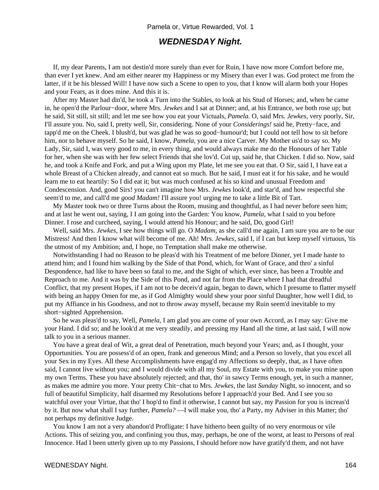# **WEDNESDAY Night.**

 If, my dear Parents, I am not destin'd more surely than ever for Ruin, I have now more Comfort before me, than ever I yet knew. And am either nearer my Happiness or my Misery than ever I was. God protect me from the latter, if it be his blessed Will! I have now such a Scene to open to you, that I know will alarm both your Hopes and your Fears, as it does mine. And this it is.

 After my Master had din'd, he took a Turn into the Stables, to look at his Stud of Horses; and, when he came in, he open'd the Parlour−door, where Mrs. *Jewkes* and I sat at Dinner; and, at his Entrance, we both rose up; but he said, Sit still, sit still; and let me see how you eat your Victuals, *Pamela.* O, said Mrs. *Jewkes,* very poorly, Sir, I'll assure you. No, said I, pretty well, Sir, considering. None of your *Considerings!* said he, Pretty−face, and tapp'd me on the Cheek. I blush'd, but was glad he was so good−humour'd; but I could not tell how to sit before him, nor to behave myself. So he said, I know, *Pamela,* you are a nice Carver. My Mother us'd to say so. My Lady, Sir, said I, was very good to me, in every thing, and would always make me do the Honours of her Table for her, when she was with her few select Friends that she lov'd. Cut up, said he, that Chicken. I did so. Now, said he, and took a Knife and Fork, and put a Wing upon my Plate, let me see you eat that. O Sir, said I, I have eat a whole Breast of a Chicken already, and cannot eat so much. But he said, I must eat it for his sake, and he would learn me to eat heartily: So I did eat it; but was much confused at his so kind and unusual Freedom and Condescension. And, good Sirs! you can't imagine how Mrs. *Jewkes* look'd, and star'd, and how respectful she seem'd to me, and call'd me *good Madam!* I'll assure you! urging me to take a little Bit of Tart.

 My Master took two or three Turns about the Room, musing and thoughtful, as I had never before seen him; and at last he went out, saying, I I am going into the Garden: You know, *Pamela,* what I said to you before Dinner. I rose and curcheed, saying, I would attend his Honour; and he said, Do, good Girl!

 Well, said Mrs. *Jewkes,* I see how things will go. O *Madam,* as she call'd me again, I am sure you are to be our Mistress! And then I know what will become of me. Ah! Mrs. *Jewkes,* said I, if I can but keep myself virtuous, 'tis the utmost of my Ambition; and, I hope, no Temptation shall make me otherwise.

 Notwithstanding I had no Reason to be pleas'd with his Treatment of me before Dinner, yet I made haste to attend him; and I found him walking by the Side of that Pond, which, for Want of Grace, and thro' a sinful Despondence, had like to have been so fatal to me, and the Sight of which, ever since, has been a Trouble and Reproach to me. And it was by the Side of this Pond, and not far from the Place where I had that dreadful Conflict, that my present Hopes, if I am not to be deceiv'd again, began to dawn, which I presume to flatter myself with being an happy Omen for me, as if God Almighty would shew your poor sinful Daughter, how well I did, to put my Affiance in his Goodness, and not to throw away myself, because my Ruin seem'd inevitable to my short−sighted Apprehension.

 So he was pleas'd to say, Well, *Pamela,* I am glad you are come of your own Accord, as I may say: Give me your Hand. I did so; and he look'd at me very steadily, and pressing my Hand all the time, at last said, I will now talk to you in a serious manner.

 You have a great deal of Wit, a great deal of Penetration, much beyond your Years; and, as I thought, your Opportunities. You are possess'd of an open, frank and generous Mind; and a Person so lovely, that you excel all your Sex in my Eyes. All these Accomplishments have engag'd my Affections so deeply, that, as I have often said, I cannot live without you; and I would divide with all my Soul, my Estate with you, to make you mine upon my own Terms. These you have absolutely rejected; and that, tho' in sawcy Terms enough, yet, in such a manner, as makes me admire you more. Your pretty Chit−chat to Mrs. *Jewkes,* the last *Sunday* Night, so innocent, and so full of beautiful Simplicity, half disarmed my Resolutions before I approach'd your Bed. And I see you so watchful over your Virtue, that tho' I hop'd to find it otherwise, I cannot but say, my Passion for you is increas'd by it. But now what shall I say further, *Pamela?* —I will make you, tho' a Party, my Adviser in this Matter; tho' not perhaps my definitive Judge.

 You know I am not a very abandon'd Profligate: I have hitherto been guilty of no very enormous or vile Actions. This of seizing you, and confining you thus, may, perhaps, be one of the worst, at least to Persons of real Innocence. Had I been utterly given up to my Passions, I should before now have gratify'd them, and not have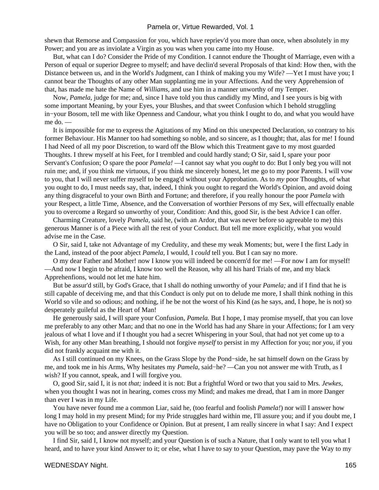shewn that Remorse and Compassion for you, which have repriev'd you more than once, when absolutely in my Power; and you are as inviolate a Virgin as you was when you came into my House.

 But, what can I do? Consider the Pride of my Condition. I cannot endure the Thought of Marriage, even with a Person of equal or superior Degree to myself; and have declin'd several Proposals of that kind: How then, with the Distance between us, and in the World's Judgment, can I think of making you my Wife? —Yet I must have you; I cannot bear the Thoughts of any other Man supplanting me in your Affections. And the very Apprehension of that, has made me hate the Name of *Williams,* and use him in a manner unworthy of my Temper.

 Now, *Pamela,* judge for me; and, since I have told you thus candidly my Mind, and I see yours is big with some important Meaning, by your Eyes, your Blushes, and that sweet Confusion which I behold struggling in−your Bosom, tell me with like Openness and Candour, what you think I ought to do, and what you would have me do. —

 It is impossible for me to express the Agitations of my Mind on this unexpected Declaration, so contrary to his former Behaviour. His Manner too had something so noble, and so sincere, as I thought; that, alas for me! I found I had Need of all my poor Discretion, to ward off the Blow which this Treatment gave to my most guarded Thoughts. I threw myself at his Feet, for I trembled and could hardly stand; O Sir, said I, spare your poor Servant's Confusion; O spare the poor *Pamela!* —I cannot say what you *ought* to do: But I only beg you will not ruin me; and, if you think me virtuous, if you think me sincerely honest, let me go to my poor Parents. I will vow to you, that I will never suffer myself to be engag'd without your Approbation. As to *my* poor Thoughts, of what you ought to do, I must needs say, that, indeed, I think you ought to regard the World's Opinion, and avoid doing any thing disgraceful to your own Birth and Fortune; and therefore, if you really honour the poor *Pamela* with your Respect, a little Time, Absence, and the Conversation of worthier Persons of my Sex, will effectually enable you to overcome a Regard so unworthy of your, Condition: And this, good Sir, is the best Advice I can offer.

 Charming Creature, lovely *Pamela,* said he, (with an Ardor, that was never before so agreeable to me) this generous Manner is of a Piece with all the rest of your Conduct. But tell me more explicitly, what you would advise me in the Case.

 O Sir, said I, take not Advantage of my Credulity, and these my weak Moments; but, were I the first Lady in the Land, instead of the poor abject *Pamela,* I would, I *could* tell you. But I can say no more.

 O my dear Father and Mother! now I know you will indeed be concern'd for me! —For now I am for myself! —And now I begin to be afraid, I know too well the Reason, why all his hard Trials of me, and my black Apprehenfions, would not let me hate him.

 But be assur'd still, by God's Grace, that I shall do nothing unworthy of your *Pamela;* and if I find that he is still capable of deceiving me, and that this Conduct is only put on to delude me more, I shall think nothing in this World so vile and so odious; and nothing, if he be not the worst of his Kind (as he says, and, I hope, he is not) so desperately guileful as the Heart of Man!

 He generously said, I will spare your Confusion, *Pamela.* But I hope, I may promise myself, that you can love me preferably to any other Man; and that no one in the World has had any Share in your Affections; for I am very jealous of what I love and if I thought you had a secret Whispering in your Soul, that had not yet come up to a Wish, for any other Man breathing, I should not forgive *myself* to persist in my Affection for you; nor *you,* if you did not frankly acquaint me with it.

 As I still continued on my Knees, on the Grass Slope by the Pond−side, he sat himself down on the Grass by me, and took me in his Arms, Why hesitates my *Pamela,* said−he? —Can you not answer me with Truth, as I wish? If you cannot, speak, and I will forgive you.

 O, good Sir, said I, it is not *that;* indeed it is not: But a frightful Word or two that you said to Mrs. *Jewkes,* when you thought I was not in hearing, comes cross my Mind; and makes me dread, that I am in more Danger than ever I was in my Life.

 You have never found me a common Liar, said he, (too fearful and foolish *Pamela!*) nor will I answer how long I may hold in my present Mind; for my Pride struggles hard within me, I'll assure you; and if you doubt me, I have no Obligation to your Confidence or Opinion. But at present, I am really sincere in what I say: And I expect you will be so too; and answer directly my Question.

 I find Sir, said I, I know not myself; and your Question is of such a Nature, that I only want to tell you what I heard, and to have your kind Answer to it; or else, what I have to say to your Question, may pave the Way to my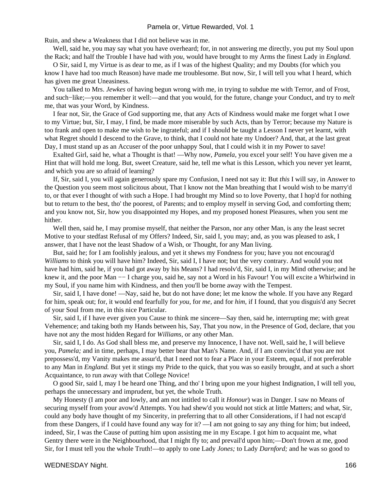Ruin, and shew a Weakness that I did not believe was in me.

 Well, said he, you may say what you have overheard; for, in not answering me directly, you put my Soul upon the Rack; and half the Trouble I have had with *you,* would have brought to my Arms the finest Lady in *England.*

 O Sir, said I, my Virtue is as dear to me, as if I was of the highest Quality; and my Doubts (for which you know I have had too much Reason) have made me troublesome. But now, Sir, I will tell you what I heard, which has given me great Uneasiness.

 You talked to Mrs. *Jewkes* of having begun wrong with me, in trying to subdue me with Terror, and of Frost, and such−like;—you remember it well:—and that you would, for the future, change your Conduct, and try to *melt* me, that was your Word, by Kindness.

 I fear not, Sir, the Grace of God supporting me, that any Acts of Kindness would make me forget what I owe to my Virtue; but, Sir, I may, I find, be made more miserable by such Acts, than by Terror; because my Nature is too frank and open to make me wish to be ingrateful; and if I should be taught a Lesson I never yet learnt, with what Regret should I descend to the Grave, to think, that I could not hate my Undoer? And, that, at the last great Day, I must stand up as an Accuser of the poor unhappy Soul, that I could wish it in my Power to save!

 Exalted Girl, said he, what a Thought is that! —Why now, *Pamela,* you excel your self! You have given me a Hint that will hold me long. But, sweet Creature, said he, tell me what is this Lesson, which you never yet learnt, and which you are so afraid of learning?

 If, Sir, said I, you will again generously spare my Confusion, I need not say it: But *this* I will say, in Answer to the Question you seem most solicitous about, That I know not the Man breathing that I would wish to be marry'd to, or that ever I thought of with such a Hope. I had brought my Mind so to love Poverty, that I hop'd for nothing but to return to the best, tho' the poorest, of Parents; and to employ myself in serving God, and comforting them; and you know not, Sir, how you disappointed my Hopes, and my proposed honest Pleasures, when you sent me hither.

Well then, said he, I may promise myself, that neither the Parson, nor any other Man, is any the least secret Motive to your stedfast Refusal of my Offers? Indeed, Sir, said I, you may; and, as you was pleased to ask, I answer, that I have not the least Shadow of a Wish, or Thought, for any Man living.

 But, said he; for I am foolishly jealous, and yet it shews my Fondness for you; have you not encourag'd *Williams* to think you will have him? Indeed, Sir, said I, I have not; but the very contrary. And would you not have had him, said he, if you had got away by his Means? I had resolv'd, Sir, said I, in my Mind otherwise; and he knew it, and the poor Man −− I charge you, said he, say not a Word in his Favour! You will excite a Whirlwind in my Soul, if you name him with Kindness, and then you'll be borne away with the Tempest.

 Sir, said I, I have done! —Nay, said he, but do not have done; let me know the whole. If you have any Regard for him, speak out; for, it would end fearfully for *you,* for *me,* and for *him,* if I found, that you disguis'd any Secret of your Soul from me, in this nice Particular.

 Sir, said I, if I have ever given you Cause to think me sincere—Say then, said he, interrupting me; with great Vehemence; and taking both my Hands between his, Say, That you now, in the Presence of God, declare, that you have not any the most hidden Regard for *Williams,* or any other Man.

 Sir, said I, I do. As God shall bless me, and preserve my Innocence, I have not. Well, said he, I will believe you, *Pamela;* and in time, perhaps, I may better bear that Man's Name. And, if I am convinc'd that you are not prepossess'd, my Vanity makes me assur'd, that I need not to fear a Place in your Esteem, equal, if not preferable to any Man in *England.* But yet it stings my Pride to the quick, that you was so easily brought, and at such a short Acquaintance, to run away with that College Novice!

 O good Sir, said I, may I be heard one Thing, and tho' I bring upon me your highest Indignation, I will tell you, perhaps the unnecessary and imprudent, but yet, the whole Truth.

 My Honesty (I am poor and lowly, and am not intitled to call it *Honour*) was in Danger. I saw no Means of securing myself from your avow'd Attempts. You had shew'd you would not stick at little Matters; and what, Sir, could any body have thought of my Sincerity, in preferring that to all other Considerations, if I had not escap'd from these Dangers, if I could have found any way for it? —I am not going to say any thing for him; but indeed, indeed, Sir, I was the Cause of putting him upon assisting me in my Escape. I got him to acquaint me, what Gentry there were in the Neighbourhood, that I might fly to; and prevail'd upon him;—Don't frown at me, good Sir, for I must tell you the whole Truth!—to apply to one Lady *Jones;* to Lady *Darnford;* and he was so good to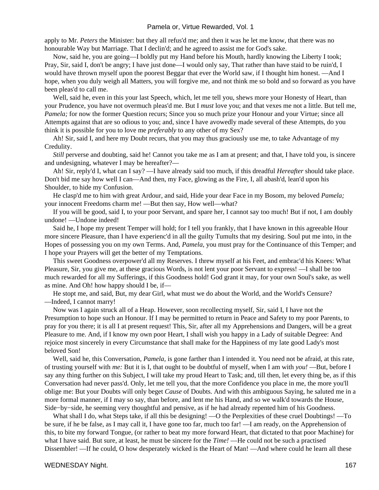apply to Mr. *Peters* the Minister: but they all refus'd me; and then it was he let me know, that there was no honourable Way but Marriage. That I declin'd; and he agreed to assist me for God's sake.

 Now, said he, you are going—I boldly put my Hand before his Mouth, hardly knowing the Liberty I took; Pray, Sir, said I, don't be angry; I have just done—I would only say, That rather than have staid to be ruin'd, I would have thrown myself upon the poorest Beggar that ever the World saw, if I thought him honest. —And I hope, when you duly weigh all Matters, you will forgive me, and not think me so bold and so forward as you have been pleas'd to call me.

 Well, said he, even in this your last Speech, which, let me tell you, shews more your Honesty of Heart, than your Prudence, you have not overmuch pleas'd me. But I *must* love you; and that vexes me not a little. But tell me, *Pamela*; for now the former Question recurs; Since you so much prize your Honour and your Virtue; since all Attempts against that are so odious to you; and, since I have avowedly made several of these Attempts, do you think it is possible for you to love me *preferably* to any other of my Sex?

 Ah! Sir, said I, and here my Doubt recurs, that you may thus graciously use me, to take Advantage of my Credulity.

*Still* perverse and doubting, said he! Cannot you take me as I am at present; and that, I have told you, is sincere and undesigning, whatever I may be hereafter?—

 Ah! Sir, reply'd I, what can I say? —I have already said too much, if this dreadful *Hereafter* should take place. Don't bid me say how well I can—And then, my Face, glowing as the Fire, I, all abash'd, lean'd upon his Shoulder, to hide my Confusion.

 He clasp'd me to him with great Ardour, and said, Hide your dear Face in my Bosom, my beloved *Pamela;* your innocent Freedoms charm me! —But then say, How well—what?

 If you will be good, said I, to your poor Servant, and spare her, I cannot say too much! But if not, I am doubly undone! —Undone indeed!

 Said he, I hope my present Temper will hold; for I tell you frankly, that I have known in this agreeable Hour more sincere Pleasure, than I have experienc'd in all the guilty Tumults that my desiring. Soul put me into, in the Hopes of possessing you on my own Terms. And, *Pamela,* you must pray for the Continuance of this Temper; and I hope your Prayers will get the better of my Temptations.

 This sweet Goodness overpower'd all my Reserves. I threw myself at his Feet, and embrac'd his Knees: What Pleasure, Sir, you give me, at these gracious Words, is not lent your poor Servant to express! —I shall be too much rewarded for all my Sufferings, if this Goodness hold! God grant it may, for your own Soul's sake, as well as mine. And Oh! how happy should I be, if—

 He stopt me, and said, But, my dear Girl, what must we do about the World, and the World's Censure? —Indeed, I cannot marry!

 Now was I again struck all of a Heap. However, soon recollecting myself, Sir, said I, I have not the Presumption to hope such an Honour. If I may be permitted to return in Peace and Safety to my poor Parents, to pray for you there; it is all I at present request! This, Sir, after all my Apprehensions and Dangers, will be a great Pleasure to me. And, if I know my own poor Heart, I shall wish you happy in a Lady of suitable Degree: And rejoice most sincerely in every Circumstance that shall make for the Happiness of my late good Lady's most beloved Son!

 Well, said he, this Conversation, *Pamela,* is gone farther than I intended it. You need not be afraid, at this rate, of trusting yourself with *me:* But it is I, that ought to be doubtful of myself, when I am with *you!* —But, before I say any thing further on this Subject, I will take my proud Heart to Task; and, till then, let every thing be, as if this Conversation had never pass'd. Only, let me tell you, that the more Confidence you place in me, the more you'll oblige me: But your Doubts will only beget *Cause* of Doubts. And with this ambiguous Saying, he saluted me in a more formal manner, if I may so say, than before, and lent me his Hand, and so we walk'd towards the House, Side−by−side, he seeming very thoughtful and pensive, as if he had already repented him of his Goodness.

What shall I do, what Steps take, if all this be designing! —O the Perplexities of these cruel Doubtings! —To be sure, if he be false, as I may call it, I have gone too far, much too far! —I am ready, on the Apprehension of this, to bite my forward Tongue, (or rather to beat my more forward Heart, that dictated to that poor Machine) for what I have said. But sure, at least, he must be sincere for the *Time!* —He could not be such a practised Dissembler! —If he could, O how desperately wicked is the Heart of Man! —And where could he learn all these